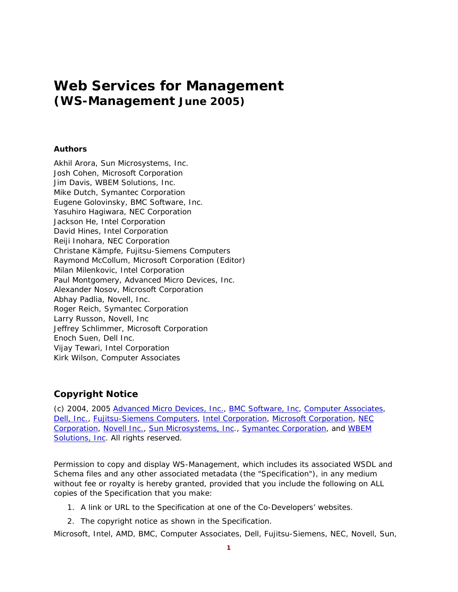# **Web Services for Management (WS-Management June 2005)**

### **Authors**

Akhil Arora, Sun Microsystems, Inc. Josh Cohen, Microsoft Corporation Jim Davis, WBEM Solutions, Inc. Mike Dutch, Symantec Corporation Eugene Golovinsky, BMC Software, Inc. Yasuhiro Hagiwara, NEC Corporation Jackson He, Intel Corporation David Hines, Intel Corporation Reiji Inohara, NEC Corporation Christane Kämpfe, Fujitsu-Siemens Computers Raymond McCollum, Microsoft Corporation (Editor) Milan Milenkovic, Intel Corporation Paul Montgomery, Advanced Micro Devices, Inc. Alexander Nosov, Microsoft Corporation Abhay Padlia, Novell, Inc. Roger Reich, Symantec Corporation Larry Russon, Novell, Inc Jeffrey Schlimmer, Microsoft Corporation Enoch Suen, Dell Inc. Vijay Tewari, Intel Corporation Kirk Wilson, Computer Associates

### **Copyright Notice**

(c) 2004, 2005 Advanced Micro Devices, Inc., BMC Software, Inc, Computer Associates, Dell, Inc., Fujitsu-Siemens Computers, Intel Corporation, Microsoft Corporation, NEC Corporation, Novell Inc., Sun Microsystems, Inc., Symantec Corporation, and WBEM Solutions, Inc. All rights reserved.

Permission to copy and display WS-Management, which includes its associated WSDL and Schema files and any other associated metadata (the "Specification"), in any medium without fee or royalty is hereby granted, provided that you include the following on ALL copies of the Specification that you make:

- 1. A link or URL to the Specification at one of the Co-Developers' websites.
- 2. The copyright notice as shown in the Specification.

Microsoft, Intel, AMD, BMC, Computer Associates, Dell, Fujitsu-Siemens, NEC, Novell, Sun,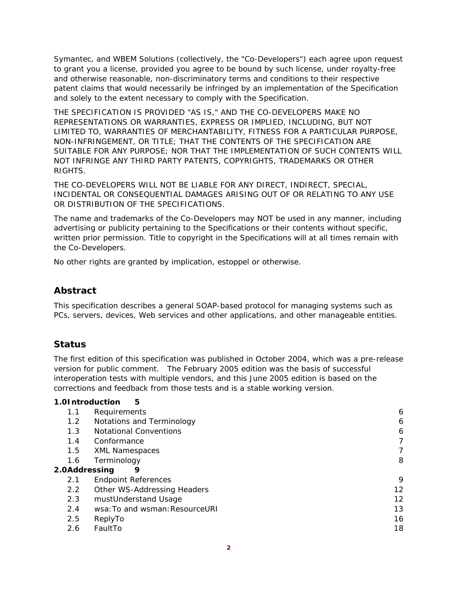Symantec, and WBEM Solutions (collectively, the "Co-Developers") each agree upon request to grant you a license, provided you agree to be bound by such license, under royalty-free and otherwise reasonable, non-discriminatory terms and conditions to their respective patent claims that would necessarily be infringed by an implementation of the Specification and solely to the extent necessary to comply with the Specification.

THE SPECIFICATION IS PROVIDED "AS IS," AND THE CO-DEVELOPERS MAKE NO REPRESENTATIONS OR WARRANTIES, EXPRESS OR IMPLIED, INCLUDING, BUT NOT LIMITED TO, WARRANTIES OF MERCHANTABILITY, FITNESS FOR A PARTICULAR PURPOSE, NON-INFRINGEMENT, OR TITLE; THAT THE CONTENTS OF THE SPECIFICATION ARE SUITABLE FOR ANY PURPOSE; NOR THAT THE IMPLEMENTATION OF SUCH CONTENTS WILL NOT INFRINGE ANY THIRD PARTY PATENTS, COPYRIGHTS, TRADEMARKS OR OTHER RIGHTS.

THE CO-DEVELOPERS WILL NOT BE LIABLE FOR ANY DIRECT, INDIRECT, SPECIAL, INCIDENTAL OR CONSEQUENTIAL DAMAGES ARISING OUT OF OR RELATING TO ANY USE OR DISTRIBUTION OF THE SPECIFICATIONS.

The name and trademarks of the Co-Developers may NOT be used in any manner, including advertising or publicity pertaining to the Specifications or their contents without specific, written prior permission. Title to copyright in the Specifications will at all times remain with the Co-Developers.

No other rights are granted by implication, estoppel or otherwise.

### **Abstract**

This specification describes a general SOAP-based protocol for managing systems such as PCs, servers, devices, Web services and other applications, and other manageable entities.

### **Status**

The first edition of this specification was published in October 2004, which was a pre-release version for public comment. The February 2005 edition was the basis of successful interoperation tests with multiple vendors, and this June 2005 edition is based on the corrections and feedback from those tests and is a stable working version.

### **1.0Introduction 5**

| 1.1           | Requirements                   | 6  |
|---------------|--------------------------------|----|
| 1.2           | Notations and Terminology      | 6  |
| 1.3           | <b>Notational Conventions</b>  | 6  |
| 1.4           | Conformance                    | 7  |
| 1.5           | <b>XML Namespaces</b>          | 7  |
| 1.6           | Terminology                    | 8  |
| 2.0Addressing | 9                              |    |
| 2.1           | <b>Endpoint References</b>     | 9  |
| $2.2^{\circ}$ | Other WS-Addressing Headers    | 12 |
| 2.3           | mustUnderstand Usage           | 12 |
| 2.4           | wsa: To and wsman: ResourceURI | 13 |
| 2.5           | ReplyTo                        | 16 |
| 2.6           | FaultTo                        | 18 |
|               |                                |    |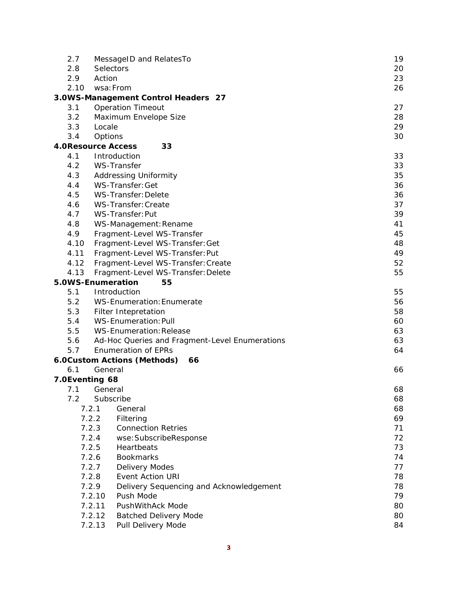| 2.7            | MessageID and RelatesTo                                                  | 19       |
|----------------|--------------------------------------------------------------------------|----------|
| 2.8            | Selectors                                                                | 20       |
| 2.9            | Action                                                                   | 23       |
| 2.10           | wsa: From                                                                | 26       |
|                | 3.0WS-Management Control Headers 27                                      |          |
| 3.1            | <b>Operation Timeout</b>                                                 | 27       |
| 3.2            | Maximum Envelope Size                                                    | 28       |
| 3.3            | Locale                                                                   | 29       |
| 3.4            | Options                                                                  | 30       |
|                | <b>4.0Resource Access</b><br>33                                          |          |
| 4.1            | Introduction                                                             | 33       |
| 4.2            | WS-Transfer                                                              | 33       |
| 4.3            | <b>Addressing Uniformity</b>                                             | 35       |
| 4.4            | WS-Transfer: Get                                                         | 36       |
| 4.5            | WS-Transfer: Delete                                                      | 36       |
| 4.6            | WS-Transfer: Create                                                      | 37       |
| 4.7            | WS-Transfer: Put                                                         | 39       |
| 4.8            | WS-Management: Rename                                                    | 41       |
| 4.9            | Fragment-Level WS-Transfer                                               | 45<br>48 |
| 4.10           | Fragment-Level WS-Transfer: Get                                          | 49       |
| 4.11           | Fragment-Level WS-Transfer: Put                                          |          |
| 4.12<br>4.13   | Fragment-Level WS-Transfer: Create<br>Fragment-Level WS-Transfer: Delete | 52<br>55 |
|                | 5.0WS-Enumeration<br>55                                                  |          |
| 5.1            | Introduction                                                             | 55       |
| 5.2            | <b>WS-Enumeration: Enumerate</b>                                         | 56       |
| 5.3            | Filter Intepretation                                                     | 58       |
| 5.4            | <b>WS-Enumeration: Pull</b>                                              | 60       |
| 5.5            | <b>WS-Enumeration: Release</b>                                           | 63       |
| 5.6            | Ad-Hoc Queries and Fragment-Level Enumerations                           | 63       |
| 5.7            | <b>Enumeration of EPRs</b>                                               | 64       |
|                | 6.0Custom Actions (Methods)<br>66                                        |          |
| 6.1            | General                                                                  | 66       |
| 7.0Eventing 68 |                                                                          |          |
| 7.1            | General                                                                  | 68       |
| 7.2            | Subscribe                                                                | 68       |
|                | 7.2.1<br>General                                                         | 68       |
|                | 7.2.2<br>Filtering                                                       | 69       |
|                | 7.2.3<br><b>Connection Retries</b>                                       | 71       |
|                | 7.2.4<br>wse: SubscribeResponse                                          | 72       |
|                | 7.2.5<br>Heartbeats                                                      | 73       |
|                | 7.2.6<br><b>Bookmarks</b>                                                | 74       |
|                | 7.2.7<br><b>Delivery Modes</b>                                           | 77       |
|                | 7.2.8<br>Event Action URI                                                | 78       |
|                | 7.2.9<br>Delivery Sequencing and Acknowledgement                         | 78       |
|                | Push Mode<br>7.2.10                                                      | 79       |
|                | <b>PushWithAck Mode</b><br>7.2.11                                        | 80       |
|                | 7.2.12<br><b>Batched Delivery Mode</b>                                   | 80       |
|                | 7.2.13<br>Pull Delivery Mode                                             | 84       |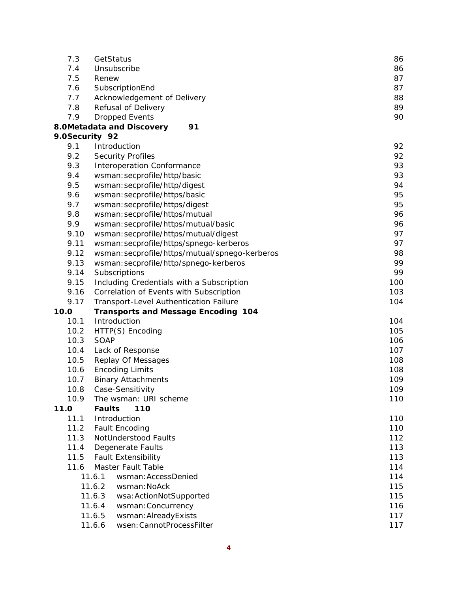| 7.3            | GetStatus                                      | 86  |
|----------------|------------------------------------------------|-----|
| 7.4            | Unsubscribe                                    | 86  |
| 7.5            | Renew                                          | 87  |
| 7.6            | SubscriptionEnd                                | 87  |
| 7.7            | Acknowledgement of Delivery                    | 88  |
| 7.8            | Refusal of Delivery                            | 89  |
| 7.9            | <b>Dropped Events</b>                          | 90  |
|                | 91<br>8.0Metadata and Discovery                |     |
| 9.0Security 92 |                                                |     |
| 9.1            | Introduction                                   | 92  |
| 9.2            | <b>Security Profiles</b>                       | 92  |
| 9.3            | Interoperation Conformance                     | 93  |
| 9.4            | wsman: secprofile/http/basic                   | 93  |
| 9.5            | wsman: secprofile/http/digest                  | 94  |
| 9.6            | wsman: secprofile/https/basic                  | 95  |
| 9.7            | wsman: secprofile/https/digest                 | 95  |
| 9.8            | wsman: secprofile/https/mutual                 | 96  |
| 9.9            | wsman: secprofile/https/mutual/basic           | 96  |
| 9.10           | wsman: secprofile/https/mutual/digest          | 97  |
| 9.11           | wsman: secprofile/https/spnego-kerberos        | 97  |
| 9.12           | wsman: secprofile/https/mutual/spnego-kerberos | 98  |
| 9.13           | wsman: secprofile/http/spnego-kerberos         | 99  |
| 9.14           | Subscriptions                                  | 99  |
| 9.15           | Including Credentials with a Subscription      | 100 |
| 9.16           | Correlation of Events with Subscription        | 103 |
| 9.17           | Transport-Level Authentication Failure         | 104 |
| 10.0           | <b>Transports and Message Encoding 104</b>     |     |
| 10.1           | Introduction                                   | 104 |
| 10.2           | HTTP(S) Encoding                               | 105 |
| 10.3           | SOAP                                           | 106 |
| 10.4           | Lack of Response                               | 107 |
| 10.5           | Replay Of Messages                             | 108 |
| 10.6           | <b>Encoding Limits</b>                         | 108 |
| 10.7           | <b>Binary Attachments</b>                      | 109 |
| 10.8           | Case-Sensitivity                               | 109 |
| 10.9           | The wsman: URI scheme                          | 110 |
| 11.0           | 110<br><b>Faults</b>                           |     |
| 11.1           | Introduction                                   | 110 |
| 11.2           | Fault Encoding                                 | 110 |
| 11.3           | NotUnderstood Faults                           | 112 |
| 11.4           | Degenerate Faults                              | 113 |
| 11.5           | <b>Fault Extensibility</b>                     | 113 |
| 11.6           | Master Fault Table                             | 114 |
|                | 11.6.1<br>wsman: AccessDenied                  | 114 |
|                | 11.6.2<br>wsman: NoAck                         | 115 |
|                | 11.6.3<br>wsa: ActionNotSupported              | 115 |
|                | 11.6.4<br>wsman: Concurrency                   | 116 |
|                | 11.6.5<br>wsman: AlreadyExists                 | 117 |
|                | 11.6.6<br>wsen: CannotProcessFilter            | 117 |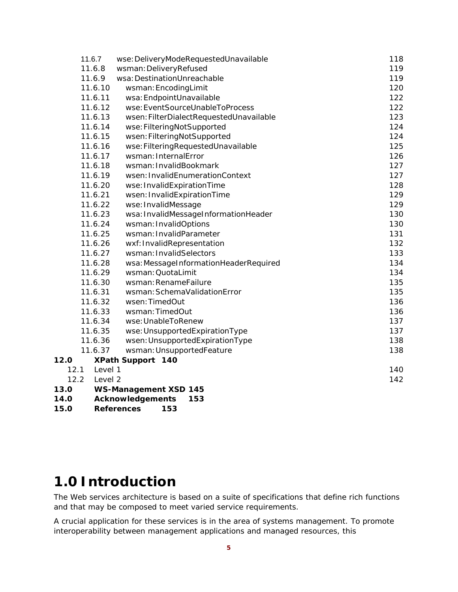|      | 11.6.7  | wse: DeliveryModeRequestedUnavailable   | 118 |
|------|---------|-----------------------------------------|-----|
|      | 11.6.8  | wsman: DeliveryRefused                  | 119 |
|      | 11.6.9  | wsa: DestinationUnreachable             | 119 |
|      | 11.6.10 | wsman: EncodingLimit                    | 120 |
|      | 11.6.11 | wsa: EndpointUnavailable                | 122 |
|      | 11.6.12 | wse: EventSourceUnableToProcess         | 122 |
|      | 11.6.13 | wsen: FilterDialectRequestedUnavailable | 123 |
|      | 11.6.14 | wse:FilteringNotSupported               | 124 |
|      | 11.6.15 | wsen: FilteringNotSupported             | 124 |
|      | 11.6.16 | wse: Filtering Requested Unavailable    | 125 |
|      | 11.6.17 | wsman: InternalError                    | 126 |
|      | 11.6.18 | wsman: InvalidBookmark                  | 127 |
|      | 11.6.19 | wsen: InvalidEnumerationContext         | 127 |
|      | 11.6.20 | wse: InvalidExpirationTime              | 128 |
|      | 11.6.21 | wsen: InvalidExpirationTime             | 129 |
|      | 11.6.22 | wse: InvalidMessage                     | 129 |
|      | 11.6.23 | wsa: InvalidMessageInformationHeader    | 130 |
|      | 11.6.24 | wsman: InvalidOptions                   | 130 |
|      | 11.6.25 | wsman: InvalidParameter                 | 131 |
|      | 11.6.26 | wxf: InvalidRepresentation              | 132 |
|      | 11.6.27 | wsman: InvalidSelectors                 | 133 |
|      | 11.6.28 | wsa: MessageInformationHeaderRequired   | 134 |
|      | 11.6.29 | wsman: QuotaLimit                       | 134 |
|      | 11.6.30 | wsman: RenameFailure                    | 135 |
|      | 11.6.31 | wsman: SchemaValidationError            | 135 |
|      | 11.6.32 | wsen: TimedOut                          | 136 |
|      | 11.6.33 | wsman: TimedOut                         | 136 |
|      | 11.6.34 | wse: UnableToRenew                      | 137 |
|      | 11.6.35 | wse: UnsupportedExpirationType          | 137 |
|      | 11.6.36 | wsen: UnsupportedExpirationType         | 138 |
|      | 11.6.37 | wsman: UnsupportedFeature               | 138 |
| 12.0 |         | <b>XPath Support 140</b>                |     |
| 12.1 | Level 1 |                                         | 140 |
| 12.2 | Level 2 |                                         | 142 |
| 13.0 |         | <b>WS-Management XSD 145</b>            |     |
| 14.0 |         | Acknowledgements<br>153                 |     |

**15.0 References 153**

# **1.0 Introduction**

The Web services architecture is based on a suite of specifications that define rich functions and that may be composed to meet varied service requirements.

A crucial application for these services is in the area of systems management. To promote interoperability between management applications and managed resources, this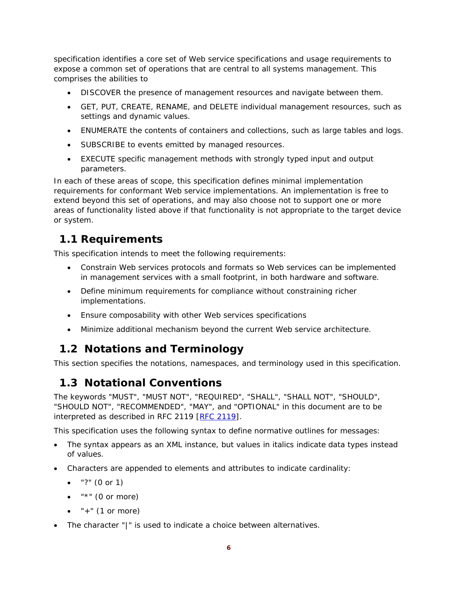specification identifies a core set of Web service specifications and usage requirements to expose a common set of operations that are central to all systems management. This comprises the abilities to

- DISCOVER the presence of management resources and navigate between them.
- GET, PUT, CREATE, RENAME, and DELETE individual management resources, such as settings and dynamic values.
- ENUMERATE the contents of containers and collections, such as large tables and logs.
- SUBSCRIBE to events emitted by managed resources.
- EXECUTE specific management methods with strongly typed input and output parameters.

In each of these areas of scope, this specification defines minimal implementation requirements for conformant Web service implementations. An implementation is free to extend beyond this set of operations, and may also choose not to support one or more areas of functionality listed above if that functionality is not appropriate to the target device or system.

# **1.1 Requirements**

This specification intends to meet the following requirements:

- Constrain Web services protocols and formats so Web services can be implemented in management services with a small footprint, in both hardware and software.
- Define minimum requirements for compliance without constraining richer implementations.
- Ensure composability with other Web services specifications
- Minimize additional mechanism beyond the current Web service architecture.

# **1.2 Notations and Terminology**

This section specifies the notations, namespaces, and terminology used in this specification.

# **1.3 Notational Conventions**

The keywords "MUST", "MUST NOT", "REQUIRED", "SHALL", "SHALL NOT", "SHOULD", "SHOULD NOT", "RECOMMENDED", "MAY", and "OPTIONAL" in this document are to be interpreted as described in RFC 2119 [RFC 2119].

This specification uses the following syntax to define normative outlines for messages:

- The syntax appears as an XML instance, but values in italics indicate data types instead of values.
- Characters are appended to elements and attributes to indicate cardinality:
	- $\bullet$  "?" (0 or 1)
	- $\bullet$  "\*" (0 or more)
	- $\bullet$  "+" (1 or more)
- The character "|" is used to indicate a choice between alternatives.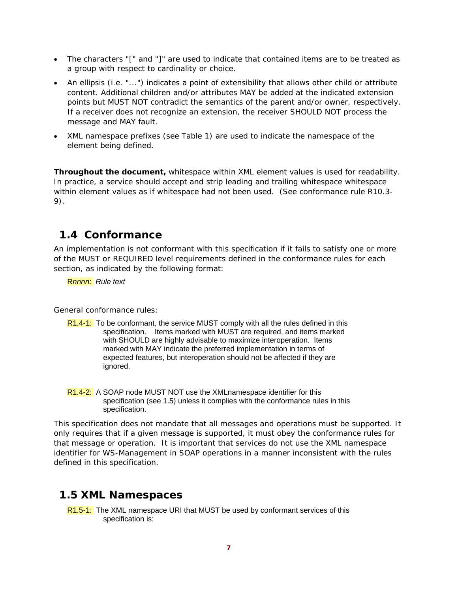- The characters "[" and "]" are used to indicate that contained items are to be treated as a group with respect to cardinality or choice.
- An ellipsis (i.e. "...") indicates a point of extensibility that allows other child or attribute content. Additional children and/or attributes MAY be added at the indicated extension points but MUST NOT contradict the semantics of the parent and/or owner, respectively. If a receiver does not recognize an extension, the receiver SHOULD NOT process the message and MAY fault.
- XML namespace prefixes (see Table 1) are used to indicate the namespace of the element being defined.

**Throughout the document,** whitespace within XML element values is used for readability. In practice, a service should accept and strip leading and trailing whitespace whitespace within element values as if whitespace had not been used. (See conformance rule R10.3- 9).

## **1.4 Conformance**

An implementation is not conformant with this specification if it fails to satisfy one or more of the MUST or REQUIRED level requirements defined in the conformance rules for each section, as indicated by the following format:

R*nnnn*: *Rule text* 

General conformance rules:

- R1.4-1: To be conformant, the service MUST comply with all the rules defined in this specification. Items marked with MUST are required, and items marked with SHOULD are highly advisable to maximize interoperation. Items marked with MAY indicate the preferred implementation in terms of expected features, but interoperation should not be affected if they are ignored.
- R<sub>1.4-2</sub>: A SOAP node MUST NOT use the XML namespace identifier for this specification (see 1.5) unless it complies with the conformance rules in this specification.

This specification does not mandate that all messages and operations must be supported. It only requires that if a given message is supported, it must obey the conformance rules for that message or operation. It is important that services do not use the XML namespace identifier for WS-Management in SOAP operations in a manner inconsistent with the rules defined in this specification.

## **1.5 XML Namespaces**

R1.5-1: The XML namespace URI that MUST be used by conformant services of this specification is: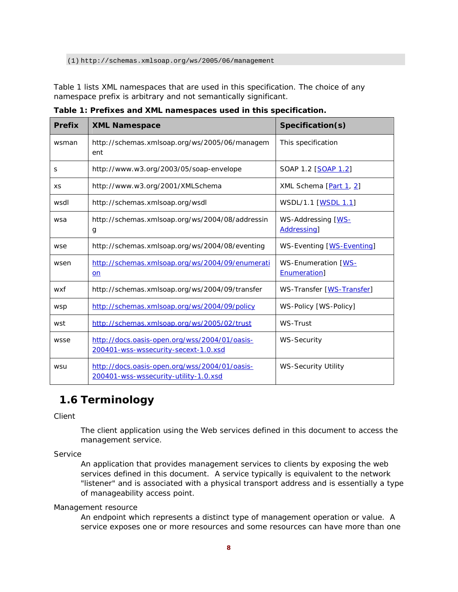(1) http://schemas.xmlsoap.org/ws/2005/06/management

Table 1 lists XML namespaces that are used in this specification. The choice of any namespace prefix is arbitrary and not semantically significant.

| <b>Prefix</b> | <b>XML Namespace</b>                                                                   | Specification(s)                                   |
|---------------|----------------------------------------------------------------------------------------|----------------------------------------------------|
| wsman         | http://schemas.xmlsoap.org/ws/2005/06/managem<br>ent                                   | This specification                                 |
| S             | http://www.w3.org/2003/05/soap-envelope                                                | SOAP 1.2 [SOAP 1.2]                                |
| <b>XS</b>     | http://www.w3.org/2001/XMLSchema                                                       | XML Schema [Part 1, 2]                             |
| wsdl          | http://schemas.xmlsoap.org/wsdl                                                        | WSDL/1.1 [WSDL 1.1]                                |
| wsa           | http://schemas.xmlsoap.org/ws/2004/08/addressin<br>g                                   | WS-Addressing [WS-<br>Addressing]                  |
| wse           | http://schemas.xmlsoap.org/ws/2004/08/eventing                                         | WS-Eventing [WS-Eventing]                          |
| wsen          | http://schemas.xmlsoap.org/ws/2004/09/enumerati<br>on                                  | <b>WS-Enumeration [WS-</b><br><b>Enumeration</b> ] |
| wxf           | http://schemas.xmlsoap.org/ws/2004/09/transfer                                         | WS-Transfer [WS-Transfer]                          |
| wsp           | http://schemas.xmlsoap.org/ws/2004/09/policy                                           | WS-Policy [WS-Policy]                              |
| wst           | http://schemas.xmlsoap.org/ws/2005/02/trust                                            | WS-Trust                                           |
| wsse          | http://docs.oasis-open.org/wss/2004/01/oasis-<br>200401-wss-wssecurity-secext-1.0.xsd  | <b>WS-Security</b>                                 |
| wsu           | http://docs.oasis-open.org/wss/2004/01/oasis-<br>200401-wss-wssecurity-utility-1.0.xsd | <b>WS-Security Utility</b>                         |

**Table 1: Prefixes and XML namespaces used in this specification.** 

# **1.6 Terminology**

Client

The client application using the Web services defined in this document to access the management service.

Service

An application that provides management services to clients by exposing the web services defined in this document. A service typically is equivalent to the network "listener" and is associated with a physical transport address and is essentially a type of manageability access point.

Management resource

An endpoint which represents a distinct type of management operation or value. A service exposes one or more resources and some resources can have more than one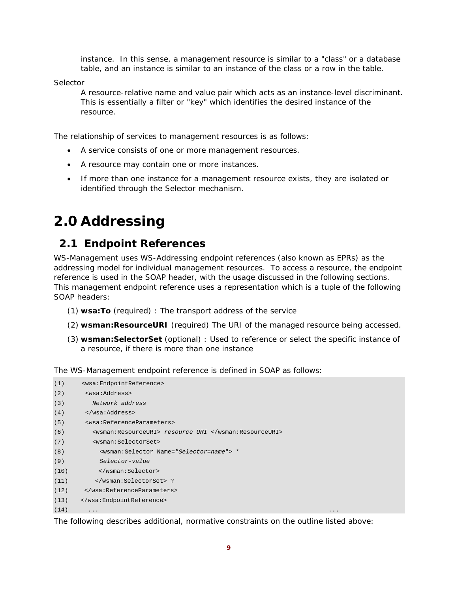instance. In this sense, a management resource is similar to a "class" or a database table, and an instance is similar to an instance of the class or a row in the table.

Selector

A resource-relative name and value pair which acts as an instance-level discriminant. This is essentially a filter or "key" which identifies the desired instance of the resource.

The relationship of services to management resources is as follows:

- A service consists of one or more management resources.
- A resource may contain one or more instances.
- If more than one instance for a management resource exists, they are isolated or identified through the Selector mechanism.

# **2.0 Addressing**

## **2.1 Endpoint References**

WS-Management uses WS-Addressing *endpoint references* (also known as *EPRs*) as the addressing model for individual management resources. To access a resource, the endpoint reference is used in the SOAP header, with the usage discussed in the following sections. This management endpoint reference uses a representation which is a tuple of the following SOAP headers:

- (1) **wsa:To** (required) : The transport address of the service
- (2) **wsman:ResourceURI** (required) The URI of the managed resource being accessed.
- (3) **wsman:SelectorSet** (optional) : Used to reference or select the specific instance of a resource, if there is more than one instance

The WS-Management endpoint reference is defined in SOAP as follows:

| (1)  | <wsa:endpointreference></wsa:endpointreference>          |
|------|----------------------------------------------------------|
| (2)  | <wsa:address></wsa:address>                              |
| (3)  | Network address                                          |
| (4)  |                                                          |
| (5)  | <wsa:referenceparameters></wsa:referenceparameters>      |
| (6)  | <wsman:resourceuri> resource URI </wsman:resourceuri>    |
| (7)  | <wsman:selectorset></wsman:selectorset>                  |
| (8)  | <wsman:selector name="Selector=name"> *</wsman:selector> |
| (9)  | Selector-value                                           |
| (10) |                                                          |
| (11) | ?                                                        |
| (12) |                                                          |
| (13) |                                                          |
| (14) | $\cdot$<br>.                                             |

The following describes additional, normative constraints on the outline listed above: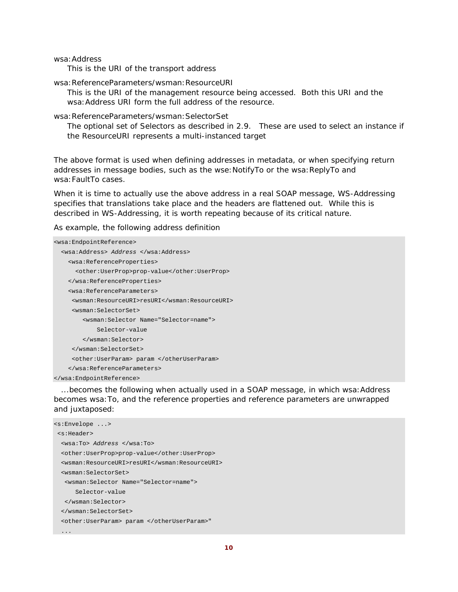wsa:Address

This is the URI of the transport address

wsa:ReferenceParameters/wsman:ResourceURI

This is the URI of the management resource being accessed. Both this URI and the wsa:Address URI form the full address of the resource.

wsa:ReferenceParameters/wsman:SelectorSet

The optional set of Selectors as described in 2.9. These are used to select an instance if the ResourceURI represents a multi-instanced target

The above format is used when defining addresses in metadata, or when specifying return addresses in message bodies, such as the wse: NotifyTo or the wsa: ReplyTo and wsa:FaultTo cases.

When it is time to actually use the above address in a real SOAP message, WS-Addressing specifies that translations take place and the headers are flattened out. While this is described in WS-Addressing, it is worth repeating because of its critical nature.

As example, the following address definition

```
<wsa:EndpointReference> 
   <wsa:Address> Address </wsa:Address> 
     <wsa:ReferenceProperties> 
       <other:UserProp>prop-value</other:UserProp> 
     </wsa:ReferenceProperties> 
     <wsa:ReferenceParameters> 
      <wsman:ResourceURI>resURI</wsman:ResourceURI> 
      <wsman:SelectorSet> 
         <wsman:Selector Name="Selector=name"> 
             Selector-value 
         </wsman:Selector> 
      </wsman:SelectorSet> 
      <other:UserParam> param </otherUserParam> 
     </wsa:ReferenceParameters> 
</wsa:EndpointReference>
```
...becomes the following when actually used in a SOAP message, in which wsa: Address becomes wsa:To, and the reference properties and reference parameters are unwrapped and juxtaposed:

```
<s:Envelope ...> 
  <s:Header> 
   <wsa:To> Address </wsa:To> 
   <other:UserProp>prop-value</other:UserProp> 
   <wsman:ResourceURI>resURI</wsman:ResourceURI> 
   <wsman:SelectorSet> 
    <wsman:Selector Name="Selector=name"> 
       Selector-value 
    </wsman:Selector> 
   </wsman:SelectorSet> 
   <other:UserParam> param </otherUserParam>" 
   ...
```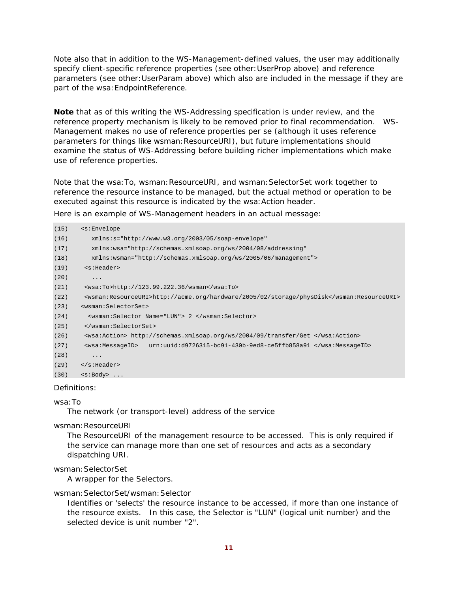Note also that in addition to the WS-Management-defined values, the user may additionally specify client-specific reference properties (see *other:UserProp* above) and reference parameters (see *other:UserParam* above) which also are included in the message if they are part of the wsa: EndpointReference.

**Note** that as of this writing the WS-Addressing specification is under review, and the reference property mechanism is likely to be removed prior to final recommendation. WS-Management makes no use of reference properties per se (although it uses reference parameters for things like wsman: ResourceURI), but future implementations should examine the status of WS-Addressing before building richer implementations which make use of reference properties.

Note that the wsa: To, wsman: ResourceURI, and wsman: SelectorSet work together to *reference* the resource instance to be managed, but the actual *method* or *operation* to be executed against this resource is indicated by the wsa: Action header.

Here is an example of WS-Management headers in an actual message:

| (15) | $\leq$ s: Envelope                                                                       |
|------|------------------------------------------------------------------------------------------|
| (16) | $xmlns:s="http://www.w3.org/2003/05/soap-envelope"$                                      |
| (17) | xmlns:wsa="http://schemas.xmlsoap.org/ws/2004/08/addressing"                             |
| (18) | $xmlns:wsman="http://schemas.xmlsoap.org/ws/2005/06/manaqement"$                         |
| (19) | <s:header></s:header>                                                                    |
| (20) | $\ddotsc$                                                                                |
| (21) | $\cos\frac{3\pi x}{10}$ -http://123.99.222.36/wsman                                      |
| (22) | <wsman:resourceuri>http://acme.org/hardware/2005/02/storage/physDisk</wsman:resourceuri> |
| (23) | <wsman:selectorset></wsman:selectorset>                                                  |
| (24) | <wsman:selector name="LUN"> 2 </wsman:selector>                                          |
| (25) |                                                                                          |
| (26) | <wsa:action> http://schemas.xmlsoap.org/ws/2004/09/transfer/Get </wsa:action>            |
| (27) | urn:uuid:d9726315-bc91-430b-9ed8-ce5ffb858a91<br><wsa:messageid></wsa:messageid>         |
| (28) | .                                                                                        |
| (29) | $\langle$ s:Header>                                                                      |
| (30) | $\langle s : Body > \ldots$                                                              |
|      |                                                                                          |

### Definitions:

wsa:To

The network (or transport-level) address of the service

#### wsman:ResourceURI

The ResourceURI of the management resource to be accessed. This is only required if the service can manage more than one set of resources and acts as a secondary dispatching URI.

#### wsman: SelectorSet

A wrapper for the Selectors.

#### wsman:SelectorSet/wsman:Selector

Identifies or 'selects' the resource instance to be accessed, if more than one instance of the resource exists. In this case, the Selector is "LUN" (logical unit number) and the selected device is unit number "2".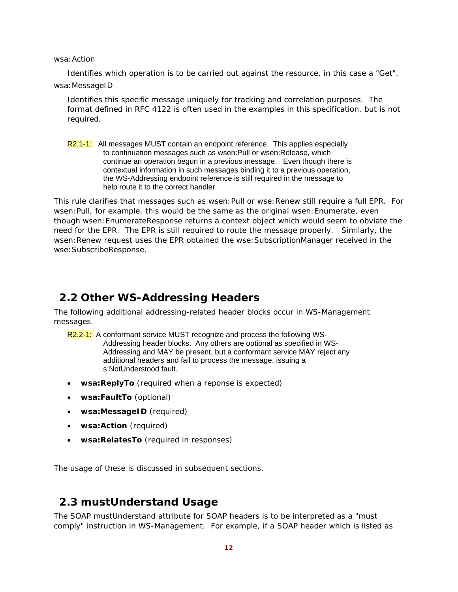wsa:Action

Identifies which operation is to be carried out against the resource, in this case a "Get". wsa:MessageID

Identifies this specific message uniquely for tracking and correlation purposes. The format defined in RFC 4122 is often used in the examples in this specification, but is not required.

R2.1-1: All messages MUST contain an endpoint reference. This applies especially to continuation messages such as wsen:Pull or wsen:Release, which continue an operation begun in a previous message. Even though there is contextual information in such messages binding it to a previous operation, the WS-Addressing endpoint reference is still required in the message to help route it to the correct handler.

This rule clarifies that messages such as wsen: Pull or wse: Renew still require a full EPR. For wsen:Pull, for example, this would be the same as the original wsen:Enumerate, even though wsen:EnumerateResponse returns a context object which would seem to obviate the need for the EPR. The EPR is still required to route the message properly. Similarly, the wsen:Renew request uses the EPR obtained the wse:SubscriptionManager received in the wse:SubscribeResponse.

### **2.2 Other WS-Addressing Headers**

The following additional addressing-related header blocks occur in WS-Management messages.

- R2.2-1: A conformant service MUST recognize and process the following WS-Addressing header blocks. Any others are optional as specified in WS-Addressing and MAY be present, but a conformant service MAY reject any additional headers and fail to process the message, issuing a s:NotUnderstood fault.
- **wsa:ReplyTo** (required when a reponse is expected)
- **wsa:FaultTo** (optional)
- **wsa:MessageID** (required)
- **wsa:Action** (required)
- **wsa:RelatesTo** (required in responses)

The usage of these is discussed in subsequent sections.

### **2.3 mustUnderstand Usage**

The SOAP *mustUnderstand* attribute for SOAP headers is to be interpreted as a "must comply" instruction in WS-Management. For example, if a SOAP header which is listed as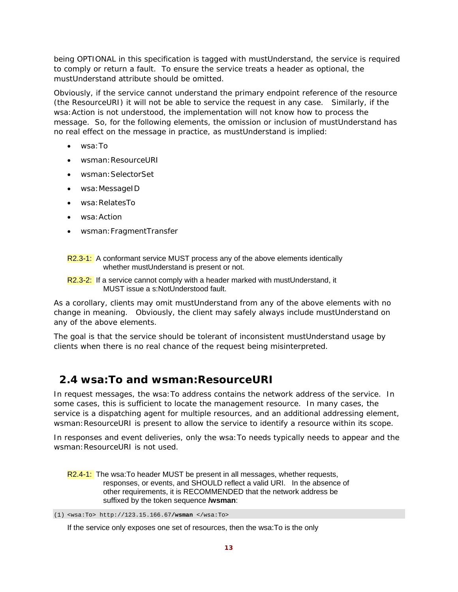being OPTIONAL in this specification is tagged with *mustUnderstand*, the service is required to comply or return a fault. To ensure the service treats a header as optional, the *mustUnderstand* attribute should be omitted.

Obviously, if the service cannot understand the primary endpoint reference of the resource (the *ResourceURI*) it will not be able to service the request in any case. Similarly, if the wsa:Action is not understood, the implementation will not know how to process the message. So, for the following elements, the omission or inclusion of *mustUnderstand* has no real effect on the message in practice, as *mustUnderstand* is implied:

- wsa:To
- wsman:ResourceURI
- wsman:SelectorSet
- wsa:MessageID
- wsa:RelatesTo
- wsa:Action
- wsman:FragmentTransfer
- R2.3-1: A conformant service MUST process any of the above elements identically whether mustUnderstand is present or not.
- R2.3-2: If a service cannot comply with a header marked with mustUnderstand, it MUST issue a s:NotUnderstood fault.

As a corollary, clients may omit mustUnderstand from any of the above elements with no change in meaning. Obviously, the client may safely always include mustUnderstand on any of the above elements.

The goal is that the service should be tolerant of inconsistent mustUnderstand usage by clients when there is no real chance of the request being misinterpreted.

# **2.4 wsa:To and wsman:ResourceURI**

In request messages, the wsa:To address contains the network address of the service. In some cases, this is sufficient to locate the management resource. In many cases, the service is a dispatching agent for multiple resources, and an additional addressing element, wsman: ResourceURI is present to allow the service to identify a resource within its scope.

In responses and event deliveries, only the wsa:To needs typically needs to appear and the wsman: ResourceURI is not used.

R2.4-1: The wsa: To header MUST be present in all messages, whether requests, responses, or events, and SHOULD reflect a valid URI. In the absence of other requirements, it is RECOMMENDED that the network address be suffixed by the token sequence **/wsman**:

<sup>(1)</sup> <wsa:To> http://123.15.166.67**/wsman** </wsa:To>

If the service only exposes one set of resources, then the wsa:To is the only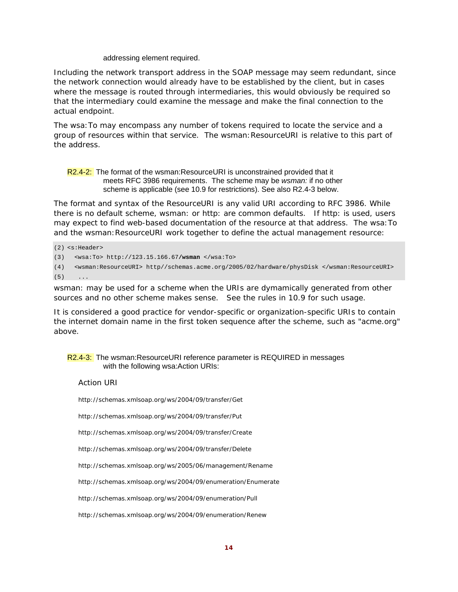#### addressing element required.

Including the network transport address in the SOAP message may seem redundant, since the network connection would already have to be established by the client, but in cases where the message is routed through intermediaries, this would obviously be required so that the intermediary could examine the message and make the final connection to the actual endpoint.

The wsa:To may encompass any number of tokens required to locate the service and a group of resources within that service. The wsman:ResourceURI is relative to this part of the address.

R2.4-2: The format of the wsman:ResourceURI is unconstrained provided that it meets RFC 3986 requirements. The scheme may be *wsman:* if no other scheme is applicable (see 10.9 for restrictions). See also R2.4-3 below.

The format and syntax of the ResourceURI is any valid URI according to RFC 3986. While there is no default scheme, wsman: or http: are common defaults. If http: is used, users may expect to find web-based documentation of the resource at that address. The wsa:To and the wsman:ResourceURI work together to define the actual management resource:

(2) <s:Header>

(3) <wsa:To> http://123.15.166.67**/wsman** </wsa:To>

(4) <wsman:ResourceURI> http//schemas.acme.org/2005/02/hardware/physDisk </wsman:ResourceURI>  $(5)$  ...

wsman: may be used for a scheme when the URIs are dymamically generated from other sources and no other scheme makes sense. See the rules in 10.9 for such usage.

It is considered a good practice for vendor-specific or organization-specific URIs to contain the internet domain name in the first token sequence after the scheme, such as "acme.org" above.

### R2.4-3: The wsman:ResourceURI reference parameter is REQUIRED in messages with the following wsa:Action URIs:

Action URI

http://schemas.xmlsoap.org/ws/2004/09/transfer/Get

http://schemas.xmlsoap.org/ws/2004/09/transfer/Put

http://schemas.xmlsoap.org/ws/2004/09/transfer/Create

http://schemas.xmlsoap.org/ws/2004/09/transfer/Delete

http://schemas.xmlsoap.org/ws/2005/06/management/Rename

http://schemas.xmlsoap.org/ws/2004/09/enumeration/Enumerate

http://schemas.xmlsoap.org/ws/2004/09/enumeration/Pull

http://schemas.xmlsoap.org/ws/2004/09/enumeration/Renew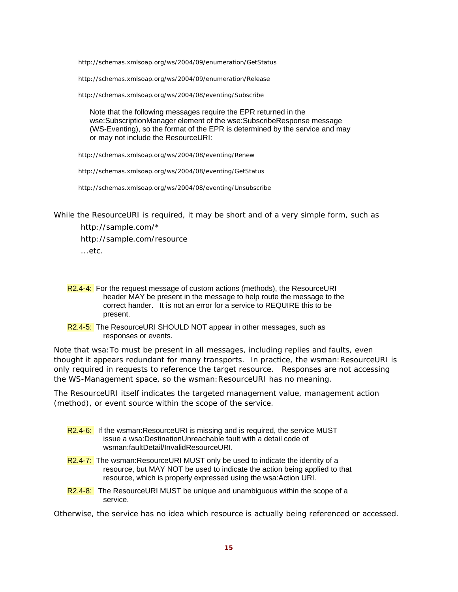http://schemas.xmlsoap.org/ws/2004/09/enumeration/GetStatus

http://schemas.xmlsoap.org/ws/2004/09/enumeration/Release

http://schemas.xmlsoap.org/ws/2004/08/eventing/Subscribe

 Note that the following messages require the EPR returned in the wse:SubscriptionManager element of the wse:SubscribeResponse message (WS-Eventing), so the format of the EPR is determined by the service and may or may not include the ResourceURI:

http://schemas.xmlsoap.org/ws/2004/08/eventing/Renew

http://schemas.xmlsoap.org/ws/2004/08/eventing/GetStatus

http://schemas.xmlsoap.org/ws/2004/08/eventing/Unsubscribe

While the ResourceURI is required, it may be short and of a very simple form, such as

 *http://sample.com/\* http://sample.com/resource ...etc.* 

- R2.4-4: For the request message of custom actions (methods), the ResourceURI header MAY be present in the message to help route the message to the correct hander. It is not an error for a service to REQUIRE this to be present.
- R2.4-5: The ResourceURI SHOULD NOT appear in other messages, such as responses or events.

Note that wsa:To must be present in *all* messages, including replies and faults, even thought it appears redundant for many transports. In practice, the wsman:ResourceURI is only required in requests to reference the target resource. Responses are not accessing the WS-Management space, so the wsman: ResourceURI has no meaning.

The ResourceURI itself indicates the targeted management value, management action (method), or event source within the scope of the service.

- R2.4-6: If the wsman:ResourceURI is missing and is required, the service MUST issue a wsa:DestinationUnreachable fault with a detail code of wsman:faultDetail/InvalidResourceURI.
- R2.4-7: The wsman:ResourceURI MUST only be used to indicate the identity of a resource, but MAY NOT be used to indicate the action being applied to that resource, which is properly expressed using the wsa:Action URI.
- R2.4-8: The ResourceURI MUST be unique and unambiguous within the scope of a service.

Otherwise, the service has no idea which resource is actually being referenced or accessed.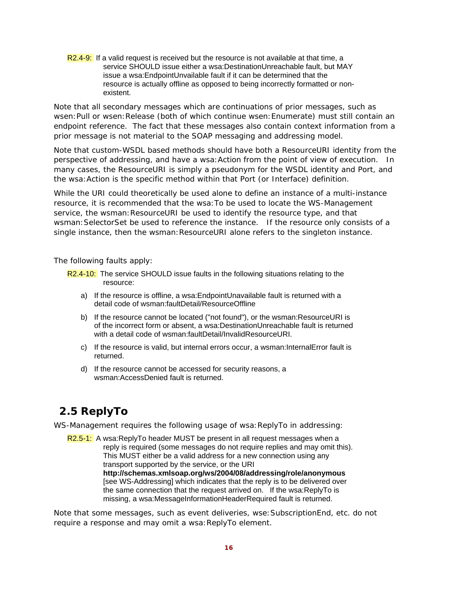R2.4-9: If a valid request is received but the resource is not available at that time, a service SHOULD issue either a wsa:DestinationUnreachable fault, but MAY issue a wsa:EndpointUnvailable fault if it can be determined that the resource is actually offline as opposed to being incorrectly formatted or nonexistent.

Note that all secondary messages which are continuations of prior messages, such as wsen:Pull or wsen:Release (both of which continue wsen:Enumerate) must still contain an endpoint reference. The fact that these messages also contain context information from a prior message is not material to the SOAP messaging and addressing model.

Note that custom-WSDL based methods should have both a ResourceURI identity from the perspective of addressing, and have a wsa:Action from the point of view of execution. In many cases, the ResourceURI is simply a pseudonym for the WSDL identity and Port, and the wsa:Action is the specific method within that Port (or Interface) definition.

While the URI could theoretically be used alone to define an instance of a multi-instance resource, it is recommended that the wsa:To be used to locate the WS-Management service, the wsman: ResourceURI be used to identify the resource type, and that wsman:SelectorSet be used to reference the instance. If the resource only consists of a single instance, then the wsman: ResourceURI alone refers to the singleton instance.

The following faults apply:

- R2.4-10: The service SHOULD issue faults in the following situations relating to the resource:
	- a) If the resource is offline, a wsa:EndpointUnavailable fault is returned with a detail code of wsman:faultDetail/ResourceOffline
	- b) If the resource cannot be located ("not found"), or the wsman:ResourceURI is of the incorrect form or absent, a wsa:DestinationUnreachable fault is returned with a detail code of wsman:faultDetail/InvalidResourceURI.
	- c) If the resource is valid, but internal errors occur, a wsman:InternalError fault is returned.
	- d) If the resource cannot be accessed for security reasons, a wsman:AccessDenied fault is returned.

# **2.5 ReplyTo**

WS-Management requires the following usage of *wsa: ReplyTo* in addressing:

R2.5-1: A wsa:ReplyTo header MUST be present in all request messages when a reply is required (some messages do not require replies and may omit this). This MUST either be a valid address for a new connection using any transport supported by the service, or the URI **http://schemas.xmlsoap.org/ws/2004/08/addressing/role/anonymous**  [see WS-Addressing] which indicates that the reply is to be delivered over the same connection that the request arrived on. If the wsa:ReplyTo is missing, a wsa:MessageInformationHeaderRequired fault is returned.

Note that some messages, such as event deliveries, wse:SubscriptionEnd, etc. do not require a response and may omit a wsa: ReplyTo element.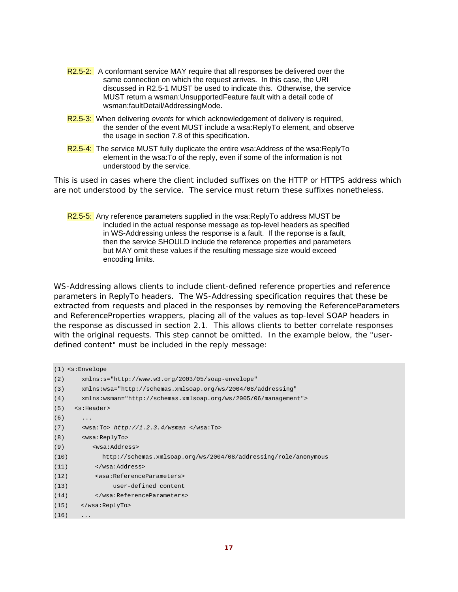- R2.5-2: A conformant service MAY require that all responses be delivered over the same connection on which the request arrives. In this case, the URI discussed in R2.5-1 MUST be used to indicate this. Otherwise, the service MUST return a wsman:UnsupportedFeature fault with a detail code of wsman:faultDetail/AddressingMode.
- R2.5-3: When delivering *events* for which acknowledgement of delivery is required, the sender of the event MUST include a wsa:ReplyTo element, and observe the usage in section 7.8 of this specification.
- R2.5-4: The service MUST fully duplicate the entire wsa:Address of the wsa:ReplyTo element in the wsa:To of the reply, even if some of the information is not understood by the service.

This is used in cases where the client included suffixes on the HTTP or HTTPS address which are not understood by the service. The service must return these suffixes nonetheless.

R2.5-5: Any reference parameters supplied in the wsa:ReplyTo address MUST be included in the actual response message as top-level headers as specified in WS-Addressing unless the response is a fault. If the reponse is a fault, then the service SHOULD include the reference properties and parameters but MAY omit these values if the resulting message size would exceed encoding limits.

WS-Addressing allows clients to include client-defined reference properties and reference parameters in *ReplyTo* headers. The WS-Addressing specification requires that these be extracted from requests and placed in the responses by removing the *ReferenceParameters* and *ReferenceProperties* wrappers, placing all of the values as top-level SOAP headers in the response as discussed in section 2.1. This allows clients to better correlate responses with the original requests. This step cannot be omitted. In the example below, the "userdefined content" must be included in the reply message:

```
(1) <s:Envelope 
(2) xmlns:s="http://www.w3.org/2003/05/soap-envelope" 
(3) xmlns:wsa="http://schemas.xmlsoap.org/ws/2004/08/addressing" 
(4) xmlns:wsman="http://schemas.xmlsoap.org/ws/2005/06/management"> 
(5) <s:Header> 
(6) ...
(7) <wsa:To> http://1.2.3.4/wsman </wsa:To> 
(8) <wsa:ReplyTo> 
(9) <wsa:Address> 
(10) http://schemas.xmlsoap.org/ws/2004/08/addressing/role/anonymous 
(11) </wsa:Address> 
(12) <wsa:ReferenceParameters> 
(13) user-defined content 
(14) </wsa:ReferenceParameters> 
(15) </wsa:ReplyTo> 
(16) \t...
```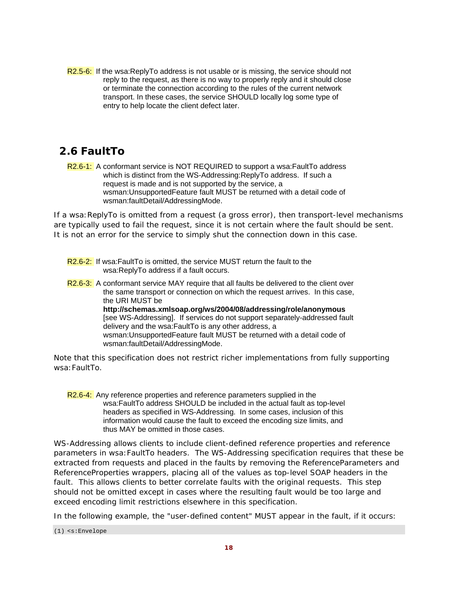R2.5-6: If the wsa:ReplyTo address is not usable or is missing, the service should not reply to the request, as there is no way to properly reply and it should close or terminate the connection according to the rules of the current network transport. In these cases, the service SHOULD locally log some type of entry to help locate the client defect later.

# **2.6 FaultTo**

R2.6-1: A conformant service is NOT REQUIRED to support a wsa: FaultTo address which is distinct from the WS-Addressing:ReplyTo address. If such a request is made and is not supported by the service, a wsman:UnsupportedFeature fault MUST be returned with a detail code of wsman:faultDetail/AddressingMode.

If a wsa:ReplyTo is omitted from a request (a gross error), then transport-level mechanisms are typically used to fail the request, since it is not certain where the fault should be sent. It is not an error for the service to simply shut the connection down in this case.

- R2.6-2: If wsa:FaultTo is omitted, the service MUST return the fault to the wsa:ReplyTo address if a fault occurs.
- R<sub>2.6</sub>-3: A conformant service MAY require that all faults be delivered to the client over the same transport or connection on which the request arrives. In this case, the URI MUST be **http://schemas.xmlsoap.org/ws/2004/08/addressing/role/anonymous** [see WS-Addressing]. If services do not support separately-addressed fault delivery and the wsa:FaultTo is any other address, a wsman:UnsupportedFeature fault MUST be returned with a detail code of wsman:faultDetail/AddressingMode.

Note that this specification does not restrict richer implementations from fully supporting wsa:FaultTo.

R2.6-4: Any reference properties and reference parameters supplied in the wsa:FaultTo address SHOULD be included in the actual fault as top-level headers as specified in WS-Addressing. In some cases, inclusion of this information would cause the fault to exceed the encoding size limits, and thus MAY be omitted in those cases.

WS-Addressing allows clients to include client-defined reference properties and reference parameters in *wsa:FaultTo* headers. The WS-Addressing specification requires that these be extracted from requests and placed in the faults by removing the *ReferenceParameters* and *ReferenceProperties* wrappers, placing all of the values as top-level SOAP headers in the fault. This allows clients to better correlate faults with the original requests. This step should not be omitted except in cases where the resulting fault would be too large and exceed encoding limit restrictions elsewhere in this specification.

In the following example, the "user-defined content" MUST appear in the fault, if it occurs:

<sup>(1)</sup> <s:Envelope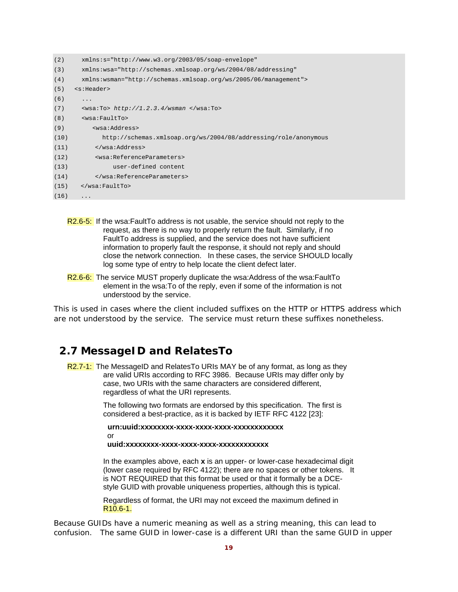| (2)  | $xmlns:s="http://www.w3.org/2003/05/soap-envelope"$              |
|------|------------------------------------------------------------------|
| (3)  | xmlns:wsa="http://schemas.xmlsoap.org/ws/2004/08/addressing"     |
| (4)  | $xmlns:wsman="http://schemas.xmlsoap.org/ws/2005/06/manaqement"$ |
| (5)  | <s:header></s:header>                                            |
| (6)  | .                                                                |
| (7)  | $\langle$ wsa:To> http://1.2.3.4/wsman $\langle$ /wsa:To>        |
| (8)  | swsa: FaultTo>                                                   |
| (9)  | <wsa:address></wsa:address>                                      |
| (10) | http://schemas.xmlsoap.org/ws/2004/08/addressing/role/anonymous  |
| (11) |                                                                  |
| (12) | <wsa:referenceparameters></wsa:referenceparameters>              |
| (13) | user-defined content                                             |
| (14) |                                                                  |
| (15) | $\langle$ /wsa: FaultTo>                                         |
| (16) | .                                                                |

- R2.6-5: If the wsa:FaultTo address is not usable, the service should not reply to the request, as there is no way to properly return the fault. Similarly, if no FaultTo address is supplied, and the service does not have sufficient information to properly fault the response, it should not reply and should close the network connection. In these cases, the service SHOULD locally log some type of entry to help locate the client defect later.
- R2.6-6: The service MUST properly duplicate the wsa:Address of the wsa:FaultTo element in the wsa:To of the reply, even if some of the information is not understood by the service.

This is used in cases where the client included suffixes on the HTTP or HTTPS address which are not understood by the service. The service must return these suffixes nonetheless.

### **2.7 MessageID and RelatesTo**

R2.7-1: The MessageID and RelatesTo URIs MAY be of any format, as long as they are valid URIs according to RFC 3986. Because URIs may differ only by case, two URIs with the same characters are considered different, regardless of what the URI represents.

> The following two formats are endorsed by this specification. The first is considered a best-practice, as it is backed by IETF RFC 4122 [23]:

 **urn:uuid:xxxxxxxx-xxxx-xxxx-xxxx-xxxxxxxxxxxx** or **uuid:xxxxxxxx-xxxx-xxxx-xxxx-xxxxxxxxxxxx** 

In the examples above, each **x** is an upper- or lower-case hexadecimal digit (lower case required by RFC 4122); there are no spaces or other tokens. It is NOT REQUIRED that this format be used or that it formally be a DCEstyle GUID with provable uniqueness properties, although this is typical.

 Regardless of format, the URI may not exceed the maximum defined in R10.6-1.

Because GUIDs have a numeric meaning as well as a string meaning, this can lead to confusion. The same GUID in lower-case is a different URI than the same GUID in upper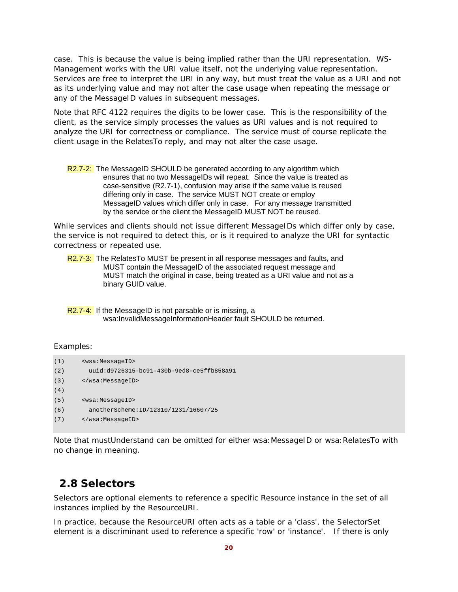case. This is because the value is being implied rather than the URI representation. WS-Management works with the URI value itself, not the underlying value representation. Services are free to *interpret* the URI in any way, but must treat the value as a URI and not as its underlying value and may not alter the case usage when repeating the message or any of the MessageID values in subsequent messages.

Note that RFC 4122 requires the digits to be lower case. This is the responsibility of the client, as the service simply processes the values as URI values and is not required to analyze the URI for correctness or compliance. The service must of course replicate the client usage in the RelatesTo reply, and may not alter the case usage.

R2.7-2: The MessageID SHOULD be generated according to any algorithm which ensures that no two MessageIDs will repeat. Since the value is treated as case-sensitive (R2.7-1), confusion may arise if the same value is reused differing only in case. The service MUST NOT create or employ MessageID values which differ only in case. For any message transmitted by the service or the client the MessageID MUST NOT be reused.

While services and clients should not issue different MessageIDs which differ only by case, the service is not required to detect this, or is it required to analyze the URI for syntactic correctness or repeated use.

R2.7-3: The RelatesTo MUST be present in all response messages and faults, and MUST contain the MessageID of the associated request message and MUST match the original in case, being treated as a URI value and not as a binary GUID value.

R2.7-4: If the MessageID is not parsable or is missing, a wsa:InvalidMessageInformationHeader fault SHOULD be returned.

### Examples:

```
(1) <wsa:MessageID> 
(2) uuid:d9726315-bc91-430b-9ed8-ce5ffb858a91 
(3) </wsa:MessageID> 
(4)
(5) <wsa:MessageID> 
(6) anotherScheme:ID/12310/1231/16607/25 
(7) </wsa:MessageID>
```
Note that mustUnderstand can be omitted for either wsa: MessageID or wsa: RelatesTo with no change in meaning.

### **2.8 Selectors**

Selectors are optional elements to reference a specific Resource instance in the set of all instances implied by the *ResourceURI.* 

In practice, because the *ResourceURI* often acts as a table or a 'class', the SelectorSet element is a discriminant used to reference a specific 'row' or 'instance'. If there is only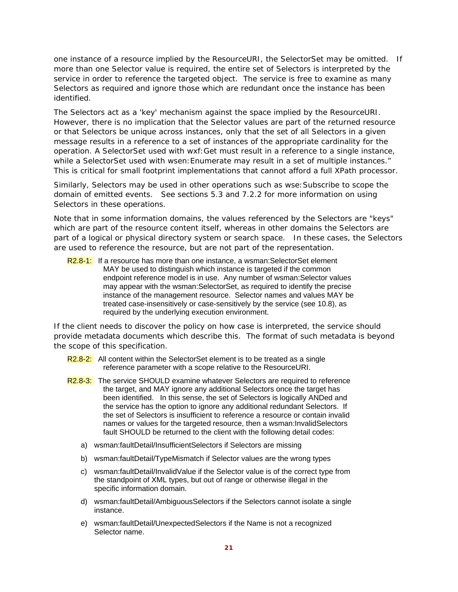one instance of a resource implied by the *ResourceURI,* the SelectorSet may be omitted. If more than one Selector value is required, the entire set of Selectors is interpreted by the service in order to reference the targeted object. The service is free to examine as many Selectors as required and ignore those which are redundant once the instance has been identified.

The Selectors act as a 'key' mechanism against the space implied by the ResourceURI. However, there is no implication that the Selector values are part of the returned resource or that Selectors be unique across instances, only that the set of all Selectors in a given message results in a reference to a set of instances of the appropriate cardinality for the operation. A SelectorSet used with wxf:Get must result in a reference to a single instance, while a SelectorSet used with wsen: Enumerate may result in a set of multiple instances." This is critical for small footprint implementations that cannot afford a full XPath processor.

Similarly, Selectors may be used in other operations such as wse:Subscribe to scope the domain of emitted events. See sections 5.3 and 7.2.2 for more information on using Selectors in these operations.

Note that in some information domains, the values referenced by the Selectors are "keys" which are part of the resource content itself, whereas in other domains the Selectors are part of a logical or physical directory system or search space. In these cases, the Selectors are used to reference the resource, but are not part of the representation.

R2.8-1: If a resource has more than one instance, a wsman: SelectorSet element MAY be used to distinguish which instance is targeted if the common endpoint reference model is in use. Any number of wsman:Selector values may appear with the wsman:SelectorSet, as required to identify the precise instance of the management resource. Selector names and values MAY be treated case-insensitively or case-sensitively by the service (see 10.8), as required by the underlying execution environment.

If the client needs to discover the policy on how case is interpreted, the service should provide metadata documents which describe this. The format of such metadata is beyond the scope of this specification.

R2.8-2: All content within the SelectorSet element is to be treated as a single reference parameter with a scope relative to the ResourceURI.

- R2.8-3: The service SHOULD examine whatever Selectors are required to reference the target, and MAY ignore any additional Selectors once the target has been identified. In this sense, the set of Selectors is logically ANDed and the service has the option to ignore any additional redundant Selectors. If the set of Selectors is insufficient to reference a resource or contain invalid names or values for the targeted resource, then a wsman:InvalidSelectors fault SHOULD be returned to the client with the following detail codes:
	- a) wsman:faultDetail/InsufficientSelectors if Selectors are missing
	- b) wsman:faultDetail/TypeMismatch if Selector values are the wrong types
	- c) wsman:faultDetail/InvalidValue if the Selector value is of the correct type from the standpoint of XML types, but out of range or otherwise illegal in the specific information domain.
	- d) wsman:faultDetail/AmbiguousSelectors if the Selectors cannot isolate a single instance.
	- e) wsman:faultDetail/UnexpectedSelectors if the Name is not a recognized Selector name.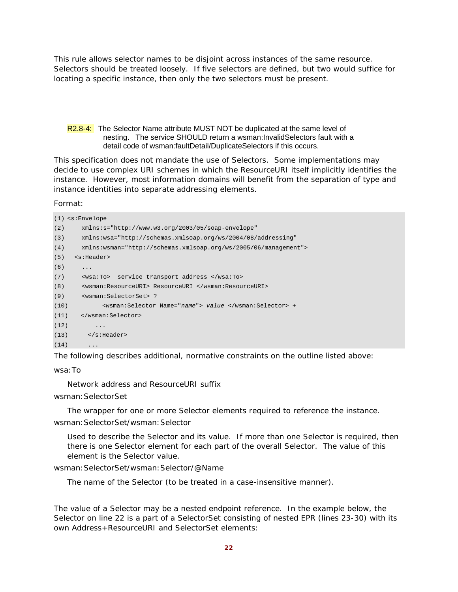This rule allows selector names to be disjoint across instances of the same resource. Selectors should be treated loosely. If five selectors are defined, but two would suffice for locating a specific instance, then only the two selectors must be present.

### R2.8-4: The Selector Name attribute MUST NOT be duplicated at the same level of nesting. The service SHOULD return a wsman:InvalidSelectors fault with a detail code of wsman:faultDetail/DuplicateSelectors if this occurs.

This specification does not mandate the use of Selectors. Some implementations may decide to use complex URI schemes in which the ResourceURI itself implicitly identifies the instance. However, most information domains will benefit from the separation of type and instance identities into separate addressing elements.

Format:

```
(1) <s:Envelope 
(2) xmlns:s="http://www.w3.org/2003/05/soap-envelope" 
(3) xmlns:wsa="http://schemas.xmlsoap.org/ws/2004/08/addressing" 
(4) xmlns:wsman="http://schemas.xmlsoap.org/ws/2005/06/management"> 
(5) <s:Header> 
(6)(7) <wsa:To> service transport address </wsa:To> 
(8) <wsman:ResourceURI> ResourceURI </wsman:ResourceURI> 
(9) <wsman:SelectorSet> ? 
(10) <wsman:Selector Name="name"> value </wsman:Selector> + 
(11) </wsman:Selector> 
(12) ...
(13) </s: Header>
(14)
```
The following describes additional, normative constraints on the outline listed above:

wsa:To

Network address and ResourceURI suffix

wsman:SelectorSet

The wrapper for one or more Selector elements required to reference the instance. wsman:SelectorSet/wsman:Selector

Used to describe the Selector and its value. If more than one Selector is required, then there is one Selector element for each part of the overall Selector. The value of this element is the Selector value.

wsman:SelectorSet/wsman:Selector/@Name

The name of the Selector (to be treated in a case-insensitive manner).

The value of a Selector may be a nested endpoint reference. In the example below, the Selector on line 22 is a part of a SelectorSet consisting of nested EPR (lines 23-30) with its own Address+ResourceURI and SelectorSet elements: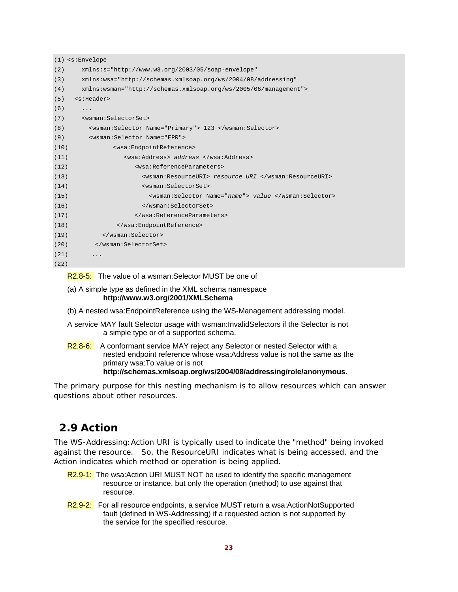|      | $(1)$ <s:envelope< th=""></s:envelope<>                         |  |  |
|------|-----------------------------------------------------------------|--|--|
| (2)  | $xmlns:s="http://www.w3.org/2003/05/soap-envelope"$             |  |  |
| (3)  | xmlns:wsa="http://schemas.xmlsoap.org/ws/2004/08/addressing"    |  |  |
| (4)  | xmlns:wsman="http://schemas.xmlsoap.org/ws/2005/06/management"> |  |  |
| (5)  | <s:header></s:header>                                           |  |  |
| (6)  | .                                                               |  |  |
| (7)  | <wsman:selectorset></wsman:selectorset>                         |  |  |
| (8)  | <wsman:selector name="Primary"> 123 </wsman:selector>           |  |  |
| (9)  | <wsman: name="EPR" selector=""></wsman:>                        |  |  |
| (10) | <wsa:endpointreference></wsa:endpointreference>                 |  |  |
| (11) | <wsa:address> address </wsa:address>                            |  |  |
| (12) | <wsa:referenceparameters></wsa:referenceparameters>             |  |  |
| (13) | <wsman:resourceuri> resource URI </wsman:resourceuri>           |  |  |
| (14) | <wsman:selectorset></wsman:selectorset>                         |  |  |
| (15) | <wsman:selector name="name"> value </wsman:selector>            |  |  |
| (16) |                                                                 |  |  |
| (17) |                                                                 |  |  |
| (18) |                                                                 |  |  |
| (19) |                                                                 |  |  |
| (20) |                                                                 |  |  |
| (21) | .                                                               |  |  |
| (22) |                                                                 |  |  |

R2.8-5: The value of a wsman: Selector MUST be one of

- (a) A simple type as defined in the XML schema namespace **http://www.w3.org/2001/XMLSchema**
- (b) A nested wsa:EndpointReference using the WS-Management addressing model.
- A service MAY fault Selector usage with wsman:InvalidSelectors if the Selector is not a simple type or of a supported schema.
- R2.8-6: A conformant service MAY reject any Selector or nested Selector with a nested endpoint reference whose wsa:Address value is not the same as the primary wsa:To value or is not **http://schemas.xmlsoap.org/ws/2004/08/addressing/role/anonymous**.

The primary purpose for this nesting mechanism is to allow resources which can answer questions about other resources.

## **2.9 Action**

The WS-Addressing:Action URI is typically used to indicate the "method" being invoked against the resource. So, the ResourceURI indicates *what* is being accessed, and the Action indicates *which method or operation* is being applied.

- R2.9-1: The wsa: Action URI MUST NOT be used to identify the specific management resource or instance, but only the operation (method) to use against that resource.
- R2.9-2: For all resource endpoints, a service MUST return a wsa:ActionNotSupported fault (defined in WS-Addressing) if a requested action is not supported by the service for the specified resource.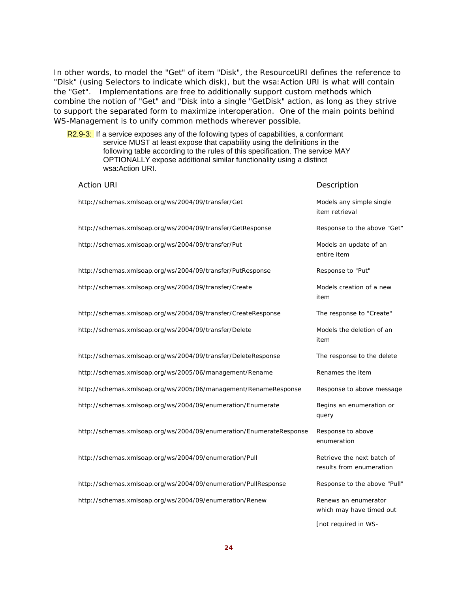In other words, to model the "Get" of item "Disk", the ResourceURI defines the reference to "Disk" (using Selectors to indicate which disk), but the wsa:Action URI is what will contain the "Get". Implementations are free to additionally support custom methods which combine the notion of "Get" and "Disk into a single "GetDisk" action, as long as they strive to support the separated form to maximize interoperation. One of the main points behind WS-Management is to unify common methods wherever possible.

R2.9-3: If a service exposes any of the following types of capabilities, a conformant service MUST at least expose that capability using the definitions in the following table according to the rules of this specification. The service MAY OPTIONALLY expose additional similar functionality using a distinct wsa:Action URI.

| <b>Action URI</b>                                                   | Description                                            |
|---------------------------------------------------------------------|--------------------------------------------------------|
| http://schemas.xmlsoap.org/ws/2004/09/transfer/Get                  | Models any simple single<br>item retrieval             |
| http://schemas.xmlsoap.org/ws/2004/09/transfer/GetResponse          | Response to the above "Get"                            |
| http://schemas.xmlsoap.org/ws/2004/09/transfer/Put                  | Models an update of an<br>entire item                  |
| http://schemas.xmlsoap.org/ws/2004/09/transfer/PutResponse          | Response to "Put"                                      |
| http://schemas.xmlsoap.org/ws/2004/09/transfer/Create               | Models creation of a new<br>item                       |
| http://schemas.xmlsoap.org/ws/2004/09/transfer/CreateResponse       | The response to "Create"                               |
| http://schemas.xmlsoap.org/ws/2004/09/transfer/Delete               | Models the deletion of an<br>item                      |
| http://schemas.xmlsoap.org/ws/2004/09/transfer/DeleteResponse       | The response to the delete                             |
| http://schemas.xmlsoap.org/ws/2005/06/management/Rename             | Renames the item                                       |
| http://schemas.xmlsoap.org/ws/2005/06/management/RenameResponse     | Response to above message                              |
| http://schemas.xmlsoap.org/ws/2004/09/enumeration/Enumerate         | Begins an enumeration or<br>query                      |
| http://schemas.xmlsoap.org/ws/2004/09/enumeration/EnumerateResponse | Response to above<br>enumeration                       |
| http://schemas.xmlsoap.org/ws/2004/09/enumeration/Pull              | Retrieve the next batch of<br>results from enumeration |
| http://schemas.xmlsoap.org/ws/2004/09/enumeration/PullResponse      | Response to the above "Pull"                           |
| http://schemas.xmlsoap.org/ws/2004/09/enumeration/Renew             | Renews an enumerator<br>which may have timed out       |
|                                                                     | [not required in WS-                                   |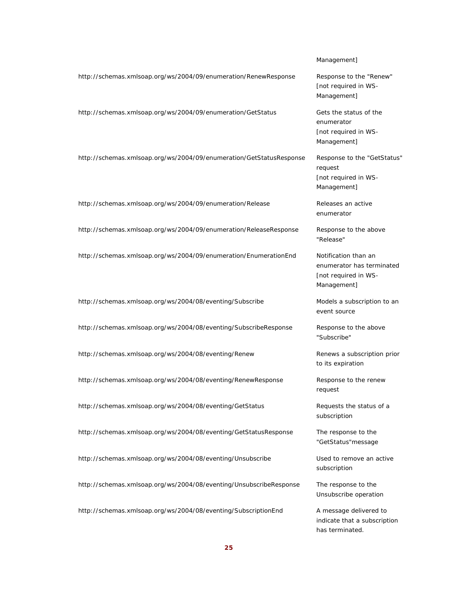#### Management]

http://schemas.xmlsoap.org/ws/2004/09/enumeration/RenewResponse Response to the "Renew"

http://schemas.xmlsoap.org/ws/2004/09/enumeration/GetStatus Gets the status of the

http://schemas.xmlsoap.org/ws/2004/09/enumeration/GetStatusResponse Response to the "GetStatus"

http://schemas.xmlsoap.org/ws/2004/09/enumeration/Release Releases an active

http://schemas.xmlsoap.org/ws/2004/09/enumeration/ReleaseResponse Response to the above

http://schemas.xmlsoap.org/ws/2004/09/enumeration/EnumerationEnd Notification than an

http://schemas.xmlsoap.org/ws/2004/08/eventing/Subscribe Models a subscription to an

http://schemas.xmlsoap.org/ws/2004/08/eventing/SubscribeResponse Response to the above

http://schemas.xmlsoap.org/ws/2004/08/eventing/Renew Renews a subscription prior

http://schemas.xmlsoap.org/ws/2004/08/eventing/RenewResponse Response to the renew

http://schemas.xmlsoap.org/ws/2004/08/eventing/GetStatus Requests the status of a

http://schemas.xmlsoap.org/ws/2004/08/eventing/GetStatusResponse The response to the

http://schemas.xmlsoap.org/ws/2004/08/eventing/Unsubscribe Used to remove an active

http://schemas.xmlsoap.org/ws/2004/08/eventing/UnsubscribeResponse The response to the

http://schemas.xmlsoap.org/ws/2004/08/eventing/SubscriptionEnd A message delivered to

[not required in WS-Management]

enumerator [not required in WS-Management]

request [not required in WS-Management]

enumerator

"Release"

enumerator has terminated [not required in WS-Management]

event source

"Subscribe"

to its expiration

request

subscription

"GetStatus"message

subscription

Unsubscribe operation

indicate that a subscription has terminated.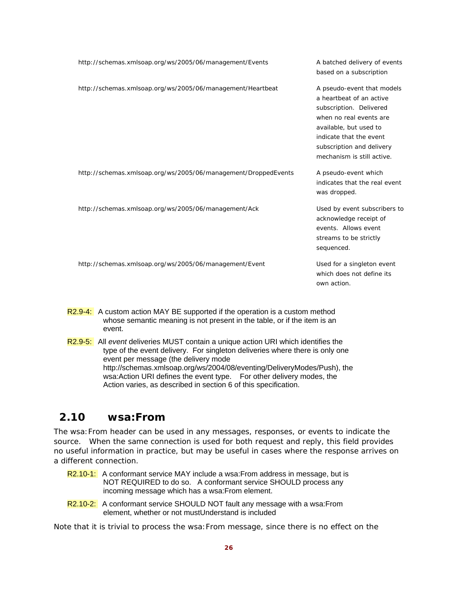| http://schemas.xmlsoap.org/ws/2005/06/management/Events        | A batched delivery of events<br>based on a subscription                                                                                                                                                                      |
|----------------------------------------------------------------|------------------------------------------------------------------------------------------------------------------------------------------------------------------------------------------------------------------------------|
| http://schemas.xmlsoap.org/ws/2005/06/management/Heartbeat     | A pseudo-event that models<br>a heartbeat of an active<br>subscription. Delivered<br>when no real events are<br>available, but used to<br>indicate that the event<br>subscription and delivery<br>mechanism is still active. |
| http://schemas.xmlsoap.org/ws/2005/06/management/DroppedEvents | A pseudo-event which<br>indicates that the real event<br>was dropped.                                                                                                                                                        |
| http://schemas.xmlsoap.org/ws/2005/06/management/Ack           | Used by event subscribers to<br>acknowledge receipt of<br>events. Allows event<br>streams to be strictly<br>sequenced.                                                                                                       |
| http://schemas.xmlsoap.org/ws/2005/06/management/Event         | Used for a singleton event<br>which does not define its<br>own action.                                                                                                                                                       |

- R2.9-4: A custom action MAY BE supported if the operation is a custom method whose semantic meaning is not present in the table, or if the item is an event.
- R2.9-5: All *event* deliveries MUST contain a unique action URI which identifies the type of the event delivery. For singleton deliveries where there is only one event per message (the delivery mode http://schemas.xmlsoap.org/ws/2004/08/eventing/DeliveryModes/Push), the wsa:Action URI defines the event type. For other delivery modes, the Action varies, as described in section 6 of this specification.

# **2.10 wsa:From**

The wsa:From header can be used in any messages, responses, or events to indicate the source. When the same connection is used for both request and reply, this field provides no useful information in practice, but may be useful in cases where the response arrives on a different connection.

- R2.10-1: A conformant service MAY include a wsa: From address in message, but is NOT REQUIRED to do so. A conformant service SHOULD process any incoming message which has a wsa:From element.
- R2.10-2: A conformant service SHOULD NOT fault any message with a wsa: From element, whether or not mustUnderstand is included

Note that it is trivial to process the wsa:From message, since there is no effect on the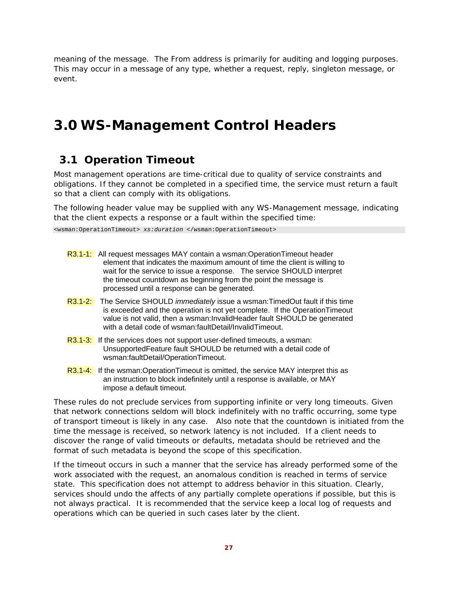meaning of the message. The *From* address is primarily for auditing and logging purposes. This may occur in a message of any type, whether a request, reply, singleton message, or event.

# **3.0 WS-Management Control Headers**

## **3.1 Operation Timeout**

Most management operations are time-critical due to quality of service constraints and obligations. If they cannot be completed in a specified time, the service must return a fault so that a client can comply with its obligations.

The following header value may be supplied with any WS-Management message, indicating that the client expects a response or a fault within the specified time:

<wsman:OperationTimeout> *xs:duration* </wsman:OperationTimeout>

| R3.1-1: All request messages MAY contain a wsman: Operation Timeout header<br>element that indicates the maximum amount of time the client is willing to<br>wait for the service to issue a response. The service SHOULD interpret<br>the timeout countdown as beginning from the point the message is<br>processed until a response can be generated. |
|--------------------------------------------------------------------------------------------------------------------------------------------------------------------------------------------------------------------------------------------------------------------------------------------------------------------------------------------------------|
| R3.1-2: The Service SHOULD <i>immediately</i> issue a wsman: TimedOut fault if this time<br>is exceeded and the operation is not yet complete. If the OperationTimeout<br>value is not valid, then a wsman: Invalid Header fault SHOULD be generated<br>with a detail code of wsman: faultDetail/InvalidTimeout.                                       |
| R3.1-3: If the services does not support user-defined timeouts, a wsman:<br>UnsupportedFeature fault SHOULD be returned with a detail code of<br>wsman:faultDetail/OperationTimeout.                                                                                                                                                                   |
| <b>R3.1-4:</b> If the wsman:OperationTimeout is omitted, the service MAY interpret this as<br>an instruction to block indefinitely until a response is available, or MAY<br>impose a default timeout.                                                                                                                                                  |

These rules do not preclude services from supporting infinite or very long timeouts. Given that network connections seldom will block indefinitely with no traffic occurring, some type of transport timeout is likely in any case. Also note that the countdown is initiated from the time the message is received, so network latency is not included. If a client needs to discover the range of valid timeouts or defaults, metadata should be retrieved and the format of such metadata is beyond the scope of this specification.

If the timeout occurs in such a manner that the service has already performed some of the work associated with the request, an anomalous condition is reached in terms of service state. This specification does not attempt to address behavior in this situation. Clearly, services should undo the affects of any partially complete operations if possible, but this is not always practical. It is recommended that the service keep a local log of requests and operations which can be queried in such cases later by the client.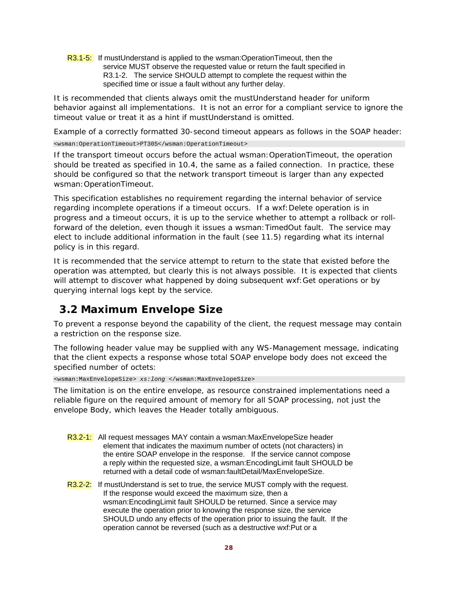R3.1-5: If mustUnderstand is applied to the wsman:OperationTimeout, then the service MUST observe the requested value or return the fault specified in R3.1-2. The service SHOULD attempt to complete the request within the specified time or issue a fault without any further delay.

It is recommended that clients always omit the mustUnderstand header for uniform behavior against all implementations. It is not an error for a compliant service to ignore the timeout value or treat it as a hint if mustUnderstand is omitted.

Example of a correctly formatted 30-second timeout appears as follows in the SOAP header:

<wsman:OperationTimeout>PT30S</wsman:OperationTimeout>

If the transport timeout occurs before the actual wsman:OperationTimeout, the operation should be treated as specified in 10.4, the same as a failed connection. In practice, these should be configured so that the network transport timeout is larger than any expected wsman:OperationTimeout.

This specification establishes no requirement regarding the internal behavior of service regarding incomplete operations if a timeout occurs. If a wxf:Delete operation is in progress and a timeout occurs, it is up to the service whether to attempt a rollback or rollforward of the deletion, even though it issues a wsman:TimedOut fault. The service may elect to include additional information in the fault (see 11.5) regarding what its internal policy is in this regard.

It is recommended that the service attempt to return to the state that existed before the operation was attempted, but clearly this is not always possible. It is expected that clients will attempt to discover what happened by doing subsequent wxf:Get operations or by querying internal logs kept by the service.

# **3.2 Maximum Envelope Size**

To prevent a response beyond the capability of the client, the request message may contain a restriction on the response size.

The following header value may be supplied with any WS-Management message, indicating that the client expects a response whose total SOAP envelope body does not exceed the specified number of octets:

<wsman:MaxEnvelopeSize> *xs:long* </wsman:MaxEnvelopeSize>

The limitation is on the entire envelope, as resource constrained implementations need a reliable figure on the required amount of memory for all SOAP processing, not just the envelope Body, which leaves the Header totally ambiguous.

- R3.2-1: All request messages MAY contain a wsman:MaxEnvelopeSize header element that indicates the maximum number of octets (not characters) in the entire SOAP envelope in the response. If the service cannot compose a reply within the requested size, a wsman:EncodingLimit fault SHOULD be returned with a detail code of wsman:faultDetail/MaxEnvelopeSize.
- R3.2-2: If mustUnderstand is set to true, the service MUST comply with the request. If the response would exceed the maximum size, then a wsman:EncodingLimit fault SHOULD be returned. Since a service may execute the operation prior to knowing the response size, the service SHOULD undo any effects of the operation prior to issuing the fault. If the operation cannot be reversed (such as a destructive wxf:Put or a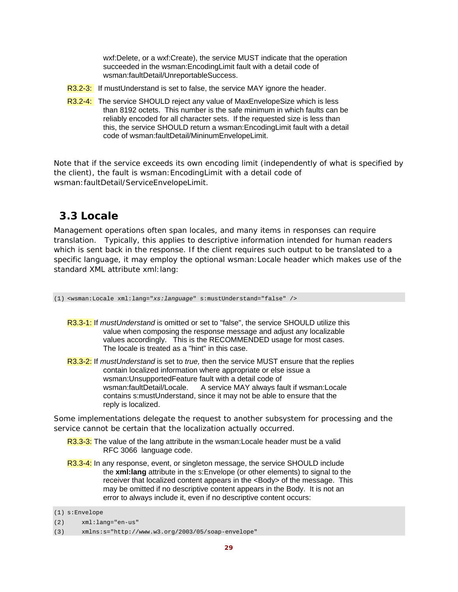wxf:Delete, or a wxf:Create), the service MUST indicate that the operation succeeded in the wsman:EncodingLimit fault with a detail code of wsman:faultDetail/UnreportableSuccess.

- R3.2-3: If mustUnderstand is set to false, the service MAY ignore the header.
- R3.2-4: The service SHOULD reject any value of MaxEnvelopeSize which is less than 8192 octets. This number is the safe minimum in which faults can be reliably encoded for all character sets. If the requested size is less than this, the service SHOULD return a wsman:EncodingLimit fault with a detail code of wsman:faultDetail/MininumEnvelopeLimit.

Note that if the service exceeds its own encoding limit (independently of what is specified by the client), the fault is wsman:EncodingLimit with a detail code of wsman:faultDetail/ServiceEnvelopeLimit.

# **3.3 Locale**

Management operations often span locales, and many items in responses can require translation. Typically, this applies to descriptive information intended for human readers which is sent back in the response. If the client requires such output to be translated to a specific language, it may employ the optional wsman:Locale header which makes use of the standard XML attribute xml:lang:

(1) <wsman:Locale xml:lang="*xs:language*" s:mustUnderstand="false" />

- R3.3-1: If *mustUnderstand* is omitted or set to "false", the service SHOULD utilize this value when composing the response message and adjust any localizable values accordingly. This is the RECOMMENDED usage for most cases. The locale is treated as a "hint" in this case.
- R3.3-2: If *mustUnderstand* is set to *true,* then the service MUST ensure that the replies contain localized information where appropriate or else issue a wsman:UnsupportedFeature fault with a detail code of wsman:faultDetail/Locale. A service MAY always fault if wsman:Locale contains s:mustUnderstand, since it may not be able to ensure that the reply is localized.

Some implementations delegate the request to another subsystem for processing and the service cannot be certain that the localization actually occurred.

- R3.3-3: The value of the lang attribute in the wsman: Locale header must be a valid RFC 3066 language code.
- R3.3-4: In any response, event, or singleton message, the service SHOULD include the **xml:lang** attribute in the s:Envelope (or other elements) to signal to the receiver that localized content appears in the <Body> of the message. This may be omitted if no descriptive content appears in the Body. It is not an error to always include it, even if no descriptive content occurs:

<sup>(1)</sup> s:Envelope

<sup>(2)</sup> xml:lang="en-us"

<sup>(3)</sup> xmlns:s="http://www.w3.org/2003/05/soap-envelope"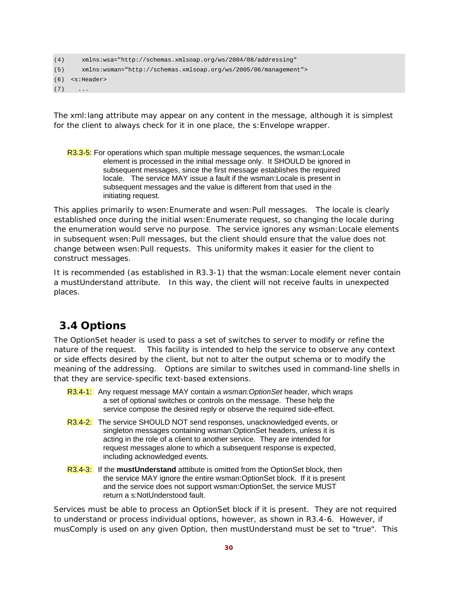```
(4) xmlns:wsa="http://schemas.xmlsoap.org/ws/2004/08/addressing" 
(5) xmlns:wsman="http://schemas.xmlsoap.org/ws/2005/06/management"> 
(6) <s:Header> 
(7) ...
```
The xml:lang attribute may appear on any content in the message, although it is simplest for the client to always check for it in one place, the s:Envelope wrapper.

R3.3-5: For operations which span multiple message sequences, the wsman: Locale element is processed in the initial message only. It SHOULD be ignored in subsequent messages, since the first message establishes the required locale. The service MAY issue a fault if the wsman:Locale is present in subsequent messages and the value is different from that used in the initiating request.

This applies primarily to wsen: Enumerate and wsen: Pull messages. The locale is clearly established once during the initial wsen:Enumerate request, so changing the locale during the enumeration would serve no purpose. The service ignores any wsman:Locale elements in subsequent wsen:Pull messages, but the client should ensure that the value does not change between wsen:Pull requests. This uniformity makes it easier for the client to construct messages.

It is recommended (as established in R3.3-1) that the wsman:Locale element never contain a mustUnderstand attribute. In this way, the client will not receive faults in unexpected places.

## **3.4 Options**

The *OptionSet* header is used to pass a set of switches to server to modify or refine the nature of the request. This facility is intended to help the service to observe any context or side effects desired by the client, but *not* to alter the output schema or to modify the meaning of the addressing. Options are similar to switches used in command-line shells in that they are service-specific text-based extensions.

- R3.4-1: Any request message MAY contain a *wsman:OptionSet* header, which wraps a set of optional switches or controls on the message. These help the service compose the desired reply or observe the required side-effect.
- R3.4-2: The service SHOULD NOT send responses, unacknowledged events, or singleton messages containing wsman:OptionSet headers, unless it is acting in the role of a client to another service. They are intended for request messages alone to which a subsequent response is expected, including acknowledged events.
- R3.4-3: If the **mustUnderstand** atttibute is omitted from the OptionSet block, then the service MAY ignore the entire wsman:OptionSet block. If it is present and the service does not support wsman:OptionSet, the service MUST return a s:NotUnderstood fault.

Services must be able to process an OptionSet block if it is present. They are not required to understand or process individual options, however, as shown in R3.4-6. However, if musComply is used on any given Option, then mustUnderstand must be set to "true". This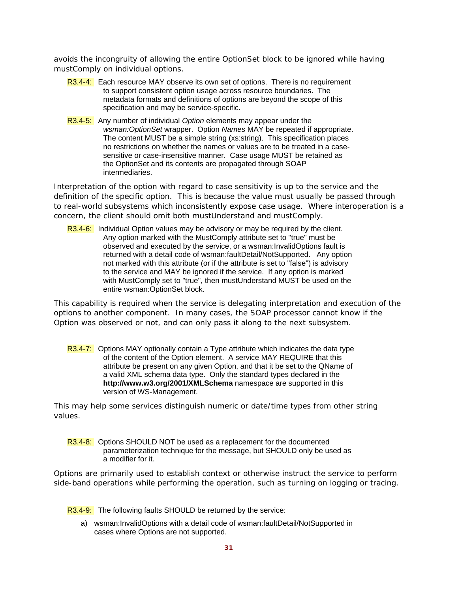avoids the incongruity of allowing the entire OptionSet block to be ignored while having mustComply on individual options.

- R3.4-4: Each resource MAY observe its own set of options. There is no requirement to support consistent option usage across resource boundaries. The metadata formats and definitions of options are beyond the scope of this specification and may be service-specific.
- R3.4-5: Any number of individual *Option* elements may appear under the *wsman:OptionSet* wrapper. Option *Names* MAY be repeated if appropriate. The content MUST be a simple string (xs:string). This specification places no restrictions on whether the names or values are to be treated in a casesensitive or case-insensitive manner. Case usage MUST be retained as the OptionSet and its contents are propagated through SOAP intermediaries.

Interpretation of the option with regard to case sensitivity is up to the service and the definition of the specific option. This is because the value must usually be passed through to real-world subsystems which inconsistently expose case usage. Where interoperation is a concern, the client should omit both mustUnderstand and mustComply.

R3.4-6: Individual Option values may be advisory or may be required by the client. Any option marked with the MustComply attribute set to "true" must be observed and executed by the service, or a wsman:InvalidOptions fault is returned with a detail code of wsman:faultDetail/NotSupported. Any option not marked with this attribute (or if the attribute is set to "false") is advisory to the service and MAY be ignored if the service. If any option is marked with MustComply set to "true", then mustUnderstand MUST be used on the entire wsman:OptionSet block.

This capability is required when the service is delegating interpretation and execution of the options to another component. In many cases, the SOAP processor cannot know if the Option was observed or not, and can only pass it along to the next subsystem.

R3.4-7: Options MAY optionally contain a Type attribute which indicates the data type of the content of the Option element. A service MAY REQUIRE that this attribute be present on any given Option, and that it be set to the QName of a valid XML schema data type. Only the standard types declared in the **http://www.w3.org/2001/XMLSchema** namespace are supported in this version of WS-Management.

This may help some services distinguish numeric or date/time types from other string values.

R3.4-8: Options SHOULD NOT be used as a replacement for the documented parameterization technique for the message, but SHOULD only be used as a modifier for it.

Options are primarily used to establish context or otherwise instruct the service to perform side-band operations while performing the operation, such as turning on logging or tracing.

R3.4-9: The following faults SHOULD be returned by the service:

a) wsman:InvalidOptions with a detail code of wsman:faultDetail/NotSupported in cases where Options are not supported.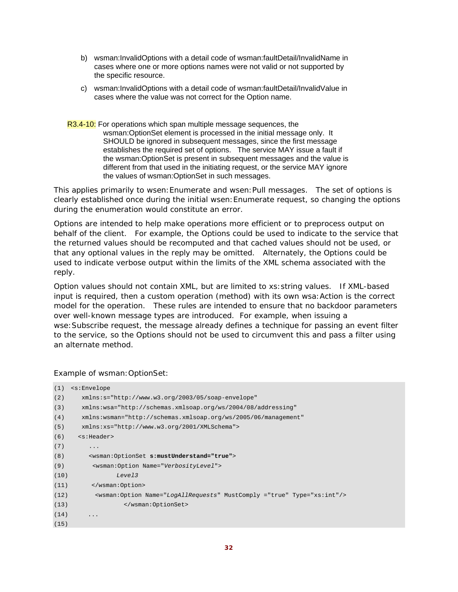- b) wsman:InvalidOptions with a detail code of wsman:faultDetail/InvalidName in cases where one or more options names were not valid or not supported by the specific resource.
- c) wsman:InvalidOptions with a detail code of wsman:faultDetail/InvalidValue in cases where the value was not correct for the Option name.
- R3.4-10: For operations which span multiple message sequences, the wsman:OptionSet element is processed in the initial message only. It SHOULD be ignored in subsequent messages, since the first message establishes the required set of options. The service MAY issue a fault if the wsman:OptionSet is present in subsequent messages and the value is different from that used in the initiating request, or the service MAY ignore the values of wsman:OptionSet in such messages.

This applies primarily to wsen: Enumerate and wsen: Pull messages. The set of options is clearly established once during the initial wsen:Enumerate request, so changing the options during the enumeration would constitute an error.

Options are intended to help make operations more efficient or to preprocess output on behalf of the client. For example, the Options could be used to indicate to the service that the returned values should be recomputed and that cached values should not be used, or that any optional values in the reply may be omitted. Alternately, the *Options* could be used to indicate verbose output within the limits of the XML schema associated with the reply.

Option values should not contain XML, but are limited to xs:string values. If XML-based input is required, then a custom operation (method) with its own wsa: Action is the correct model for the operation. These rules are intended to ensure that no backdoor parameters over well-known message types are introduced. For example, when issuing a wse:Subscribe request, the message already defines a technique for passing an event filter to the service, so the *Options* should not be used to circumvent this and pass a filter using an alternate method.

### Example of wsman:OptionSet:

| (1)  | $\leq$ s: Envelope                                                                  |
|------|-------------------------------------------------------------------------------------|
| (2)  | xmlns:s="http://www.w3.org/2003/05/soap-envelope"                                   |
| (3)  | xmlns:wsa="http://schemas.xmlsoap.org/ws/2004/08/addressing"                        |
| (4)  | xmlns: wsman="http://schemas.xmlsoap.org/ws/2005/06/management"                     |
| (5)  | xmlns:xs="http://www.w3.org/2001/XMLSchema">                                        |
| (6)  | <s:header></s:header>                                                               |
| (7)  | $\ddots$                                                                            |
| (8)  | <wsman:optionset s:mustunderstand="true"></wsman:optionset>                         |
| (9)  | <wsman:option name="VerbosityLevel"></wsman:option>                                 |
| (10) | Level3                                                                              |
| (11) |                                                                                     |
| (12) | <wsman:option mustcomply="true" name="LogAllRequests" type="xs:int"></wsman:option> |
| (13) |                                                                                     |
| (14) | $\ddotsc$                                                                           |
| (15) |                                                                                     |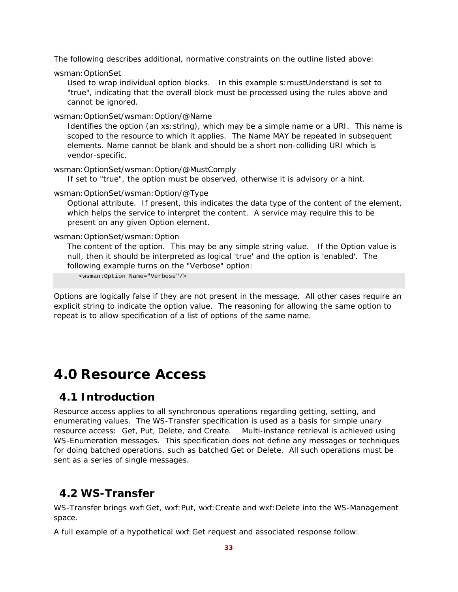The following describes additional, normative constraints on the outline listed above:

wsman:OptionSet

Used to wrap individual option blocks. In this example s:mustUnderstand is set to "true", indicating that the overall block must be processed using the rules above and cannot be ignored.

wsman:OptionSet/wsman:Option/@Name

Identifies the option (an xs:string), which may be a simple name or a URI. This name is scoped to the resource to which it applies. The Name MAY be repeated in subsequent elements. Name cannot be blank and should be a short non-colliding URI which is vendor-specific.

wsman:OptionSet/wsman:Option/@MustComply

If set to "true", the option must be observed, otherwise it is advisory or a hint.

### wsman:OptionSet/wsman:Option/@Type

Optional attribute. If present, this indicates the data type of the content of the element, which helps the service to interpret the content. A service may require this to be present on any given Option element.

### wsman:OptionSet/wsman:Option

The content of the option. This may be any simple string value. If the Option value is null, then it should be interpreted as logical 'true' and the option is 'enabled'. The following example turns on the "Verbose" option:

<wsman:Option Name="Verbose"/>

Options are logically false if they are not present in the message. All other cases require an explicit string to indicate the option value. The reasoning for allowing the same option to repeat is to allow specification of a list of options of the same name.

# **4.0 Resource Access**

## **4.1 Introduction**

Resource access applies to all synchronous operations regarding getting, setting, and enumerating values. The WS-Transfer specification is used as a basis for simple unary resource access: Get, Put, Delete, and Create. Multi-instance retrieval is achieved using WS-Enumeration messages. This specification does not define any messages or techniques for doing batched operations, such as batched Get or Delete. All such operations must be sent as a series of single messages.

# **4.2 WS-Transfer**

WS-Transfer brings wxf:Get, wxf:Put, wxf:Create and wxf:Delete into the WS-Management space.

A full example of a hypothetical wxf:Get request and associated response follow: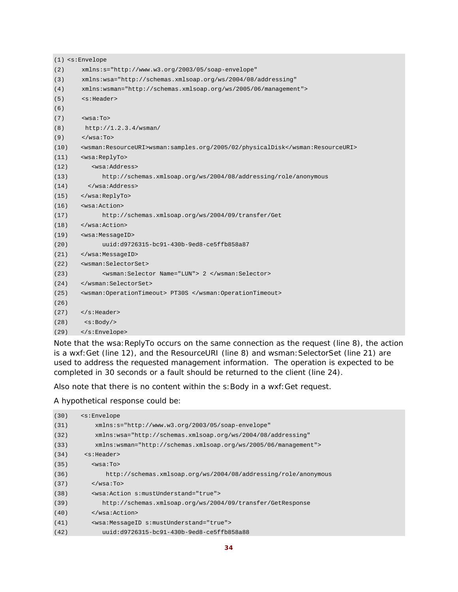```
(1) <s:Envelope 
(2) xmlns:s="http://www.w3.org/2003/05/soap-envelope" 
(3) xmlns:wsa="http://schemas.xmlsoap.org/ws/2004/08/addressing" 
(4) xmlns:wsman="http://schemas.xmlsoap.org/ws/2005/06/management"> 
(5) <s:Header> 
(6) 
(7) <wsa:To> 
(8) http://1.2.3.4/wsman/ 
(9) </wsa:To>
(10) <wsman:ResourceURI>wsman:samples.org/2005/02/physicalDisk</wsman:ResourceURI> 
(11) <wsa:ReplyTo> 
(12) <wsa:Address> 
(13) http://schemas.xmlsoap.org/ws/2004/08/addressing/role/anonymous 
(14) </wsa:Address> 
(15) </wsa:ReplyTo> 
(16) <wsa:Action> 
(17) http://schemas.xmlsoap.org/ws/2004/09/transfer/Get 
(18) </wsa:Action> 
(19) <wsa:MessageID> 
(20) uuid:d9726315-bc91-430b-9ed8-ce5ffb858a87 
(21) </wsa:MessageID> 
(22) <wsman:SelectorSet> 
(23) <wsman:Selector Name="LUN"> 2 </wsman:Selector> 
(24) </wsman:SelectorSet> 
(25) <wsman:OperationTimeout> PT30S </wsman:OperationTimeout> 
(26)
(27) </s:Header> 
(28) <s:Body/> 
(29) </s:Envelope>
```
Note that the wsa:ReplyTo occurs on the same connection as the request (line 8), the action is a wxf:Get (line 12), and the ResourceURI (line 8) and wsman: SelectorSet (line 21) are used to address the requested management information. The operation is expected to be completed in 30 seconds or a fault should be returned to the client (line 24).

Also note that there is no content within the s: Body in a wxf: Get request.

A hypothetical response could be:

| (30) | $\leq$ s: Envelope                                               |
|------|------------------------------------------------------------------|
| (31) | $xmlns:s="http://www.w3.org/2003/05/soap-envelope"$              |
| (32) | xmlns:wsa="http://schemas.xmlsoap.org/ws/2004/08/addressing"     |
| (33) | $xmlns:wsman="http://schemas.xmlsoap.org/ws/2005/06/manaqement"$ |
| (34) | ss:Header                                                        |
| (35) | $wsa:To>$                                                        |
| (36) | http://schemas.xmlsoap.org/ws/2004/08/addressing/role/anonymous  |
| (37) | $\langle$ /wsa:To>                                               |
| (38) | <wsa:action s:mustunderstand="true"></wsa:action>                |
| (39) | http://schemas.xmlsoap.org/ws/2004/09/transfer/GetResponse       |
| (40) | $\langle$ /wsa:Action>                                           |
| (41) | <wsa:messageid s:mustunderstand="true"></wsa:messageid>          |
| (42) | $uuid: d9726315 - bc91 - 430b - 9ed8 - ce5ffb858a88$             |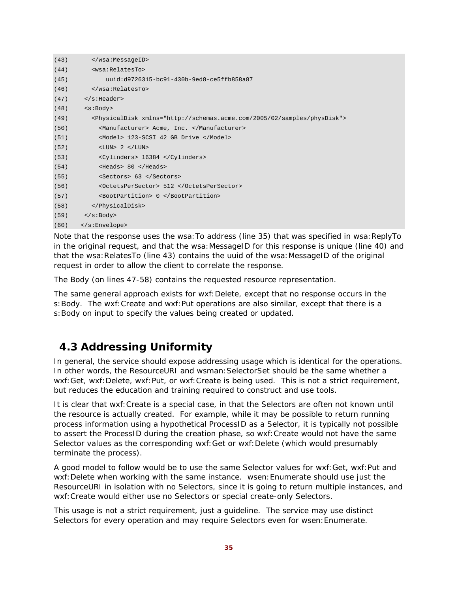| (43) |                                                                                        |
|------|----------------------------------------------------------------------------------------|
| (44) | <wsa:relatesto></wsa:relatesto>                                                        |
| (45) | uuid:d9726315-bc91-430b-9ed8-ce5ffb858a87                                              |
| (46) |                                                                                        |
| (47) | $\langle$ s:Header>                                                                    |
| (48) | < s : Body                                                                             |
| (49) | <physicaldisk xmlns="http://schemas.acme.com/2005/02/samples/physDisk"></physicaldisk> |
| (50) | <manufacturer> Acme, Inc. </manufacturer>                                              |
| (51) | <model> 123-SCSI 42 GB Drive </model>                                                  |
| (52) | $\langle LUN> 2 \langle LUN>$                                                          |
| (53) | <cylinders> 16384 </cylinders>                                                         |
| (54) | $<$ Heads> 80 $<$ /Heads>                                                              |
| (55) | <sectors> 63 </sectors>                                                                |
| (56) | <octetspersector> 512 </octetspersector>                                               |
| (57) | <bootpartition> 0 </bootpartition>                                                     |
| (58) |                                                                                        |
| (59) | $\langle s:Body\rangle$                                                                |
| (60) | $\langle$ s:Envelope>                                                                  |

Note that the response uses the wsa: To address (line 35) that was specified in wsa: ReplyTo in the original request, and that the wsa: MessageID for this response is unique (line 40) and that the wsa: RelatesTo (line 43) contains the uuid of the wsa: MessageID of the original request in order to allow the client to correlate the response.

The Body (on lines 47-58) contains the requested resource representation.

The same general approach exists for wxf:Delete, except that no response occurs in the s: Body. The wxf: Create and wxf: Put operations are also similar, except that there is a s:Body on input to specify the values being created or updated.

## **4.3 Addressing Uniformity**

In general, the service should expose addressing usage which is identical for the operations. In other words, the ResourceURI and wsman:SelectorSet should be the same whether a wxf:Get, wxf:Delete, wxf:Put, or wxf:Create is being used. This is not a strict requirement, but reduces the education and training required to construct and use tools.

It is clear that wxf:Create is a special case, in that the Selectors are often not known until the resource is actually created. For example, while it may be possible to return running process information using a hypothetical *ProcessID* as a Selector, it is typically not possible to assert the *ProcessID* during the creation phase, so wxf:Create would not have the same Selector values as the corresponding wxf:Get or wxf:Delete (which would presumably terminate the process).

A good model to follow would be to use the same Selector values for wxf:Get, wxf:Put and wxf:Delete when working with the same instance. wsen:Enumerate should use just the ResourceURI in isolation with no Selectors, since it is going to return multiple instances, and wxf:Create would either use no Selectors or special create-only Selectors.

This usage is not a strict requirement, just a guideline. The service may use distinct Selectors for every operation and may require Selectors even for wsen:Enumerate.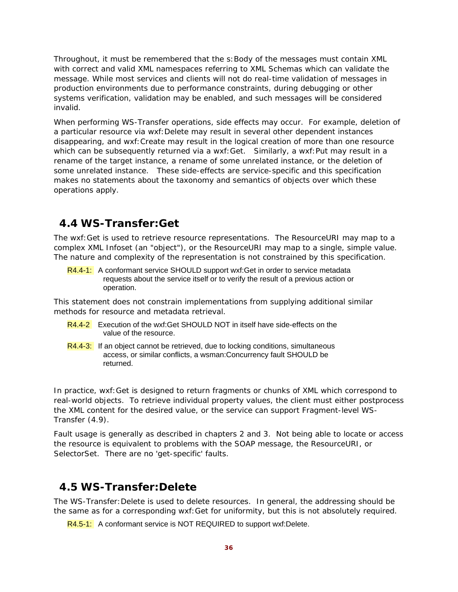Throughout, it must be remembered that the s:Body of the messages must contain XML with correct and valid XML namespaces referring to XML Schemas which can validate the message. While most services and clients will not do real-time validation of messages in production environments due to performance constraints, during debugging or other systems verification, validation may be enabled, and such messages will be considered invalid.

When performing WS-Transfer operations, side effects may occur. For example, deletion of a particular resource via wxf:Delete may result in several other dependent instances disappearing, and wxf:Create may result in the logical creation of more than one resource which can be subsequently returned via a wxf: Get. Similarly, a wxf: Put may result in a rename of the target instance, a rename of some unrelated instance, or the deletion of some unrelated instance. These side-effects are service-specific and this specification makes no statements about the taxonomy and semantics of objects over which these operations apply.

## **4.4 WS-Transfer:Get**

The wxf:Get is used to retrieve resource representations. The ResourceURI may map to a complex XML Infoset (an "object"), or the ResourceURI may map to a single, simple value. The nature and complexity of the representation is not constrained by this specification.

R4.4-1: A conformant service SHOULD support wxf: Get in order to service metadata requests about the service itself or to verify the result of a previous action or operation.

This statement does not constrain implementations from supplying additional similar methods for resource and metadata retrieval.

- R4.4-2 Execution of the wxf:Get SHOULD NOT in itself have side-effects on the value of the resource.
- R4.4-3: If an object cannot be retrieved, due to locking conditions, simultaneous access, or similar conflicts, a wsman:Concurrency fault SHOULD be returned.

In practice, wxf:Get is designed to return fragments or chunks of XML which correspond to real-world objects. To retrieve individual property values, the client must either postprocess the XML content for the desired value, or the service can support Fragment-level WS-Transfer (4.9).

Fault usage is generally as described in chapters 2 and 3. Not being able to locate or access the resource is equivalent to problems with the SOAP message, the ResourceURI, or SelectorSet. There are no 'get-specific' faults.

## **4.5 WS-Transfer:Delete**

The WS-Transfer:Delete is used to delete resources. In general, the addressing should be the same as for a corresponding wxf:Get for uniformity, but this is not absolutely required.

R4.5-1: A conformant service is NOT REQUIRED to support wxf:Delete.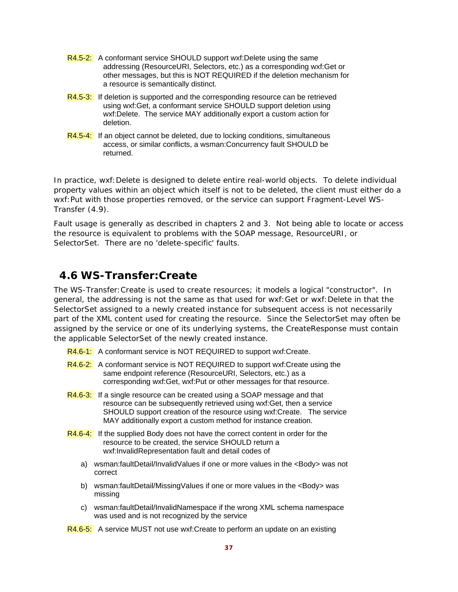- R4.5-2: A conformant service SHOULD support wxf:Delete using the same addressing (ResourceURI, Selectors, etc.) as a corresponding wxf:Get or other messages, but this is NOT REQUIRED if the deletion mechanism for a resource is semantically distinct.
- R4.5-3: If deletion is supported and the corresponding resource can be retrieved using wxf:Get, a conformant service SHOULD support deletion using wxf:Delete. The service MAY additionally export a custom action for deletion.
- R4.5-4: If an object cannot be deleted, due to locking conditions, simultaneous access, or similar conflicts, a wsman:Concurrency fault SHOULD be returned.

In practice, wxf:Delete is designed to delete entire real-world objects. To delete individual property values within an object which itself is not to be deleted, the client must either do a wxf:Put with those properties removed, or the service can support Fragment-Level WS-Transfer (4.9).

Fault usage is generally as described in chapters 2 and 3. Not being able to locate or access the resource is equivalent to problems with the SOAP message, ResourceURI, or SelectorSet. There are no 'delete-specific' faults.

### **4.6 WS-Transfer:Create**

The WS-Transfer:Create is used to create resources; it models a logical "constructor". In general, the addressing is not the same as that used for wxf:Get or wxf:Delete in that the SelectorSet assigned to a newly created instance for subsequent access is not necessarily part of the XML content used for creating the resource. Since the SelectorSet may often be assigned by the service or one of its underlying systems, the CreateResponse must contain the applicable SelectorSet of the newly created instance.

- R4.6-1: A conformant service is NOT REQUIRED to support wxf:Create.
- R4.6-2: A conformant service is NOT REQUIRED to support wxf: Create using the same endpoint reference (ResourceURI, Selectors, etc.) as a corresponding wxf:Get, wxf:Put or other messages for that resource.
- R4.6-3: If a single resource can be created using a SOAP message and that resource can be subsequently retrieved using wxf:Get, then a service SHOULD support creation of the resource using wxf:Create. The service MAY additionally export a custom method for instance creation.
- R4.6-4: If the supplied Body does not have the correct content in order for the resource to be created, the service SHOULD return a wxf:InvalidRepresentation fault and detail codes of
	- a) wsman:faultDetail/InvalidValues if one or more values in the <Body> was not correct
	- b) wsman:faultDetail/MissingValues if one or more values in the <Body> was missing
	- c) wsman:faultDetail/InvalidNamespace if the wrong XML schema namespace was used and is not recognized by the service
- R4.6-5: A service MUST not use wxf: Create to perform an update on an existing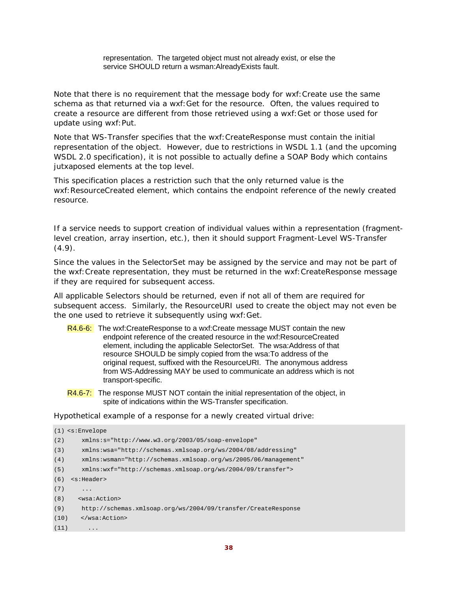representation. The targeted object must not already exist, or else the service SHOULD return a wsman:AlreadyExists fault.

Note that there is no requirement that the message body for wxf: Create use the same schema as that returned via a wxf:Get for the resource. Often, the values required to create a resource are different from those retrieved using a wxf:Get or those used for update using wxf:Put.

Note that WS-Transfer specifies that the wxf:CreateResponse must contain the initial representation of the object. However, due to restrictions in WSDL 1.1 (and the upcoming WSDL 2.0 specification), it is not possible to actually define a SOAP Body which contains jutxaposed elements at the top level.

This specification places a restriction such that the only returned value is the wxf:ResourceCreated element, which contains the endpoint reference of the newly created resource.

If a service needs to support creation of individual values within a representation (fragmentlevel creation, array insertion, etc.), then it should support Fragment-Level WS-Transfer  $(4.9).$ 

Since the values in the SelectorSet may be assigned by the service and may not be part of the wxf:Create representation, they must be returned in the wxf:CreateResponse message if they are required for subsequent access.

All applicable Selectors should be returned, even if not all of them are required for subsequent access. Similarly, the ResourceURI used to create the object may not even be the one used to retrieve it subsequently using wxf:Get.

- R4.6-6: The wxf:CreateResponse to a wxf:Create message MUST contain the new endpoint reference of the created resource in the wxf:ResourceCreated element, including the applicable SelectorSet. The wsa:Address of that resource SHOULD be simply copied from the wsa:To address of the original request, suffixed with the ResourceURI. The anonymous address from WS-Addressing MAY be used to communicate an address which is not transport-specific.
- R4.6-7: The response MUST NOT contain the initial representation of the object, in spite of indications within the WS-Transfer specification.

Hypothetical example of a response for a newly created virtual drive:

```
(1) <s:Envelope 
(2) xmlns:s="http://www.w3.org/2003/05/soap-envelope" 
(3) xmlns:wsa="http://schemas.xmlsoap.org/ws/2004/08/addressing" 
(4) xmlns:wsman="http://schemas.xmlsoap.org/ws/2005/06/management" 
(5) xmlns:wxf="http://schemas.xmlsoap.org/ws/2004/09/transfer"> 
(6) <s:Header> 
(7) ...
(8) <wsa:Action> 
(9) http://schemas.xmlsoap.org/ws/2004/09/transfer/CreateResponse 
(10) </wsa:Action> 
(11)
```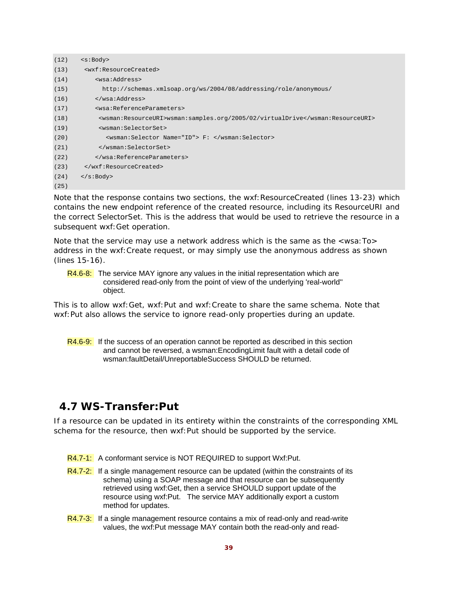| (12) | < s: Body                                                                     |
|------|-------------------------------------------------------------------------------|
| (13) | <wxf:resourcecreated></wxf:resourcecreated>                                   |
| (14) | <wsa:address></wsa:address>                                                   |
| (15) | http://schemas.xmlsoap.org/ws/2004/08/addressing/role/anonymous/              |
| (16) |                                                                               |
| (17) | <wsa:referenceparameters></wsa:referenceparameters>                           |
| (18) | <wsman:resourceuri>wsman:samples.org/2005/02/virtualDrive</wsman:resourceuri> |
| (19) | <wsman:selectorset></wsman:selectorset>                                       |
| (20) | <wsman:selector name="ID"> F: </wsman:selector>                               |
| (21) |                                                                               |
| (22) |                                                                               |
| (23) |                                                                               |
| (24) | $\langle s : \text{Body} \rangle$                                             |
| (25) |                                                                               |

Note that the response contains two sections, the wxf: ResourceCreated (lines 13-23) which contains the new endpoint reference of the created resource, including its ResourceURI and the correct SelectorSet. This is the address that would be used to retrieve the resource in a subsequent wxf:Get operation.

Note that the service may use a network address which is the same as the <wsa:To> address in the wxf:Create request, or may simply use the anonymous address as shown (lines 15-16).

R4.6-8: The service MAY ignore any values in the initial representation which are considered read-only from the point of view of the underlying 'real-world'' object.

This is to allow wxf:Get, wxf:Put and wxf:Create to share the same schema. Note that wxf:Put also allows the service to ignore read-only properties during an update.

R4.6-9: If the success of an operation cannot be reported as described in this section and cannot be reversed, a wsman:EncodingLimit fault with a detail code of wsman:faultDetail/UnreportableSuccess SHOULD be returned.

### **4.7 WS-Transfer:Put**

If a resource can be updated in its entirety within the constraints of the corresponding XML schema for the resource, then wxf:Put should be supported by the service.

- R4.7-1: A conformant service is NOT REQUIRED to support Wxf:Put.
- $R4.7-2$ : If a single management resource can be updated (within the constraints of its schema) using a SOAP message and that resource can be subsequently retrieved using wxf:Get, then a service SHOULD support update of the resource using wxf:Put. The service MAY additionally export a custom method for updates.
- R4.7-3: If a single management resource contains a mix of read-only and read-write values, the wxf:Put message MAY contain both the read-only and read-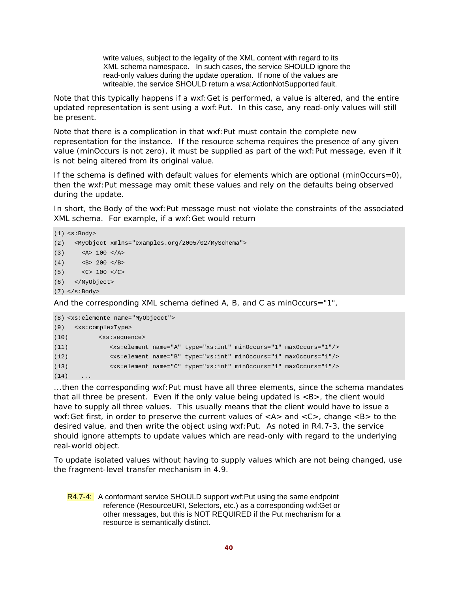write values, subject to the legality of the XML content with regard to its XML schema namespace. In such cases, the service SHOULD ignore the read-only values during the update operation. If none of the values are writeable, the service SHOULD return a wsa:ActionNotSupported fault.

Note that this typically happens if a wxf:Get is performed, a value is altered, and the entire updated representation is sent using a wxf:Put. In this case, any read-only values will still be present.

Note that there is a complication in that wxf:Put must contain the complete new representation for the instance. If the resource schema requires the presence of any given value (minOccurs is not zero), it must be supplied as part of the wxf: Put message, even if it is not being altered from its original value.

If the schema is defined with default values for elements which are optional (minOccurs=0), then the wxf:Put message may omit these values and rely on the defaults being observed during the update.

In short, the Body of the wxf:Put message must not violate the constraints of the associated XML schema. For example, if a wxf:Get would return

```
(1) <s:Body> 
(2) <MyObject xmlns="examples.org/2005/02/MySchema"> 
(3) \leq A > 100 \leq A > 100(4) <B> 200 </B>
(5) < C> 100 < / C>
(6) </MyObject> 
(7) </s:Body> 
And the corresponding XML schema defined A, B, and C as minOccurs="1",
```

```
(8) <xs:elemente name="MyObjecct"> 
(9) <xs:complexType> 
(10) <xs:sequence> 
(11) <xs:element name="A" type="xs:int" minOccurs="1" maxOccurs="1"/> 
(12) <xs:element name="B" type="xs:int" minOccurs="1" maxOccurs="1"/> 
(13) <xs:element name="C" type="xs:int" minOccurs="1" maxOccurs="1"/> 
(14)
```
...then the corresponding wxf:Put must have all three elements, since the schema mandates that all three be present. Even if the only value being updated is  $\langle B \rangle$ , the client would have to supply all three values. This usually means that the client would have to issue a wxf: Get first, in order to preserve the current values of  $\langle A \rangle$  and  $\langle C \rangle$ , change  $\langle B \rangle$  to the desired value, and then write the object using wxf:Put. As noted in R4.7-3, the service should ignore attempts to update values which are read-only with regard to the underlying real-world object.

To update isolated values without having to supply values which are not being changed, use the fragment-level transfer mechanism in 4.9.

R4.7-4: A conformant service SHOULD support wxf:Put using the same endpoint reference (ResourceURI, Selectors, etc.) as a corresponding wxf:Get or other messages, but this is NOT REQUIRED if the Put mechanism for a resource is semantically distinct.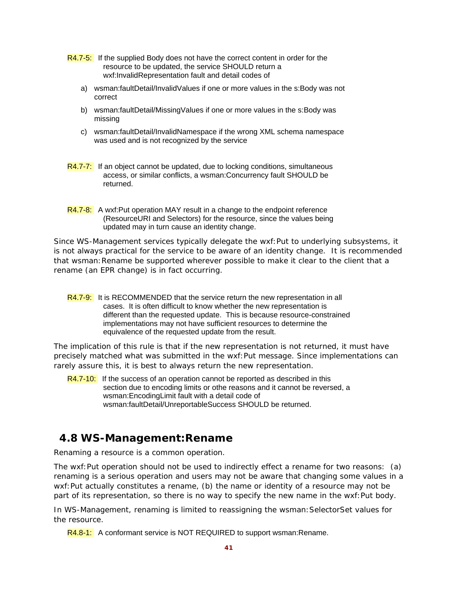- R4.7-5: If the supplied Body does not have the correct content in order for the resource to be updated, the service SHOULD return a wxf:InvalidRepresentation fault and detail codes of
	- a) wsman:faultDetail/InvalidValues if one or more values in the s:Body was not correct
	- b) wsman:faultDetail/MissingValues if one or more values in the s:Body was missing
	- c) wsman:faultDetail/InvalidNamespace if the wrong XML schema namespace was used and is not recognized by the service
- R4.7-7: If an object cannot be updated, due to locking conditions, simultaneous access, or similar conflicts, a wsman:Concurrency fault SHOULD be returned.
- R4.7-8: A wxf:Put operation MAY result in a change to the endpoint reference (ResourceURI and Selectors) for the resource, since the values being updated may in turn cause an identity change.

Since WS-Management services typically delegate the wxf:Put to underlying subsystems, it is not always practical for the service to be aware of an identity change. It is recommended that wsman: Rename be supported wherever possible to make it clear to the client that a rename (an EPR change) is in fact occurring.

The implication of this rule is that if the new representation is not returned, it must have precisely matched what was submitted in the wxf:Put message. Since implementations can rarely assure this, it is best to always return the new representation.

R4.7-10: If the success of an operation cannot be reported as described in this section due to encoding limits or othe reasons and it cannot be reversed, a wsman:EncodingLimit fault with a detail code of wsman:faultDetail/UnreportableSuccess SHOULD be returned.

### **4.8 WS-Management:Rename**

Renaming a resource is a common operation.

The wxf:Put operation should not be used to indirectly effect a rename for two reasons: (a) renaming is a serious operation and users may not be aware that changing some values in a wxf: Put actually constitutes a rename, (b) the name or identity of a resource may not be part of its representation, so there is no way to specify the new name in the wxf:Put body.

In WS-Management, renaming is limited to reassigning the wsman:SelectorSet values for the resource.

R4.8-1: A conformant service is NOT REQUIRED to support wsman: Rename.

R4.7-9: It is RECOMMENDED that the service return the new representation in all cases. It is often difficult to know whether the new representation is different than the requested update. This is because resource-constrained implementations may not have sufficient resources to determine the equivalence of the requested update from the result.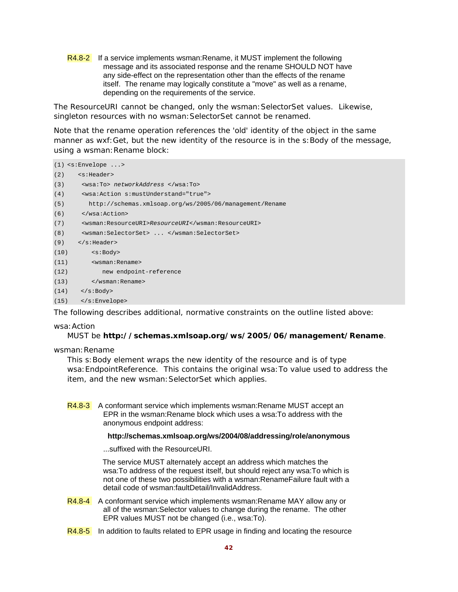R4.8-2 If a service implements wsman:Rename, it MUST implement the following message and its associated response and the rename SHOULD NOT have any side-effect on the representation other than the effects of the rename itself. The rename may logically constitute a "move" as well as a rename, depending on the requirements of the service.

The ResourceURI cannot be changed, only the wsman:SelectorSet values. Likewise, singleton resources with no wsman:SelectorSet cannot be renamed.

Note that the rename operation references the 'old' identity of the object in the same manner as wxf: Get, but the new identity of the resource is in the s: Body of the message, using a wsman: Rename block:

```
(1) <s:Envelope ...> 
(2) <s:Header> 
(3) <wsa:To> networkAddress </wsa:To> 
(4) <wsa:Action s:mustUnderstand="true"> 
(5) http://schemas.xmlsoap.org/ws/2005/06/management/Rename 
(6) </wsa:Action> 
(7) <wsman:ResourceURI>ResourceURI</wsman:ResourceURI> 
(8) <wsman:SelectorSet> ... </wsman:SelectorSet> 
(9) </s: Header>
(10) <s:Body> 
(11) <wsman:Rename> 
(12) new endpoint-reference 
(13) </wsman:Rename> 
(14) </s:Body>
(15) </s:Envelope>
```
The following describes additional, normative constraints on the outline listed above:

#### wsa:Action

#### MUST be **http://schemas.xmlsoap.org/ws/2005/06/management/Rename**.

wsman: Rename

This s: Body element wraps the new identity of the resource and is of type wsa:EndpointReference. This contains the original wsa:To value used to address the item, and the *new* wsman:SelectorSet which applies.

R4.8-3 A conformant service which implements wsman:Rename MUST accept an EPR in the wsman:Rename block which uses a wsa:To address with the anonymous endpoint address:

#### **http://schemas.xmlsoap.org/ws/2004/08/addressing/role/anonymous**

...suffixed with the ResourceURI.

 The service MUST alternately accept an address which matches the wsa:To address of the request itself, but should reject any wsa:To which is not one of these two possibilities with a wsman:RenameFailure fault with a detail code of wsman:faultDetail/InvalidAddress.

- R4.8-4 A conformant service which implements wsman: Rename MAY allow any or all of the wsman:Selector values to change during the rename. The other EPR values MUST not be changed (i.e., wsa:To).
- R4.8-5 In addition to faults related to EPR usage in finding and locating the resource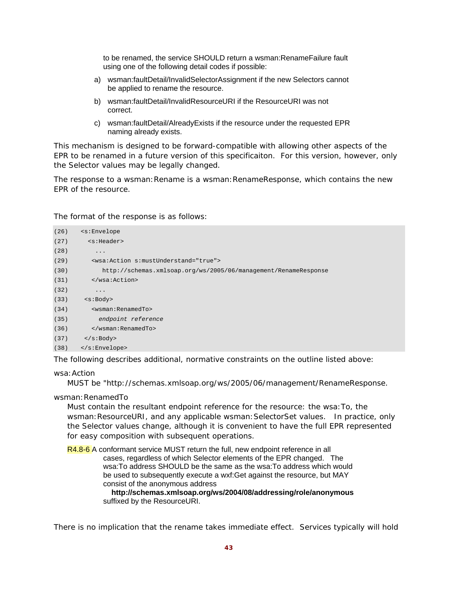to be renamed, the service SHOULD return a wsman:RenameFailure fault using one of the following detail codes if possible:

- a) wsman:faultDetail/InvalidSelectorAssignment if the new Selectors cannot be applied to rename the resource.
- b) wsman:faultDetail/InvalidResourceURI if the ResourceURI was not correct.
- c) wsman:faultDetail/AlreadyExists if the resource under the requested EPR naming already exists.

This mechanism is designed to be forward-compatible with allowing other aspects of the EPR to be renamed in a future version of this specificaiton. For this version, however, only the Selector values may be legally changed.

The response to a wsman: Rename is a wsman: RenameResponse, which contains the new EPR of the resource.

The format of the response is as follows:

| (26) | <s:envelope< th=""></s:envelope<>                               |
|------|-----------------------------------------------------------------|
| (27) | <s:header></s:header>                                           |
| (28) | $\cdot$                                                         |
| (29) | <wsa: action="" mustunderstand="true" s:=""></wsa:>             |
| (30) | http://schemas.xmlsoap.org/ws/2005/06/management/RenameResponse |
| (31) |                                                                 |
| (32) | $\cdot$                                                         |
| (33) | $<$ s:Body>                                                     |
| (34) | <wsman:renamedto></wsman:renamedto>                             |
| (35) | endpoint reference                                              |
| (36) |                                                                 |
| (37) | $\langle$ s:Body>                                               |
| (38) |                                                                 |
|      |                                                                 |

The following describes additional, normative constraints on the outline listed above:

wsa:Action

MUST be "http://schemas.xmlsoap.org/ws/2005/06/management/RenameResponse.

wsman:RenamedTo

Must contain the resultant endpoint reference for the resource: the wsa:To, the wsman: ResourceURI, and any applicable wsman: SelectorSet values. In practice, only the Selector values change, although it is convenient to have the full EPR represented for easy composition with subsequent operations.

R4.8-6 A conformant service MUST return the full, new endpoint reference in all cases, regardless of which Selector elements of the EPR changed. The wsa:To address SHOULD be the same as the wsa:To address which would be used to subsequently execute a wxf:Get against the resource, but MAY consist of the anonymous address

 **http://schemas.xmlsoap.org/ws/2004/08/addressing/role/anonymous**  suffixed by the ResourceURI.

There is no implication that the rename takes immediate effect. Services typically will hold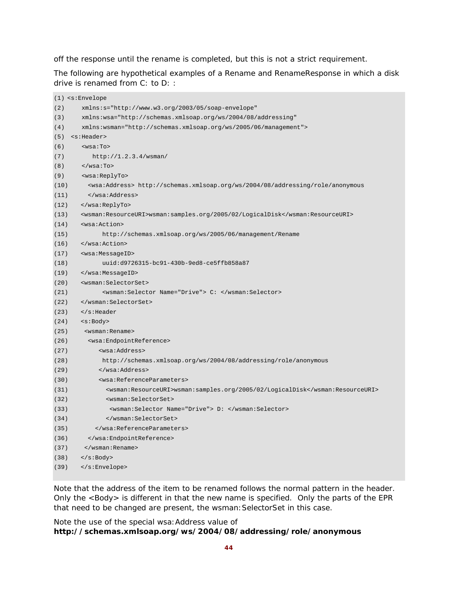off the response until the rename is completed, but this is not a strict requirement.

The following are hypothetical examples of a Rename and RenameResponse in which a disk drive is renamed from C: to D: :

|      | $(1)$ <s:envelope< th=""></s:envelope<>                                                     |  |  |  |
|------|---------------------------------------------------------------------------------------------|--|--|--|
| (2)  | xmlns:s="http://www.w3.org/2003/05/soap-envelope"                                           |  |  |  |
| (3)  | xmlns:wsa="http://schemas.xmlsoap.org/ws/2004/08/addressing"                                |  |  |  |
| (4)  | xmlns:wsman="http://schemas.xmlsoap.org/ws/2005/06/management">                             |  |  |  |
| (5)  | <s:header></s:header>                                                                       |  |  |  |
| (6)  | $<$ wsa:To $>$                                                                              |  |  |  |
| (7)  | http://1.2.3.4/wsman/                                                                       |  |  |  |
| (8)  | $\langle$ /wsa:To>                                                                          |  |  |  |
| (9)  | <wsa:replyto></wsa:replyto>                                                                 |  |  |  |
| (10) | <wsa:address> http://schemas.xmlsoap.org/ws/2004/08/addressing/role/anonymous</wsa:address> |  |  |  |
| (11) |                                                                                             |  |  |  |
| (12) |                                                                                             |  |  |  |
| (13) | <wsman:resourceuri>wsman:samples.org/2005/02/LogicalDisk</wsman:resourceuri>                |  |  |  |
| (14) | <wsa:action></wsa:action>                                                                   |  |  |  |
| (15) | http://schemas.xmlsoap.org/ws/2005/06/management/Rename                                     |  |  |  |
| (16) |                                                                                             |  |  |  |
| (17) | <wsa:messageid></wsa:messageid>                                                             |  |  |  |
| (18) | uuid:d9726315-bc91-430b-9ed8-ce5ffb858a87                                                   |  |  |  |
| (19) |                                                                                             |  |  |  |
| (20) | <wsman:selectorset></wsman:selectorset>                                                     |  |  |  |
| (21) | <wsman:selector name="Drive"> C: </wsman:selector>                                          |  |  |  |
| (22) |                                                                                             |  |  |  |
| (23) | $\langle$ s:Header                                                                          |  |  |  |
| (24) | <s:body></s:body>                                                                           |  |  |  |
| (25) | <wsman:rename></wsman:rename>                                                               |  |  |  |
| (26) | <wsa:endpointreference></wsa:endpointreference>                                             |  |  |  |
| (27) | <wsa:address></wsa:address>                                                                 |  |  |  |
| (28) | http://schemas.xmlsoap.org/ws/2004/08/addressing/role/anonymous                             |  |  |  |
| (29) |                                                                                             |  |  |  |
| (30) | <wsa:referenceparameters></wsa:referenceparameters>                                         |  |  |  |
| (31) | <wsman:resourceuri>wsman:samples.org/2005/02/LogicalDisk</wsman:resourceuri>                |  |  |  |
| (32) | <wsman:selectorset></wsman:selectorset>                                                     |  |  |  |
| (33) | <wsman:selector name="Drive"> D: </wsman:selector>                                          |  |  |  |
| (34) |                                                                                             |  |  |  |
| (35) |                                                                                             |  |  |  |
| (36) |                                                                                             |  |  |  |
| (37) |                                                                                             |  |  |  |
| (38) | $\langle$ s:Body>                                                                           |  |  |  |
| (39) |                                                                                             |  |  |  |
|      |                                                                                             |  |  |  |

Note that the address of the item to be renamed follows the normal pattern in the header. Only the <Body> is different in that the new name is specified. Only the parts of the EPR that need to be changed are present, the wsman: SelectorSet in this case.

Note the use of the special wsa:Address value of **http://schemas.xmlsoap.org/ws/2004/08/addressing/role/anonymous**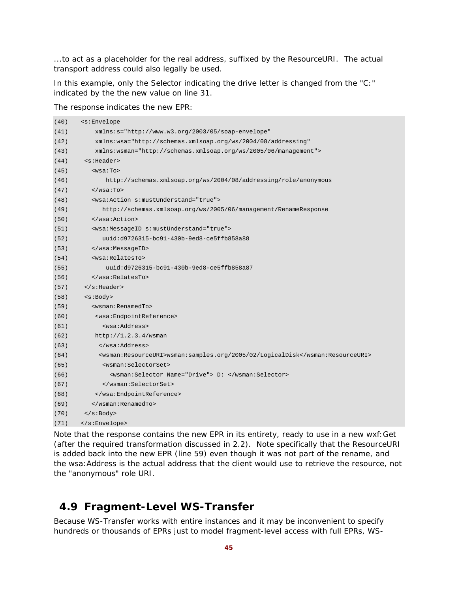...to act as a placeholder for the real address, suffixed by the ResourceURI. The actual transport address could also legally be used.

In this example, only the Selector indicating the drive letter is changed from the "C:" indicated by the the new value on line 31.

The response indicates the new EPR:

| (40) | <s:envelope< th=""></s:envelope<>                                            |  |  |  |
|------|------------------------------------------------------------------------------|--|--|--|
| (41) | $xmlns:s="http://www.w3.org/2003/05/soap-envelope"$                          |  |  |  |
| (42) | xmlns:wsa="http://schemas.xmlsoap.org/ws/2004/08/addressing"                 |  |  |  |
| (43) | xmlns:wsman="http://schemas.xmlsoap.org/ws/2005/06/management">              |  |  |  |
| (44) | <s:header></s:header>                                                        |  |  |  |
| (45) | $wsa:To>$                                                                    |  |  |  |
| (46) | http://schemas.xmlsoap.org/ws/2004/08/addressing/role/anonymous              |  |  |  |
| (47) | $\langle$ /wsa:To>                                                           |  |  |  |
| (48) | <wsa:action s:mustunderstand="true"></wsa:action>                            |  |  |  |
| (49) | http://schemas.xmlsoap.org/ws/2005/06/management/RenameResponse              |  |  |  |
| (50) | $\langle$ /wsa:Action>                                                       |  |  |  |
| (51) | <wsa:messageid s:mustunderstand="true"></wsa:messageid>                      |  |  |  |
| (52) | uuid:d9726315-bc91-430b-9ed8-ce5ffb858a88                                    |  |  |  |
| (53) |                                                                              |  |  |  |
| (54) | <wsa:relatesto></wsa:relatesto>                                              |  |  |  |
| (55) | uuid:d9726315-bc91-430b-9ed8-ce5ffb858a87                                    |  |  |  |
| (56) | $\langle$ /wsa:RelatesTo>                                                    |  |  |  |
| (57) | $\langle$ s:Header>                                                          |  |  |  |
| (58) | <s:body></s:body>                                                            |  |  |  |
| (59) | <wsman:renamedto></wsman:renamedto>                                          |  |  |  |
| (60) | <wsa:endpointreference></wsa:endpointreference>                              |  |  |  |
| (61) | <wsa:address></wsa:address>                                                  |  |  |  |
| (62) | http://1.2.3.4/wsman                                                         |  |  |  |
| (63) |                                                                              |  |  |  |
| (64) | <wsman:resourceuri>wsman:samples.org/2005/02/LogicalDisk</wsman:resourceuri> |  |  |  |
| (65) | <wsman:selectorset></wsman:selectorset>                                      |  |  |  |
| (66) | <wsman:selector name="Drive"> D: </wsman:selector>                           |  |  |  |
| (67) |                                                                              |  |  |  |
| (68) |                                                                              |  |  |  |
| (69) |                                                                              |  |  |  |
| (70) | $\langle$ s:Body>                                                            |  |  |  |
| (71) |                                                                              |  |  |  |

Note that the response contains the new EPR in its entirety, ready to use in a new wxf:Get (after the required transformation discussed in 2.2). Note specifically that the ResourceURI is added back into the new EPR (line 59) even though it was not part of the rename, and the wsa:Address is the actual address that the client would use to retrieve the resource, not the "anonymous" role URI.

## **4.9 Fragment-Level WS-Transfer**

Because WS-Transfer works with entire instances and it may be inconvenient to specify hundreds or thousands of EPRs just to model fragment-level access with full EPRs, WS-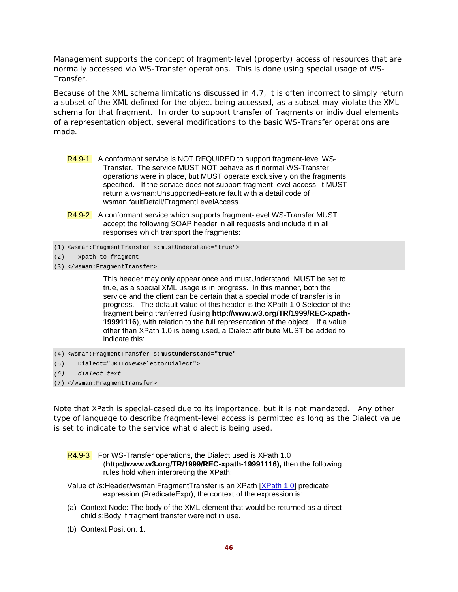Management supports the concept of fragment-level (property) access of resources that are normally accessed via WS-Transfer operations. This is done using special usage of WS-Transfer.

Because of the XML schema limitations discussed in 4.7, it is often incorrect to simply return a subset of the XML defined for the object being accessed, as a subset may violate the XML schema for that fragment. In order to support transfer of fragments or individual elements of a representation object, several modifications to the basic WS-Transfer operations are made.

- R4.9-1 A conformant service is NOT REQUIRED to support fragment-level WS-Transfer. The service MUST NOT behave as if normal WS-Transfer operations were in place, but MUST operate exclusively on the fragments specified. If the service does not support fragment-level access, it MUST return a wsman:UnsupportedFeature fault with a detail code of wsman:faultDetail/FragmentLevelAccess.
- R4.9-2 A conformant service which supports fragment-level WS-Transfer MUST accept the following SOAP header in all requests and include it in all responses which transport the fragments:
- (1) <wsman:FragmentTransfer s:mustUnderstand="true">
- (2) xpath to fragment
- (3) </wsman:FragmentTransfer>

 This header may only appear once and mustUnderstand MUST be set to true, as a special XML usage is in progress. In this manner, both the service and the client can be certain that a special mode of transfer is in progress. The default value of this header is the XPath 1.0 Selector of the fragment being tranferred (using **http://www.w3.org/TR/1999/REC-xpath-19991116**), with relation to the full representation of the object. If a value other than XPath 1.0 is being used, a Dialect attribute MUST be added to indicate this:

```
(4) <wsman:FragmentTransfer s:mustUnderstand="true"
```
(5) Dialect="URIToNewSelectorDialect">

```
(6) dialect text
```

```
(7) </wsman:FragmentTransfer>
```
Note that XPath is special-cased due to its importance, but it is not mandated. Any other type of language to describe fragment-level access is permitted as long as the Dialect value is set to indicate to the service what dialect is being used.

|                                                                    | R4.9-3 For WS-Transfer operations, the Dialect used is XPath 1.0 |  |  |  |  |
|--------------------------------------------------------------------|------------------------------------------------------------------|--|--|--|--|
| (http://www.w3.org/TR/1999/REC-xpath-19991116), then the following |                                                                  |  |  |  |  |
| rules hold when interpreting the XPath:                            |                                                                  |  |  |  |  |

- Value of /s:Header/wsman:FragmentTransfer is an XPath [XPath 1.0] predicate expression (PredicateExpr); the context of the expression is:
- (a) Context Node: The body of the XML element that would be returned as a direct child s:Body if fragment transfer were not in use.
- (b) Context Position: 1.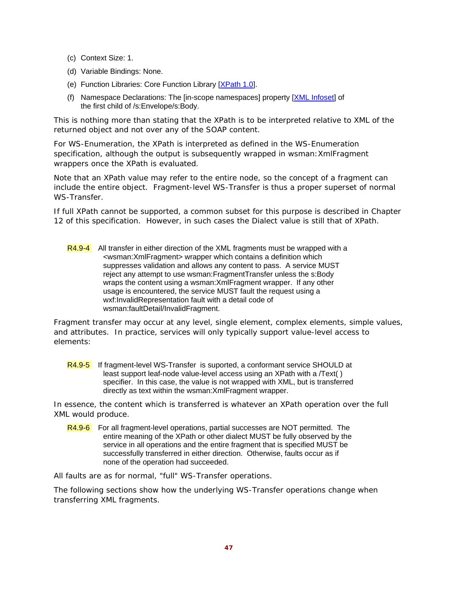- (c) Context Size: 1.
- (d) Variable Bindings: None.
- (e) Function Libraries: Core Function Library [XPath 1.0].
- (f) Namespace Declarations: The [in-scope namespaces] property [XML Infoset] of the first child of /s:Envelope/s:Body.

This is nothing more than stating that the XPath is to be interpreted relative to XML of the returned object and not over any of the SOAP content.

For WS-Enumeration, the XPath is interpreted as defined in the WS-Enumeration specification, although the output is subsequently wrapped in wsman:XmlFragment wrappers once the XPath is evaluated.

Note that an XPath value may refer to the entire node, so the concept of a fragment can include the entire object. Fragment-level WS-Transfer is thus a proper superset of normal WS-Transfer.

If full XPath cannot be supported, a common subset for this purpose is described in Chapter 12 of this specification. However, in such cases the Dialect value is still that of XPath.

R4.9-4 All transfer in either direction of the XML fragments must be wrapped with a <wsman:XmlFragment> wrapper which contains a definition which suppresses validation and allows any content to pass. A service MUST reject any attempt to use wsman:FragmentTransfer unless the s:Body wraps the content using a wsman:XmlFragment wrapper. If any other usage is encountered, the service MUST fault the request using a wxf:InvalidRepresentation fault with a detail code of wsman:faultDetail/InvalidFragment.

Fragment transfer may occur at any level, single element, complex elements, simple values, and attributes. In practice, services will only typically support value-level access to elements:

R4.9-5 If fragment-level WS-Transfer is suported, a conformant service SHOULD at least support leaf-node value-level access using an XPath with a /Text( ) specifier. In this case, the value is not wrapped with XML, but is transferred directly as text within the wsman:XmlFragment wrapper.

In essence, the content which is transferred is whatever an XPath operation over the full XML would produce.

R4.9-6 For all fragment-level operations, partial successes are NOT permitted. The entire meaning of the XPath or other dialect MUST be fully observed by the service in all operations and the entire fragment that is specified MUST be successfully transferred in either direction. Otherwise, faults occur as if none of the operation had succeeded.

All faults are as for normal, "full" WS-Transfer operations.

The following sections show how the underlying WS-Transfer operations change when transferring XML fragments.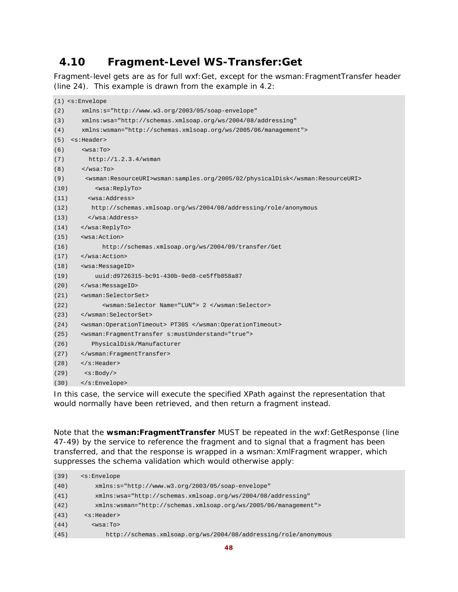# **4.10 Fragment-Level WS-Transfer:Get**

Fragment-level gets are as for full wxf:Get, except for the wsman:FragmentTransfer header (line 24). This example is drawn from the example in 4.2:

|      | $(1)$ <s: envelope<="" th=""></s:>                                            |  |  |
|------|-------------------------------------------------------------------------------|--|--|
| (2)  | xmlns:s="http://www.w3.org/2003/05/soap-envelope"                             |  |  |
| (3)  | xmlns:wsa="http://schemas.xmlsoap.org/ws/2004/08/addressing"                  |  |  |
| (4)  | xmlns:wsman="http://schemas.xmlsoap.org/ws/2005/06/management">               |  |  |
| (5)  | <s:header></s:header>                                                         |  |  |
| (6)  | $wsa:To>$                                                                     |  |  |
| (7)  | http://1.2.3.4/wsman                                                          |  |  |
| (8)  | $\langle$ /wsa:To>                                                            |  |  |
| (9)  | <wsman:resourceuri>wsman:samples.org/2005/02/physicalDisk</wsman:resourceuri> |  |  |
| (10) | <wsa:replyto></wsa:replyto>                                                   |  |  |
| (11) | <wsa:address></wsa:address>                                                   |  |  |
| (12) | http://schemas.xmlsoap.org/ws/2004/08/addressing/role/anonymous               |  |  |
| (13) |                                                                               |  |  |
| (14) |                                                                               |  |  |
| (15) | <wsa:action></wsa:action>                                                     |  |  |
| (16) | http://schemas.xmlsoap.org/ws/2004/09/transfer/Get                            |  |  |
| (17) |                                                                               |  |  |
| (18) | <wsa:messageid></wsa:messageid>                                               |  |  |
| (19) | uuid:d9726315-bc91-430b-9ed8-ce5ffb858a87                                     |  |  |
| (20) |                                                                               |  |  |
| (21) | <wsman:selectorset></wsman:selectorset>                                       |  |  |
| (22) | <wsman:selector name="LUN"> 2 </wsman:selector>                               |  |  |
| (23) |                                                                               |  |  |
| (24) | <wsman:operationtimeout> PT30S </wsman:operationtimeout>                      |  |  |
| (25) | <wsman:fraqmenttransfer s:mustunderstand="true"></wsman:fraqmenttransfer>     |  |  |
| (26) | PhysicalDisk/Manufacturer                                                     |  |  |
| (27) |                                                                               |  |  |
| (28) |                                                                               |  |  |
| (29) | < s: Body                                                                     |  |  |
| (30) |                                                                               |  |  |

In this case, the service will execute the specified XPath against the representation that would normally have been retrieved, and then return a fragment instead.

Note that the **wsman:FragmentTransfer** MUST be repeated in the wxf:GetResponse (line 47-49) by the service to reference the fragment and to signal that a fragment has been transferred, and that the response is wrapped in a wsman:XmlFragment wrapper, which suppresses the schema validation which would otherwise apply:

| (39) | $\leq$ s: Envelope                                               |  |  |  |
|------|------------------------------------------------------------------|--|--|--|
| (40) | $xmlns:s="http://www.w3.org/2003/05/soap-envelope"$              |  |  |  |
| (41) | xmlns:wsa="http://schemas.xmlsoap.org/ws/2004/08/addressing"     |  |  |  |
| (42) | $xmlns:wsman="http://schemas.xmlsoap.org/ws/2005/06/manaqement"$ |  |  |  |
| (43) | $<$ s:Header>                                                    |  |  |  |
| (44) | $wsa:To>$                                                        |  |  |  |
| (45) | http://schemas.xmlsoap.org/ws/2004/08/addressing/role/anonymous  |  |  |  |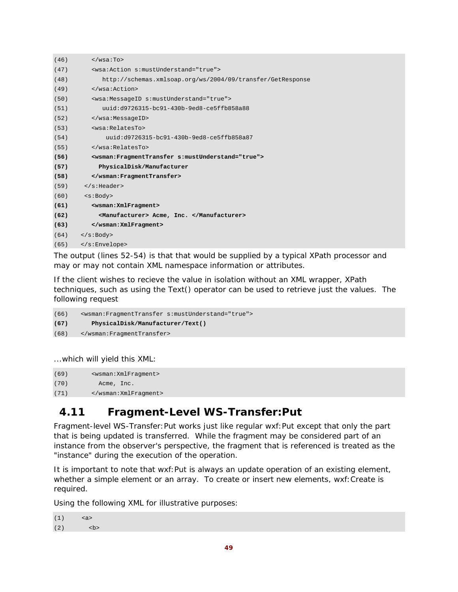| (46) | $\langle$ /wsa:To>                                                        |  |  |
|------|---------------------------------------------------------------------------|--|--|
| (47) | <wsa:action s:mustunderstand="true"></wsa:action>                         |  |  |
| (48) | http://schemas.xmlsoap.org/ws/2004/09/transfer/GetResponse                |  |  |
| (49) | $\langle Wsa:Act.ion \rangle$                                             |  |  |
| (50) | <wsa:messageid s:mustunderstand="true"></wsa:messageid>                   |  |  |
| (51) | uuid:d9726315-bc91-430b-9ed8-ce5ffb858a88                                 |  |  |
| (52) |                                                                           |  |  |
| (53) | <wsa:relatesto></wsa:relatesto>                                           |  |  |
| (54) | uuid:d9726315-bc91-430b-9ed8-ce5ffb858a87                                 |  |  |
| (55) |                                                                           |  |  |
|      | <wsman:fragmenttransfer s:mustunderstand="true"></wsman:fragmenttransfer> |  |  |
| (56) |                                                                           |  |  |
| (57) | PhysicalDisk/Manufacturer                                                 |  |  |
| (58) |                                                                           |  |  |
| (59) | $\langle$ s:Header>                                                       |  |  |
| (60) | < s : Body                                                                |  |  |
| (61) | <wsman:xmlfragment></wsman:xmlfragment>                                   |  |  |
| (62) | <manufacturer> Acme, Inc. </manufacturer>                                 |  |  |
| (63) |                                                                           |  |  |
| (64) | $\langle$ s:Body>                                                         |  |  |

The output (lines 52-54) is that that would be supplied by a typical XPath processor and may or may not contain XML namespace information or attributes.

If the client wishes to recieve the value in isolation without an XML wrapper, XPath techniques, such as using the Text() operator can be used to retrieve just the values. The following request

```
(66) <wsman:FragmentTransfer s:mustUnderstand="true"> 
(67) PhysicalDisk/Manufacturer/Text() 
(68) </wsman:FragmentTransfer>
```
...which will yield this XML:

(69) <wsman:XmlFragment> (70) Acme, Inc. (71) </wsman:XmlFragment>

### **4.11 Fragment-Level WS-Transfer:Put**

Fragment-level WS-Transfer: Put works just like regular wxf: Put except that only the part that is being updated is transferred. While the fragment may be considered part of an instance from the observer's perspective, the fragment that is referenced is treated as the "instance" during the execution of the operation.

It is important to note that wxf:Put is *always* an update operation of an existing element, whether a simple element or an array. To create or insert new elements, wxf:Create is required.

Using the following XML for illustrative purposes:

```
(1) <a>
(2) <br> <b>2</b>
```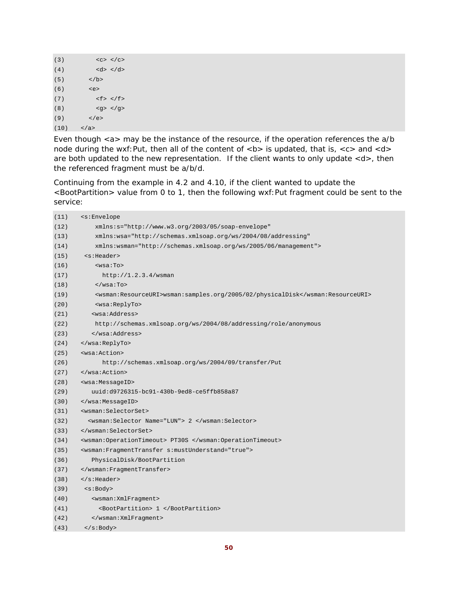```
(3) \langle \langle \langle \rangle \langle \langle \langle \rangle \langle \langle \rangle \langle \langle \rangle \langle \langle \rangle \langle \langle \rangle \langle \rangle \langle \langle \rangle \langle \rangle \langle \rangle \langle \rangle \langle \rangle \langle \rangle \langle \rangle \langle \rangle \langle \rangle \langle \rangle \(4) <d> </d>
 (5) \lt/b>(6) \leqe>
 (7) \langle f \rangle \langle f \rangle(8) <g> </g> 
 (9) </e>
(10) \langle /a>
```
Even though <a> may be the instance of the resource, if the operation references the a/b node during the wxf: Put, then all of the content of  **is updated, that is,**  $**5**$  **and**  $**6**$ are both updated to the new representation. If the client wants to only update <d>, then the referenced fragment must be a/b/d.

Continuing from the example in 4.2 and 4.10, if the client wanted to update the <BootPartition> value from 0 to 1, then the following wxf:Put fragment could be sent to the service:

| (11) | <s:envelope< th=""></s:envelope<>                                             |  |  |  |
|------|-------------------------------------------------------------------------------|--|--|--|
| (12) | xmlns:s="http://www.w3.org/2003/05/soap-envelope"                             |  |  |  |
| (13) | xmlns:wsa="http://schemas.xmlsoap.org/ws/2004/08/addressing"                  |  |  |  |
| (14) | xmlns:wsman="http://schemas.xmlsoap.org/ws/2005/06/management">               |  |  |  |
| (15) | <s:header></s:header>                                                         |  |  |  |
| (16) | $wsa:To>$                                                                     |  |  |  |
| (17) | http://1.2.3.4/wsman                                                          |  |  |  |
| (18) | $\langle$ /wsa:To>                                                            |  |  |  |
| (19) | <wsman:resourceuri>wsman:samples.org/2005/02/physicalDisk</wsman:resourceuri> |  |  |  |
| (20) | <wsa:replyto></wsa:replyto>                                                   |  |  |  |
| (21) | <wsa:address></wsa:address>                                                   |  |  |  |
| (22) | http://schemas.xmlsoap.org/ws/2004/08/addressing/role/anonymous               |  |  |  |
| (23) |                                                                               |  |  |  |
| (24) |                                                                               |  |  |  |
| (25) | <wsa:action></wsa:action>                                                     |  |  |  |
| (26) | http://schemas.xmlsoap.org/ws/2004/09/transfer/Put                            |  |  |  |
| (27) |                                                                               |  |  |  |
| (28) | <wsa:messageid></wsa:messageid>                                               |  |  |  |
| (29) | uuid:d9726315-bc91-430b-9ed8-ce5ffb858a87                                     |  |  |  |
| (30) |                                                                               |  |  |  |
| (31) | <wsman:selectorset></wsman:selectorset>                                       |  |  |  |
| (32) | <wsman:selector name="LUN"> 2 </wsman:selector>                               |  |  |  |
| (33) |                                                                               |  |  |  |
| (34) | <wsman:operationtimeout> PT30S </wsman:operationtimeout>                      |  |  |  |
| (35) | <wsman:fragmenttransfer s:mustunderstand="true"></wsman:fragmenttransfer>     |  |  |  |
| (36) | PhysicalDisk/BootPartition                                                    |  |  |  |
| (37) |                                                                               |  |  |  |
| (38) | $\langle$ s:Header>                                                           |  |  |  |
| (39) | $<$ s:Body>                                                                   |  |  |  |
| (40) | <wsman: xmlfragment=""></wsman:>                                              |  |  |  |
| (41) | <bootpartition> 1 </bootpartition>                                            |  |  |  |
| (42) |                                                                               |  |  |  |
| (43) | $\langle$ s:Body>                                                             |  |  |  |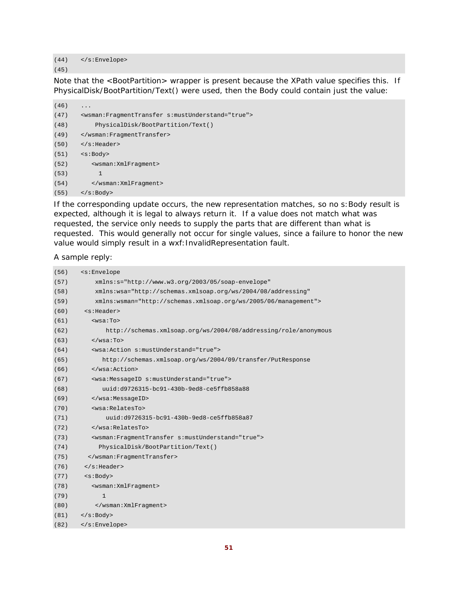(44) </s:Envelope>

(45)

Note that the <BootPartition> wrapper is present because the XPath value specifies this. If PhysicalDisk/BootPartition/Text() were used, then the Body could contain just the value:

```
(46) ...
(47) <wsman:FragmentTransfer s:mustUnderstand="true"> 
(48) PhysicalDisk/BootPartition/Text() 
(49) </wsman:FragmentTransfer> 
(50) </s:Header> 
(51) <s:Body> 
(52) <wsman:XmlFragment> 
(53) 1 
(54) </wsman:XmlFragment> 
(55) </s:Body>
```
If the corresponding update occurs, the new representation matches, so no s:Body result is expected, although it is legal to always return it. If a value does not match what was requested, the service only needs to supply the parts that are different than what is requested. This would generally not occur for single values, since a failure to honor the new value would simply result in a wxf: InvalidRepresentation fault.

A sample reply:

| (56) | <s:envelope< th=""></s:envelope<>                                 |  |  |  |
|------|-------------------------------------------------------------------|--|--|--|
| (57) | xmlns:s="http://www.w3.org/2003/05/soap-envelope"                 |  |  |  |
| (58) | xmlns:wsa="http://schemas.xmlsoap.org/ws/2004/08/addressing"      |  |  |  |
| (59) | xmlns:wsman="http://schemas.xmlsoap.org/ws/2005/06/management">   |  |  |  |
| (60) | <s:header></s:header>                                             |  |  |  |
| (61) | $wsa:To$                                                          |  |  |  |
| (62) | http://schemas.xmlsoap.org/ws/2004/08/addressing/role/anonymous   |  |  |  |
| (63) | $\langle$ /wsa:To>                                                |  |  |  |
| (64) | <wsa: action="" mustunderstand="true" s:=""></wsa:>               |  |  |  |
| (65) | http://schemas.xmlsoap.org/ws/2004/09/transfer/PutResponse        |  |  |  |
| (66) |                                                                   |  |  |  |
| (67) | <wsa:messageid s:mustunderstand="true"></wsa:messageid>           |  |  |  |
| (68) | uuid:d9726315-bc91-430b-9ed8-ce5ffb858a88                         |  |  |  |
| (69) |                                                                   |  |  |  |
| (70) | <wsa:relatesto></wsa:relatesto>                                   |  |  |  |
| (71) | uuid:d9726315-bc91-430b-9ed8-ce5ffb858a87                         |  |  |  |
| (72) |                                                                   |  |  |  |
| (73) | <wsman: fragmenttransfer="" mustunderstand="true" s:=""></wsman:> |  |  |  |
| (74) | PhysicalDisk/BootPartition/Text()                                 |  |  |  |
| (75) |                                                                   |  |  |  |
| (76) | $\langle$ s:Header>                                               |  |  |  |
| (77) | <s:body></s:body>                                                 |  |  |  |
| (78) | <wsman: xmlfragment=""></wsman:>                                  |  |  |  |
| (79) | $\mathbf{1}$                                                      |  |  |  |
| (80) |                                                                   |  |  |  |
| (81) | $\langle$ s:Body>                                                 |  |  |  |
| (82) |                                                                   |  |  |  |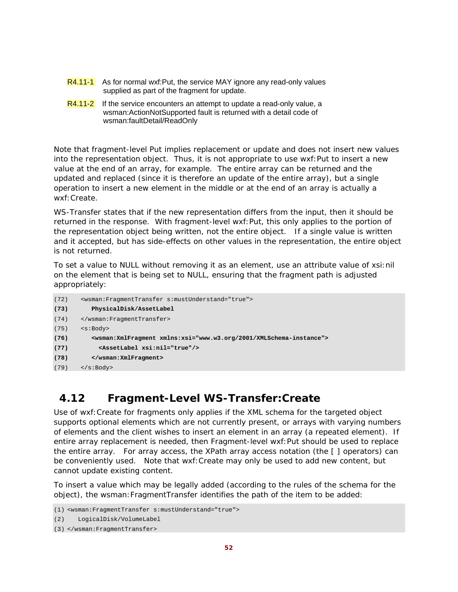- R4.11-1 As for normal wxf:Put, the service MAY ignore any read-only values supplied as part of the fragment for update.
- $R4.11-2$  If the service encounters an attempt to update a read-only value, a wsman:ActionNotSupported fault is returned with a detail code of wsman:faultDetail/ReadOnly

Note that fragment-level Put implies replacement or update and does not insert new values into the representation object. Thus, it is not appropriate to use wxf:Put to insert a new value at the end of an array, for example. The entire array can be returned and the updated and replaced (since it is therefore an update of the entire array), but a single operation to insert a new element in the middle or at the end of an array is actually a wxf:Create.

WS-Transfer states that if the new representation differs from the input, then it should be returned in the response. With fragment-level wxf:Put, this only applies to the portion of the representation object being written, not the entire object. If a single value is written and it accepted, but has side-effects on other values in the representation, the entire object is *not* returned.

To set a value to NULL without removing it as an element, use an attribute value of xsi:nil on the element that is being set to NULL, ensuring that the fragment path is adjusted appropriately:

```
(72) <wsman:FragmentTransfer s:mustUnderstand="true"> 
(73) PhysicalDisk/AssetLabel 
(74) </wsman:FragmentTransfer> 
(75) <s:Body> 
(76) <wsman:XmlFragment xmlns:xsi="www.w3.org/2001/XMLSchema-instance"> 
(77) <AssetLabel xsi:nil="true"/> 
(78) </wsman:XmlFragment> 
(79) </s:Body>
```
# **4.12 Fragment-Level WS-Transfer:Create**

Use of wxf:Create for fragments only applies if the XML schema for the targeted object supports optional elements which are not currently present, or arrays with varying numbers of elements and the client wishes to insert an element in an array (a repeated element). If entire array replacement is needed, then Fragment-level wxf:Put should be used to replace the entire array. For array access, the XPath array access notation (the [ ] operators) can be conveniently used. Note that wxf:Create may only be used to add new content, but cannot update existing content.

To insert a value which may be legally added (according to the rules of the schema for the object), the wsman:FragmentTransfer identifies the path of the item to be added:

```
(2) LogicalDisk/VolumeLabel
```

```
(3) </wsman:FragmentTransfer>
```
<sup>(1)</sup> <wsman:FragmentTransfer s:mustUnderstand="true">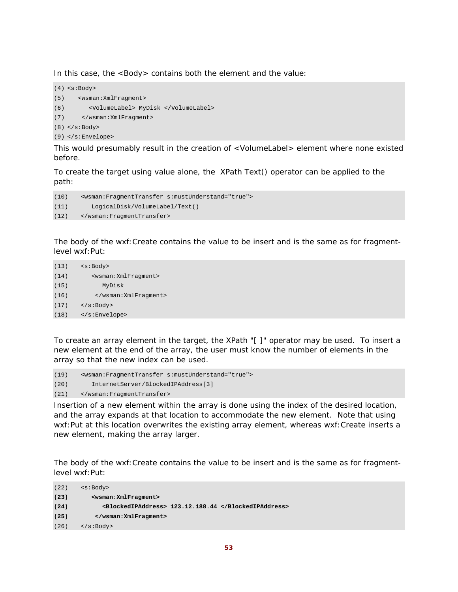In this case, the <Body> contains both the element and the value:

```
(4) <s:Body> 
(5) <wsman:XmlFragment> 
(6) <VolumeLabel> MyDisk </VolumeLabel> 
(7) </wsman:XmlFragment> 
(8) </s:Body>
(9) </s:Envelope>
```
This would presumably result in the creation of <VolumeLabel> element where none existed before.

To create the target using value alone, the XPath Text() operator can be applied to the path:

```
(10) <wsman:FragmentTransfer s:mustUnderstand="true"> 
(11) LogicalDisk/VolumeLabel/Text() 
(12) </wsman:FragmentTransfer>
```
The body of the wxf:Create contains the value to be insert and is the same as for fragmentlevel wxf:Put:

```
(13) \leq s : Body>(14) <wsman:XmlFragment> 
(15) MyDisk 
(16) </wsman:XmlFragment> 
(17) </s:Body> 
(18) </s:Envelope>
```
To create an array element in the target, the XPath "[ ]" operator may be used. To insert a new element at the end of the array, the user must know the number of elements in the array so that the new index can be used.

(19) <wsman:FragmentTransfer s:mustUnderstand="true"> (20) InternetServer/BlockedIPAddress[3] (21) </wsman:FragmentTransfer>

Insertion of a new element within the array is done using the index of the desired location, and the array expands at that location to accommodate the new element. Note that using wxf:Put at this location overwrites the existing array element, whereas wxf:Create inserts a *new* element, making the array larger.

The body of the wxf:Create contains the value to be insert and is the same as for fragmentlevel wxf:Put:

```
(22) <s:Body> 
(23) <wsman:XmlFragment> 
(24) <BlockedIPAddress> 123.12.188.44 </BlockedIPAddress> 
(25) </wsman:XmlFragment> 
(26) </s:Body>
```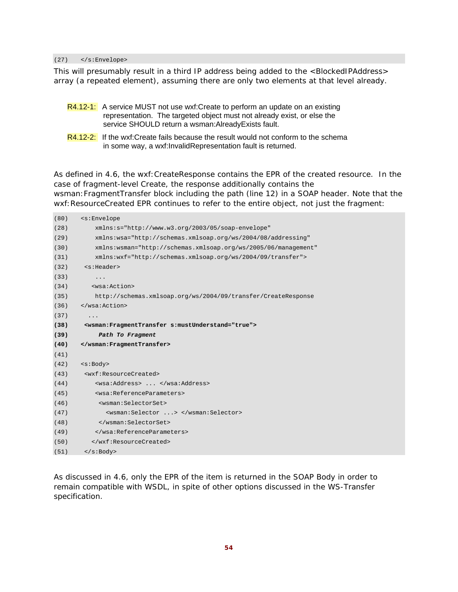(27) </s:Envelope>

This will presumably result in a third IP address being added to the <BlockedIPAddress> array (a repeated element), assuming there are only two elements at that level already.

- R4.12-1: A service MUST not use wxf:Create to perform an update on an existing representation. The targeted object must not already exist, or else the service SHOULD return a wsman:AlreadyExists fault.
- R4.12-2: If the wxf:Create fails because the result would not conform to the schema in some way, a wxf:InvalidRepresentation fault is returned.

As defined in 4.6, the wxf:CreateResponse contains the EPR of the created resource. In the case of fragment-level Create, the response additionally contains the wsman:FragmentTransfer block including the path (line 12) in a SOAP header. Note that the wxf:ResourceCreated EPR continues to refer to the entire object, not just the fragment:

| (80) | <s:envelope< th=""></s:envelope<>                                         |  |  |  |
|------|---------------------------------------------------------------------------|--|--|--|
| (28) | xmlns:s="http://www.w3.org/2003/05/soap-envelope"                         |  |  |  |
| (29) | xmlns:wsa="http://schemas.xmlsoap.org/ws/2004/08/addressing"              |  |  |  |
| (30) | xmlns:wsman="http://schemas.xmlsoap.org/ws/2005/06/management"            |  |  |  |
| (31) | xmlns:wxf="http://schemas.xmlsoap.org/ws/2004/09/transfer">               |  |  |  |
| (32) | <s:header></s:header>                                                     |  |  |  |
| (33) | $\cdots$                                                                  |  |  |  |
| (34) | <wsa:action></wsa:action>                                                 |  |  |  |
| (35) | http://schemas.xmlsoap.org/ws/2004/09/transfer/CreateResponse             |  |  |  |
| (36) |                                                                           |  |  |  |
| (37) | .                                                                         |  |  |  |
| (38) | <wsman:fragmenttransfer s:mustunderstand="true"></wsman:fragmenttransfer> |  |  |  |
| (39) | Path To Fragment                                                          |  |  |  |
| (40) |                                                                           |  |  |  |
| (41) |                                                                           |  |  |  |
| (42) | <s:body></s:body>                                                         |  |  |  |
| (43) | <wxf:resourcecreated></wxf:resourcecreated>                               |  |  |  |
| (44) | <wsa:address> </wsa:address>                                              |  |  |  |
| (45) | <wsa:referenceparameters></wsa:referenceparameters>                       |  |  |  |
| (46) | <wsman:selectorset></wsman:selectorset>                                   |  |  |  |
| (47) | <wsman:selector> </wsman:selector>                                        |  |  |  |
| (48) |                                                                           |  |  |  |
| (49) |                                                                           |  |  |  |
| (50) |                                                                           |  |  |  |
| (51) | $\langle$ s:Body>                                                         |  |  |  |

As discussed in 4.6, only the EPR of the item is returned in the SOAP Body in order to remain compatible with WSDL, in spite of other options discussed in the WS-Transfer specification.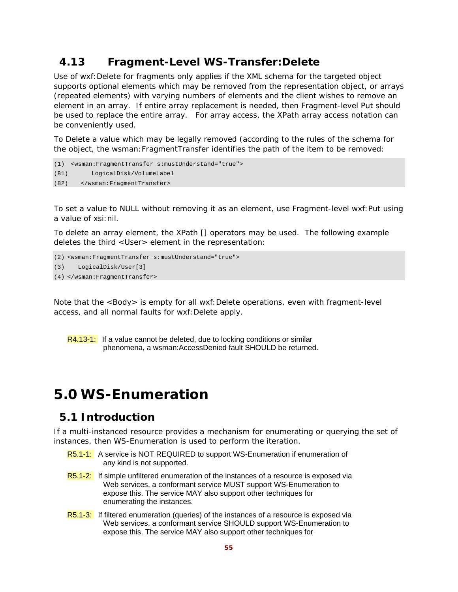### **4.13 Fragment-Level WS-Transfer:Delete**

Use of wxf:Delete for fragments only applies if the XML schema for the targeted object supports optional elements which may be removed from the representation object, or arrays (repeated elements) with varying numbers of elements and the client wishes to remove an element in an array. If entire array replacement is needed, then Fragment-level Put should be used to replace the entire array. For array access, the XPath array access notation can be conveniently used.

To Delete a value which may be legally removed (according to the rules of the schema for the object, the wsman:FragmentTransfer identifies the path of the item to be removed:

```
(1) <wsman:FragmentTransfer s:mustUnderstand="true"> 
(81) LogicalDisk/VolumeLabel 
(82) </wsman:FragmentTransfer>
```
To set a value to NULL without removing it as an element, use Fragment-level wxf:Put using a value of xsi:nil.

To delete an array element, the XPath [] operators may be used. The following example deletes the third <User> element in the representation:

```
(2) <wsman:FragmentTransfer s:mustUnderstand="true"> 
(3) LogicalDisk/User[3] 
(4) </wsman:FragmentTransfer>
```
Note that the <Body> is empty for all wxf:Delete operations, even with fragment-level access, and all normal faults for wxf: Delete apply.

```
R4.13-1: If a value cannot be deleted, due to locking conditions or similar
          phenomena, a wsman:AccessDenied fault SHOULD be returned.
```
# **5.0 WS-Enumeration**

#### **5.1 Introduction**

If a multi-instanced resource provides a mechanism for enumerating or querying the set of instances, then WS-Enumeration is used to perform the iteration.

- R5.1-1: A service is NOT REQUIRED to support WS-Enumeration if enumeration of any kind is not supported.
- R5.1-2: If simple unfiltered enumeration of the instances of a resource is exposed via Web services, a conformant service MUST support WS-Enumeration to expose this. The service MAY also support other techniques for enumerating the instances.
- R5.1-3: If filtered enumeration (queries) of the instances of a resource is exposed via Web services, a conformant service SHOULD support WS-Enumeration to expose this. The service MAY also support other techniques for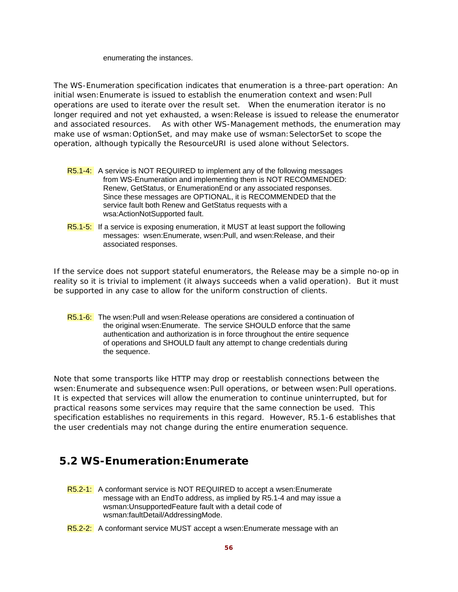enumerating the instances.

The WS-Enumeration specification indicates that enumeration is a three-part operation: An initial wsen:Enumerate is issued to establish the enumeration context and wsen:Pull operations are used to iterate over the result set. When the enumeration iterator is no longer required and not yet exhausted, a wsen: Release is issued to release the enumerator and associated resources. As with other WS-Management methods, the enumeration may make use of wsman:OptionSet, and may make use of wsman:SelectorSet to scope the operation, although typically the ResourceURI is used alone without Selectors.

- R5.1-4: A service is NOT REQUIRED to implement any of the following messages from WS-Enumeration and implementing them is NOT RECOMMENDED: Renew, GetStatus, or EnumerationEnd or any associated responses. Since these messages are OPTIONAL, it is RECOMMENDED that the service fault both Renew and GetStatus requests with a wsa:ActionNotSupported fault.
- R5.1-5: If a service is exposing enumeration, it MUST at least support the following messages: wsen:Enumerate, wsen:Pull, and wsen:Release, and their associated responses.

If the service does not support stateful enumerators, the Release may be a simple no-op in reality so it is trivial to implement (it always succeeds when a valid operation). But it must be supported in any case to allow for the uniform construction of clients.

R5.1-6: The wsen:Pull and wsen:Release operations are considered a continuation of the original wsen:Enumerate. The service SHOULD enforce that the same authentication and authorization is in force throughout the entire sequence of operations and SHOULD fault any attempt to change credentials during the sequence.

Note that some transports like HTTP may drop or reestablish connections between the wsen:Enumerate and subsequence wsen:Pull operations, or between wsen:Pull operations. It is expected that services will allow the enumeration to continue uninterrupted, but for practical reasons some services may require that the same connection be used. This specification establishes no requirements in this regard. However, R5.1-6 establishes that the user credentials may not change during the entire enumeration sequence.

## **5.2 WS-Enumeration:Enumerate**

- R5.2-1: A conformant service is NOT REQUIRED to accept a wsen: Enumerate message with an EndTo address, as implied by R5.1-4 and may issue a wsman:UnsupportedFeature fault with a detail code of wsman:faultDetail/AddressingMode.
- R5.2-2: A conformant service MUST accept a wsen: Enumerate message with an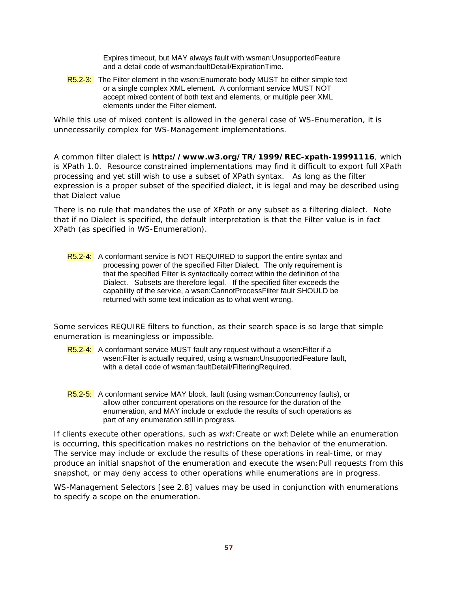Expires timeout, but MAY always fault with wsman:UnsupportedFeature and a detail code of wsman:faultDetail/ExpirationTime.

R5.2-3: The Filter element in the wsen: Enumerate body MUST be either simple text or a single complex XML element. A conformant service MUST NOT accept mixed content of both text and elements, or multiple peer XML elements under the Filter element.

While this use of mixed content is allowed in the general case of WS-Enumeration, it is unnecessarily complex for WS-Management implementations.

A common filter dialect is **http://www.w3.org/TR/1999/REC-xpath-19991116**, which is XPath 1.0. Resource constrained implementations may find it difficult to export full XPath processing and yet still wish to use a subset of XPath syntax. As long as the filter expression is a proper subset of the specified dialect, it is legal and may be described using that Dialect value

There is no rule that mandates the use of XPath or any subset as a filtering dialect. Note that if no Dialect is specified, the default interpretation is that the Filter value is in fact XPath (as specified in WS-Enumeration).

R5.2-4: A conformant service is NOT REQUIRED to support the entire syntax and processing power of the specified Filter Dialect. The only requirement is that the specified Filter is syntactically correct within the definition of the Dialect. Subsets are therefore legal. If the specified filter exceeds the capability of the service, a wsen:CannotProcessFilter fault SHOULD be returned with some text indication as to what went wrong.

Some services REQUIRE filters to function, as their search space is so large that simple enumeration is meaningless or impossible.

- R5.2-4: A conformant service MUST fault any request without a wsen: Filter if a wsen:Filter is actually required, using a wsman:UnsupportedFeature fault, with a detail code of wsman:faultDetail/FilteringRequired.
- R5.2-5: A conformant service MAY block, fault (using wsman:Concurrency faults), or allow other concurrent operations on the resource for the duration of the enumeration, and MAY include or exclude the results of such operations as part of any enumeration still in progress.

If clients execute other operations, such as wxf:Create or wxf:Delete while an enumeration is occurring, this specification makes no restrictions on the behavior of the enumeration. The service may include or exclude the results of these operations in real-time, or may produce an initial snapshot of the enumeration and execute the wsen:Pull requests from this snapshot, or may deny access to other operations while enumerations are in progress.

WS-Management Selectors [see 2.8] values may be used in conjunction with enumerations to specify a scope on the enumeration.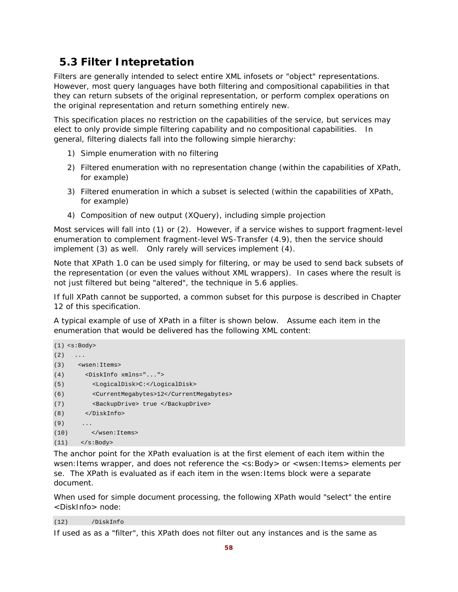# **5.3 Filter Intepretation**

Filters are generally intended to select entire XML infosets or "object" representations. However, most query languages have both filtering and compositional capabilities in that they can return subsets of the original representation, or perform complex operations on the original representation and return something entirely new.

This specification places no restriction on the capabilities of the service, but services may elect to only provide simple filtering capability and no compositional capabilities. In general, filtering dialects fall into the following simple hierarchy:

- 1) Simple enumeration with no filtering
- 2) Filtered enumeration with no representation change (within the capabilities of XPath, for example)
- 3) Filtered enumeration in which a subset is selected (within the capabilities of XPath, for example)
- 4) Composition of new output (XQuery), including simple projection

Most services will fall into (1) or (2). However, if a service wishes to support fragment-level enumeration to complement fragment-level WS-Transfer (4.9), then the service should implement (3) as well. Only rarely will services implement (4).

Note that XPath 1.0 can be used simply for filtering, or may be used to send back subsets of the representation (or even the values without XML wrappers). In cases where the result is not just filtered but being "altered", the technique in 5.6 applies.

If full XPath cannot be supported, a common subset for this purpose is described in Chapter 12 of this specification.

A typical example of use of XPath in a filter is shown below. Assume each item in the enumeration that would be delivered has the following XML content:

```
(1) <s:Body> 
(2) \qquad \ldots(3) <wsen:Items> 
(4) <DiskInfo xmlns="..."> 
(5) <LogicalDisk>C:</LogicalDisk> 
(6) <CurrentMegabytes>12</CurrentMegabytes> 
(7) <BackupDrive> true </BackupDrive> 
(8) </DiskInfo> 
(9) ...
(10) </wsen:Items> 
(11) </s:Body>
```
The anchor point for the XPath evaluation is at the first element of each item within the wsen: Items wrapper, and does not reference the <s: Body> or <wsen: Items> elements per se. The XPath is evaluated as if each item in the wsen:Items block were a separate document.

When used for simple document processing, the following XPath would "select" the entire <DiskInfo> node:

(12) /DiskInfo

If used as as a "filter", this XPath does not filter out any instances and is the same as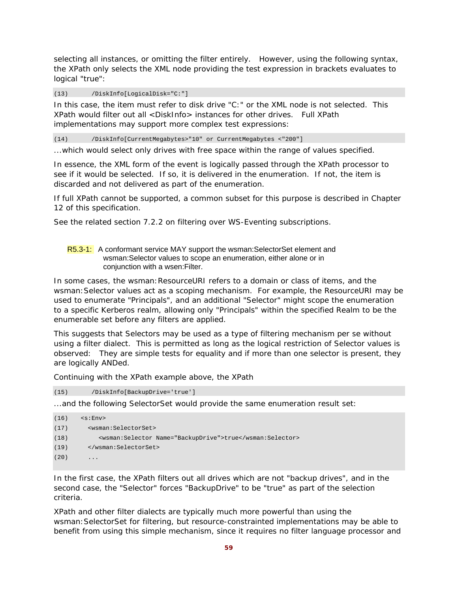selecting all instances, or omitting the filter entirely. However, using the following syntax, the XPath only selects the XML node providing the test expression in brackets evaluates to logical "true":

(13) /DiskInfo[LogicalDisk="C:"]

In this case, the item must refer to disk drive "C:" or the XML node is not selected. This XPath would filter out all <DiskInfo> instances for other drives. Full XPath implementations may support more complex test expressions:

(14) /DiskInfo[CurrentMegabytes>"10" or CurrentMegabytes <"200"]

...which would select only drives with free space within the range of values specified.

In essence, the XML form of the event is logically passed through the XPath processor to see if it would be selected. If so, it is delivered in the enumeration. If not, the item is discarded and not delivered as part of the enumeration.

If full XPath cannot be supported, a common subset for this purpose is described in Chapter 12 of this specification.

See the related section 7.2.2 on filtering over WS-Eventing subscriptions.

R5.3-1: A conformant service MAY support the wsman: SelectorSet element and wsman:Selector values to scope an enumeration, either alone or in conjunction with a wsen:Filter.

In some cases, the wsman: ResourceURI refers to a domain or class of items, and the wsman:Selector values act as a scoping mechanism. For example, the ResourceURI may be used to enumerate "Principals", and an additional "Selector" might scope the enumeration to a specific Kerberos realm, allowing only "Principals" within the specified Realm to be the enumerable set before any filters are applied.

This suggests that Selectors may be used as a type of filtering mechanism per se without using a filter dialect. This is permitted as long as the logical restriction of Selector values is observed: They are simple tests for equality and if more than one selector is present, they are logically ANDed.

Continuing with the XPath example above, the XPath

(15) /DiskInfo[BackupDrive='true']

...and the following SelectorSet would provide the same enumeration result set:

```
(16) \leqs:Env>
(17) <wsman:SelectorSet> 
(18) <wsman:Selector Name="BackupDrive">true</wsman:Selector> 
(19) </wsman:SelectorSet> 
(20)
```
In the first case, the XPath filters out all drives which are not "backup drives", and in the second case, the "Selector" forces "BackupDrive" to be "true" as part of the selection criteria.

XPath and other filter dialects are typically much more powerful than using the wsman:SelectorSet for filtering, but resource-constrainted implementations may be able to benefit from using this simple mechanism, since it requires no filter language processor and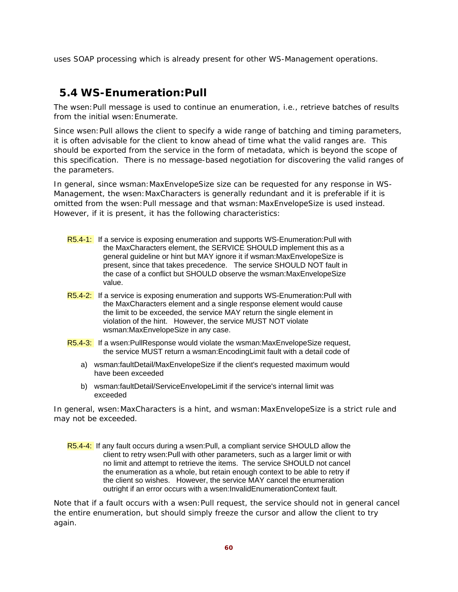uses SOAP processing which is already present for other WS-Management operations.

## **5.4 WS-Enumeration:Pull**

The wsen:Pull message is used to continue an enumeration, i.e., retrieve batches of results from the initial wsen:Enumerate.

Since wsen: Pull allows the client to specify a wide range of batching and timing parameters, it is often advisable for the client to know ahead of time what the valid ranges are. This should be exported from the service in the form of metadata, which is beyond the scope of this specification. There is no message-based negotiation for discovering the valid ranges of the parameters.

In general, since wsman:MaxEnvelopeSize size can be requested for any response in WS-Management, the wsen:MaxCharacters is generally redundant and it is preferable if it is omitted from the wsen: Pull message and that wsman: MaxEnvelopeSize is used instead. However, if it is present, it has the following characteristics:

- R5.4-1: If a service is exposing enumeration and supports WS-Enumeration: Pull with the MaxCharacters element, the SERVICE SHOULD implement this as a general guideline or hint but MAY ignore it if wsman:MaxEnvelopeSize is present, since that takes precedence. The service SHOULD NOT fault in the case of a conflict but SHOULD observe the wsman:MaxEnvelopeSize value.
- R5.4-2: If a service is exposing enumeration and supports WS-Enumeration: Pull with the MaxCharacters element and a single response element would cause the limit to be exceeded, the service MAY return the single element in violation of the hint. However, the service MUST NOT violate wsman:MaxEnvelopeSize in any case.
- R5.4-3: If a wsen:PullResponse would violate the wsman:MaxEnvelopeSize request, the service MUST return a wsman:EncodingLimit fault with a detail code of
	- a) wsman:faultDetail/MaxEnvelopeSize if the client's requested maximum would have been exceeded
	- b) wsman:faultDetail/ServiceEnvelopeLimit if the service's internal limit was exceeded

In general, wsen:MaxCharacters is a hint, and wsman:MaxEnvelopeSize is a strict rule and may not be exceeded.

R5.4-4: If any fault occurs during a wsen:Pull, a compliant service SHOULD allow the client to retry wsen:Pull with other parameters, such as a larger limit or with no limit and attempt to retrieve the items. The service SHOULD not cancel the enumeration as a whole, but retain enough context to be able to retry if the client so wishes. However, the service MAY cancel the enumeration outright if an error occurs with a wsen:InvalidEnumerationContext fault.

Note that if a fault occurs with a wsen:Pull request, the service should not in general cancel the entire enumeration, but should simply freeze the cursor and allow the client to try again.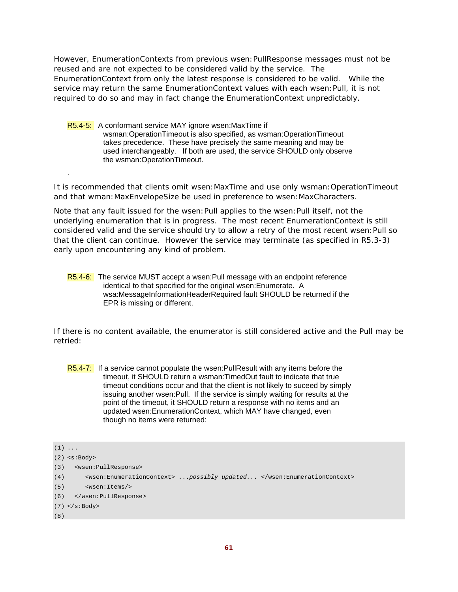However, EnumerationContexts from previous wsen:PullResponse messages must not be reused and are not expected to be considered valid by the service. The EnumerationContext from only the latest response is considered to be valid. While the service may return the same EnumerationContext values with each wsen:Pull, it is not required to do so and may in fact change the EnumerationContext unpredictably.

R5.4-5: A conformant service MAY ignore wsen:MaxTime if wsman:OperationTimeout is also specified, as wsman:OperationTimeout takes precedence. These have precisely the same meaning and may be used interchangeably. If both are used, the service SHOULD only observe the wsman:OperationTimeout.

It is recommended that clients omit wsen:MaxTime and use only wsman:OperationTimeout and that wman:MaxEnvelopeSize be used in preference to wsen:MaxCharacters.

Note that any fault issued for the wsen:Pull applies to the wsen:Pull itself, not the underlying enumeration that is in progress. The most recent EnumerationContext is still considered valid and the service should try to allow a retry of the most recent wsen:Pull so that the client can continue. However the service may terminate (as specified in R5.3-3) early upon encountering any kind of problem.

R5.4-6: The service MUST accept a wsen:Pull message with an endpoint reference identical to that specified for the original wsen:Enumerate. A wsa:MessageInformationHeaderRequired fault SHOULD be returned if the EPR is missing or different.

If there is no content available, the enumerator is still considered active and the Pull may be retried:

R5.4-7: If a service cannot populate the wsen: PullResult with any items before the timeout, it SHOULD return a wsman:TimedOut fault to indicate that true timeout conditions occur and that the client is not likely to suceed by simply issuing another wsen:Pull. If the service is simply waiting for results at the point of the timeout, it SHOULD return a response with no items and an updated wsen:EnumerationContext, which MAY have changed, even though no items were returned:

.

(4) <wsen:EnumerationContext> ...*possibly updated...* </wsen:EnumerationContext>

```
(5) <wsen:Items/>
```
(6) </wsen:PullResponse>

```
(7) </s:Body>
```
(8)

 $(1)$  ...

<sup>(2)</sup> <s:Body>

<sup>(3) &</sup>lt;wsen:PullResponse>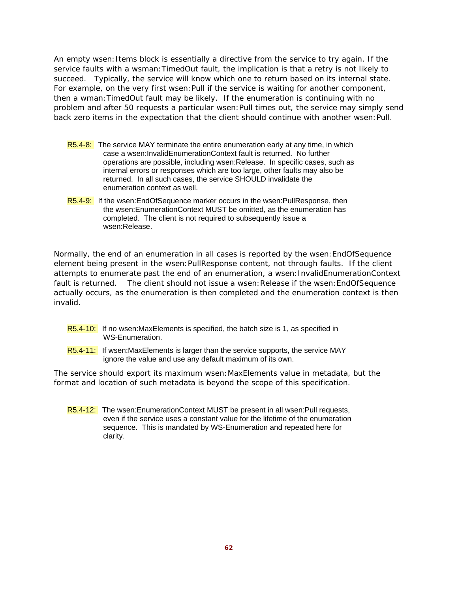An empty wsen:Items block is essentially a directive from the service to try again. If the service faults with a wsman:TimedOut fault, the implication is that a retry is not likely to succeed. Typically, the service will know which one to return based on its internal state. For example, on the very first wsen: Pull if the service is waiting for another component, then a wman:TimedOut fault may be likely. If the enumeration is continuing with no problem and after 50 requests a particular wsen:Pull times out, the service may simply send back zero items in the expectation that the client should continue with another wsen:Pull.

- R5.4-8: The service MAY terminate the entire enumeration early at any time, in which case a wsen:InvalidEnumerationContext fault is returned. No further operations are possible, including wsen:Release. In specific cases, such as internal errors or responses which are too large, other faults may also be returned. In all such cases, the service SHOULD invalidate the enumeration context as well.
- R5.4-9: If the wsen: EndOfSequence marker occurs in the wsen: PullResponse, then the wsen:EnumerationContext MUST be omitted, as the enumeration has completed. The client is not required to subsequently issue a wsen:Release.

Normally, the end of an enumeration in all cases is reported by the wsen:EndOfSequence element being present in the wsen:PullResponse content, not through faults. If the client attempts to enumerate past the end of an enumeration, a wsen:InvalidEnumerationContext fault is returned. The client should not issue a wsen: Release if the wsen: EndOfSequence actually occurs, as the enumeration is then completed and the enumeration context is then invalid.

- R5.4-10: If no wsen:MaxElements is specified, the batch size is 1, as specified in WS-Enumeration.
- R5.4-11: If wsen: Max Elements is larger than the service supports, the service MAY ignore the value and use any default maximum of its own.

The service should export its maximum wsen:MaxElements value in metadata, but the format and location of such metadata is beyond the scope of this specification.

R5.4-12: The wsen:EnumerationContext MUST be present in all wsen:Pull requests, even if the service uses a constant value for the lifetime of the enumeration sequence. This is mandated by WS-Enumeration and repeated here for clarity.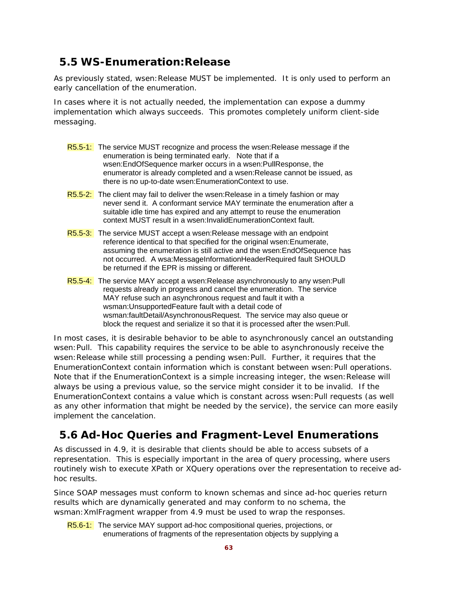# **5.5 WS-Enumeration:Release**

As previously stated, wsen: Release MUST be implemented. It is only used to perform an early cancellation of the enumeration.

In cases where it is not actually needed, the implementation can expose a dummy implementation which always succeeds. This promotes completely uniform client-side messaging.

- R5.5-1: The service MUST recognize and process the wsen: Release message if the enumeration is being terminated early. Note that if a wsen:EndOfSequence marker occurs in a wsen:PullResponse, the enumerator is already completed and a wsen:Release cannot be issued, as there is no up-to-date wsen:EnumerationContext to use.
- R5.5-2: The client may fail to deliver the wsen: Release in a timely fashion or may never send it. A conformant service MAY terminate the enumeration after a suitable idle time has expired and any attempt to reuse the enumeration context MUST result in a wsen:InvalidEnumerationContext fault.
- R5.5-3: The service MUST accept a wsen: Release message with an endpoint reference identical to that specified for the original wsen:Enumerate, assuming the enumeration is still active and the wsen:EndOfSequence has not occurred. A wsa:MessageInformationHeaderRequired fault SHOULD be returned if the EPR is missing or different.
- R5.5-4: The service MAY accept a wsen:Release asynchronously to any wsen:Pull requests already in progress and cancel the enumeration. The service MAY refuse such an asynchronous request and fault it with a wsman:UnsupportedFeature fault with a detail code of wsman:faultDetail/AsynchronousRequest. The service may also queue or block the request and serialize it so that it is processed after the wsen:Pull.

In most cases, it is desirable behavior to be able to asynchronously cancel an outstanding wsen:Pull. This capability requires the service to be able to asynchronously receive the wsen:Release while still processing a pending wsen:Pull. Further, it requires that the EnumerationContext contain information which is constant between wsen:Pull operations. Note that if the EnumerationContext is a simple increasing integer, the wsen: Release will always be using a previous value, so the service might consider it to be invalid. If the EnumerationContext contains a value which is constant across wsen:Pull requests (as well as any other information that might be needed by the service), the service can more easily implement the cancelation.

# **5.6 Ad-Hoc Queries and Fragment-Level Enumerations**

As discussed in 4.9, it is desirable that clients should be able to access subsets of a representation. This is especially important in the area of query processing, where users routinely wish to execute XPath or XQuery operations over the representation to receive adhoc results.

Since SOAP messages must conform to known schemas and since ad-hoc queries return results which are dynamically generated and may conform to no schema, the wsman:XmlFragment wrapper from 4.9 must be used to wrap the responses.

R5.6-1: The service MAY support ad-hoc compositional queries, projections, or enumerations of fragments of the representation objects by supplying a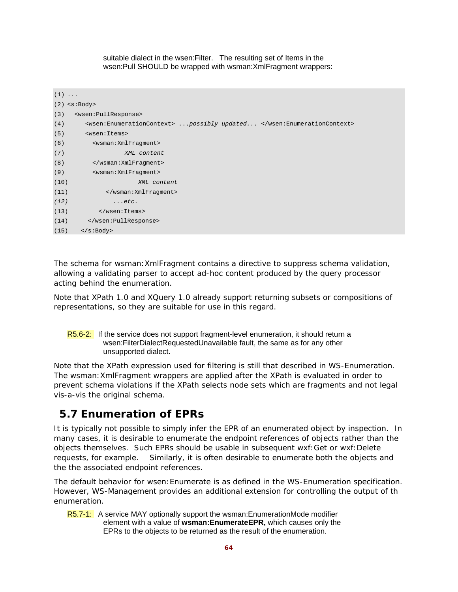suitable dialect in the wsen:Filter. The resulting set of Items in the wsen:Pull SHOULD be wrapped with wsman:XmlFragment wrappers:

|      | $(1) \ldots$                     |                                                                        |
|------|----------------------------------|------------------------------------------------------------------------|
|      | $(2)$ <s:body></s:body>          |                                                                        |
| (3)  | <wsen: pullresponse=""></wsen:>  |                                                                        |
| (4)  |                                  | <wsen:enumerationcontext>  possibly updated </wsen:enumerationcontext> |
| (5)  | <wsen: items=""></wsen:>         |                                                                        |
| (6)  | <wsman: xmlfragment=""></wsman:> |                                                                        |
| (7)  | XML content                      |                                                                        |
| (8)  |                                  |                                                                        |
| (9)  | <wsman: xmlfraqment=""></wsman:> |                                                                        |
| (10) | XML content                      |                                                                        |
| (11) |                                  |                                                                        |
| (12) | $\ldots$ etc.                    |                                                                        |
| (13) |                                  |                                                                        |
| (14) |                                  |                                                                        |
| (15) | $\langle$ s:Body>                |                                                                        |

The schema for wsman:XmlFragment contains a directive to suppress schema validation, allowing a validating parser to accept ad-hoc content produced by the query processor acting behind the enumeration.

Note that XPath 1.0 and XQuery 1.0 already support returning subsets or compositions of representations, so they are suitable for use in this regard.

R5.6-2: If the service does not support fragment-level enumeration, it should return a wsen:FilterDialectRequestedUnavailable fault, the same as for any other unsupported dialect.

Note that the XPath expression used for filtering is still that described in WS-Enumeration. The wsman:XmlFragment wrappers are applied after the XPath is evaluated in order to prevent schema violations if the XPath selects node sets which are fragments and not legal vis-a-vis the original schema.

## **5.7 Enumeration of EPRs**

It is typically not possible to simply infer the EPR of an enumerated object by inspection. In many cases, it is desirable to enumerate the endpoint references of objects rather than the objects themselves. Such EPRs should be usable in subsequent wxf:Get or wxf:Delete requests, for example. Similarly, it is often desirable to enumerate both the objects and the the associated endpoint references.

The default behavior for wsen:Enumerate is as defined in the WS-Enumeration specification. However, WS-Management provides an additional extension for controlling the output of th enumeration.

R5.7-1: A service MAY optionally support the wsman: EnumerationMode modifier element with a value of **wsman:EnumerateEPR,** which causes only the EPRs to the objects to be returned as the result of the enumeration.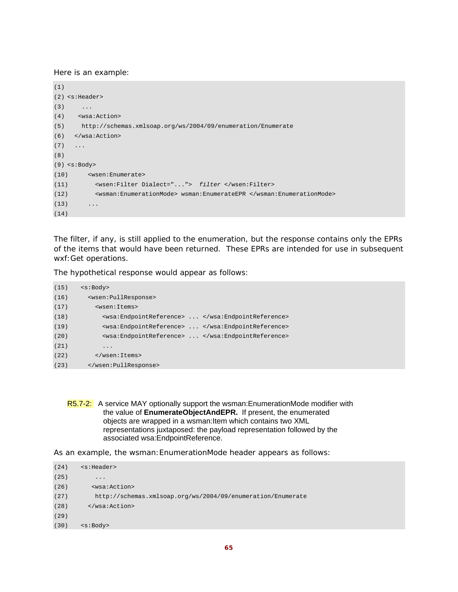Here is an example:

```
(1)
(2) <s:Header> 
(3) ...
(4) <wsa:Action> 
(5) http://schemas.xmlsoap.org/ws/2004/09/enumeration/Enumerate 
(6) </wsa:Action> 
(7) \qquad \ldots(8)
(9) <s:Body> 
(10) <wsen:Enumerate> 
(11) <wsen:Filter Dialect="..."> filter </wsen:Filter> 
(12) <wsman:EnumerationMode> wsman:EnumerateEPR </wsman:EnumerationMode> 
(13) ...
(14)
```
The filter, if any, is still applied to the enumeration, but the response contains only the EPRs of the items that would have been returned. These EPRs are intended for use in subsequent wxf:Get operations.

The hypothetical response would appear as follows:

| (15) | $<$ s:Body>                                      |
|------|--------------------------------------------------|
| (16) | <wsen: pullresponse=""></wsen:>                  |
| (17) | <wsen: items=""></wsen:>                         |
| (18) | <wsa:endpointreference> </wsa:endpointreference> |
| (19) | <wsa:endpointreference> </wsa:endpointreference> |
| (20) | <wsa:endpointreference> </wsa:endpointreference> |
| (21) | .                                                |
| (22) | $\frac{2}{x}$                                    |
| (23) |                                                  |

As an example, the wsman:EnumerationMode header appears as follows:

```
(24) <s:Header> 
(25) ...
(26) <wsa:Action> 
(27) http://schemas.xmlsoap.org/ws/2004/09/enumeration/Enumerate 
(28) </wsa:Action> 
(29)
(30) <s:Body>
```
R5.7-2: A service MAY optionally support the wsman: EnumerationMode modifier with the value of **EnumerateObjectAndEPR.** If present, the enumerated objects are wrapped in a wsman:Item which contains two XML representations juxtaposed: the payload representation followed by the associated wsa:EndpointReference.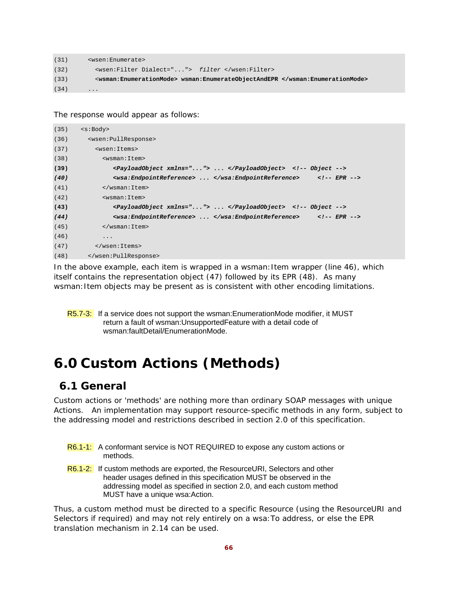```
(31) <wsen:Enumerate> 
(32) <wsen:Filter Dialect="..."> filter </wsen:Filter> 
(33) <wsman:EnumerationMode> wsman:EnumerateObjectAndEPR </wsman:EnumerationMode>
(34) ...
```
The response would appear as follows:

| (35) | $<$ s:Body>                                          |
|------|------------------------------------------------------|
| (36) | <wsen: pullresponse=""></wsen:>                      |
| (37) | <wsen:items></wsen:items>                            |
| (38) | <wsman: item=""></wsman:>                            |
| (39) | <payloadobject xmlns=""> </payloadobject> Object     |
| (40) | <wsa:endpointreference> </wsa:endpointreference> EPR |
| (41) | $\langle$ /wsman:Item>                               |
| (42) | <wsman: item=""></wsman:>                            |
| (43) | <payloadobject xmlns=""> </payloadobject> Object     |
| (44) | <wsa:endpointreference> </wsa:endpointreference> EPR |
| (45) | $\langle$ /wsman: Item>                              |
| (46) | $\ddots$                                             |
| (47) |                                                      |
| (48) |                                                      |

In the above example, each item is wrapped in a wsman: Item wrapper (line 46), which itself contains the representation object (47) followed by its EPR (48). As many wsman: Item objects may be present as is consistent with other encoding limitations.

R5.7-3: If a service does not support the wsman: EnumerationMode modifier, it MUST return a fault of wsman:UnsupportedFeature with a detail code of wsman:faultDetail/EnumerationMode.

# **6.0 Custom Actions (Methods)**

#### **6.1 General**

Custom actions or 'methods' are nothing more than ordinary SOAP messages with unique Actions. An implementation may support resource-specific methods in any form, subject to the addressing model and restrictions described in section 2.0 of this specification.

- R6.1-1: A conformant service is NOT REQUIRED to expose any custom actions or methods.
- R6.1-2: If custom methods are exported, the ResourceURI, Selectors and other header usages defined in this specification MUST be observed in the addressing model as specified in section 2.0, and each custom method MUST have a unique wsa:Action.

Thus, a custom method must be directed to a specific Resource (using the ResourceURI and Selectors if required) and may not rely entirely on a wsa:To address, or else the EPR translation mechanism in 2.14 can be used.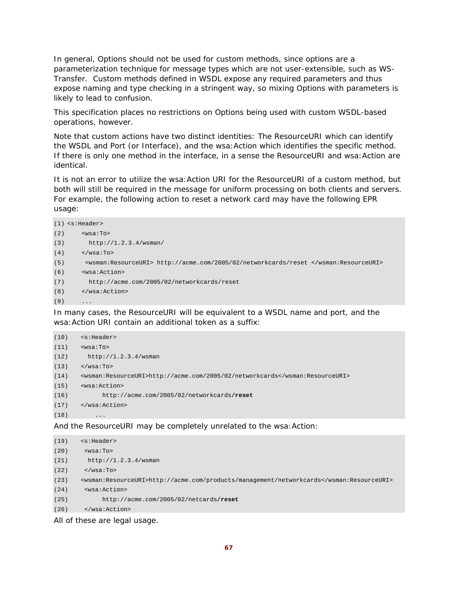In general, Options should not be used for custom methods, since options are a parameterization technique for message types which are not user-extensible, such as WS-Transfer. Custom methods defined in WSDL expose any required parameters and thus expose naming and type checking in a stringent way, so mixing Options with parameters is likely to lead to confusion.

This specification places no restrictions on Options being used with custom WSDL-based operations, however.

Note that custom actions have two distinct identities: The ResourceURI which can identify the WSDL and Port (or Interface), and the wsa:Action which identifies the specific method. If there is only one method in the interface, in a sense the ResourceURI and wsa: Action are identical.

It is not an error to utilize the wsa:Action URI for the ResourceURI of a custom method, but both will still be required in the message for uniform processing on both clients and servers. For example, the following action to reset a network card may have the following EPR usage:

```
(1) <s:Header> 
(2) \leq \sqrt{8a}: To >(3) http://1.2.3.4/wsman/ 
(4) </wsa:To>
(5) <wsman:ResourceURI> http://acme.com/2005/02/networkcards/reset </wsman:ResourceURI> 
(6) <wsa:Action> 
(7) http://acme.com/2005/02/networkcards/reset 
(8) </wsa:Action> 
(9) ...
```
In many cases, the ResourceURI will be equivalent to a WSDL name and port, and the wsa:Action URI contain an additional token as a suffix:

| (10) | $<$ s:Header>                                                               |
|------|-----------------------------------------------------------------------------|
| (11) | $wsa:To>$                                                                   |
| (12) | http://1.2.3.4/wsman                                                        |
| (13) | $\langle$ /wsa:To>                                                          |
| (14) | <wsman:resourceuri>http://acme.com/2005/02/networkcards</wsman:resourceuri> |
| (15) | <wsa:action></wsa:action>                                                   |
| (16) | http://acme.com/2005/02/networkcards/reset                                  |
| (17) | $\langle$ /wsa:Action>                                                      |
| (18) | $\cdot$                                                                     |

And the ResourceURI may be completely unrelated to the wsa:Action:

```
(19) <s:Header> 
(20) <wsa:To> 
(21) http://1.2.3.4/wsman 
(22) \langle/wsa:To>
(23) <wsman:ResourceURI>http://acme.com/products/management/networkcards</wsman:ResourceURI> 
(24) <wsa:Action> 
(25) http://acme.com/2005/02/netcards/reset
(26) </wsa:Action>
```
All of these are legal usage.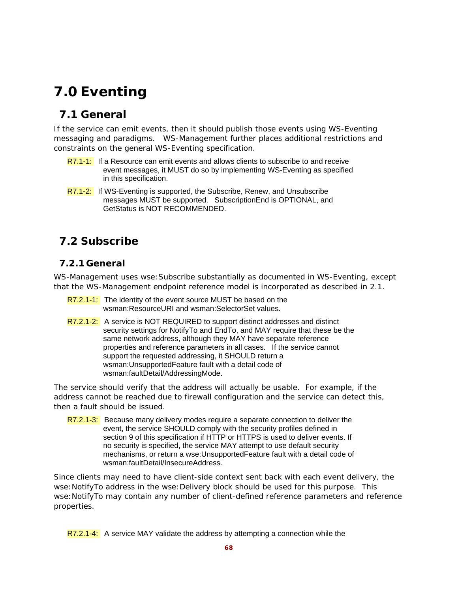# **7.0 Eventing**

# **7.1 General**

If the service can emit events, then it should publish those events using WS-Eventing messaging and paradigms. WS-Management further places additional restrictions and constraints on the general WS-Eventing specification.

- R7.1-1: If a Resource can emit events and allows clients to subscribe to and receive event messages, it MUST do so by implementing WS-Eventing as specified in this specification.
- R7.1-2: If WS-Eventing is supported, the Subscribe, Renew, and Unsubscribe messages MUST be supported. SubscriptionEnd is OPTIONAL, and GetStatus is NOT RECOMMENDED.

# **7.2 Subscribe**

#### **7.2.1 General**

WS-Management uses wse:Subscribe substantially as documented in WS-Eventing, except that the WS-Management endpoint reference model is incorporated as described in 2.1.

- R7.2.1-1: The identity of the event source MUST be based on the wsman:ResourceURI and wsman:SelectorSet values.
- R7.2.1-2: A service is NOT REQUIRED to support distinct addresses and distinct security settings for NotifyTo and EndTo, and MAY require that these be the same network address, although they MAY have separate reference properties and reference parameters in all cases. If the service cannot support the requested addressing, it SHOULD return a wsman:UnsupportedFeature fault with a detail code of wsman:faultDetail/AddressingMode.

The service should verify that the address will actually be usable. For example, if the address cannot be reached due to firewall configuration and the service can detect this, then a fault should be issued.

R7.2.1-3: Because many delivery modes require a separate connection to deliver the event, the service SHOULD comply with the security profiles defined in section 9 of this specification if HTTP or HTTPS is used to deliver events. If no security is specified, the service MAY attempt to use default security mechanisms, or return a wse:UnsupportedFeature fault with a detail code of wsman:faultDetail/InsecureAddress.

Since clients may need to have client-side context sent back with each event delivery, the wse: NotifyTo address in the wse: Delivery block should be used for this purpose. This wse:NotifyTo may contain any number of client-defined reference parameters and reference properties.

R7.2.1-4: A service MAY validate the address by attempting a connection while the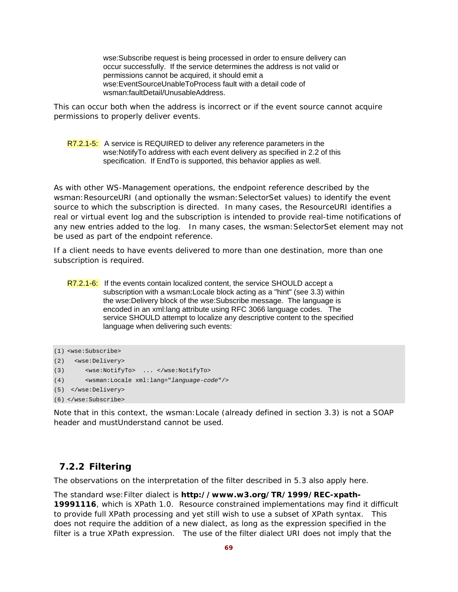wse:Subscribe request is being processed in order to ensure delivery can occur successfully. If the service determines the address is not valid or permissions cannot be acquired, it should emit a wse:EventSourceUnableToProcess fault with a detail code of wsman:faultDetail/UnusableAddress.

This can occur both when the address is incorrect or if the event source cannot acquire permissions to properly deliver events.

#### R7.2.1-5: A service is REQUIRED to deliver any reference parameters in the wse:NotifyTo address with each event delivery as specified in 2.2 of this specification. If EndTo is supported, this behavior applies as well.

As with other WS-Management operations, the endpoint reference described by the wsman: ResourceURI (and optionally the wsman: SelectorSet values) to identify the event source to which the subscription is directed. In many cases, the ResourceURI identifies a real or virtual event log and the subscription is intended to provide real-time notifications of any new entries added to the log. In many cases, the wsman:SelectorSet element may not be used as part of the endpoint reference.

If a client needs to have events delivered to more than one destination, more than one subscription is required.

R7.2.1-6: If the events contain localized content, the service SHOULD accept a subscription with a wsman:Locale block acting as a "hint" (see 3.3) within the wse:Delivery block of the wse:Subscribe message. The language is encoded in an xml:lang attribute using RFC 3066 language codes. The service SHOULD attempt to localize any descriptive content to the specified language when delivering such events:

```
(1) <wse:Subscribe> 
(2) <wse:Delivery> 
(3) <wse:NotifyTo> ... </wse:NotifyTo> 
(4) <wsman:Locale xml:lang="language-code"/> 
(5) </wse:Delivery> 
(6) </wse:Subscribe>
```
Note that in this context, the wsman:Locale (already defined in section 3.3) is not a SOAP header and mustUnderstand cannot be used.

#### **7.2.2 Filtering**

The observations on the interpretation of the filter described in 5.3 also apply here.

The standard wse:Filter dialect is **http://www.w3.org/TR/1999/REC-xpath-19991116**, which is XPath 1.0. Resource constrained implementations may find it difficult to provide full XPath processing and yet still wish to use a subset of XPath syntax. This does not require the addition of a new dialect, as long as the expression specified in the filter is a true XPath expression. The use of the filter dialect URI does not imply that the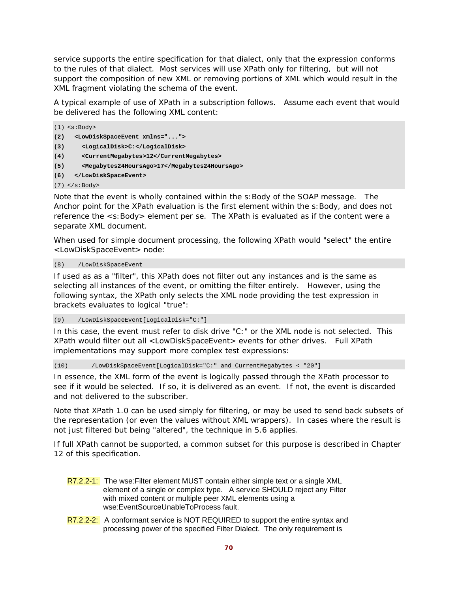service supports the entire specification for that dialect, only that the expression conforms to the rules of that dialect. Most services will use XPath only for filtering, but will not support the composition of new XML or removing portions of XML which would result in the XML fragment violating the schema of the event.

A typical example of use of XPath in a subscription follows. Assume each event that would be delivered has the following XML content:

```
(1) <s:Body> 
(2) <LowDiskSpaceEvent xmlns="..."> 
(3) <LogicalDisk>C:</LogicalDisk> 
(4) <CurrentMegabytes>12</CurrentMegabytes> 
(5) <Megabytes24HoursAgo>17</Megabytes24HoursAgo> 
(6) </LowDiskSpaceEvent>
```
 $(7)$  </s:Body>

Note that the event is wholly contained within the s:Body of the SOAP message. The Anchor point for the XPath evaluation is the first element within the s:Body, and does not reference the <s:Body> element per se. The XPath is evaluated as if the content were a separate XML document.

When used for simple document processing, the following XPath would "select" the entire <LowDiskSpaceEvent> node:

(8) /LowDiskSpaceEvent

If used as as a "filter", this XPath does not filter out any instances and is the same as selecting all instances of the event, or omitting the filter entirely. However, using the following syntax, the XPath only selects the XML node providing the test expression in brackets evaluates to logical "true":

(9) /LowDiskSpaceEvent[LogicalDisk="C:"]

In this case, the event must refer to disk drive "C:" or the XML node is not selected. This XPath would filter out all <LowDiskSpaceEvent> events for other drives. Full XPath implementations may support more complex test expressions:

(10) /LowDiskSpaceEvent[LogicalDisk="C:" and CurrentMegabytes < "20"]

In essence, the XML form of the event is logically passed through the XPath processor to see if it would be selected. If so, it is delivered as an event. If not, the event is discarded and not delivered to the subscriber.

Note that XPath 1.0 can be used simply for filtering, or may be used to send back subsets of the representation (or even the values without XML wrappers). In cases where the result is not just filtered but being "altered", the technique in 5.6 applies.

If full XPath cannot be supported, a common subset for this purpose is described in Chapter 12 of this specification.

- R7.2.2-1: The wse: Filter element MUST contain either simple text or a single XML element of a single or complex type. A service SHOULD reject any Filter with mixed content or multiple peer XML elements using a wse:EventSourceUnableToProcess fault.
- R7.2.2-2: A conformant service is NOT REQUIRED to support the entire syntax and processing power of the specified Filter Dialect. The only requirement is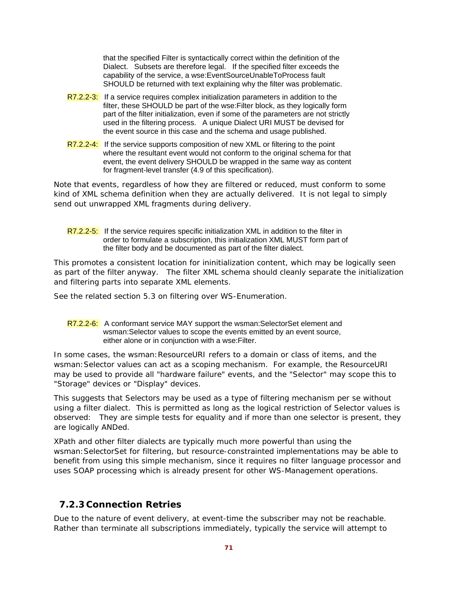that the specified Filter is syntactically correct within the definition of the Dialect. Subsets are therefore legal. If the specified filter exceeds the capability of the service, a wse:EventSourceUnableToProcess fault SHOULD be returned with text explaining why the filter was problematic.

- R7.2.2-3: If a service requires complex initialization parameters in addition to the filter, these SHOULD be part of the wse:Filter block, as they logically form part of the filter initialization, even if some of the parameters are not strictly used in the filtering process. A unique Dialect URI MUST be devised for the event source in this case and the schema and usage published.
- R7.2.2-4: If the service supports composition of new XML or filtering to the point where the resultant event would not conform to the original schema for that event, the event delivery SHOULD be wrapped in the same way as content for fragment-level transfer (4.9 of this specification).

Note that events, regardless of how they are filtered or reduced, must conform to some kind of XML schema definition when they are actually delivered. It is not legal to simply send out unwrapped XML fragments during delivery.

R7.2.2-5: If the service requires specific initialization XML in addition to the filter in order to formulate a subscription, this initialization XML MUST form part of the filter body and be documented as part of the filter dialect.

This promotes a consistent location for ininitialization content, which may be logically seen as part of the filter anyway. The filter XML schema should cleanly separate the initialization and filtering parts into separate XML elements.

See the related section 5.3 on filtering over WS-Enumeration.

R7.2.2-6: A conformant service MAY support the wsman: SelectorSet element and wsman:Selector values to scope the events emitted by an event source, either alone or in conjunction with a wse:Filter.

In some cases, the wsman: ResourceURI refers to a domain or class of items, and the wsman:Selector values can act as a scoping mechanism. For example, the ResourceURI may be used to provide all "hardware failure" events, and the "Selector" may scope this to "Storage" devices or "Display" devices.

This suggests that Selectors may be used as a type of filtering mechanism per se without using a filter dialect. This is permitted as long as the logical restriction of Selector values is observed: They are simple tests for equality and if more than one selector is present, they are logically ANDed.

XPath and other filter dialects are typically much more powerful than using the wsman:SelectorSet for filtering, but resource-constrainted implementations may be able to benefit from using this simple mechanism, since it requires no filter language processor and uses SOAP processing which is already present for other WS-Management operations.

#### **7.2.3 Connection Retries**

Due to the nature of event delivery, at event-time the subscriber may not be reachable. Rather than terminate all subscriptions immediately, typically the service will attempt to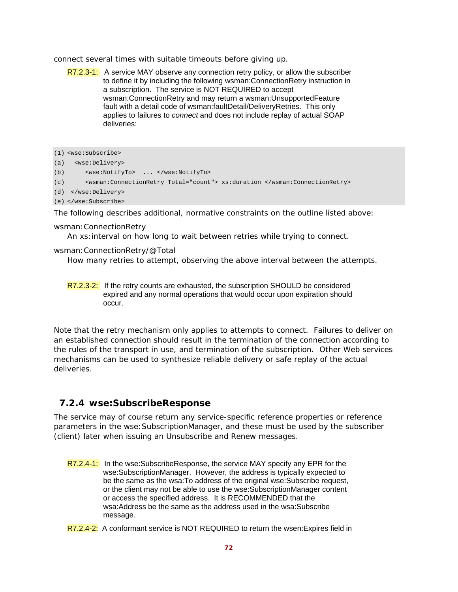connect several times with suitable timeouts before giving up.

R7.2.3-1: A service MAY observe any connection retry policy, or allow the subscriber to define it by including the following wsman:ConnectionRetry instruction in a subscription. The service is NOT REQUIRED to accept wsman:ConnectionRetry and may return a wsman:UnsupportedFeature fault with a detail code of wsman:faultDetail/DeliveryRetries. This only applies to failures to *connect* and does not include replay of actual SOAP deliveries:

```
(1) <wse:Subscribe>
```
(a) <wse:Delivery>

```
(b) <wse:NotifyTo> ... </wse:NotifyTo>
```

```
(c) <wsman:ConnectionRetry Total="count"> xs:duration </wsman:ConnectionRetry>
```

```
(d) </wse:Delivery>
```

```
(e) </wse:Subscribe>
```
The following describes additional, normative constraints on the outline listed above:

#### wsman:ConnectionRetry

An xs:interval on how long to wait between retries while trying to connect.

#### wsman:ConnectionRetry/@Total

How many retries to attempt, observing the above interval between the attempts.

R7.2.3-2: If the retry counts are exhausted, the subscription SHOULD be considered expired and any normal operations that would occur upon expiration should occur.

Note that the retry mechanism only applies to attempts to connect. Failures to deliver on an established connection should result in the termination of the connection according to the rules of the transport in use, and termination of the subscription. Other Web services mechanisms can be used to synthesize reliable delivery or safe replay of the actual deliveries.

#### **7.2.4 wse:SubscribeResponse**

The service may of course return any service-specific reference properties or reference parameters in the wse:SubscriptionManager, and these must be used by the subscriber (client) later when issuing an Unsubscribe and Renew messages.

- R7.2.4-1: In the wse:SubscribeResponse, the service MAY specify any EPR for the wse:SubscriptionManager. However, the address is typically expected to be the same as the wsa:To address of the original wse:Subscribe request, or the client may not be able to use the wse:SubscriptionManager content or access the specified address. It is RECOMMENDED that the wsa:Address be the same as the address used in the wsa:Subscribe message.
- R7.2.4-2: A conformant service is NOT REQUIRED to return the wsen: Expires field in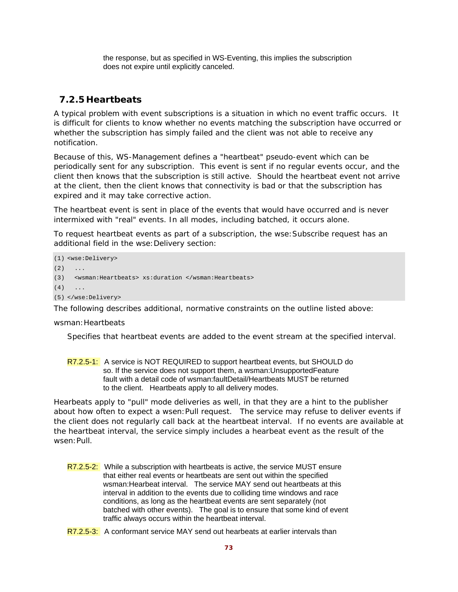the response, but as specified in WS-Eventing, this implies the subscription does not expire until explicitly canceled.

## **7.2.5 Heartbeats**

A typical problem with event subscriptions is a situation in which no event traffic occurs. It is difficult for clients to know whether no events matching the subscription have occurred or whether the subscription has simply failed and the client was not able to receive any notification.

Because of this, WS-Management defines a "heartbeat" pseudo-event which can be periodically sent for any subscription. This event is sent if no regular events occur, and the client then knows that the subscription is still active. Should the heartbeat event not arrive at the client, then the client knows that connectivity is bad or that the subscription has expired and it may take corrective action.

The heartbeat event is sent *in place of* the events that would have occurred and is *never*  intermixed with "real" events. In all modes, including batched, it occurs alone.

To request heartbeat events as part of a subscription, the wse:Subscribe request has an additional field in the wse: Delivery section:

(1) <wse:Delivery>  $(2)$ (3) <wsman:Heartbeats> xs:duration </wsman:Heartbeats>  $(4)$  ... (5) </wse:Delivery>

The following describes additional, normative constraints on the outline listed above:

### wsman: Heartbeats

Specifies that heartbeat events are added to the event stream at the specified interval.

R7.2.5-1: A service is NOT REQUIRED to support heartbeat events, but SHOULD do so. If the service does not support them, a wsman:UnsupportedFeature fault with a detail code of wsman:faultDetail/Heartbeats MUST be returned to the client. Heartbeats apply to all delivery modes.

Hearbeats apply to "pull" mode deliveries as well, in that they are a hint to the publisher about how often to expect a wsen:Pull request. The service may refuse to deliver events if the client does not regularly call back at the heartbeat interval. If no events are available at the heartbeat interval, the service simply includes a hearbeat event as the result of the wsen:Pull.

- R7.2.5-2: While a subscription with heartbeats is active, the service MUST ensure that either real events or heartbeats are sent out within the specified wsman:Hearbeat interval. The service MAY send out heartbeats at this interval in addition to the events due to colliding time windows and race conditions, as long as the heartbeat events are sent separately (not batched with other events). The goal is to ensure that some kind of event traffic always occurs within the heartbeat interval.
- R7.2.5-3: A conformant service MAY send out hearbeats at earlier intervals than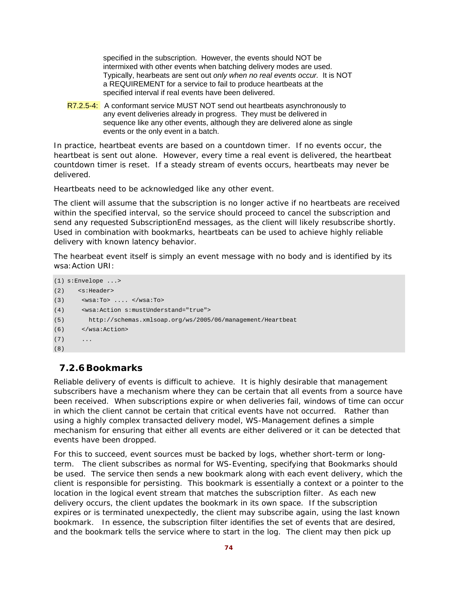specified in the subscription. However, the events should NOT be intermixed with other events when batching delivery modes are used. Typically, hearbeats are sent out *only when no real events occur.* It is NOT a REQUIREMENT for a service to fail to produce heartbeats at the specified interval if real events have been delivered.

R7.2.5-4: A conformant service MUST NOT send out heartbeats asynchronously to any event deliveries already in progress. They must be delivered in sequence like any other events, although they are delivered alone as single events or the only event in a batch.

In practice, heartbeat events are based on a countdown timer. If no events occur, the heartbeat is sent out alone. However, every time a real event is delivered, the heartbeat countdown timer is reset. If a steady stream of events occurs, heartbeats may never be delivered.

Heartbeats need to be acknowledged like any other event.

The client will assume that the subscription is no longer active if no heartbeats are received within the specified interval, so the service should proceed to cancel the subscription and send any requested SubscriptionEnd messages, as the client will likely resubscribe shortly. Used in combination with bookmarks, heartbeats can be used to achieve highly reliable delivery with known latency behavior.

The hearbeat event itself is simply an event message with no body and is identified by its wsa:Action URI:

```
(1) s:Envelope ...> 
(2) <s:Header> 
(3) <wsa:To> .... </wsa:To> 
(4) <wsa:Action s:mustUnderstand="true"> 
(5) http://schemas.xmlsoap.org/ws/2005/06/management/Heartbeat 
(6) </wsa:Action> 
(7)(8)
```
## **7.2.6Bookmarks**

Reliable delivery of events is difficult to achieve. It is highly desirable that management subscribers have a mechanism where they can be certain that all events from a source have been received. When subscriptions expire or when deliveries fail, windows of time can occur in which the client cannot be certain that critical events have not occurred. Rather than using a highly complex transacted delivery model, WS-Management defines a simple mechanism for ensuring that either all events are either delivered or it can be detected that events have been dropped.

For this to succeed, event sources must be backed by logs, whether short-term or longterm. The client subscribes as normal for WS-Eventing, specifying that Bookmarks should be used. The service then sends a new bookmark along with each event delivery, which the client is responsible for persisting. This bookmark is essentially a context or a pointer to the location in the logical event stream that matches the subscription filter. As each new delivery occurs, the client updates the bookmark in its own space. If the subscription expires or is terminated unexpectedly, the client may subscribe again, using the last known bookmark. In essence, the subscription filter identifies the set of events that are desired, and the bookmark tells the service where to start in the log. The client may then pick up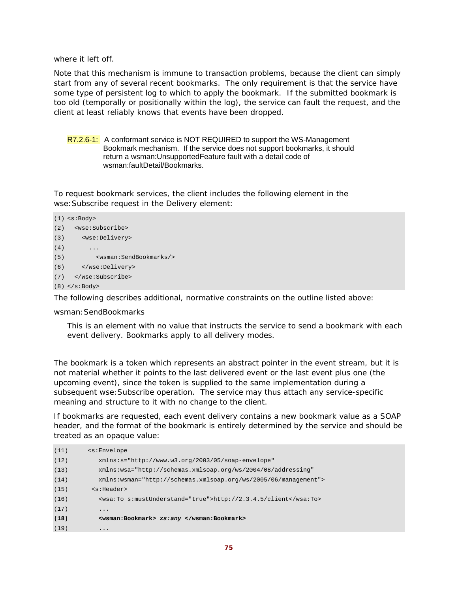where it left off.

Note that this mechanism is immune to transaction problems, because the client can simply start from any of several recent bookmarks. The only requirement is that the service have some type of persistent log to which to apply the bookmark. If the submitted bookmark is too old (temporally or positionally within the log), the service can fault the request, and the client at least reliably knows that events have been dropped.

R7.2.6-1: A conformant service is NOT REQUIRED to support the WS-Management Bookmark mechanism. If the service does not support bookmarks, it should return a wsman:UnsupportedFeature fault with a detail code of wsman:faultDetail/Bookmarks.

To request bookmark services, the client includes the following element in the wse:Subscribe request in the Delivery element:

```
(1) <s:Body> 
(2) <wse:Subscribe> 
(3) <wse:Delivery> 
(4) ...
(5) <wsman:SendBookmarks/> 
(6) </wse:Delivery> 
(7) </wse:Subscribe> 
(8) </s:Body>
```
The following describes additional, normative constraints on the outline listed above:

wsman:SendBookmarks

This is an element with no value that instructs the service to send a bookmark with each event delivery. Bookmarks apply to all delivery modes.

The bookmark is a token which represents an abstract pointer in the event stream, but it is not material whether it points to the last delivered event or the last event plus one (the upcoming event), since the token is supplied to the same implementation during a subsequent wse:Subscribe operation. The service may thus attach any service-specific meaning and structure to it with no change to the client.

If bookmarks are requested, each event delivery contains a new bookmark value as a SOAP header, and the format of the bookmark is entirely determined by the service and should be treated as an opaque value:

| (11) | $\leq$ s: Envelope                                               |  |  |  |
|------|------------------------------------------------------------------|--|--|--|
| (12) | $xmlns:s="http://www.w3.org/2003/05/soap-envelope"$              |  |  |  |
| (13) | xmlns:wsa="http://schemas.xmlsoap.org/ws/2004/08/addressing"     |  |  |  |
| (14) | $xmlns:wsman="http://schemas.xmlsoap.org/ws/2005/06/manaqement"$ |  |  |  |
| (15) | $<$ s:Header>                                                    |  |  |  |
| (16) | <wsa:to s:mustunderstand="true">http://2.3.4.5/client</wsa:to>   |  |  |  |
| (17) | $\cdot\cdot\cdot$                                                |  |  |  |
| (18) | <wsman:bookmark> xs:any </wsman:bookmark>                        |  |  |  |
| (19) | $\cdot\cdot\cdot$                                                |  |  |  |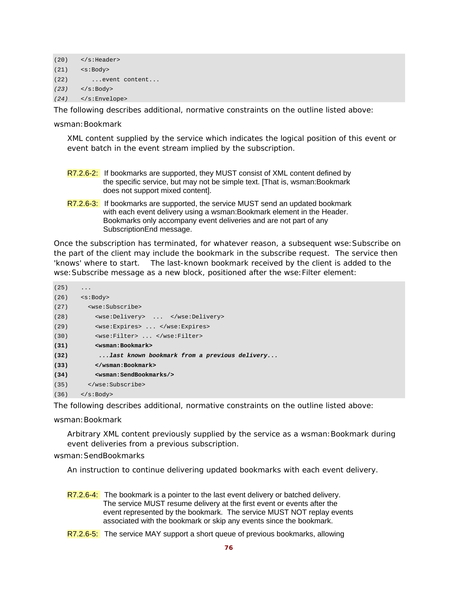```
(20) </s:Header> 
(21) <s:Body> 
(22) ...event content... 
(23) </s:Body>
(24) </s:Envelope>
```
The following describes additional, normative constraints on the outline listed above:

wsman:Bookmark

XML content supplied by the service which indicates the logical position of this event or event batch in the event stream implied by the subscription.

- R7.2.6-2: If bookmarks are supported, they MUST consist of XML content defined by the specific service, but may not be simple text. [That is, wsman:Bookmark does not support mixed content].
- R7.2.6-3: If bookmarks are supported, the service MUST send an updated bookmark with each event delivery using a wsman:Bookmark element in the Header. Bookmarks only accompany event deliveries and are not part of any SubscriptionEnd message.

Once the subscription has terminated, for whatever reason, a subsequent wse:Subscribe on the part of the client may include the bookmark in the subscribe request. The service then 'knows' where to start. The last-known bookmark received by the client is added to the wse:Subscribe message as a new block, positioned after the wse:Filter element:

| (25) | .                                                                                                                                                                                                                                                                  |  |  |  |
|------|--------------------------------------------------------------------------------------------------------------------------------------------------------------------------------------------------------------------------------------------------------------------|--|--|--|
|      | $(26)$ $\leq$ $\leq$ $\leq$ $\leq$ $\leq$ $\leq$ $\leq$ $\leq$ $\leq$ $\leq$ $\leq$ $\leq$ $\leq$ $\leq$ $\leq$ $\leq$ $\leq$ $\leq$ $\leq$ $\leq$ $\leq$ $\leq$ $\leq$ $\leq$ $\leq$ $\leq$ $\leq$ $\leq$ $\leq$ $\leq$ $\leq$ $\leq$ $\leq$ $\leq$ $\leq$ $\leq$ |  |  |  |
| (27) | <wse:subscribe></wse:subscribe>                                                                                                                                                                                                                                    |  |  |  |
| (28) | <wse:delivery> </wse:delivery>                                                                                                                                                                                                                                     |  |  |  |
| (29) | <wse:expires> </wse:expires>                                                                                                                                                                                                                                       |  |  |  |
| (30) | <wse:filter> </wse:filter>                                                                                                                                                                                                                                         |  |  |  |
| (31) | <wsman:bookmark></wsman:bookmark>                                                                                                                                                                                                                                  |  |  |  |
| (32) | last known bookmark from a previous delivery                                                                                                                                                                                                                       |  |  |  |
| (33) |                                                                                                                                                                                                                                                                    |  |  |  |
| (34) | <wsman:sendbookmarks></wsman:sendbookmarks>                                                                                                                                                                                                                        |  |  |  |
|      | $(35)$                                                                                                                                                                                                                                                             |  |  |  |
|      | $(36)$ $\langle$ s:Body>                                                                                                                                                                                                                                           |  |  |  |

The following describes additional, normative constraints on the outline listed above:

wsman:Bookmark

Arbitrary XML content previously supplied by the service as a wsman:Bookmark during event deliveries from a previous subscription.

wsman:SendBookmarks

An instruction to continue delivering updated bookmarks with each event delivery.

- R7.2.6-4: The bookmark is a pointer to the last event delivery or batched delivery. The service MUST resume delivery at the first event or events after the event represented by the bookmark. The service MUST NOT replay events associated with the bookmark or skip any events since the bookmark.
- R7.2.6-5: The service MAY support a short queue of previous bookmarks, allowing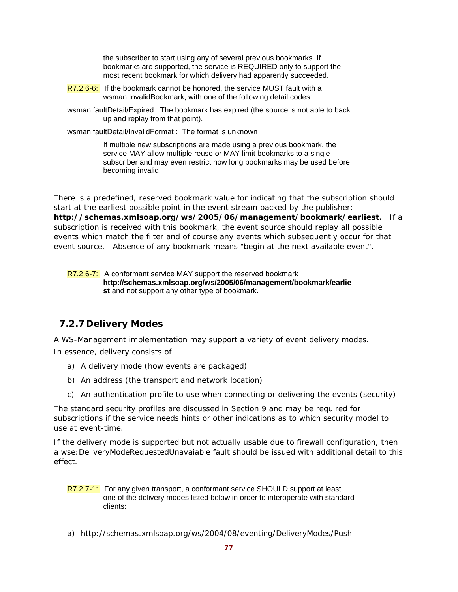the subscriber to start using any of several previous bookmarks. If bookmarks are supported, the service is REQUIRED only to support the most recent bookmark for which delivery had apparently succeeded.

- R7.2.6-6: If the bookmark cannot be honored, the service MUST fault with a wsman:InvalidBookmark, with one of the following detail codes:
- wsman:faultDetail/Expired : The bookmark has expired (the source is not able to back up and replay from that point).

wsman:faultDetail/InvalidFormat : The format is unknown

 If multiple new subscriptions are made using a previous bookmark, the service MAY allow multiple reuse or MAY limit bookmarks to a single subscriber and may even restrict how long bookmarks may be used before becoming invalid.

There is a predefined, reserved bookmark value for indicating that the subscription should start at the earliest possible point in the event stream backed by the publisher: **http://schemas.xmlsoap.org/ws/2005/06/management/bookmark/earliest.** If a subscription is received with this bookmark, the event source should replay all possible events which match the filter and of course any events which subsequently occur for that event source. Absence of any bookmark means "begin at the next available event".

R7.2.6-7: A conformant service MAY support the reserved bookmark **http://schemas.xmlsoap.org/ws/2005/06/management/bookmark/earlie st** and not support any other type of bookmark.

## **7.2.7 Delivery Modes**

A WS-Management implementation may support a variety of event delivery modes.

In essence, delivery consists of

- a) A delivery mode (how events are packaged)
- b) An address (the transport and network location)
- c) An authentication profile to use when connecting or delivering the events (security)

The standard security profiles are discussed in Section 9 and may be required for subscriptions if the service needs hints or other indications as to which security model to use at event-time.

If the delivery mode is supported but not actually usable due to firewall configuration, then a wse:DeliveryModeRequestedUnavaiable fault should be issued with additional detail to this effect.

- R7.2.7-1: For any given transport, a conformant service SHOULD support at least one of the delivery modes listed below in order to interoperate with standard clients:
- a) http://schemas.xmlsoap.org/ws/2004/08/eventing/DeliveryModes/Push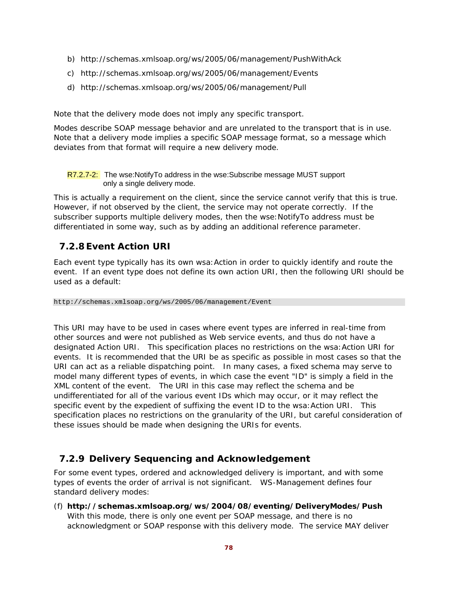- b) http://schemas.xmlsoap.org/ws/2005/06/management/PushWithAck
- c) http://schemas.xmlsoap.org/ws/2005/06/management/Events
- d) http://schemas.xmlsoap.org/ws/2005/06/management/Pull

Note that the delivery mode does *not imply* any specific transport.

Modes describe SOAP message behavior and are unrelated to the transport that is in use. Note that a delivery mode implies a specific SOAP message format, so a message which deviates from that format will require a new delivery mode.

R7.2.7-2: The wse:NotifyTo address in the wse:Subscribe message MUST support only a single delivery mode.

This is actually a requirement on the client, since the service cannot verify that this is true. However, if not observed by the client, the service may not operate correctly. If the subscriber supports multiple delivery modes, then the wse:NotifyTo address must be differentiated in some way, such as by adding an additional reference parameter.

## **7.2.8 Event Action URI**

Each event type typically has its own wsa:Action in order to quickly identify and route the event. If an event type does not define its own action URI, then the following URI should be used as a default:

http://schemas.xmlsoap.org/ws/2005/06/management/Event

This URI may have to be used in cases where event types are inferred in real-time from other sources and were not published as Web service events, and thus do not have a designated Action URI. This specification places no restrictions on the wsa:Action URI for events. It is recommended that the URI be as specific as possible in most cases so that the URI can act as a reliable dispatching point. In many cases, a fixed schema may serve to model many different types of events, in which case the event "ID" is simply a field in the XML content of the event. The URI in this case may reflect the schema and be undifferentiated for all of the various event IDs which may occur, or it may reflect the specific event by the expedient of suffixing the event ID to the wsa:Action URI. This specification places no restrictions on the granularity of the URI, but careful consideration of these issues should be made when designing the URIs for events.

## **7.2.9 Delivery Sequencing and Acknowledgement**

For some event types, ordered and acknowledged delivery is important, and with some types of events the order of arrival is not significant. WS-Management defines four standard delivery modes:

(f) **http://schemas.xmlsoap.org/ws/2004/08/eventing/DeliveryModes/Push**  With this mode, there is only one event per SOAP message, and there is no acknowledgment or SOAP response with this delivery mode. The service MAY deliver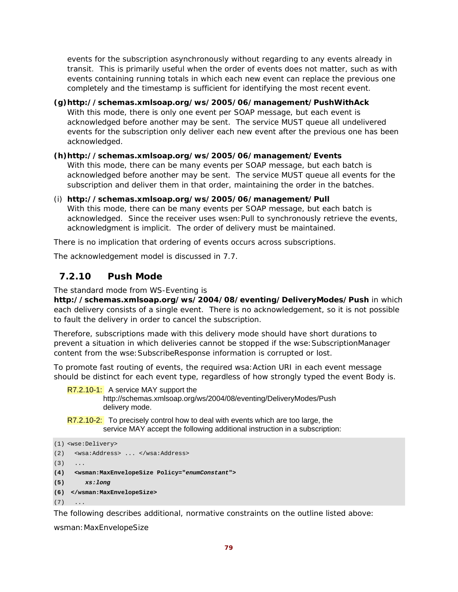events for the subscription asynchronously without regarding to any events already in transit. This is primarily useful when the order of events does not matter, such as with events containing running totals in which each new event can replace the previous one completely and the timestamp is sufficient for identifying the most recent event.

## **(g)http://schemas.xmlsoap.org/ws/2005/06/management/PushWithAck**

With this mode, there is only one event per SOAP message, but each event is acknowledged before another may be sent. The service MUST queue all undelivered events for the subscription only deliver each new event after the previous one has been acknowledged.

## **(h)http://schemas.xmlsoap.org/ws/2005/06/management/Events**

With this mode, there can be many events per SOAP message, but each batch is acknowledged before another may be sent. The service MUST queue all events for the subscription and deliver them in that order, maintaining the order in the batches.

(i) **http://schemas.xmlsoap.org/ws/2005/06/management/Pull**  With this mode, there can be many events per SOAP message, but each batch is acknowledged. Since the receiver uses wsen:Pull to synchronously retrieve the events, acknowledgment is implicit. The order of delivery must be maintained.

There is no implication that ordering of events occurs across subscriptions.

The acknowledgement model is discussed in 7.7.

## **7.2.10 Push Mode**

The standard mode from WS-Eventing is

**http://schemas.xmlsoap.org/ws/2004/08/eventing/DeliveryModes/Push** in which each delivery consists of a single event. There is no acknowledgement, so it is not possible to fault the delivery in order to cancel the subscription.

Therefore, subscriptions made with this delivery mode should have short durations to prevent a situation in which deliveries cannot be stopped if the wse:SubscriptionManager content from the wse:SubscribeResponse information is corrupted or lost.

To promote fast routing of events, the required wsa:Action URI in each event message should be distinct for each event type, regardless of how strongly typed the event Body is.

### R7.2.10-1: A service MAY support the

http://schemas.xmlsoap.org/ws/2004/08/eventing/DeliveryModes/Push delivery mode.

R7.2.10-2: To precisely control how to deal with events which are too large, the service MAY accept the following additional instruction in a subscription:

```
(1) <wse:Delivery> 
(2) <wsa:Address> ... </wsa:Address> 
(3) \qquad \ldots(4) <wsman:MaxEnvelopeSize Policy="enumConstant"> 
(5) xs:long
(6) </wsman:MaxEnvelopeSize> 
(7) \quad \ldots
```
The following describes additional, normative constraints on the outline listed above:

wsman:MaxEnvelopeSize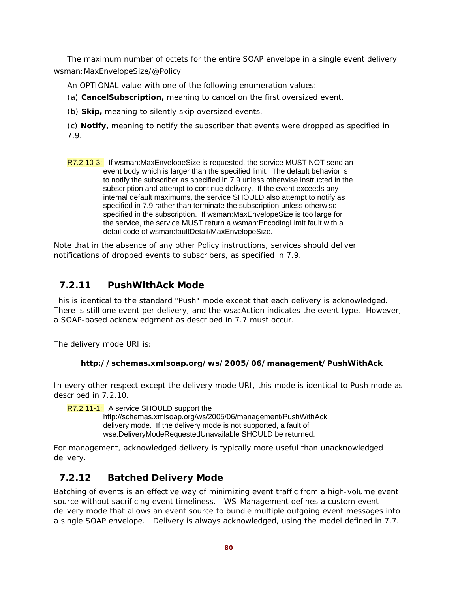The maximum number of octets for the entire SOAP envelope in a single event delivery. wsman:MaxEnvelopeSize/@Policy

An OPTIONAL value with one of the following enumeration values:

(a) **CancelSubscription,** meaning to cancel on the first oversized event.

(b) **Skip,** meaning to silently skip oversized events.

(c) **Notify,** meaning to notify the subscriber that events were dropped as specified in 7.9.

R7.2.10-3: If wsman:MaxEnvelopeSize is requested, the service MUST NOT send an event body which is larger than the specified limit. The default behavior is to notify the subscriber as specified in 7.9 unless otherwise instructed in the subscription and attempt to continue delivery. If the event exceeds any internal default maximums, the service SHOULD also attempt to notify as specified in 7.9 rather than terminate the subscription unless otherwise specified in the subscription. If wsman:MaxEnvelopeSize is too large for the service, the service MUST return a wsman:EncodingLimit fault with a detail code of wsman:faultDetail/MaxEnvelopeSize.

Note that in the absence of any other Policy instructions, services should deliver notifications of dropped events to subscribers, as specified in 7.9.

## **7.2.11 PushWithAck Mode**

This is identical to the standard "Push" mode except that each delivery is acknowledged. There is still one event per delivery, and the wsa:Action indicates the event type. However, a SOAP-based acknowledgment as described in 7.7 must occur.

The delivery mode URI is:

## **http://schemas.xmlsoap.org/ws/2005/06/management/PushWithAck**

In every other respect except the delivery mode URI, this mode is identical to Push mode as described in 7.2.10.

R7.2.11-1: A service SHOULD support the

http://schemas.xmlsoap.org/ws/2005/06/management/PushWithAck delivery mode. If the delivery mode is not supported, a fault of wse:DeliveryModeRequestedUnavailable SHOULD be returned.

For management, acknowledged delivery is typically more useful than unacknowledged delivery.

## **7.2.12 Batched Delivery Mode**

Batching of events is an effective way of minimizing event traffic from a high-volume event source without sacrificing event timeliness. WS-Management defines a custom event delivery mode that allows an event source to bundle multiple outgoing event messages into a single SOAP envelope. Delivery is always acknowledged, using the model defined in 7.7.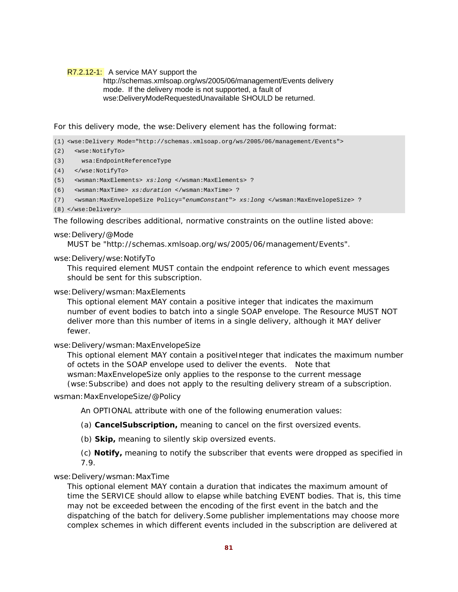### R7.2.12-1: A service MAY support the

### http://schemas.xmlsoap.org/ws/2005/06/management/Events delivery mode. If the delivery mode is not supported, a fault of wse:DeliveryModeRequestedUnavailable SHOULD be returned.

For this delivery mode, the wse:Delivery element has the following format:

(1) <wse:Delivery Mode="http://schemas.xmlsoap.org/ws/2005/06/management/Events">

- (2) <wse:NotifyTo>
- (3) wsa:EndpointReferenceType
- (4) </wse:NotifyTo>
- (5) <wsman:MaxElements> *xs:long* </wsman:MaxElements> ?
- (6) <wsman:MaxTime> *xs:duration* </wsman:MaxTime> ?
- (7) <wsman:MaxEnvelopeSize Policy="*enumConstant*"> *xs:long* </wsman:MaxEnvelopeSize> ?
- (8) </wse:Delivery>

The following describes additional, normative constraints on the outline listed above:

### wse:Delivery/@Mode

MUST be "http://schemas.xmlsoap.org/ws/2005/06/management/Events".

### wse:Delivery/wse:NotifyTo

This required element MUST contain the endpoint reference to which event messages should be sent for this subscription.

### wse:Delivery/wsman:MaxElements

This optional element MAY contain a positive integer that indicates the maximum number of event bodies to batch into a single SOAP envelope. The Resource MUST NOT deliver more than this number of items in a single delivery, although it MAY deliver fewer.

### wse:Delivery/wsman:MaxEnvelopeSize

This optional element MAY contain a positiveInteger that indicates the maximum number of octets in the SOAP envelope used to deliver the events. Note that wsman:MaxEnvelopeSize only applies to the response to the current message (wse:Subscribe) and does not apply to the resulting delivery stream of a subscription.

### wsman:MaxEnvelopeSize/@Policy

An OPTIONAL attribute with one of the following enumeration values:

(a) **CancelSubscription,** meaning to cancel on the first oversized events.

(b) **Skip,** meaning to silently skip oversized events.

(c) **Notify,** meaning to notify the subscriber that events were dropped as specified in 7.9.

### wse:Delivery/wsman:MaxTime

This optional element MAY contain a duration that indicates the maximum amount of time the SERVICE should allow to elapse while batching EVENT bodies. That is, this time may not be exceeded between the encoding of the first event in the batch and the dispatching of the batch for delivery.Some publisher implementations may choose more complex schemes in which different events included in the subscription are delivered at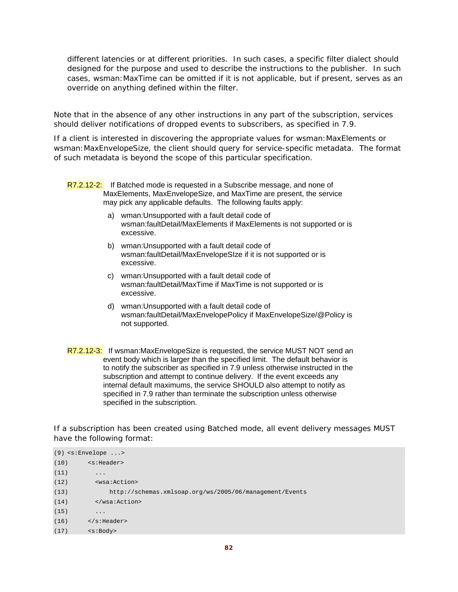different latencies or at different priorities. In such cases, a specific filter dialect should designed for the purpose and used to describe the instructions to the publisher. In such cases, wsman:MaxTime can be omitted if it is not applicable, but if present, serves as an override on anything defined within the filter.

Note that in the absence of any other instructions in any part of the subscription, services should deliver notifications of dropped events to subscribers, as specified in 7.9.

If a client is interested in discovering the appropriate values for wsman:MaxElements or wsman:MaxEnvelopeSize, the client should query for service-specific metadata. The format of such metadata is beyond the scope of this particular specification.

R7.2.12-2: If Batched mode is requested in a Subscribe message, and none of MaxElements, MaxEnvelopeSize, and MaxTime are present, the service may pick any applicable defaults. The following faults apply:

- a) wman:Unsupported with a fault detail code of wsman:faultDetail/MaxElements if MaxElements is not supported or is excessive.
- b) wman:Unsupported with a fault detail code of wsman:faultDetail/MaxEnvelopeSIze if it is not supported or is excessive.
- c) wman:Unsupported with a fault detail code of wsman:faultDetail/MaxTime if MaxTime is not supported or is excessive.
- d) wman:Unsupported with a fault detail code of wsman:faultDetail/MaxEnvelopePolicy if MaxEnvelopeSize/@Policy is not supported.
- R7.2.12-3: If wsman:MaxEnvelopeSize is requested, the service MUST NOT send an event body which is larger than the specified limit. The default behavior is to notify the subscriber as specified in 7.9 unless otherwise instructed in the subscription and attempt to continue delivery. If the event exceeds any internal default maximums, the service SHOULD also attempt to notify as specified in 7.9 rather than terminate the subscription unless otherwise specified in the subscription.

If a subscription has been created using Batched mode, all event delivery messages MUST have the following format:

```
(9) <s:Envelope ...> 
(10) <s:Header> 
(11) ...
(12) <wsa:Action> 
(13) http://schemas.xmlsoap.org/ws/2005/06/management/Events 
(14) </wsa:Action> 
(15) ...
(16) </s: Header>
(17) <s:Body>
```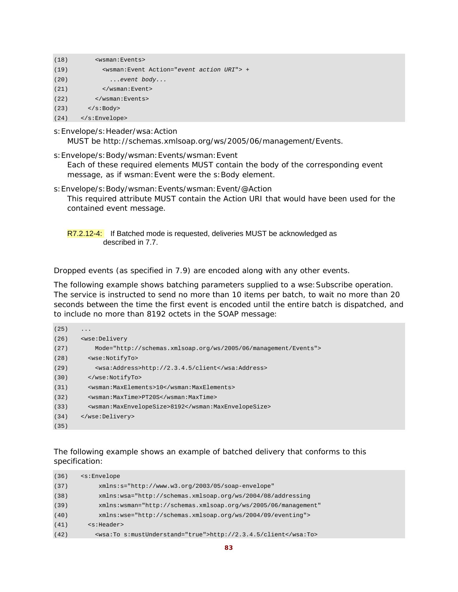| (18) | <wsman:events></wsman:events>                           |  |  |  |
|------|---------------------------------------------------------|--|--|--|
| (19) | <wsman:event action="event action URI"> +</wsman:event> |  |  |  |
| (20) | $\ldots$ event body                                     |  |  |  |
| (21) | $\langle$ /wsman:Event>                                 |  |  |  |
| (22) | $\langle$ /wsman:Events>                                |  |  |  |
| (23) | $\langle$ s:Body>                                       |  |  |  |
| (24) | $\langle$ s:Envelope>                                   |  |  |  |

s:Envelope/s:Header/wsa:Action

MUST be http://schemas.xmlsoap.org/ws/2005/06/management/Events.

s:Envelope/s:Body/wsman:Events/wsman:Event

Each of these required elements MUST contain the body of the corresponding event message, as if wsman: Event were the s: Body element.

- s:Envelope/s:Body/wsman:Events/wsman:Event/@Action This required attribute MUST contain the Action URI that would have been used for the contained event message.
	- R7.2.12-4: If Batched mode is requested, deliveries MUST be acknowledged as described in 7.7.

Dropped events (as specified in 7.9) are encoded along with any other events.

The following example shows batching parameters supplied to a wse: Subscribe operation. The service is instructed to send no more than 10 items per batch, to wait no more than 20 seconds between the time the first event is encoded until the entire batch is dispatched, and to include no more than 8192 octets in the SOAP message:

```
(25) ...
(26) <wse:Delivery 
(27) Mode="http://schemas.xmlsoap.org/ws/2005/06/management/Events"> 
(28) <wse:NotifyTo> 
(29) <wsa:Address>http://2.3.4.5/client</wsa:Address> 
(30) </wse:NotifyTo> 
(31) <wsman:MaxElements>10</wsman:MaxElements> 
(32) <wsman:MaxTime>PT20S</wsman:MaxTime> 
(33) <wsman:MaxEnvelopeSize>8192</wsman:MaxEnvelopeSize> 
(34) </wse:Delivery> 
(35)
```
The following example shows an example of batched delivery that conforms to this specification:

| (36) | <s:envelope< th=""></s:envelope<>                               |
|------|-----------------------------------------------------------------|
| (37) | $xmlns:s="http://www.w3.org/2003/05/soap-envelope"$             |
| (38) | xmlns:wsa="http://schemas.xmlsoap.org/ws/2004/08/addressing     |
| (39) | xmlns: wsman="http://schemas.xmlsoap.org/ws/2005/06/management" |
| (40) | xmlns:wse="http://schemas.xmlsoap.org/ws/2004/09/eventing">     |
| (41) | $<$ s:Header>                                                   |
| (42) | <wsa:to s:mustunderstand="true">http://2.3.4.5/client</wsa:to>  |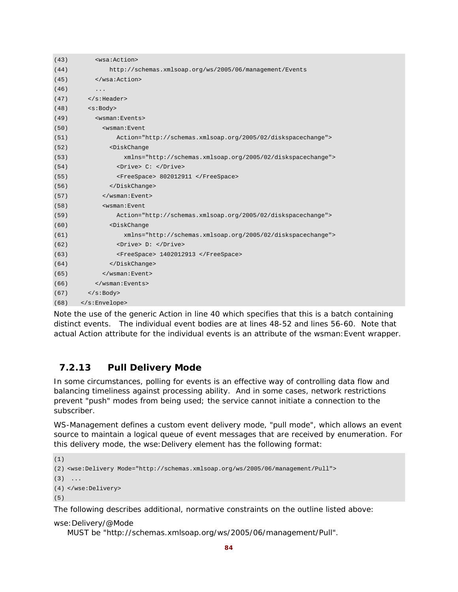| (43) | <wsa:action></wsa:action>                                    |  |  |  |
|------|--------------------------------------------------------------|--|--|--|
| (44) | http://schemas.xmlsoap.org/ws/2005/06/management/Events      |  |  |  |
| (45) |                                                              |  |  |  |
| (46) | .                                                            |  |  |  |
| (47) | $\langle$ s:Header>                                          |  |  |  |
| (48) | <s:body></s:body>                                            |  |  |  |
| (49) | <wsman:events></wsman:events>                                |  |  |  |
| (50) | <wsman:event< td=""></wsman:event<>                          |  |  |  |
| (51) | Action="http://schemas.xmlsoap.org/2005/02/diskspacechange"> |  |  |  |
| (52) | <diskchange< td=""></diskchange<>                            |  |  |  |
| (53) | xmlns="http://schemas.xmlsoap.org/2005/02/diskspacechange">  |  |  |  |
| (54) | <drive> C: </drive>                                          |  |  |  |
| (55) | <freespace> 802012911 </freespace>                           |  |  |  |
| (56) |                                                              |  |  |  |
| (57) |                                                              |  |  |  |
| (58) | <wsman:event< td=""></wsman:event<>                          |  |  |  |
| (59) | Action="http://schemas.xmlsoap.org/2005/02/diskspacechange"> |  |  |  |
| (60) | <diskchange< td=""></diskchange<>                            |  |  |  |
| (61) | xmlns="http://schemas.xmlsoap.org/2005/02/diskspacechange">  |  |  |  |
| (62) | <drive> D: </drive>                                          |  |  |  |
| (63) | <freespace> 1402012913 </freespace>                          |  |  |  |
| (64) |                                                              |  |  |  |
| (65) |                                                              |  |  |  |
| (66) |                                                              |  |  |  |
| (67) | $\langle$ s:Body>                                            |  |  |  |
| (68) | $\langle$ s:Envelope>                                        |  |  |  |

Note the use of the generic Action in line 40 which specifies that this is a batch containing distinct events. The individual event bodies are at lines 48-52 and lines 56-60. Note that actual Action attribute for the individual events is an attribute of the wsman:Event wrapper.

## **7.2.13 Pull Delivery Mode**

In some circumstances, polling for events is an effective way of controlling data flow and balancing timeliness against processing ability. And in some cases, network restrictions prevent "push" modes from being used; the service cannot initiate a connection to the subscriber.

WS-Management defines a custom event delivery mode, "pull mode", which allows an event source to maintain a logical queue of event messages that are received by enumeration. For this delivery mode, the wse:Delivery element has the following format:

```
(1)
(2) <wse:Delivery Mode="http://schemas.xmlsoap.org/ws/2005/06/management/Pull"> 
(3) \ldots(4) </wse:Delivery> 
(5)
```
The following describes additional, normative constraints on the outline listed above:

### wse:Delivery/@Mode

MUST be "http://schemas.xmlsoap.org/ws/2005/06/management/Pull".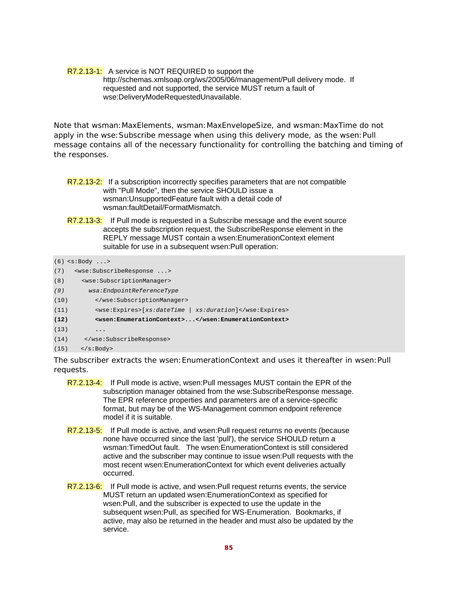### R7.2.13-1: A service is NOT REQUIRED to support the http://schemas.xmlsoap.org/ws/2005/06/management/Pull delivery mode. If requested and not supported, the service MUST return a fault of wse:DeliveryModeRequestedUnavailable.

Note that wsman: MaxElements, wsman: MaxEnvelopeSize, and wsman: MaxTime do not apply in the wse: Subscribe message when using this delivery mode, as the wsen: Pull message contains all of the necessary functionality for controlling the batching and timing of the responses.

- R7.2.13-2: If a subscription incorrectly specifies parameters that are not compatible with "Pull Mode", then the service SHOULD issue a wsman:UnsupportedFeature fault with a detail code of wsman:faultDetail/FormatMismatch.
- R7.2.13-3: If Pull mode is requested in a Subscribe message and the event source accepts the subscription request, the SubscribeResponse element in the REPLY message MUST contain a wsen:EnumerationContext element suitable for use in a subsequent wsen:Pull operation:

```
(6) <s:Body ...> 
(7) <wse:SubscribeResponse ...> 
(8) <wse:SubscriptionManager> 
(9) wsa:EndpointReferenceType 
(10) </wse:SubscriptionManager> 
(11) <wse:Expires>[xs:dateTime | xs:duration]</wse:Expires> 
(12) <wsen:EnumerationContext>...</wsen:EnumerationContext> 
(13) ... 
(14) </wse:SubscribeResponse> 
(15) </s:Body>
```
The subscriber extracts the wsen: EnumerationContext and uses it thereafter in wsen: Pull requests.

- R7.2.13-4: If Pull mode is active, wsen: Pull messages MUST contain the EPR of the subscription manager obtained from the wse:SubscribeResponse message. The EPR reference properties and parameters are of a service-specific format, but may be of the WS-Management common endpoint reference model if it is suitable.
- R7.2.13-5: If Pull mode is active, and wsen:Pull request returns no events (because none have occurred since the last 'pull'), the service SHOULD return a wsman:TimedOut fault. The wsen:EnumerationContext is still considered active and the subscriber may continue to issue wsen:Pull requests with the most recent wsen:EnumerationContext for which event deliveries actually occurred.
- R7.2.13-6: If Pull mode is active, and wsen:Pull request returns events, the service MUST return an updated wsen:EnumerationContext as specified for wsen:Pull, and the subscriber is expected to use the update in the subsequent wsen:Pull, as specified for WS-Enumeration. Bookmarks, if active, may also be returned in the header and must also be updated by the service.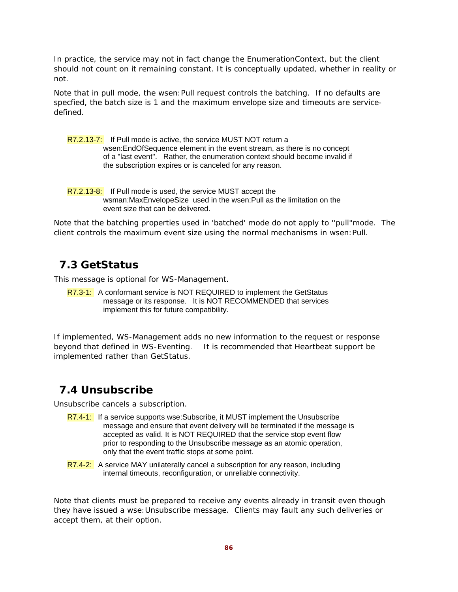In practice, the service may not in fact change the EnumerationContext, but the client should not count on it remaining constant. It is conceptually updated, whether in reality or not.

Note that in pull mode, the wsen:Pull request controls the batching. If no defaults are specfied, the batch size is 1 and the maximum envelope size and timeouts are servicedefined.

R7.2.13-7: If Pull mode is active, the service MUST NOT return a wsen:EndOfSequence element in the event stream, as there is no concept of a "last event". Rather, the enumeration context should become invalid if the subscription expires or is canceled for any reason.

R7.2.13-8: If Pull mode is used, the service MUST accept the wsman:MaxEnvelopeSize used in the wsen:Pull as the limitation on the event size that can be delivered.

Note that the batching properties used in 'batched' mode do not apply to ''pull"mode. The client controls the maximum event size using the normal mechanisms in wsen:Pull.

## **7.3 GetStatus**

This message is optional for WS-Management.

R7.3-1: A conformant service is NOT REQUIRED to implement the GetStatus message or its response. It is NOT RECOMMENDED that services implement this for future compatibility.

If implemented, WS-Management adds no new information to the request or response beyond that defined in WS-Eventing. It is recommended that Heartbeat support be implemented rather than GetStatus.

## **7.4 Unsubscribe**

Unsubscribe cancels a subscription.

- R7.4-1: If a service supports wse: Subscribe, it MUST implement the Unsubscribe message and ensure that event delivery will be terminated if the message is accepted as valid. It is NOT REQUIRED that the service stop event flow prior to responding to the Unsubscribe message as an atomic operation, only that the event traffic stops at some point.
- R7.4-2: A service MAY unilaterally cancel a subscription for any reason, including internal timeouts, reconfiguration, or unreliable connectivity.

Note that clients must be prepared to receive any events already in transit even though they have issued a wse:Unsubscribe message. Clients may fault any such deliveries or accept them, at their option.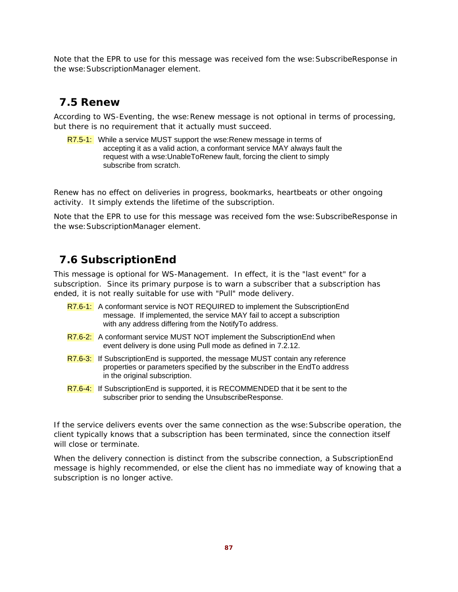Note that the EPR to use for this message was received fom the wse:SubscribeResponse in the wse:SubscriptionManager element.

## **7.5 Renew**

According to WS-Eventing, the wse: Renew message is not optional in terms of processing, but there is no requirement that it actually must succeed.

R7.5-1: While a service MUST support the wse: Renew message in terms of accepting it as a valid action, a conformant service MAY always fault the request with a wse:UnableToRenew fault, forcing the client to simply subscribe from scratch.

Renew has no effect on deliveries in progress, bookmarks, heartbeats or other ongoing activity. It simply extends the lifetime of the subscription.

Note that the EPR to use for this message was received fom the wse:SubscribeResponse in the wse: SubscriptionManager element.

## **7.6 SubscriptionEnd**

This message is optional for WS-Management. In effect, it is the "last event" for a subscription. Since its primary purpose is to warn a subscriber that a subscription has ended, it is not really suitable for use with "Pull" mode delivery.

- R7.6-1: A conformant service is NOT REQUIRED to implement the SubscriptionEnd message. If implemented, the service MAY fail to accept a subscription with any address differing from the NotifyTo address.
- R7.6-2: A conformant service MUST NOT implement the SubscriptionEnd when event delivery is done using Pull mode as defined in 7.2.12.
- R7.6-3: If SubscriptionEnd is supported, the message MUST contain any reference properties or parameters specified by the subscriber in the EndTo address in the original subscription.
- R7.6-4: If Subscription End is supported, it is RECOMMENDED that it be sent to the subscriber prior to sending the UnsubscribeResponse.

If the service delivers events over the same connection as the wse: Subscribe operation, the client typically knows that a subscription has been terminated, since the connection itself will close or terminate.

When the delivery connection is distinct from the subscribe connection, a SubscriptionEnd message is highly recommended, or else the client has no immediate way of knowing that a subscription is no longer active.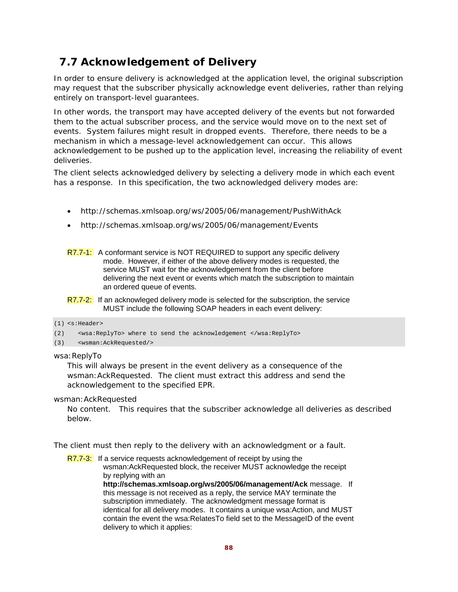# **7.7 Acknowledgement of Delivery**

In order to ensure delivery is acknowledged at the application level, the original subscription may request that the subscriber physically acknowledge event deliveries, rather than relying entirely on transport-level guarantees.

In other words, the transport may have accepted delivery of the events but not forwarded them to the actual subscriber process, and the service would move on to the next set of events. System failures might result in dropped events. Therefore, there needs to be a mechanism in which a message-level acknowledgement can occur. This allows acknowledgement to be pushed up to the application level, increasing the reliability of event deliveries.

The client selects acknowledged delivery by selecting a delivery mode in which each event has a response. In this specification, the two acknowledged delivery modes are:

- http://schemas.xmlsoap.org/ws/2005/06/management/PushWithAck
- http://schemas.xmlsoap.org/ws/2005/06/management/Events

R7.7-1: A conformant service is NOT REQUIRED to support any specific delivery mode. However, if either of the above delivery modes is requested, the service MUST wait for the acknowledgement from the client before delivering the next event or events which match the subscription to maintain an ordered queue of events.

R7.7-2: If an acknowleged delivery mode is selected for the subscription, the service MUST include the following SOAP headers in each event delivery:

#### (1) <s:Header>

(2) <wsa:ReplyTo> where to send the acknowledgement </wsa:ReplyTo>

#### (3) <wsman:AckRequested/>

wsa: ReplyTo

This will always be present in the event delivery as a consequence of the wsman:AckRequested. The client must extract this address and send the acknowledgement to the specified EPR.

wsman:AckRequested

No content. This requires that the subscriber acknowledge all deliveries as described below.

The client must then reply to the delivery with an acknowledgment or a fault.

R7.7-3: If a service requests acknowledgement of receipt by using the wsman:AckRequested block, the receiver MUST acknowledge the receipt by replying with an

> **http://schemas.xmlsoap.org/ws/2005/06/management/Ack** message. If this message is not received as a reply, the service MAY terminate the subscription immediately. The acknowledgment message format is identical for all delivery modes. It contains a unique wsa:Action, and MUST contain the event the wsa:RelatesTo field set to the MessageID of the event delivery to which it applies: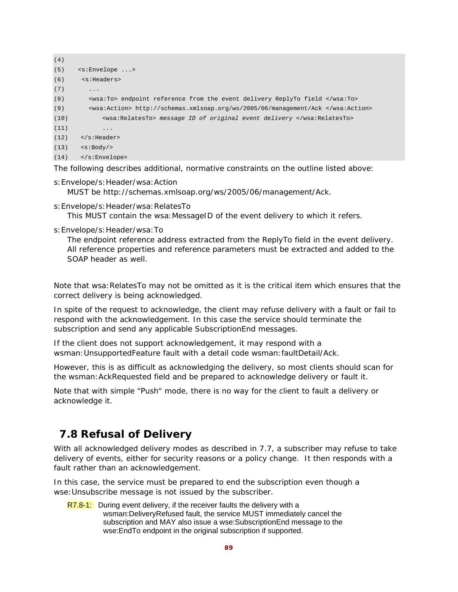```
(4)
(5) <s:Envelope ...> 
(6) <s:Headers> 
(7)(8) <wsa:To> endpoint reference from the event delivery ReplyTo field </wsa:To> 
(9) <wsa:Action> http://schemas.xmlsoap.org/ws/2005/06/management/Ack </wsa:Action> 
(10) <wsa:RelatesTo> message ID of original event delivery </wsa:RelatesTo> 
(11) ... 
(12) </s: Header>
(13) \leq \text{S:Body}(14) </s:Envelope>
```
The following describes additional, normative constraints on the outline listed above:

- s:Envelope/s:Header/wsa:Action MUST be http://schemas.xmlsoap.org/ws/2005/06/management/Ack.
- s:Envelope/s:Header/wsa:RelatesTo

This MUST contain the wsa: MessageID of the event delivery to which it refers.

s:Envelope/s:Header/wsa:To

The endpoint reference address extracted from the ReplyTo field in the event delivery. All reference properties and reference parameters must be extracted and added to the SOAP header as well.

Note that wsa:RelatesTo may not be omitted as it is the critical item which ensures that the correct delivery is being acknowledged.

In spite of the request to acknowledge, the client may refuse delivery with a fault or fail to respond with the acknowledgement. In this case the service should terminate the subscription and send any applicable SubscriptionEnd messages.

If the client does not support acknowledgement, it may respond with a wsman:UnsupportedFeature fault with a detail code wsman:faultDetail/Ack.

However, this is as difficult as acknowledging the delivery, so most clients should scan for the wsman:AckRequested field and be prepared to acknowledge delivery or fault it.

Note that with simple "Push" mode, there is no way for the client to fault a delivery or acknowledge it.

## **7.8 Refusal of Delivery**

With all acknowledged delivery modes as described in 7.7, a subscriber may refuse to take delivery of events, either for security reasons or a policy change. It then responds with a fault rather than an acknowledgement.

In this case, the service must be prepared to end the subscription even though a wse:Unsubscribe message is not issued by the subscriber.

 $R7.8-1$ : During event delivery, if the receiver faults the delivery with a wsman:DeliveryRefused fault, the service MUST immediately cancel the subscription and MAY also issue a wse:SubscriptionEnd message to the wse:EndTo endpoint in the original subscription if supported.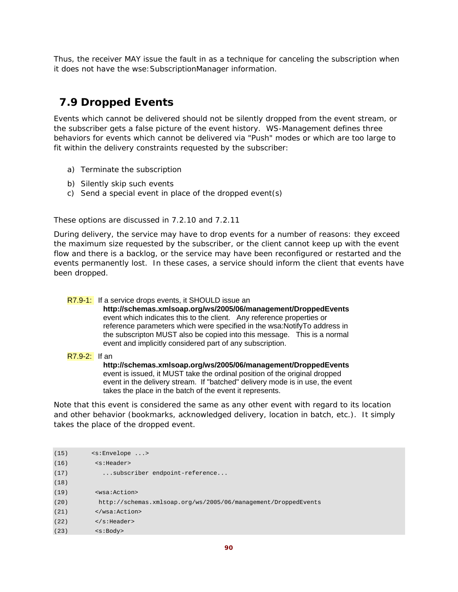Thus, the receiver MAY issue the fault in as a technique for canceling the subscription when it does not have the wse:SubscriptionManager information.

# **7.9 Dropped Events**

Events which cannot be delivered should not be silently dropped from the event stream, or the subscriber gets a false picture of the event history. WS-Management defines three behaviors for events which cannot be delivered via "Push" modes or which are too large to fit within the delivery constraints requested by the subscriber:

- a) Terminate the subscription
- b) Silently skip such events
- c) Send a special event in place of the dropped event(s)

These options are discussed in 7.2.10 and 7.2.11

During delivery, the service may have to drop events for a number of reasons: they exceed the maximum size requested by the subscriber, or the client cannot keep up with the event flow and there is a backlog, or the service may have been reconfigured or restarted and the events permanently lost. In these cases, a service should inform the client that events have been dropped.

### R7.9-1: If a service drops events, it SHOULD issue an

**http://schemas.xmlsoap.org/ws/2005/06/management/DroppedEvents** event which indicates this to the client. Any reference properties or reference parameters which were specified in the wsa:NotifyTo address in the subscripton MUST also be copied into this message. This is a normal event and implicitly considered part of any subscription.

### R7.9-2: If an

**http://schemas.xmlsoap.org/ws/2005/06/management/DroppedEvents**  event is issued, it MUST take the ordinal position of the original dropped event in the delivery stream. If "batched" delivery mode is in use, the event takes the place in the batch of the event it represents.

Note that this event is considered the same as any other event with regard to its location and other behavior (bookmarks, acknowledged delivery, location in batch, etc.). It simply takes the place of the dropped event.

| (15) | $\leq$ :Envelope >                                             |
|------|----------------------------------------------------------------|
| (16) | $<$ s:Header>                                                  |
| (17) | subscriber endpoint-reference                                  |
| (18) |                                                                |
| (19) | <wsa:action></wsa:action>                                      |
| (20) | http://schemas.xmlsoap.org/ws/2005/06/management/DroppedEvents |
| (21) | $\langle$ /wsa:Action>                                         |
| (22) | $\langle$ s:Header>                                            |
| (23) | $<$ s:Body>                                                    |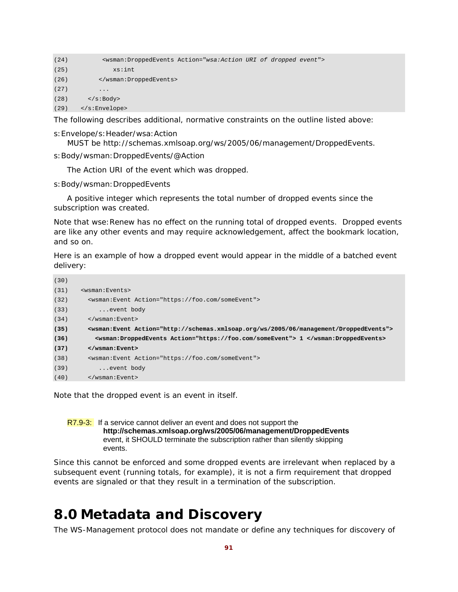| (24) | <wsman:droppedevents action="wsa:Action URI of dropped event"></wsman:droppedevents> |
|------|--------------------------------------------------------------------------------------|
| (25) | xs:int                                                                               |
| (26) |                                                                                      |
| (27) | $\cdot\cdot\cdot$                                                                    |
| (28) | $\langle$ s:Body>                                                                    |
| (29) | $\langle$ s:Envelope>                                                                |

The following describes additional, normative constraints on the outline listed above:

s:Envelope/s:Header/wsa:Action

MUST be http://schemas.xmlsoap.org/ws/2005/06/management/DroppedEvents.

s: Body/wsman: DroppedEvents/@Action

The Action URI of the event which was dropped.

s:Body/wsman:DroppedEvents

 A positive integer which represents the total number of dropped events since the subscription was created.

Note that wse:Renew has no effect on the running total of dropped events. Dropped events are like any other events and may require acknowledgement, affect the bookmark location, and so on.

Here is an example of how a dropped event would appear in the middle of a batched event delivery:

| (30) |                                                                                                     |  |  |  |
|------|-----------------------------------------------------------------------------------------------------|--|--|--|
| (31) | <wsman:events></wsman:events>                                                                       |  |  |  |
| (32) | <wsman:event action="https://foo.com/someEvent"></wsman:event>                                      |  |  |  |
| (33) | event body                                                                                          |  |  |  |
| (34) | $\langle$ /wsman:Event>                                                                             |  |  |  |
| (35) | <wsman:event action="http://schemas.xmlsoap.org/ws/2005/06/management/DroppedEvents"></wsman:event> |  |  |  |
| (36) | <wsman:droppedevents action="https://foo.com/someEvent"> 1 </wsman:droppedevents>                   |  |  |  |
| (37) | $\langle$ /wsman: Event>                                                                            |  |  |  |
| (38) | <wsman:event action="https://foo.com/someEvent"></wsman:event>                                      |  |  |  |
| (39) | event body                                                                                          |  |  |  |
| (40) | $\langle$ /wsman:Event>                                                                             |  |  |  |

Note that the dropped event is an event in itself.

R7.9-3: If a service cannot deliver an event and does not support the **http://schemas.xmlsoap.org/ws/2005/06/management/DroppedEvents** event, it SHOULD terminate the subscription rather than silently skipping events.

Since this cannot be enforced and some dropped events are irrelevant when replaced by a subsequent event (running totals, for example), it is not a firm requirement that dropped events are signaled or that they result in a termination of the subscription.

# **8.0 Metadata and Discovery**

The WS-Management protocol does not mandate or define any techniques for discovery of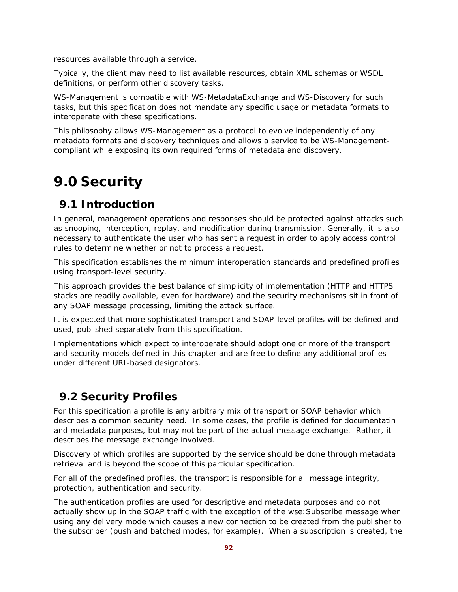resources available through a service.

Typically, the client may need to list available resources, obtain XML schemas or WSDL definitions, or perform other discovery tasks.

WS-Management is compatible with WS-MetadataExchange and WS-Discovery for such tasks, but this specification does not mandate any specific usage or metadata formats to interoperate with these specifications.

This philosophy allows WS-Management as a protocol to evolve independently of any metadata formats and discovery techniques and allows a service to be WS-Managementcompliant while exposing its own required forms of metadata and discovery.

# **9.0 Security**

# **9.1 Introduction**

In general, management operations and responses should be protected against attacks such as snooping, interception, replay, and modification during transmission. Generally, it is also necessary to authenticate the user who has sent a request in order to apply access control rules to determine whether or not to process a request.

This specification establishes the minimum interoperation standards and predefined profiles using transport-level security.

This approach provides the best balance of simplicity of implementation (HTTP and HTTPS stacks are readily available, even for hardware) and the security mechanisms sit in front of any SOAP message processing, limiting the attack surface.

It is expected that more sophisticated transport and SOAP-level profiles will be defined and used, published separately from this specification.

Implementations which expect to interoperate should adopt one or more of the transport and security models defined in this chapter and are free to define any additional profiles under different URI-based designators.

# **9.2 Security Profiles**

For this specification a profile is any arbitrary mix of transport or SOAP behavior which describes a common security need. In some cases, the profile is defined for documentatin and metadata purposes, but may not be part of the actual message exchange. Rather, it *describes* the message exchange involved.

Discovery of which profiles are supported by the service should be done through metadata retrieval and is beyond the scope of this particular specification.

For all of the predefined profiles, the transport is responsible for all message integrity, protection, authentication and security.

The authentication profiles are used for descriptive and metadata purposes and do not actually show up in the SOAP traffic with the exception of the wse:Subscribe message when using any delivery mode which causes a new connection to be created from the publisher to the subscriber (push and batched modes, for example). When a subscription is created, the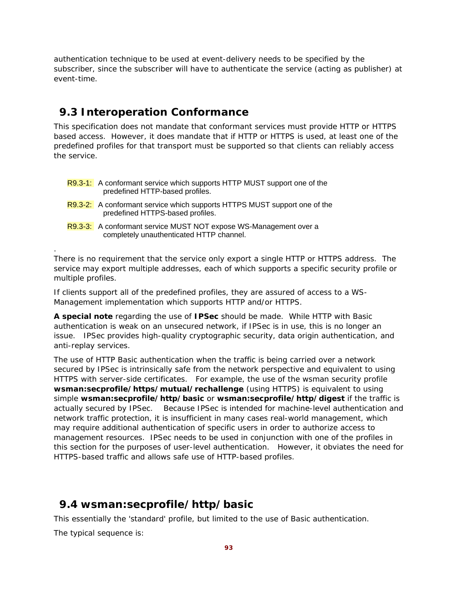authentication technique to be used at event-delivery needs to be specified by the subscriber, since the subscriber will have to authenticate the service (acting as publisher) at event-time.

## **9.3 Interoperation Conformance**

This specification does not mandate that conformant services must provide HTTP or HTTPS based access. However, it does mandate that if HTTP or HTTPS is used, at least one of the predefined profiles for that transport must be supported so that clients can reliably access the service.

- R9.3-1: A conformant service which supports HTTP MUST support one of the predefined HTTP-based profiles.
- R9.3-2: A conformant service which supports HTTPS MUST support one of the predefined HTTPS-based profiles.
- R9.3-3: A conformant service MUST NOT expose WS-Management over a completely unauthenticated HTTP channel.

There is no requirement that the service only export a single HTTP or HTTPS address. The service may export multiple addresses, each of which supports a specific security profile or multiple profiles.

If clients support all of the predefined profiles, they are assured of access to a WS-Management implementation which supports HTTP and/or HTTPS.

**A special note** regarding the use of **IPSec** should be made. While HTTP with Basic authentication is weak on an unsecured network, if IPSec is in use, this is no longer an issue. IPSec provides high-quality cryptographic security, data origin authentication, and anti-replay services.

The use of HTTP Basic authentication when the traffic is being carried over a network secured by IPSec is intrinsically safe from the network perspective and equivalent to using HTTPS with server-side certificates. For example, the use of the wsman security profile **wsman:secprofile/https/mutual/rechallenge** (using HTTPS) is equivalent to using simple **wsman:secprofile/http/basic** or **wsman:secprofile/http/digest** if the traffic is actually secured by IPSec. Because IPSec is intended for machine-level authentication and network traffic protection, it is insufficient in many cases real-world management, which may require additional authentication of specific users in order to authorize access to management resources. IPSec needs to be used in conjunction with one of the profiles in this section for the purposes of user-level authentication. However, it obviates the need for HTTPS-based traffic and allows safe use of HTTP-based profiles.

# **9.4 wsman:secprofile/http/basic**

This essentially the 'standard' profile, but limited to the use of Basic authentication.

The typical sequence is:

.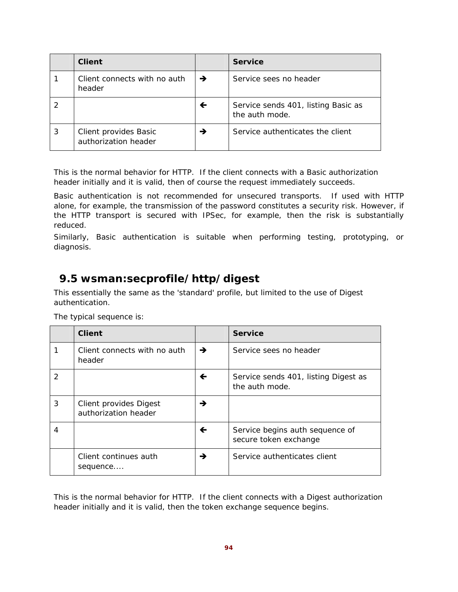| <b>Client</b>                                 |               | <b>Service</b>                                        |
|-----------------------------------------------|---------------|-------------------------------------------------------|
| Client connects with no auth<br>header        | $\rightarrow$ | Service sees no header                                |
|                                               | ←             | Service sends 401, listing Basic as<br>the auth mode. |
| Client provides Basic<br>authorization header | →             | Service authenticates the client                      |

This is the normal behavior for HTTP. If the client connects with a Basic authorization header initially and it is valid, then of course the request immediately succeeds.

Basic authentication is not recommended for unsecured transports. If used with HTTP alone, for example, the transmission of the password constitutes a security risk. However, if the HTTP transport is secured with IPSec, for example, then the risk is substantially reduced.

Similarly, Basic authentication is suitable when performing testing, prototyping, or diagnosis.

# **9.5 wsman:secprofile/http/digest**

This essentially the same as the 'standard' profile, but limited to the use of Digest authentication.

|   | <b>Client</b>                                  |   | <b>Service</b>                                           |
|---|------------------------------------------------|---|----------------------------------------------------------|
|   | Client connects with no auth<br>header         | → | Service sees no header                                   |
| 2 |                                                | ← | Service sends 401, listing Digest as<br>the auth mode.   |
| 3 | Client provides Digest<br>authorization header | → |                                                          |
| 4 |                                                | ← | Service begins auth sequence of<br>secure token exchange |
|   | Client continues auth<br>sequence              | → | Service authenticates client                             |

The typical sequence is:

This is the normal behavior for HTTP. If the client connects with a Digest authorization header initially and it is valid, then the token exchange sequence begins.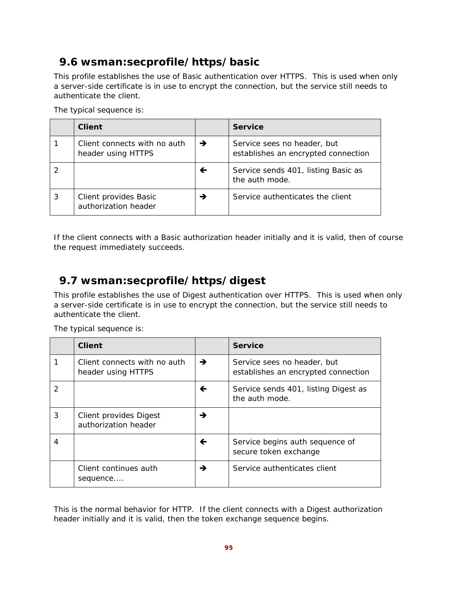# **9.6 wsman:secprofile/https/basic**

This profile establishes the use of Basic authentication over HTTPS. This is used when only a server-side certificate is in use to encrypt the connection, but the service still needs to authenticate the client.

|   | <b>Client</b>                                      |   | <b>Service</b>                                                     |
|---|----------------------------------------------------|---|--------------------------------------------------------------------|
|   | Client connects with no auth<br>header using HTTPS | → | Service sees no header, but<br>establishes an encrypted connection |
|   |                                                    | ← | Service sends 401, listing Basic as<br>the auth mode.              |
| 3 | Client provides Basic<br>authorization header      | → | Service authenticates the client                                   |

The typical sequence is:

If the client connects with a Basic authorization header initially and it is valid, then of course the request immediately succeeds.

# **9.7 wsman:secprofile/https/digest**

This profile establishes the use of Digest authentication over HTTPS. This is used when only a server-side certificate is in use to encrypt the connection, but the service still needs to authenticate the client.

|               | <b>Client</b>                                      |   | <b>Service</b>                                                     |
|---------------|----------------------------------------------------|---|--------------------------------------------------------------------|
|               | Client connects with no auth<br>header using HTTPS | → | Service sees no header, but<br>establishes an encrypted connection |
| $\mathcal{P}$ |                                                    | ← | Service sends 401, listing Digest as<br>the auth mode.             |
| 3             | Client provides Digest<br>authorization header     | → |                                                                    |
| 4             |                                                    | ← | Service begins auth sequence of<br>secure token exchange           |
|               | Client continues auth<br>sequence                  | → | Service authenticates client                                       |

The typical sequence is:

This is the normal behavior for HTTP. If the client connects with a Digest authorization header initially and it is valid, then the token exchange sequence begins.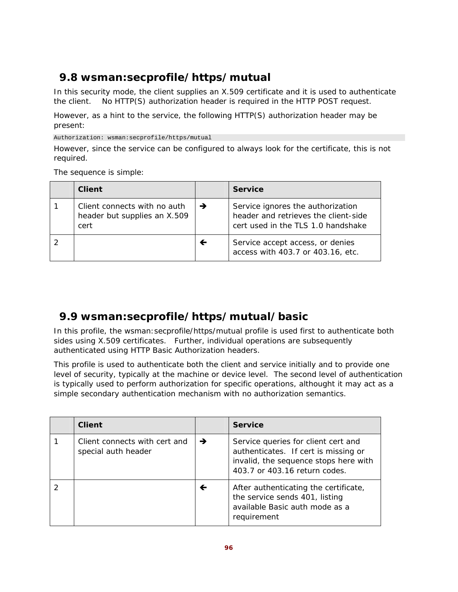# **9.8 wsman:secprofile/https/mutual**

In this security mode, the client supplies an X.509 certificate and it is used to authenticate the client. No HTTP(S) authorization header is required in the HTTP POST request.

However, as a hint to the service, the following HTTP(S) authorization header may be present:

Authorization: wsman:secprofile/https/mutual

However, since the service can be configured to always look for the certificate, this is not required.

The sequence is simple:

| <b>Client</b>                                                        |               | <b>Service</b>                                                                                                  |
|----------------------------------------------------------------------|---------------|-----------------------------------------------------------------------------------------------------------------|
| Client connects with no auth<br>header but supplies an X.509<br>cert | $\rightarrow$ | Service ignores the authorization<br>header and retrieves the client-side<br>cert used in the TLS 1.0 handshake |
|                                                                      | ←             | Service accept access, or denies<br>access with 403.7 or 403.16, etc.                                           |

# **9.9 wsman:secprofile/https/mutual/basic**

In this profile, the wsman: secprofile/https/mutual profile is used first to authenticate both sides using X.509 certificates. Further, individual operations are subsequently authenticated using HTTP Basic Authorization headers.

This profile is used to authenticate both the client and service initially and to provide one level of security, typically at the machine or device level. The second level of authentication is typically used to perform authorization for specific operations, althought it may act as a simple secondary authentication mechanism with no authorization semantics.

| <b>Client</b>                                        |   | <b>Service</b>                                                                                                                                        |
|------------------------------------------------------|---|-------------------------------------------------------------------------------------------------------------------------------------------------------|
| Client connects with cert and<br>special auth header | → | Service queries for client cert and<br>authenticates. If cert is missing or<br>invalid, the sequence stops here with<br>403.7 or 403.16 return codes. |
|                                                      | ← | After authenticating the certificate,<br>the service sends 401, listing<br>available Basic auth mode as a<br>requirement                              |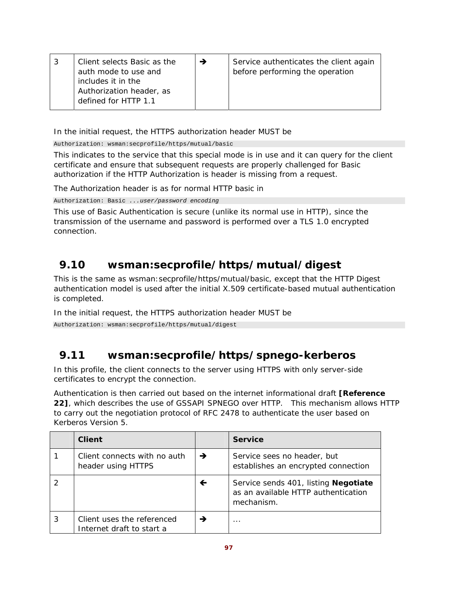| Client selects Basic as the<br>auth mode to use and<br>includes it in the<br>Authorization header, as | → | Service authenticates the client again<br>before performing the operation |
|-------------------------------------------------------------------------------------------------------|---|---------------------------------------------------------------------------|
| defined for HTTP 1.1                                                                                  |   |                                                                           |

In the initial request, the HTTPS authorization header MUST be

Authorization: wsman:secprofile/https/mutual/basic

This indicates to the service that this special mode is in use and it can query for the client certificate and ensure that subsequent requests are properly challenged for Basic authorization if the HTTP Authorization is header is missing from a request.

The Authorization header is as for normal HTTP basic in

Authorization: Basic *...user/password encoding* 

This use of Basic Authentication is secure (unlike its normal use in HTTP), since the transmission of the username and password is performed over a TLS 1.0 encrypted connection.

# **9.10 wsman:secprofile/https/mutual/digest**

This is the same as wsman:secprofile/https/mutual/basic, except that the HTTP Digest authentication model is used after the initial X.509 certificate-based mutual authentication is completed.

In the initial request, the HTTPS authorization header MUST be

Authorization: wsman:secprofile/https/mutual/digest

# **9.11 wsman:secprofile/https/spnego-kerberos**

In this profile, the client connects to the server using HTTPS with only server-side certificates to encrypt the connection.

Authentication is then carried out based on the internet informational draft **[Reference 22]**, which describes the use of GSSAPI SPNEGO over HTTP. This mechanism allows HTTP to carry out the negotiation protocol of RFC 2478 to authenticate the user based on Kerberos Version 5.

|   | <b>Client</b>                                           |               | <b>Service</b>                                                                            |
|---|---------------------------------------------------------|---------------|-------------------------------------------------------------------------------------------|
|   | Client connects with no auth<br>header using HTTPS      | $\rightarrow$ | Service sees no header, but<br>establishes an encrypted connection                        |
|   |                                                         | ←             | Service sends 401, listing Negotiate<br>as an available HTTP authentication<br>mechanism. |
| 3 | Client uses the referenced<br>Internet draft to start a |               | .                                                                                         |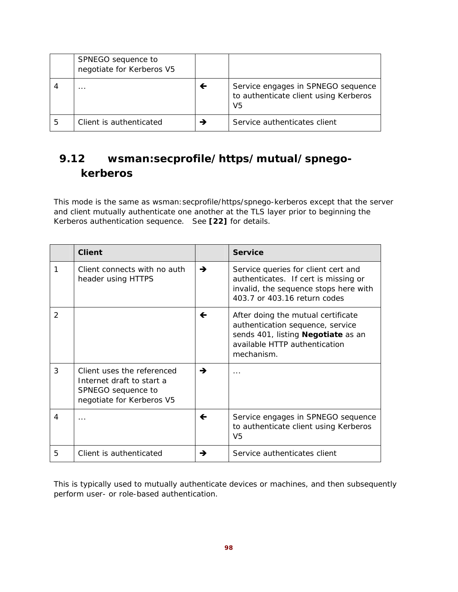|   | SPNEGO sequence to<br>negotiate for Kerberos V5 |   |                                                                                   |
|---|-------------------------------------------------|---|-----------------------------------------------------------------------------------|
|   | $\cdots$                                        | ← | Service engages in SPNEGO sequence<br>to authenticate client using Kerberos<br>V5 |
| 5 | Client is authenticated                         |   | Service authenticates client                                                      |

# **9.12 wsman:secprofile/https/mutual/spnegokerberos**

This mode is the same as wsman: secprofile/https/spnego-kerberos except that the server and client mutually authenticate one another at the TLS layer prior to beginning the Kerberos authentication sequence. See **[22]** for details.

|               | <b>Client</b>                                                                                              |              | <b>Service</b>                                                                                                                                                     |
|---------------|------------------------------------------------------------------------------------------------------------|--------------|--------------------------------------------------------------------------------------------------------------------------------------------------------------------|
| 1             | Client connects with no auth<br>header using HTTPS                                                         | →            | Service queries for client cert and<br>authenticates. If cert is missing or<br>invalid, the sequence stops here with<br>403.7 or 403.16 return codes               |
| $\mathcal{P}$ |                                                                                                            | $\leftarrow$ | After doing the mutual certificate<br>authentication sequence, service<br>sends 401, listing <b>Negotiate</b> as an<br>available HTTP authentication<br>mechanism. |
| 3             | Client uses the referenced<br>Internet draft to start a<br>SPNEGO sequence to<br>negotiate for Kerberos V5 | →            | .                                                                                                                                                                  |
| 4             | .                                                                                                          | $\leftarrow$ | Service engages in SPNEGO sequence<br>to authenticate client using Kerberos<br>V <sub>5</sub>                                                                      |
| 5             | Client is authenticated                                                                                    | →            | Service authenticates client                                                                                                                                       |

This is typically used to mutually authenticate devices or machines, and then subsequently perform user- or role-based authentication.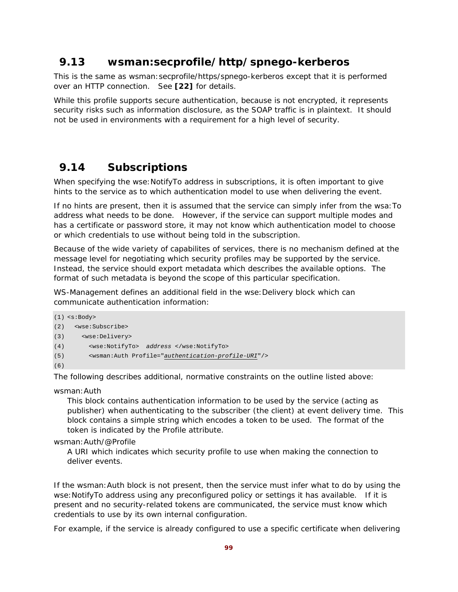## **9.13 wsman:secprofile/http/spnego-kerberos**

This is the same as wsman:secprofile/https/spnego-kerberos except that it is performed over an HTTP connection. See **[22]** for details.

While this profile supports secure authentication, because is not encrypted, it represents security risks such as information disclosure, as the SOAP traffic is in plaintext. It should not be used in environments with a requirement for a high level of security.

## **9.14 Subscriptions**

When specifying the wse: NotifyTo address in subscriptions, it is often important to give hints to the service as to which authentication model to use when delivering the event.

If no hints are present, then it is assumed that the service can simply infer from the wsa:To address what needs to be done. However, if the service can support multiple modes and has a certificate or password store, it may not know which authentication model to choose or which credentials to use without being told in the subscription.

Because of the wide variety of capabilites of services, there is no mechanism defined at the message level for negotiating which security profiles may be supported by the service. Instead, the service should export metadata which describes the available options. The format of such metadata is beyond the scope of this particular specification.

WS-Management defines an additional field in the wse:Delivery block which can communicate authentication information:

```
(1) <s:Body> 
(2) <wse:Subscribe> 
(3) <wse:Delivery> 
(4) <wse:NotifyTo> address </wse:NotifyTo> 
(5) <wsman:Auth Profile="authentication-profile-URI"/> 
(6)
```
The following describes additional, normative constraints on the outline listed above:

wsman:Auth

This block contains authentication information to be used by the service (acting as publisher) when authenticating to the subscriber (the client) at event delivery time. This block contains a simple string which encodes a token to be used. The format of the token is indicated by the Profile attribute.

wsman:Auth/@Profile

A URI which indicates which security profile to use when making the connection to deliver events.

If the wsman: Auth block is not present, then the service must infer what to do by using the wse: NotifyTo address using any preconfigured policy or settings it has available. If it is present and no security-related tokens are communicated, the service must know which credentials to use by its own internal configuration.

For example, if the service is already configured to use a specific certificate when delivering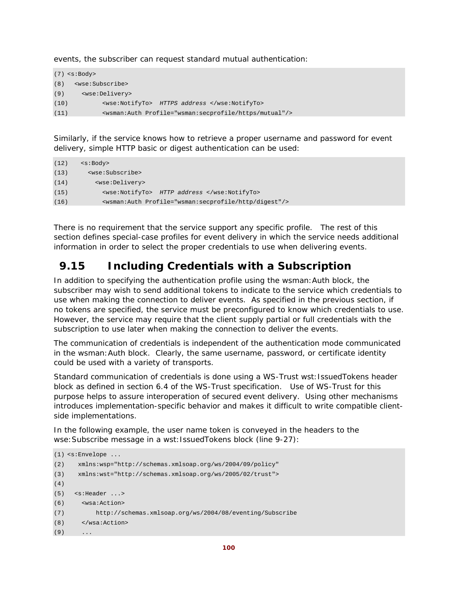events, the subscriber can request standard mutual authentication:

```
(7) <s:Body> 
(8) <wse:Subscribe> 
(9) <wse:Delivery> 
(10) <wse:NotifyTo> HTTPS address </wse:NotifyTo> 
(11) <wsman:Auth Profile="wsman:secprofile/https/mutual"/>
```
Similarly, if the service knows how to retrieve a proper username and password for event delivery, simple HTTP basic or digest authentication can be used:

```
(12) \leq \leq \geq \leq \leq \leq \leq \leq \leq \leq \leq \leq \leq \leq \leq \leq \leq \leq \leq \leq \leq \leq \leq \leq \leq \leq \leq \leq \leq \leq \leq \leq \leq \leq \leq \leq(13) <wse:Subscribe> 
(14) <wse:Delivery> 
(15) <wse:NotifyTo> HTTP address </wse:NotifyTo> 
(16) <wsman:Auth Profile="wsman:secprofile/http/digest"/>
```
There is no requirement that the service support any specific profile. The rest of this section defines special-case profiles for event delivery in which the service needs additional information in order to select the proper credentials to use when delivering events.

# **9.15 Including Credentials with a Subscription**

In addition to specifying the authentication profile using the wsman:Auth block, the subscriber may wish to send additional tokens to indicate to the service which credentials to use when making the connection to deliver events. As specified in the previous section, if no tokens are specified, the service must be preconfigured to know which credentials to use. However, the service may require that the client supply partial or full credentials with the subscription to use later when making the connection to deliver the events.

The communication of credentials is independent of the authentication mode communicated in the wsman:Auth block. Clearly, the same username, password, or certificate identity could be used with a variety of transports.

Standard communication of credentials is done using a WS-Trust wst:IssuedTokens header block as defined in section 6.4 of the WS-Trust specification. Use of WS-Trust for this purpose helps to assure interoperation of secured event delivery. Using other mechanisms introduces implementation-specific behavior and makes it difficult to write compatible clientside implementations.

In the following example, the user name token is conveyed in the headers to the wse: Subscribe message in a wst: IssuedTokens block (line 9-27):

```
(1) <s:Envelope ... 
(2) xmlns:wsp="http://schemas.xmlsoap.org/ws/2004/09/policy" 
(3) xmlns:wst="http://schemas.xmlsoap.org/ws/2005/02/trust"> 
(4)
(5) <s:Header ...> 
(6) <wsa:Action> 
(7) http://schemas.xmlsoap.org/ws/2004/08/eventing/Subscribe 
(8) </wsa:Action> 
(9)
```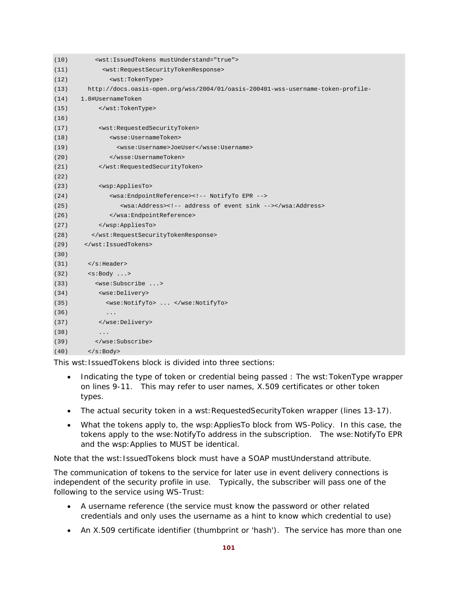| (10) | <wst:issuedtokens mustunderstand="true"></wst:issuedtokens>                     |
|------|---------------------------------------------------------------------------------|
| (11) | <wst:requestsecuritytokenresponse></wst:requestsecuritytokenresponse>           |
| (12) | <wst:tokentype></wst:tokentype>                                                 |
| (13) | http://docs.oasis-open.org/wss/2004/01/oasis-200401-wss-username-token-profile- |
| (14) | 1.0#UsernameToken                                                               |
| (15) |                                                                                 |
| (16) |                                                                                 |
| (17) | <wst:requestedsecuritytoken></wst:requestedsecuritytoken>                       |
| (18) | <wsse:usernametoken></wsse:usernametoken>                                       |
| (19) | <wsse:username>JoeUser</wsse:username>                                          |
| (20) |                                                                                 |
| (21) |                                                                                 |
| (22) |                                                                                 |
| (23) | <wsp:appliesto></wsp:appliesto>                                                 |
| (24) | <wsa:endpointreference><!-- NotifyTo EPR --></wsa:endpointreference>            |
| (25) | <wsa:address><!-- address of event sink --></wsa:address>                       |
| (26) |                                                                                 |
| (27) |                                                                                 |
| (28) |                                                                                 |
| (29) |                                                                                 |
| (30) |                                                                                 |
| (31) | $\langle$ s:Header>                                                             |
| (32) | $\langle s:Body \ldots \rangle$                                                 |
| (33) | <wse:subscribe></wse:subscribe>                                                 |
| (34) | <wse:delivery></wse:delivery>                                                   |
| (35) | <wse:notifyto> </wse:notifyto>                                                  |
| (36) | $\ddots$                                                                        |
| (37) |                                                                                 |
| (38) | $\ddots$                                                                        |
| (39) |                                                                                 |
| (40) | $\langle$ s:Body>                                                               |

This wst:IssuedTokens block is divided into three sections:

- Indicating the type of token or credential being passed : The wst:TokenType wrapper on lines 9-11. This may refer to user names, X.509 certificates or other token types.
- The actual security token in a wst: Requested Security Token wrapper (lines 13-17).
- What the tokens apply to, the wsp: Applies To block from WS-Policy. In this case, the tokens apply to the wse:NotifyTo address in the subscription. The wse:NotifyTo EPR and the wsp:Applies to MUST be identical.

Note that the wst:IssuedTokens block must have a SOAP mustUnderstand attribute.

The communication of tokens to the service for later use in event delivery connections is independent of the security profile in use. Typically, the subscriber will pass one of the following to the service using WS-Trust:

- A username reference (the service must know the password or other related credentials and only uses the username as a hint to know which credential to use)
- An X.509 certificate identifier (thumbprint or 'hash'). The service has more than one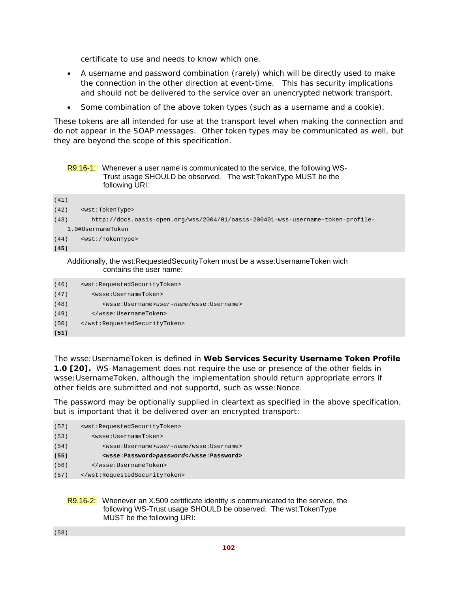certificate to use and needs to know which one.

- A username and password combination (rarely) which will be directly used to make the connection in the other direction at event-time. This has security implications and should not be delivered to the service over an unencrypted network transport.
- Some combination of the above token types (such as a username and a cookie).

These tokens are all intended for use at the transport level when making the connection and do not appear in the SOAP messages. Other token types may be communicated as well, but they are beyond the scope of this specification.

### R9.16-1: Whenever a user name is communicated to the service, the following WS-Trust usage SHOULD be observed. The wst:TokenType MUST be the following URI:

| (41) |                                                                                 |
|------|---------------------------------------------------------------------------------|
| (42) | <wst:tokentype></wst:tokentype>                                                 |
| (43) | http://docs.oasis-open.org/wss/2004/01/oasis-200401-wss-username-token-profile- |
|      | 1.0#UsernameToken                                                               |
| (44) | <wst: tokentype=""></wst:>                                                      |
| (45) |                                                                                 |
|      |                                                                                 |

### Additionally, the wst:RequestedSecurityToken must be a wsse:UsernameToken wich contains the user name:

| (46) | <wst:requestedsecuritytoken></wst:requestedsecuritytoken>  |
|------|------------------------------------------------------------|
| (47) | <wsse:usernametoken></wsse:usernametoken>                  |
| (48) | <wsse:username>user-name/wsse:Username&gt;</wsse:username> |
| (49) |                                                            |
| (50) |                                                            |
| (51) |                                                            |

The wsse:UsernameToken is defined in **Web Services Security Username Token Profile 1.0 [20].** WS-Management does not require the use or presence of the other fields in wsse:UsernameToken, although the implementation should return appropriate errors if other fields are submitted and not supportd, such as wsse:Nonce.

The password may be optionally supplied in cleartext as specified in the above specification, but is important that it be delivered over an encrypted transport:

| (52) | <wst:requestedsecuritytoken></wst:requestedsecuritytoken>  |
|------|------------------------------------------------------------|
| (53) | <wsse:usernametoken></wsse:usernametoken>                  |
| (54) | <wsse:username>user-name/wsse:Username&gt;</wsse:username> |
| (55) | <wsse:password>password</wsse:password>                    |
| (56) |                                                            |
| (57) |                                                            |

### R9.16-2: Whenever an X.509 certificate identity is communicated to the service, the following WS-Trust usage SHOULD be observed. The wst:TokenType MUST be the following URI:

(58)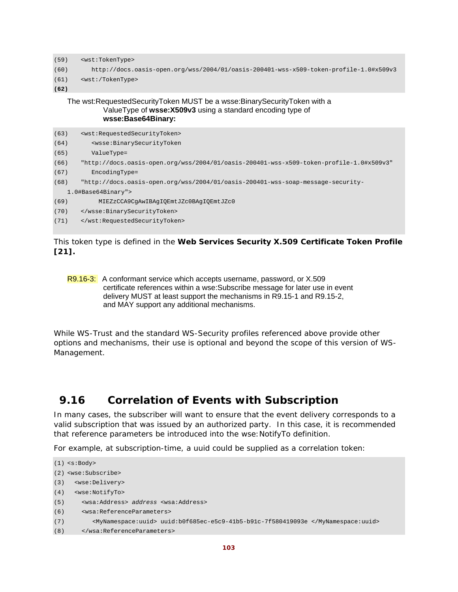```
(59) <wst:TokenType>
```

```
(60) http://docs.oasis-open.org/wss/2004/01/oasis-200401-wss-x509-token-profile-1.0#x509v3
```

```
(61) <wst:/TokenType>
```
**(62)**

The wst:RequestedSecurityToken MUST be a wsse:BinarySecurityToken with a ValueType of **wsse:X509v3** using a standard encoding type of **wsse:Base64Binary:** 

| (63) | <wst:requestedsecuritytoken></wst:requestedsecuritytoken>                               |
|------|-----------------------------------------------------------------------------------------|
| (64) | <wsse:binarysecuritytoken< td=""></wsse:binarysecuritytoken<>                           |
| (65) | ValueType=                                                                              |
| (66) | "http://docs.oasis-open.org/wss/2004/01/oasis-200401-wss-x509-token-profile-1.0#x509v3" |
| (67) | EncodingType=                                                                           |
| (68) | "http://docs.oasis-open.org/wss/2004/01/oasis-200401-wss-soap-message-security-         |
|      | 1.0#Base64Binary">                                                                      |
| (69) | MIEZzCCA9CqAwIBAqIOEmtJZc0BAqIOEmtJZc0                                                  |
| (70) |                                                                                         |
| (71) |                                                                                         |
|      |                                                                                         |

This token type is defined in the **Web Services Security X.509 Certificate Token Profile [21].**

```
R9.16-3: A conformant service which accepts username, password, or X.509
          certificate references within a wse:Subscribe message for later use in event 
          delivery MUST at least support the mechanisms in R9.15-1 and R9.15-2, 
          and MAY support any additional mechanisms.
```
While WS-Trust and the standard WS-Security profiles referenced above provide other options and mechanisms, their use is optional and beyond the scope of this version of WS-Management.

# **9.16 Correlation of Events with Subscription**

In many cases, the subscriber will want to ensure that the event delivery corresponds to a valid subscription that was issued by an authorized party. In this case, it is recommended that reference parameters be introduced into the wse:NotifyTo definition.

For example, at subscription-time, a uuid could be supplied as a correlation token:

```
(1) <s:Body> 
(2) <wse:Subscribe> 
(3) <wse:Delivery> 
(4) <wse:NotifyTo> 
(5) <wsa:Address> address <wsa:Address> 
(6) <wsa:ReferenceParameters> 
(7) <MyNamespace:uuid> uuid:b0f685ec-e5c9-41b5-b91c-7f580419093e </MyNamespace:uuid> 
(8) </wsa:ReferenceParameters>
```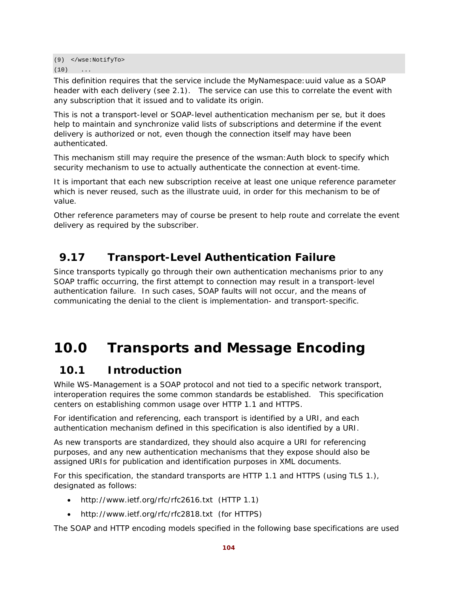(9) </wse:NotifyTo>  $(10)$  ...

This definition requires that the service include the MyNamespace:uuid value as a SOAP header with each delivery (see 2.1). The service can use this to correlate the event with any subscription that it issued and to validate its origin.

This is not a transport-level or SOAP-level authentication mechanism per se, but it does help to maintain and synchronize valid lists of subscriptions and determine if the event delivery is authorized or not, even though the connection itself may have been authenticated.

This mechanism still may require the presence of the wsman: Auth block to specify which security mechanism to use to actually authenticate the connection at event-time.

It is important that each new subscription receive at least one unique reference parameter which is never reused, such as the illustrate uuid, in order for this mechanism to be of value.

Other reference parameters may of course be present to help route and correlate the event delivery as required by the subscriber.

# **9.17 Transport-Level Authentication Failure**

Since transports typically go through their own authentication mechanisms prior to any SOAP traffic occurring, the first attempt to connection may result in a transport-level authentication failure. In such cases, SOAP faults will not occur, and the means of communicating the denial to the client is implementation- and transport-specific.

# **10.0 Transports and Message Encoding**

# **10.1 Introduction**

While WS-Management is a SOAP protocol and not tied to a specific network transport, interoperation requires the some common standards be established. This specification centers on establishing common usage over HTTP 1.1 and HTTPS.

For identification and referencing, each transport is identified by a URI, and each authentication mechanism defined in this specification is also identified by a URI.

As new transports are standardized, they should also acquire a URI for referencing purposes, and any new authentication mechanisms that they expose should also be assigned URIs for publication and identification purposes in XML documents.

For this specification, the standard transports are HTTP 1.1 and HTTPS (using TLS 1.), designated as follows:

- http://www.ietf.org/rfc/rfc2616.txt (HTTP 1.1)
- http://www.ietf.org/rfc/rfc2818.txt (for HTTPS)

The SOAP and HTTP encoding models specified in the following base specifications are used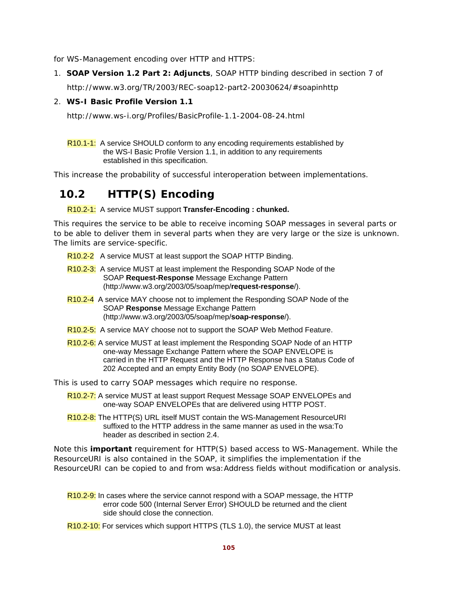for WS-Management encoding over HTTP and HTTPS:

1. **SOAP Version 1.2 Part 2: Adjuncts**, SOAP HTTP binding described in section 7 of http://www.w3.org/TR/2003/REC-soap12-part2-20030624/#soapinhttp

## 2. **WS-I Basic Profile Version 1.1**

http://www.ws-i.org/Profiles/BasicProfile-1.1-2004-08-24.html

R10.1-1: A service SHOULD conform to any encoding requirements established by the WS-I Basic Profile Version 1.1, in addition to any requirements established in this specification.

This increase the probability of successful interoperation between implementations.

# **10.2 HTTP(S) Encoding**

## R10.2-1: A service MUST support **Transfer-Encoding : chunked.**

This requires the service to be able to receive incoming SOAP messages in several parts or to be able to deliver them in several parts when they are very large or the size is unknown. The limits are service-specific.

- R10.2-2 A service MUST at least support the SOAP HTTP Binding.
- R10.2-3: A service MUST at least implement the Responding SOAP Node of the SOAP **Request-Response** Message Exchange Pattern (http://www.w3.org/2003/05/soap/mep/**request-response**/).
- R10.2-4 A service MAY choose not to implement the Responding SOAP Node of the SOAP **Response** Message Exchange Pattern (http://www.w3.org/2003/05/soap/mep/**soap-response**/).
- R10.2-5: A service MAY choose not to support the SOAP Web Method Feature.
- R10.2-6: A service MUST at least implement the Responding SOAP Node of an HTTP one-way Message Exchange Pattern where the SOAP ENVELOPE is carried in the HTTP Request and the HTTP Response has a Status Code of 202 Accepted and an empty Entity Body (no SOAP ENVELOPE).

This is used to carry SOAP messages which require no response.

- R10.2-7: A service MUST at least support Request Message SOAP ENVELOPEs and one-way SOAP ENVELOPEs that are delivered using HTTP POST.
- R10.2-8: The HTTP(S) URL itself MUST contain the WS-Management ResourceURI suffixed to the HTTP address in the same manner as used in the wsa:To header as described in section 2.4.

Note this **important** requirement for HTTP(S) based access to WS-Management. While the ResourceURI is also contained in the SOAP, it simplifies the implementation if the ResourceURI can be copied to and from wsa: Address fields without modification or analysis.

- R10.2-9: In cases where the service cannot respond with a SOAP message, the HTTP error code 500 (Internal Server Error) SHOULD be returned and the client side should close the connection.
- R10.2-10: For services which support HTTPS (TLS 1.0), the service MUST at least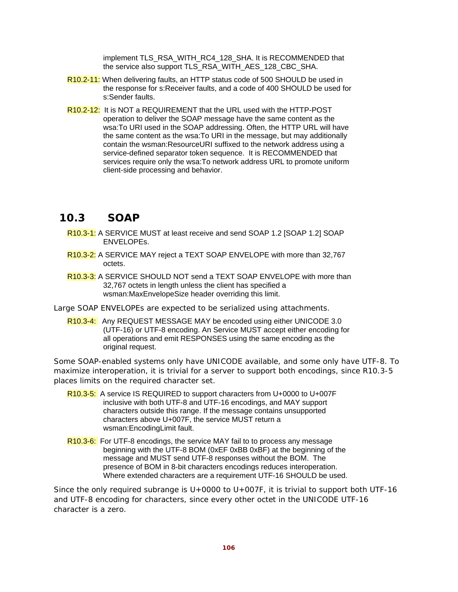implement TLS\_RSA\_WITH\_RC4\_128\_SHA. It is RECOMMENDED that the service also support TLS\_RSA\_WITH\_AES\_128\_CBC\_SHA.

- R10.2-11: When delivering faults, an HTTP status code of 500 SHOULD be used in the response for s:Receiver faults, and a code of 400 SHOULD be used for s:Sender faults.
- R10.2-12: It is NOT a REQUIREMENT that the URL used with the HTTP-POST operation to deliver the SOAP message have the same content as the wsa:To URI used in the SOAP addressing. Often, the HTTP URL will have the same content as the wsa:To URI in the message, but may additionally contain the wsman:ResourceURI suffixed to the network address using a service-defined separator token sequence. It is RECOMMENDED that services require only the wsa:To network address URL to promote uniform client-side processing and behavior.

## **10.3 SOAP**

R10.3-1: A SERVICE MUST at least receive and send SOAP 1.2 [SOAP 1.2] SOAP ENVELOPEs.

- R10.3-2: A SERVICE MAY reject a TEXT SOAP ENVELOPE with more than 32,767 octets.
- R<sub>10.3-3</sub>: A SERVICE SHOULD NOT send a TEXT SOAP ENVELOPE with more than 32,767 octets in length unless the client has specified a wsman:MaxEnvelopeSize header overriding this limit.
- Large SOAP ENVELOPEs are expected to be serialized using attachments.
	- R10.3-4: Any REQUEST MESSAGE MAY be encoded using either UNICODE 3.0 (UTF-16) or UTF-8 encoding. An Service MUST accept either encoding for all operations and emit RESPONSES using the same encoding as the original request.

Some SOAP-enabled systems only have UNICODE available, and some only have UTF-8. To maximize interoperation, it is trivial for a server to support both encodings, since R10.3-5 places limits on the required character set.

- R10.3-5: A service IS REQUIRED to support characters from U+0000 to U+007F inclusive with both UTF-8 and UTF-16 encodings, and MAY support characters outside this range. If the message contains unsupported characters above U+007F, the service MUST return a wsman:EncodingLimit fault.
- R10.3-6: For UTF-8 encodings, the service MAY fail to to process any message beginning with the UTF-8 BOM (0xEF 0xBB 0xBF) at the beginning of the message and MUST send UTF-8 responses without the BOM. The presence of BOM in 8-bit characters encodings reduces interoperation. Where extended characters are a requirement UTF-16 SHOULD be used.

Since the only required subrange is  $U+0000$  to  $U+007F$ , it is trivial to support both UTF-16 and UTF-8 encoding for characters, since every other octet in the UNICODE UTF-16 character is a zero.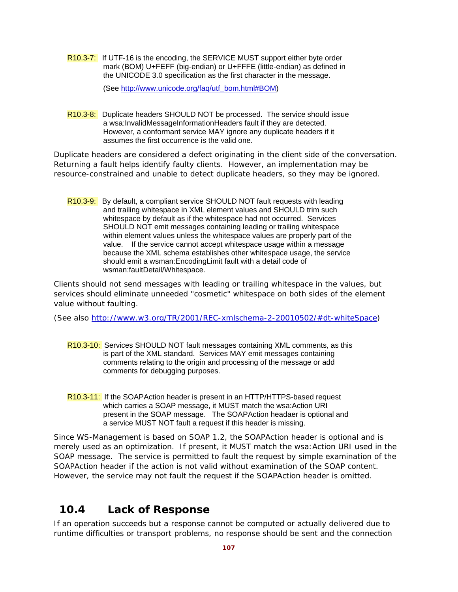R10.3-7: If UTF-16 is the encoding, the SERVICE MUST support either byte order mark (BOM) U+FEFF (big-endian) or U+FFFE (little-endian) as defined in the UNICODE 3.0 specification as the first character in the message.

(See http://www.unicode.org/faq/utf\_bom.html#BOM)

R10.3-8: Duplicate headers SHOULD NOT be processed. The service should issue a wsa:InvalidMessageInformationHeaders fault if they are detected. However, a conformant service MAY ignore any duplicate headers if it assumes the first occurrence is the valid one.

Duplicate headers are considered a defect originating in the client side of the conversation. Returning a fault helps identify faulty clients. However, an implementation may be resource-constrained and unable to detect duplicate headers, so they may be ignored.

R10.3-9: By default, a compliant service SHOULD NOT fault requests with leading and trailing whitespace in XML element values and SHOULD trim such whitespace by default as if the whitespace had not occurred. Services SHOULD NOT emit messages containing leading or trailing whitespace within element values unless the whitespace values are properly part of the value. If the service cannot accept whitespace usage within a message because the XML schema establishes other whitespace usage, the service should emit a wsman:EncodingLimit fault with a detail code of wsman:faultDetail/Whitespace.

Clients should not send messages with leading or trailing whitespace in the values, but services should eliminate unneeded "cosmetic" whitespace on both sides of the element value without faulting.

(See also http://www.w3.org/TR/2001/REC-xmlschema-2-20010502/#dt-whiteSpace)

- R10.3-10: Services SHOULD NOT fault messages containing XML comments, as this is part of the XML standard. Services MAY emit messages containing comments relating to the origin and processing of the message or add comments for debugging purposes.
- R10.3-11: If the SOAPAction header is present in an HTTP/HTTPS-based request which carries a SOAP message, it MUST match the wsa:Action URI present in the SOAP message. The SOAPAction headaer is optional and a service MUST NOT fault a request if this header is missing.

Since WS-Management is based on SOAP 1.2, the SOAPAction header is optional and is merely used as an optimization. If present, it MUST match the wsa: Action URI used in the SOAP message. The service is permitted to fault the request by simple examination of the SOAPAction header if the action is not valid without examination of the SOAP content. However, the service may not fault the request if the SOAPAction header is omitted.

# **10.4 Lack of Response**

If an operation succeeds but a response cannot be computed or actually delivered due to runtime difficulties or transport problems, no response should be sent and the connection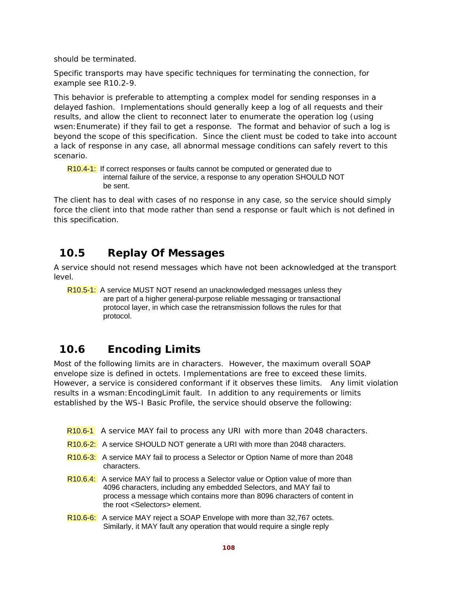should be terminated.

Specific transports may have specific techniques for terminating the connection, for example see R10.2-9.

This behavior is preferable to attempting a complex model for sending responses in a delayed fashion. Implementations should generally keep a log of all requests and their results, and allow the client to reconnect later to enumerate the operation log (using wsen:Enumerate) if they fail to get a response. The format and behavior of such a log is beyond the scope of this specification. Since the client must be coded to take into account a lack of response in any case, all abnormal message conditions can safely revert to this scenario.

R10.4-1: If correct responses or faults cannot be computed or generated due to internal failure of the service, a response to any operation SHOULD NOT be sent.

The client has to deal with cases of no response in any case, so the service should simply force the client into that mode rather than send a response or fault which is not defined in this specification.

# **10.5 Replay Of Messages**

A service should not resend messages which have not been acknowledged at the transport level.

R<sub>10.5-1:</sub> A service MUST NOT resend an unacknowledged messages unless they are part of a higher general-purpose reliable messaging or transactional protocol layer, in which case the retransmission follows the rules for that protocol.

# **10.6 Encoding Limits**

Most of the following limits are in characters. However, the maximum overall SOAP envelope size is defined in octets. Implementations are free to exceed these limits. However, a service is considered conformant if it observes these limits. Any limit violation results in a wsman:EncodingLimit fault. In addition to any requirements or limits established by the WS-I Basic Profile, the service should observe the following:

- R10.6-1 A service MAY fail to process any URI with more than 2048 characters.
- R10.6-2: A service SHOULD NOT generate a URI with more than 2048 characters.
- R<sub>10.6-3:</sub> A service MAY fail to process a Selector or Option Name of more than 2048 characters.
- R10.6.4: A service MAY fail to process a Selector value or Option value of more than 4096 characters, including any embedded Selectors, and MAY fail to process a message which contains more than 8096 characters of content in the root <Selectors> element.
- R10.6-6: A service MAY reject a SOAP Envelope with more than 32,767 octets. Similarly, it MAY fault any operation that would require a single reply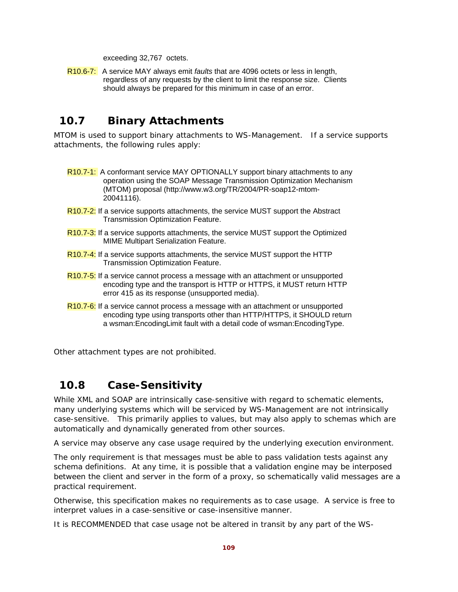exceeding 32,767 octets.

R10.6-7: A service MAY always emit *faults* that are 4096 octets or less in length, regardless of any requests by the client to limit the response size. Clients should always be prepared for this minimum in case of an error.

# **10.7 Binary Attachments**

MTOM is used to support binary attachments to WS-Management. If a service supports attachments, the following rules apply:

- R10.7-1: A conformant service MAY OPTIONALLY support binary attachments to any operation using the SOAP Message Transmission Optimization Mechanism (MTOM) proposal (http://www.w3.org/TR/2004/PR-soap12-mtom-20041116).
- R10.7-2: If a service supports attachments, the service MUST support the Abstract Transmission Optimization Feature.
- R10.7-3: If a service supports attachments, the service MUST support the Optimized MIME Multipart Serialization Feature.
- R<sub>10.7-4</sub>: If a service supports attachments, the service MUST support the HTTP Transmission Optimization Feature.
- R10.7-5: If a service cannot process a message with an attachment or unsupported encoding type and the transport is HTTP or HTTPS, it MUST return HTTP error 415 as its response (unsupported media).
- R10.7-6: If a service cannot process a message with an attachment or unsupported encoding type using transports other than HTTP/HTTPS, it SHOULD return a wsman:EncodingLimit fault with a detail code of wsman:EncodingType.

Other attachment types are not prohibited.

# **10.8 Case-Sensitivity**

While XML and SOAP are intrinsically case-sensitive with regard to schematic elements, many underlying systems which will be serviced by WS-Management are not intrinsically case-sensitive. This primarily applies to values, but may also apply to schemas which are automatically and dynamically generated from other sources.

A service may observe any case usage required by the underlying execution environment.

The only requirement is that messages must be able to pass validation tests against any schema definitions. At any time, it is possible that a validation engine may be interposed between the client and server in the form of a proxy, so schematically valid messages are a practical requirement.

Otherwise, this specification makes no requirements as to case usage. A service is free to interpret values in a case-sensitive or case-insensitive manner.

It is RECOMMENDED that case usage not be altered in transit by any part of the WS-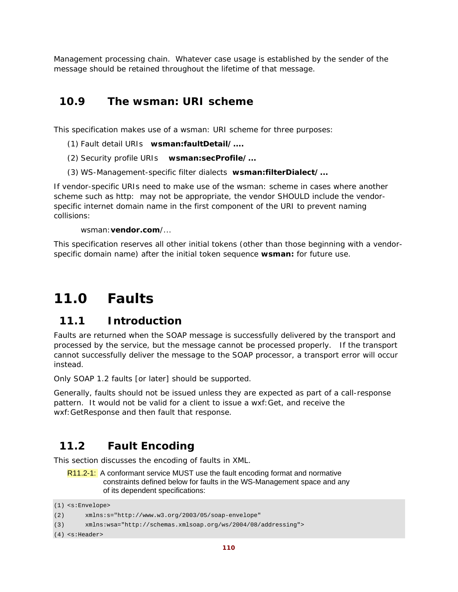Management processing chain. Whatever case usage is established by the sender of the message should be retained throughout the lifetime of that message.

## **10.9 The wsman: URI scheme**

This specification makes use of a wsman: URI scheme for three purposes:

- (1) Fault detail URIs **wsman:faultDetail/....**
- (2) Security profile URIs **wsman:secProfile/...**
- (3) WS-Management-specific filter dialects **wsman:filterDialect/...**

If vendor-specific URIs need to make use of the wsman: scheme in cases where another scheme such as http: may not be appropriate, the vendor SHOULD include the vendorspecific internet domain name in the first component of the URI to prevent naming collisions:

#### wsman:**vendor.com**/...

This specification reserves all other initial tokens (other than those beginning with a vendorspecific domain name) after the initial token sequence **wsman:** for future use.

# **11.0 Faults**

### **11.1 Introduction**

Faults are returned when the SOAP message is successfully delivered by the transport and processed by the service, but the message cannot be processed properly. If the transport cannot successfully deliver the message to the SOAP processor, a transport error will occur instead.

Only SOAP 1.2 faults [or later] should be supported.

Generally, faults should not be issued unless they are expected as part of a call-response pattern. It would not be valid for a client to issue a wxf:Get, and receive the wxf:GetResponse and then *fault* that response.

# **11.2 Fault Encoding**

This section discusses the encoding of faults in XML.

R11.2-1: A conformant service MUST use the fault encoding format and normative constraints defined below for faults in the WS-Management space and any of its dependent specifications:

```
(1) <s:Envelope>
```

```
(2) xmlns:s="http://www.w3.org/2003/05/soap-envelope"
```

```
(3) xmlns:wsa="http://schemas.xmlsoap.org/ws/2004/08/addressing">
```
(4) <s:Header>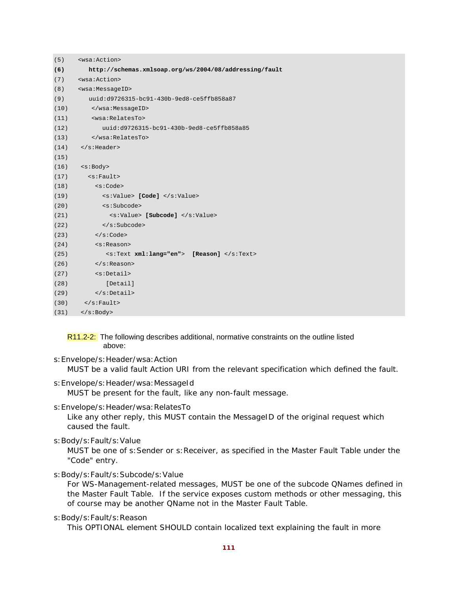| (5)  | <wsa:action></wsa:action>                              |
|------|--------------------------------------------------------|
| (6)  | http://schemas.xmlsoap.org/ws/2004/08/addressing/fault |
| (7)  | <wsa:action></wsa:action>                              |
| (8)  | <wsa:messageid></wsa:messageid>                        |
| (9)  | uuid:d9726315-bc91-430b-9ed8-ce5ffb858a87              |
| (10) |                                                        |
| (11) | <wsa:relatesto></wsa:relatesto>                        |
| (12) | uuid:d9726315-bc91-430b-9ed8-ce5ffb858a85              |
| (13) |                                                        |
| (14) | $\langle$ s:Header>                                    |
| (15) |                                                        |
| (16) | <s:body></s:body>                                      |
| (17) | $\leq$ s: Fault>                                       |
| (18) | < s : Code>                                            |
| (19) | <s:value> [Code] </s:value>                            |
| (20) | <s:subcode></s:subcode>                                |
| (21) | <s:value> [Subcode] </s:value>                         |
| (22) |                                                        |
| (23) | $\langle s:Code \rangle$                               |
| (24) | <s:reason></s:reason>                                  |
| (25) | <s:text xml:lang="en"> [Reason] </s:text>              |
| (26) | $\langle$ s:Reason>                                    |
| (27) | <s:detail></s:detail>                                  |
| (28) | [Detail]                                               |
| (29) | $\langle$ s:Detail>                                    |
| (30) | $\langle$ s:Fault>                                     |
| (31) | $\langle s : \text{Body} \rangle$                      |

R11.2-2: The following describes additional, normative constraints on the outline listed above:

- s:Envelope/s:Header/wsa:Action MUST be a valid fault Action URI from the relevant specification which defined the fault.
- s:Envelope/s:Header/wsa:MessageId MUST be present for the fault, like any non-fault message.
- s:Envelope/s:Header/wsa:RelatesTo

Like any other reply, this MUST contain the MessageID of the original request which caused the fault.

s:Body/s:Fault/s:Value

MUST be one of s:Sender or s:Receiver, as specified in the Master Fault Table under the "Code" entry.

s:Body/s:Fault/s:Subcode/s:Value

For WS-Management-related messages, MUST be one of the subcode QNames defined in the Master Fault Table. If the service exposes custom methods or other messaging, this of course may be another QName not in the Master Fault Table.

s:Body/s:Fault/s:Reason

This OPTIONAL element SHOULD contain localized text explaining the fault in more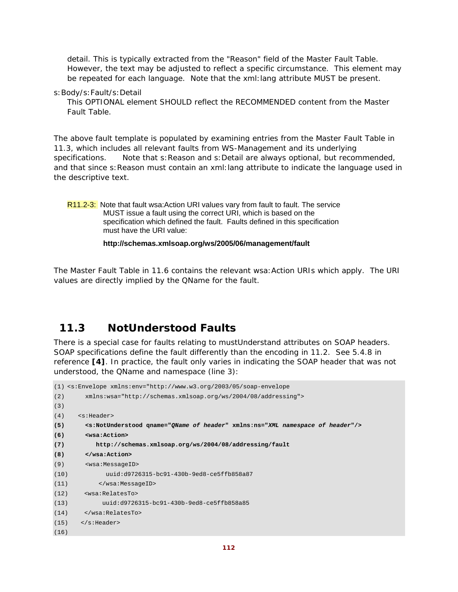detail. This is typically extracted from the "Reason" field of the Master Fault Table. However, the text may be adjusted to reflect a specific circumstance. This element may be repeated for each language. Note that the xml:lang attribute MUST be present.

s:Body/s:Fault/s:Detail

This OPTIONAL element SHOULD reflect the RECOMMENDED content from the Master Fault Table.

The above fault template is populated by examining entries from the Master Fault Table in 11.3, which includes all relevant faults from WS-Management and its underlying specifications. Note that s: Reason and s: Detail are always optional, but recommended, and that since s:Reason must contain an xml:lang attribute to indicate the language used in the descriptive text.

R11.2-3: Note that fault wsa:Action URI values vary from fault to fault. The service MUST issue a fault using the correct URI, which is based on the specification which defined the fault. Faults defined in this specification must have the URI value:

 **http://schemas.xmlsoap.org/ws/2005/06/management/fault** 

The Master Fault Table in 11.6 contains the relevant wsa:Action URIs which apply. The URI values are directly implied by the QName for the fault.

# **11.3 NotUnderstood Faults**

There is a special case for faults relating to mustUnderstand attributes on SOAP headers. SOAP specifications define the fault differently than the encoding in 11.2. See 5.4.8 in reference **[4]**. In practice, the fault only varies in indicating the SOAP header that was not understood, the QName and namespace (line 3):

```
(1) <s:Envelope xmlns:env="http://www.w3.org/2003/05/soap-envelope 
(2) xmlns:wsa="http://schemas.xmlsoap.org/ws/2004/08/addressing"> 
(3)
(4) <s:Header> 
(5) <s:NotUnderstood qname="QName of header" xmlns:ns="XML namespace of header"/> 
(6) <wsa:Action> 
(7) http://schemas.xmlsoap.org/ws/2004/08/addressing/fault 
(8) </wsa:Action> 
(9) <wsa:MessageID> 
(10) uuid:d9726315-bc91-430b-9ed8-ce5ffb858a87 
(11) </wsa:MessageID> 
(12) <wsa:RelatesTo> 
(13) uuid:d9726315-bc91-430b-9ed8-ce5ffb858a85 
(14) </wsa:RelatesTo> 
(15) </s: Header>
(16)
```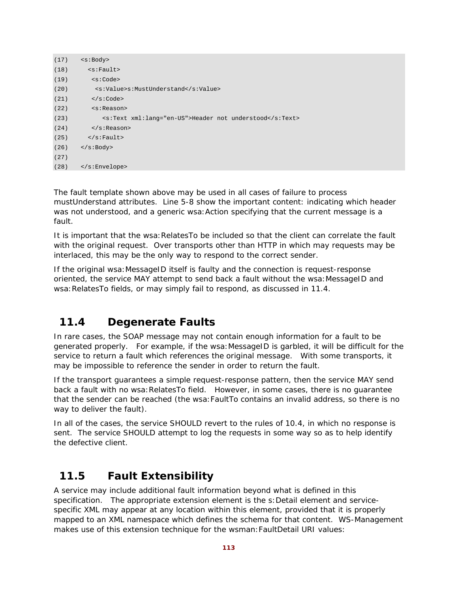| (17) | $<$ s: Body>                                            |
|------|---------------------------------------------------------|
| (18) | $\leq$ s: Fault>                                        |
| (19) | $<$ s: Code>                                            |
| (20) | <s:value>s:MustUnderstand</s:value>                     |
| (21) | $\langle s:Code \rangle$                                |
| (22) | $<$ s:Reason>                                           |
| (23) | <s:text xml:lang="en-US">Header not understood</s:text> |
| (24) | $\langle$ s:Reason>                                     |
| (25) | $\langle$ s:Fault>                                      |
| (26) | $\langle$ s:Body>                                       |
| (27) |                                                         |
| (28) | $\langle$ s:Envelope>                                   |

The fault template shown above may be used in all cases of failure to process mustUnderstand attributes. Line 5-8 show the important content: indicating which header was not understood, and a generic wsa: Action specifying that the current message is a fault.

It is important that the wsa: RelatesTo be included so that the client can correlate the fault with the original request. Over transports other than HTTP in which may requests may be interlaced, this may be the only way to respond to the correct sender.

If the original wsa:MessageID itself is faulty and the connection is request-response oriented, the service MAY attempt to send back a fault without the wsa:MessageID and wsa:RelatesTo fields, or may simply fail to respond, as discussed in 11.4.

# **11.4 Degenerate Faults**

In rare cases, the SOAP message may not contain enough information for a fault to be generated properly. For example, if the wsa:MessageID is garbled, it will be difficult for the service to return a fault which references the original message. With some transports, it may be impossible to reference the sender in order to return the fault.

If the transport guarantees a simple request-response pattern, then the service MAY send back a fault with no wsa: RelatesTo field. However, in some cases, there is no quarantee that the sender can be reached (the wsa:FaultTo contains an invalid address, so there is no way to deliver the fault).

In all of the cases, the service SHOULD revert to the rules of 10.4, in which no response is sent. The service SHOULD attempt to log the requests in some way so as to help identify the defective client.

# **11.5 Fault Extensibility**

A service may include additional fault information beyond what is defined in this specification. The appropriate extension element is the s:Detail element and servicespecific XML may appear at any location within this element, provided that it is properly mapped to an XML namespace which defines the schema for that content. WS-Management makes use of this extension technique for the wsman:FaultDetail URI values: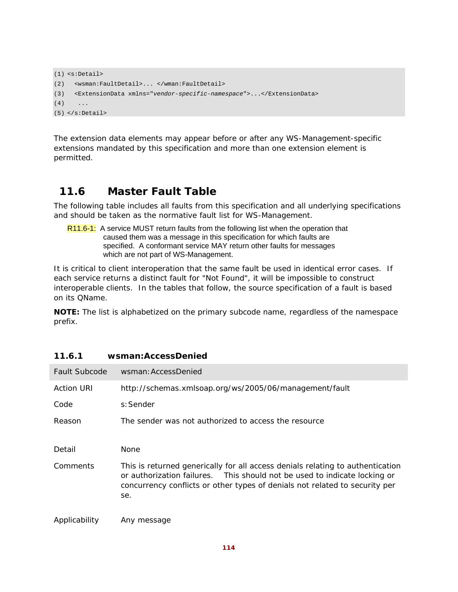```
(1) <s:Detail> 
(2) <wsman:FaultDetail>... </wman:FaultDetail> 
(3) <ExtensionData xmlns="vendor-specific-namespace">...</ExtensionData> 
(4) ...
(5) </s:Detail>
```
The extension data elements may appear before or after any WS-Management-specific extensions mandated by this specification and more than one extension element is permitted.

# **11.6 Master Fault Table**

The following table includes all faults from this specification and all underlying specifications and should be taken as the normative fault list for WS-Management.

R11.6-1: A service MUST return faults from the following list when the operation that caused them was a message in this specification for which faults are specified. A conformant service MAY return other faults for messages which are not part of WS-Management.

It is critical to client interoperation that the same fault be used in identical error cases. If each service returns a distinct fault for "Not Found", it will be impossible to construct interoperable clients. In the tables that follow, the source specification of a fault is based on its QName.

**NOTE:** The list is alphabetized on the primary subcode name, regardless of the namespace prefix.

| Fault Subcode     | wsman: AccessDenied                                                                                                                                                                                                                               |
|-------------------|---------------------------------------------------------------------------------------------------------------------------------------------------------------------------------------------------------------------------------------------------|
| <b>Action URI</b> | http://schemas.xmlsoap.org/ws/2005/06/management/fault                                                                                                                                                                                            |
| Code              | s: Sender                                                                                                                                                                                                                                         |
| Reason            | The sender was not authorized to access the resource                                                                                                                                                                                              |
| Detail            | None                                                                                                                                                                                                                                              |
| Comments          | This is returned generically for all access denials relating to authentication<br>or authorization failures. This should not be used to indicate locking or<br>concurrency conflicts or other types of denials not related to security per<br>se. |
| Applicability     | Any message                                                                                                                                                                                                                                       |

#### **11.6.1 wsman:AccessDenied**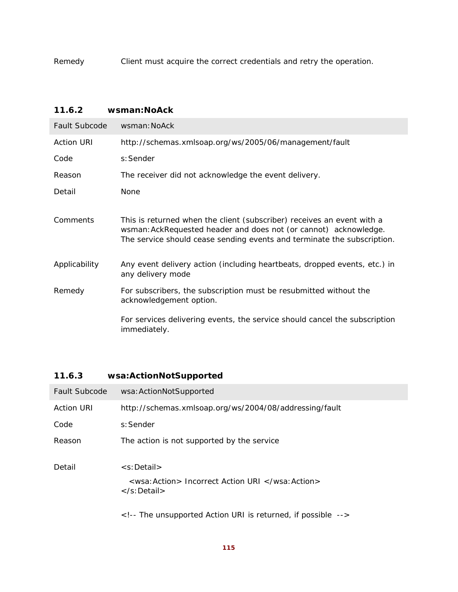Remedy Client must acquire the correct credentials and retry the operation.

### **11.6.2 wsman:NoAck**

| Fault Subcode     | wsman: NoAck                                                                                                                                                                                                          |
|-------------------|-----------------------------------------------------------------------------------------------------------------------------------------------------------------------------------------------------------------------|
| <b>Action URI</b> | http://schemas.xmlsoap.org/ws/2005/06/management/fault                                                                                                                                                                |
| Code              | s: Sender                                                                                                                                                                                                             |
| Reason            | The receiver did not acknowledge the event delivery.                                                                                                                                                                  |
| Detail            | None                                                                                                                                                                                                                  |
| Comments          | This is returned when the client (subscriber) receives an event with a<br>wsman: AckRequested header and does not (or cannot) acknowledge.<br>The service should cease sending events and terminate the subscription. |
| Applicability     | Any event delivery action (including heartbeats, dropped events, etc.) in<br>any delivery mode                                                                                                                        |
| Remedy            | For subscribers, the subscription must be resubmitted without the<br>acknowledgement option.                                                                                                                          |
|                   | For services delivering events, the service should cancel the subscription<br>immediately.                                                                                                                            |

### **11.6.3 wsa:ActionNotSupported**

| Fault Subcode     | wsa: ActionNotSupported                                                                                      |
|-------------------|--------------------------------------------------------------------------------------------------------------|
| <b>Action URI</b> | http://schemas.xmlsoap.org/ws/2004/08/addressing/fault                                                       |
| Code              | s: Sender                                                                                                    |
| Reason            | The action is not supported by the service                                                                   |
| Detail            | $\leq$ s: Detail $>$<br><wsa: action=""> <i>Incorrect Action URI </i></wsa:><br>$\langle$ s:Detail $\rangle$ |
|                   | $\leq$ !-- The unsupported Action URI is returned, if possible -->                                           |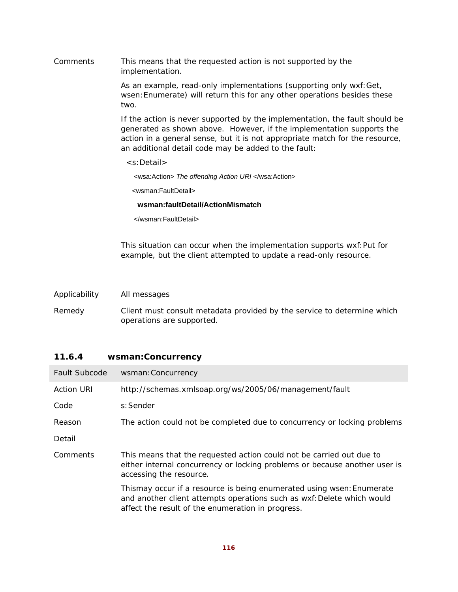Comments This means that the requested action is not supported by the implementation.

> As an example, read-only implementations (supporting only wxf:Get, wsen:Enumerate) will return this for any other operations besides these two.

If the action is never supported by the implementation, the fault should be generated as shown above. However, if the implementation supports the action in a general sense, but it is not appropriate match for the resource, an additional detail code may be added to the fault:

<s:Detail>

<wsa:Action> *The offending Action URI* </wsa:Action>

<wsman:FaultDetail>

#### **wsman:faultDetail/ActionMismatch**

</wsman:FaultDetail>

This situation can occur when the implementation supports wxf:Put for example, but the client attempted to update a read-only resource.

| Applicability | All messages |
|---------------|--------------|
|---------------|--------------|

Remedy Client must consult metadata provided by the service to determine which operations are supported.

#### **11.6.4 wsman:Concurrency**

| <b>Fault Subcode</b> | wsman: Concurrency                                                                                                                                                                                   |
|----------------------|------------------------------------------------------------------------------------------------------------------------------------------------------------------------------------------------------|
| <b>Action URI</b>    | http://schemas.xmlsoap.org/ws/2005/06/management/fault                                                                                                                                               |
| Code                 | s: Sender                                                                                                                                                                                            |
| Reason               | The action could not be completed due to concurrency or locking problems                                                                                                                             |
| Detail               |                                                                                                                                                                                                      |
| Comments             | This means that the requested action could not be carried out due to<br>either internal concurrency or locking problems or because another user is<br>accessing the resource.                        |
|                      | Thismay occur if a resource is being enumerated using wsen: Enumerate<br>and another client attempts operations such as wxf: Delete which would<br>affect the result of the enumeration in progress. |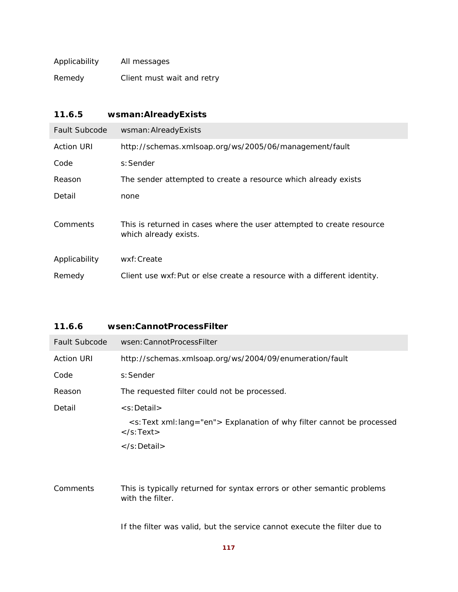| Applicability | All messages               |
|---------------|----------------------------|
| Remedy        | Client must wait and retry |

| 11.6.5               | wsman:AlreadyExists                                                                            |
|----------------------|------------------------------------------------------------------------------------------------|
| <b>Fault Subcode</b> | wsman: Already Exists                                                                          |
| <b>Action URI</b>    | http://schemas.xmlsoap.org/ws/2005/06/management/fault                                         |
| Code                 | s: Sender                                                                                      |
| Reason               | The sender attempted to create a resource which already exists                                 |
| Detail               | none                                                                                           |
| Comments             | This is returned in cases where the user attempted to create resource<br>which already exists. |
| Applicability        | wxf: Create                                                                                    |
| Remedy               | Client use wxf: Put or else create a resource with a different identity.                       |

| 11.6.6               | wsen:CannotProcessFilter                                                                                                             |
|----------------------|--------------------------------------------------------------------------------------------------------------------------------------|
| <b>Fault Subcode</b> | wsen: Cannot Process Filter                                                                                                          |
| <b>Action URI</b>    | http://schemas.xmlsoap.org/ws/2004/09/enumeration/fault                                                                              |
| Code                 | s: Sender                                                                                                                            |
| Reason               | The requested filter could not be processed.                                                                                         |
| Detail               | <s:detail></s:detail>                                                                                                                |
|                      | <s:text lang="en" xml:=""> Explanation of why filter cannot be processed<br/><math>\langle</math>s:Text<math>\rangle</math></s:text> |
|                      | $\langle$ s:Detail $\rangle$                                                                                                         |
|                      |                                                                                                                                      |
| Comments             | This is typically returned for syntax errors or other semantic problems<br>with the filter.                                          |

If the filter was valid, but the service cannot execute the filter due to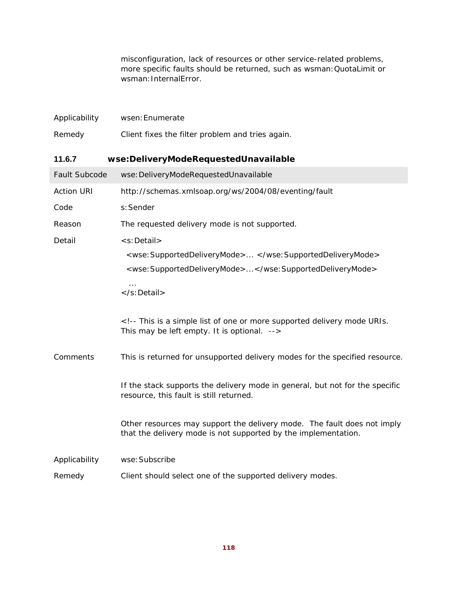misconfiguration, lack of resources or other service-related problems, more specific faults should be returned, such as wsman:QuotaLimit or wsman: InternalError.

| Applicability     | wsen: Enumerate                                                                                                                                                             |
|-------------------|-----------------------------------------------------------------------------------------------------------------------------------------------------------------------------|
| Remedy            | Client fixes the filter problem and tries again.                                                                                                                            |
| 11.6.7            | wse:DeliveryModeRequestedUnavailable                                                                                                                                        |
| Fault Subcode     | wse: DeliveryModeRequestedUnavailable                                                                                                                                       |
| <b>Action URI</b> | http://schemas.xmlsoap.org/ws/2004/08/eventing/fault                                                                                                                        |
| Code              | s: Sender                                                                                                                                                                   |
| Reason            | The requested delivery mode is not supported.                                                                                                                               |
| Detail            | <s:detail><br/><wse:supporteddeliverymode> </wse:supporteddeliverymode><br/><wse:supporteddeliverymode></wse:supporteddeliverymode><br/><math>\ldots</math><br/></s:detail> |
|                   | This is a simple list of one or more supported delivery mode URIs.<br>This may be left empty. It is optional.                                                               |
| Comments          | This is returned for unsupported delivery modes for the specified resource.                                                                                                 |
|                   | If the stack supports the delivery mode in general, but not for the specific<br>resource, this fault is still returned.                                                     |
|                   | Other resources may support the delivery mode. The fault does not imply<br>that the delivery mode is not supported by the implementation.                                   |
| Applicability     | wse: Subscribe                                                                                                                                                              |
| Remedy            | Client should select one of the supported delivery modes.                                                                                                                   |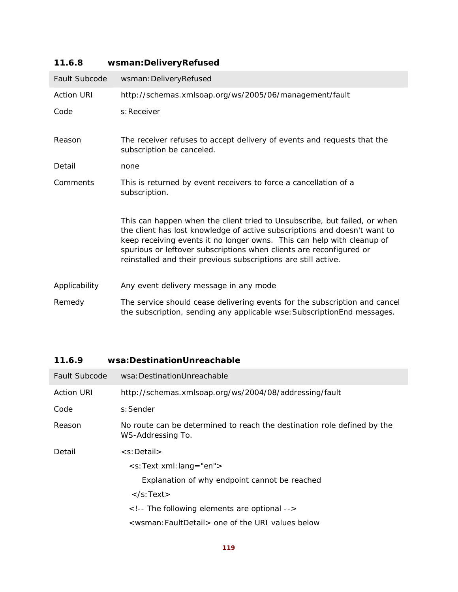| <b>Fault Subcode</b> | wsman: DeliveryRefused                                                                                                                                                                                                                                                                                                                                                    |
|----------------------|---------------------------------------------------------------------------------------------------------------------------------------------------------------------------------------------------------------------------------------------------------------------------------------------------------------------------------------------------------------------------|
| <b>Action URI</b>    | http://schemas.xmlsoap.org/ws/2005/06/management/fault                                                                                                                                                                                                                                                                                                                    |
| Code                 | s: Receiver                                                                                                                                                                                                                                                                                                                                                               |
| Reason               | The receiver refuses to accept delivery of events and requests that the<br>subscription be canceled.                                                                                                                                                                                                                                                                      |
| Detail               | none                                                                                                                                                                                                                                                                                                                                                                      |
| Comments             | This is returned by event receivers to force a cancellation of a<br>subscription.                                                                                                                                                                                                                                                                                         |
|                      | This can happen when the client tried to Unsubscribe, but failed, or when<br>the client has lost knowledge of active subscriptions and doesn't want to<br>keep receiving events it no longer owns. This can help with cleanup of<br>spurious or leftover subscriptions when clients are reconfigured or<br>reinstalled and their previous subscriptions are still active. |
| Applicability        | Any event delivery message in any mode                                                                                                                                                                                                                                                                                                                                    |
| Remedy               | The service should cease delivering events for the subscription and cancel<br>the subscription, sending any applicable wse: Subscription End messages.                                                                                                                                                                                                                    |

### **11.6.8 wsman:DeliveryRefused**

| 11.6.9 | wsa:DestinationUnreachable |
|--------|----------------------------|
|        |                            |

| <b>Fault Subcode</b> | wsa: Destination Unreachable                                                                 |
|----------------------|----------------------------------------------------------------------------------------------|
| <b>Action URI</b>    | http://schemas.xmlsoap.org/ws/2004/08/addressing/fault                                       |
| Code                 | s: Sender                                                                                    |
| Reason               | No route can be determined to reach the destination role defined by the<br>WS-Addressing To. |
| Detail               | <s:detail></s:detail>                                                                        |
|                      | <s:text xml:lang="en"></s:text>                                                              |
|                      | Explanation of why endpoint cannot be reached                                                |
|                      | $\langle$ s:Text $\rangle$                                                                   |
|                      | The following elements are optional                                                          |
|                      | <wsman: faultdetail=""> one of the URI values below</wsman:>                                 |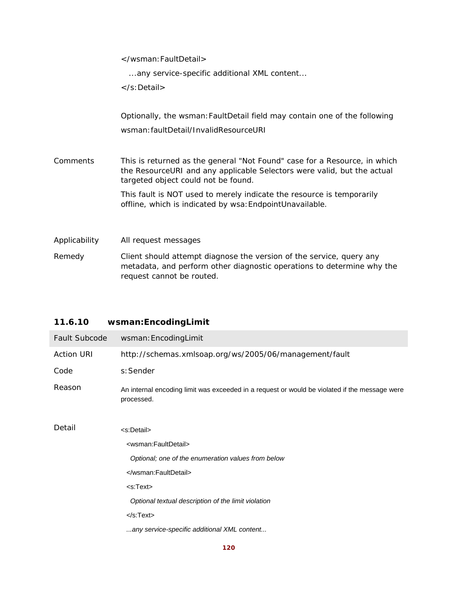</wsman:FaultDetail>

...any service-specific additional XML content...

</s:Detail>

Optionally, the wsman:FaultDetail field may contain one of the following wsman:faultDetail/InvalidResourceURI

Comments This is returned as the general "Not Found" case for a Resource, in which the ResourceURI and any applicable Selectors were valid, but the actual targeted object could not be found.

> This fault is NOT used to merely indicate the resource is temporarily offline, which is indicated by wsa:EndpointUnavailable.

Applicability All request messages

Remedy Client should attempt diagnose the version of the service, query any metadata, and perform other diagnostic operations to determine why the request cannot be routed.

| Fault Subcode     | wsman: EncodingLimit                                                                                        |
|-------------------|-------------------------------------------------------------------------------------------------------------|
| <b>Action URI</b> | http://schemas.xmlsoap.org/ws/2005/06/management/fault                                                      |
| Code              | s: Sender                                                                                                   |
| Reason            | An internal encoding limit was exceeded in a request or would be violated if the message were<br>processed. |
| Detail            | <s:detail></s:detail>                                                                                       |
|                   | <wsman:faultdetail></wsman:faultdetail>                                                                     |
|                   | Optional; one of the enumeration values from below                                                          |
|                   |                                                                                                             |
|                   | <s:text></s:text>                                                                                           |
|                   | Optional textual description of the limit violation                                                         |
|                   | $<$ /s:Text $>$                                                                                             |
|                   | any service-specific additional XML content                                                                 |

### **11.6.10 wsman:EncodingLimit**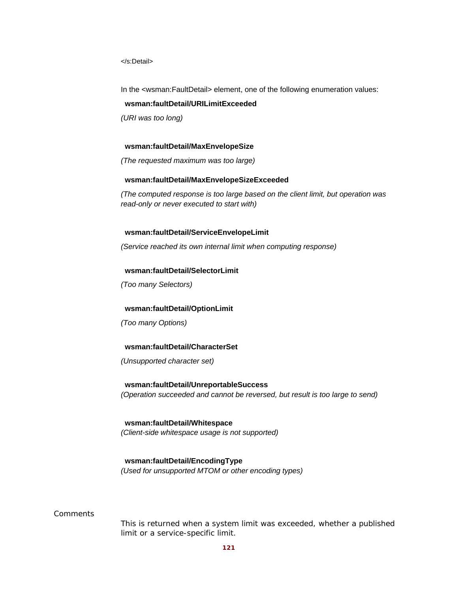</s:Detail>

In the <wsman:FaultDetail> element, one of the following enumeration values:

#### **wsman:faultDetail/URILimitExceeded**

*(URI was too long)* 

#### **wsman:faultDetail/MaxEnvelopeSize**

*(The requested maximum was too large)* 

#### **wsman:faultDetail/MaxEnvelopeSizeExceeded**

*(The computed response is too large based on the client limit, but operation was read-only or never executed to start with)* 

#### **wsman:faultDetail/ServiceEnvelopeLimit**

*(Service reached its own internal limit when computing response)* 

#### **wsman:faultDetail/SelectorLimit**

*(Too many Selectors)* 

#### **wsman:faultDetail/OptionLimit**

*(Too many Options)* 

#### **wsman:faultDetail/CharacterSet**

*(Unsupported character set)* 

 **wsman:faultDetail/UnreportableSuccess**  *(Operation succeeded and cannot be reversed, but result is too large to send)* 

 **wsman:faultDetail/Whitespace**  *(Client-side whitespace usage is not supported)* 

### **wsman:faultDetail/EncodingType**

*(Used for unsupported MTOM or other encoding types)* 

#### **Comments**

This is returned when a system limit was exceeded, whether a published limit or a service-specific limit.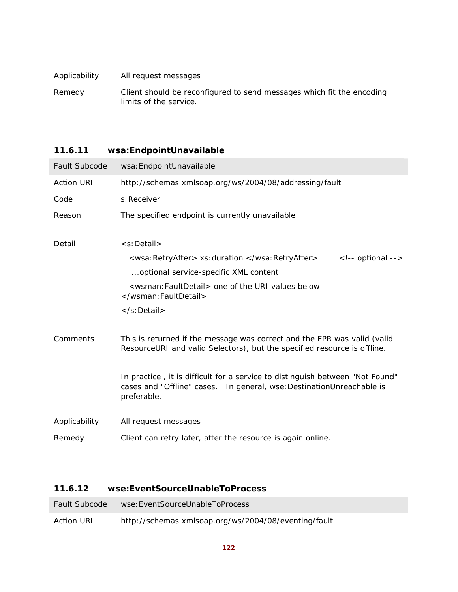| Applicability | All request messages                                                  |
|---------------|-----------------------------------------------------------------------|
| Remedy        | Client should be reconfigured to send messages which fit the encoding |
|               | limits of the service.                                                |

# **11.6.11 wsa:EndpointUnavailable**  Fault Subcode wsa:EndpointUnavailable Action URI http://schemas.xmlsoap.org/ws/2004/08/addressing/fault Code s: Receiver Reason The specified endpoint is currently unavailable Detail <s:Detail> <wsa:RetryAfter> *xs:duration* </wsa:RetryAfter> <!-- optional --> ...optional service-specific XML content <wsman:FaultDetail> *one of the URI values below*  </wsman:FaultDetail> </s:Detail> Comments This is returned if the message was correct and the EPR was valid (valid ResourceURI and valid Selectors), but the specified resource is offline.

In practice , it is difficult for a service to distinguish between "Not Found" cases and "Offline" cases. In general, wse:DestinationUnreachable is preferable.

- Applicability All request messages
- Remedy Client can retry later, after the resource is again online.

#### **11.6.12 wse:EventSourceUnableToProcess**

| <b>Fault Subcode</b> | wse: EventSourceUnableToProcess                      |
|----------------------|------------------------------------------------------|
| <b>Action URI</b>    | http://schemas.xmlsoap.org/ws/2004/08/eventing/fault |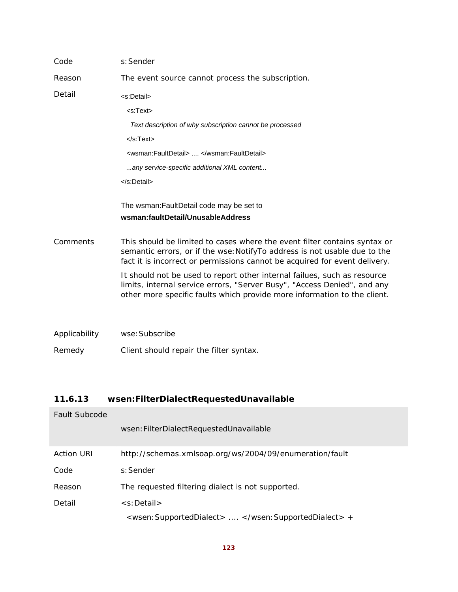| Code          | s: Sender                                                                                                                                                                                                                            |
|---------------|--------------------------------------------------------------------------------------------------------------------------------------------------------------------------------------------------------------------------------------|
| Reason        | The event source cannot process the subscription.                                                                                                                                                                                    |
| Detail        | <s:detail></s:detail>                                                                                                                                                                                                                |
|               | $<$ s:Text $>$                                                                                                                                                                                                                       |
|               | Text description of why subscription cannot be processed                                                                                                                                                                             |
|               | $<$ /s:Text $>$                                                                                                                                                                                                                      |
|               | <wsman:faultdetail> , </wsman:faultdetail>                                                                                                                                                                                           |
|               | any service-specific additional XML content                                                                                                                                                                                          |
|               |                                                                                                                                                                                                                                      |
|               | The wsman: FaultDetail code may be set to<br>wsman:faultDetail/UnusableAddress                                                                                                                                                       |
| Comments      | This should be limited to cases where the event filter contains syntax or<br>semantic errors, or if the wse: NotifyTo address is not usable due to the<br>fact it is incorrect or permissions cannot be acquired for event delivery. |
|               | It should not be used to report other internal failues, such as resource<br>limits, internal service errors, "Server Busy", "Access Denied", and any<br>other more specific faults which provide more information to the client.     |
|               |                                                                                                                                                                                                                                      |
| Applicability | wse: Subscribe                                                                                                                                                                                                                       |
| Remedy        | Client should repair the filter syntax.                                                                                                                                                                                              |

# **11.6.13 wsen:FilterDialectRequestedUnavailable**

| <b>Fault Subcode</b> |                                                         |
|----------------------|---------------------------------------------------------|
|                      | wsen: FilterDialectRequestedUnavailable                 |
| <b>Action URI</b>    | http://schemas.xmlsoap.org/ws/2004/09/enumeration/fault |
| Code                 | s: Sender                                               |
| Reason               | The requested filtering dialect is not supported.       |
| Detail               | $\leq$ s: Detail $>$                                    |
|                      | <wsen: supporteddialect=""> </wsen:> +                  |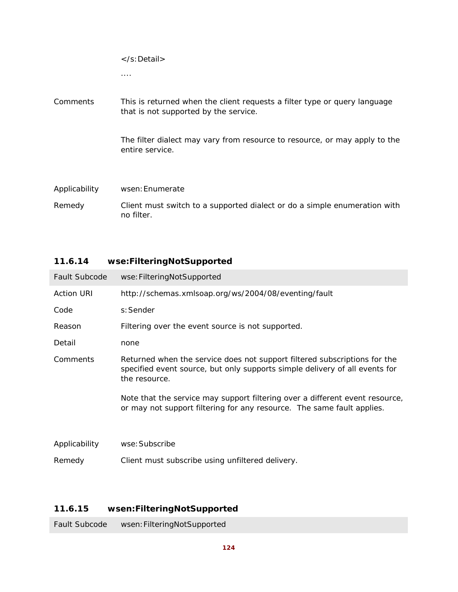| Comments      | This is returned when the client requests a filter type or query language<br>that is not supported by the service. |
|---------------|--------------------------------------------------------------------------------------------------------------------|
|               | The filter dialect may vary from resource to resource, or may apply to the<br>entire service.                      |
| Applicability | wsen: Enumerate                                                                                                    |
| Remedy        | Client must switch to a supported dialect or do a simple enumeration with<br>no filter.                            |

| Fault Subcode     | wse: FilteringNotSupported                                                                                                                                                |
|-------------------|---------------------------------------------------------------------------------------------------------------------------------------------------------------------------|
| <b>Action URI</b> | http://schemas.xmlsoap.org/ws/2004/08/eventing/fault                                                                                                                      |
| Code              | s: Sender                                                                                                                                                                 |
| Reason            | Filtering over the event source is not supported.                                                                                                                         |
| Detail            | none                                                                                                                                                                      |
| Comments          | Returned when the service does not support filtered subscriptions for the<br>specified event source, but only supports simple delivery of all events for<br>the resource. |
|                   | Note that the service may support filtering over a different event resource,<br>or may not support filtering for any resource. The same fault applies.                    |
| Applicability     | wse: Subscribe                                                                                                                                                            |
| Remedy            | Client must subscribe using unfiltered delivery.                                                                                                                          |

### **11.6.14 wse:FilteringNotSupported**

### **11.6.15 wsen:FilteringNotSupported**

Fault Subcode wsen:FilteringNotSupported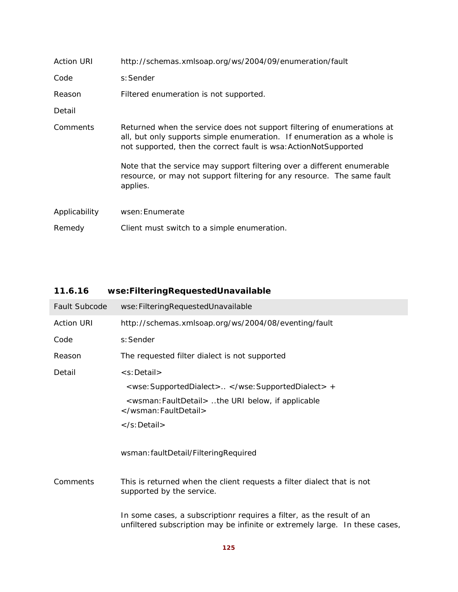| <b>Action URI</b> | http://schemas.xmlsoap.org/ws/2004/09/enumeration/fault                                                                                                                                                                                                                                                                                                                                  |
|-------------------|------------------------------------------------------------------------------------------------------------------------------------------------------------------------------------------------------------------------------------------------------------------------------------------------------------------------------------------------------------------------------------------|
| Code              | s: Sender                                                                                                                                                                                                                                                                                                                                                                                |
| Reason            | Filtered enumeration is not supported.                                                                                                                                                                                                                                                                                                                                                   |
| Detail            |                                                                                                                                                                                                                                                                                                                                                                                          |
| Comments          | Returned when the service does not support filtering of enumerations at<br>all, but only supports simple enumeration. If enumeration as a whole is<br>not supported, then the correct fault is wsa: ActionNotSupported<br>Note that the service may support filtering over a different enumerable<br>resource, or may not support filtering for any resource. The same fault<br>applies. |
| Applicability     | wsen: Enumerate                                                                                                                                                                                                                                                                                                                                                                          |
| Remedy            | Client must switch to a simple enumeration.                                                                                                                                                                                                                                                                                                                                              |

# **11.6.16 wse:FilteringRequestedUnavailable**

| <b>Fault Subcode</b> | wse: Filtering Requested Unavailable                                                                                                                 |
|----------------------|------------------------------------------------------------------------------------------------------------------------------------------------------|
| <b>Action URI</b>    | http://schemas.xmlsoap.org/ws/2004/08/eventing/fault                                                                                                 |
| Code                 | s: Sender                                                                                                                                            |
| Reason               | The requested filter dialect is not supported                                                                                                        |
| Detail               | <s:detail></s:detail>                                                                                                                                |
|                      | <wse: supporteddialect=""> </wse:> +                                                                                                                 |
|                      | <wsman: faultdetail=""> the URI below, if applicable<br/></wsman:>                                                                                   |
|                      |                                                                                                                                                      |
|                      | wsman: faultDetail/FilteringRequired                                                                                                                 |
| Comments             | This is returned when the client requests a filter dialect that is not<br>supported by the service.                                                  |
|                      | In some cases, a subscriptionr requires a filter, as the result of an<br>unfiltered subscription may be infinite or extremely large. In these cases, |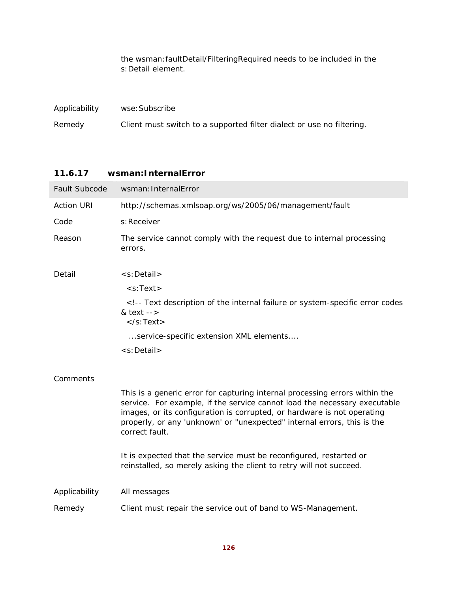the wsman:faultDetail/FilteringRequired needs to be included in the s:Detail element.

| Applicability | wse: Subscribe                                                        |
|---------------|-----------------------------------------------------------------------|
| Remedy        | Client must switch to a supported filter dialect or use no filtering. |

#### **11.6.17 wsman:InternalError**

| Fault Subcode     | wsman: InternalError                                                                                                                                                                                                                                                                                                             |
|-------------------|----------------------------------------------------------------------------------------------------------------------------------------------------------------------------------------------------------------------------------------------------------------------------------------------------------------------------------|
| <b>Action URI</b> | http://schemas.xmlsoap.org/ws/2005/06/management/fault                                                                                                                                                                                                                                                                           |
| Code              | s: Receiver                                                                                                                                                                                                                                                                                                                      |
| Reason            | The service cannot comply with the request due to internal processing<br>errors.                                                                                                                                                                                                                                                 |
| Detail            | $\leq$ s: Detail $>$                                                                                                                                                                                                                                                                                                             |
|                   | $<$ s:Text $>$                                                                                                                                                                                                                                                                                                                   |
|                   | <!-- Text description of the internal failure or system-specific error codes<br>& text $--$<br>$\langle$ s:Text $\rangle$                                                                                                                                                                                                        |
|                   | service-specific extension XML elements                                                                                                                                                                                                                                                                                          |
|                   | <s:detail></s:detail>                                                                                                                                                                                                                                                                                                            |
| Comments          |                                                                                                                                                                                                                                                                                                                                  |
|                   | This is a generic error for capturing internal processing errors within the<br>service. For example, if the service cannot load the necessary executable<br>images, or its configuration is corrupted, or hardware is not operating<br>properly, or any 'unknown' or "unexpected" internal errors, this is the<br>correct fault. |
|                   | It is expected that the service must be reconfigured, restarted or<br>reinstalled, so merely asking the client to retry will not succeed.                                                                                                                                                                                        |
| Applicability     | All messages                                                                                                                                                                                                                                                                                                                     |
| Remedy            | Client must repair the service out of band to WS-Management.                                                                                                                                                                                                                                                                     |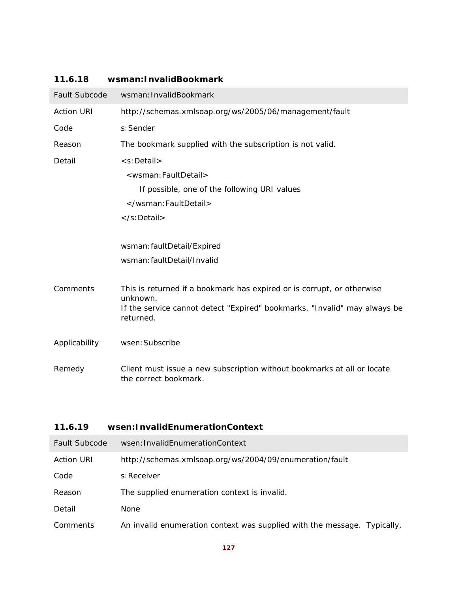### **11.6.18 wsman:InvalidBookmark**

| <b>Fault Subcode</b> | wsman: InvalidBookmark                                                                           |
|----------------------|--------------------------------------------------------------------------------------------------|
| <b>Action URI</b>    | http://schemas.xmlsoap.org/ws/2005/06/management/fault                                           |
| Code                 | s: Sender                                                                                        |
| Reason               | The bookmark supplied with the subscription is not valid.                                        |
| Detail               | <s:detail></s:detail>                                                                            |
|                      | <wsman: faultdetail=""></wsman:>                                                                 |
|                      | If possible, one of the following URI values                                                     |
|                      |                                                                                                  |
|                      |                                                                                                  |
|                      |                                                                                                  |
|                      | wsman: faultDetail/Expired                                                                       |
|                      | wsman: faultDetail/Invalid                                                                       |
|                      |                                                                                                  |
| Comments             | This is returned if a bookmark has expired or is corrupt, or otherwise<br>unknown.               |
|                      | If the service cannot detect "Expired" bookmarks, "Invalid" may always be<br>returned.           |
| Applicability        | wsen: Subscribe                                                                                  |
| Remedy               | Client must issue a new subscription without bookmarks at all or locate<br>the correct bookmark. |

# **11.6.19 wsen:InvalidEnumerationContext**

| Fault Subcode     | wsen: InvalidEnumerationContext                                          |
|-------------------|--------------------------------------------------------------------------|
| <b>Action URI</b> | http://schemas.xmlsoap.org/ws/2004/09/enumeration/fault                  |
| Code              | s: Receiver                                                              |
| Reason            | The supplied enumeration context is invalid.                             |
| Detail            | <b>None</b>                                                              |
| Comments          | An invalid enumeration context was supplied with the message. Typically, |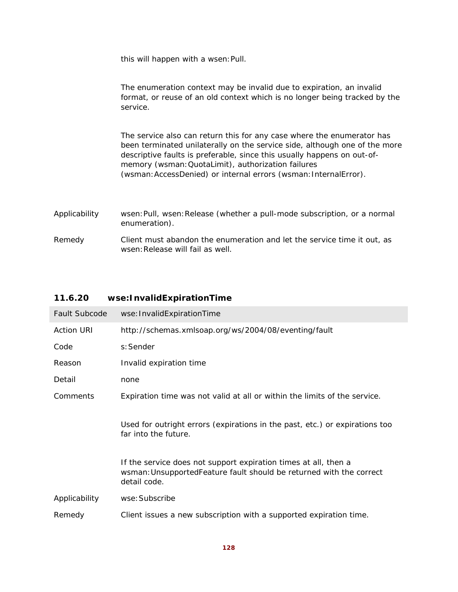this will happen with a wsen: Pull.

|               | The enumeration context may be invalid due to expiration, an invalid<br>format, or reuse of an old context which is no longer being tracked by the<br>service.                                                                                                                                                                                            |
|---------------|-----------------------------------------------------------------------------------------------------------------------------------------------------------------------------------------------------------------------------------------------------------------------------------------------------------------------------------------------------------|
|               | The service also can return this for any case where the enumerator has<br>been terminated unilaterally on the service side, although one of the more<br>descriptive faults is preferable, since this usually happens on out-of-<br>memory (wsman: QuotaLimit), authorization failures<br>(wsman: AccessDenied) or internal errors (wsman: InternalError). |
| Applicability | wsen: Pull, wsen: Release (whether a pull-mode subscription, or a normal<br>enumeration).                                                                                                                                                                                                                                                                 |
|               |                                                                                                                                                                                                                                                                                                                                                           |

Remedy Client must abandon the enumeration and let the service time it out, as wsen: Release will fail as well.

# **11.6.20 wse:InvalidExpirationTime**

| Fault Subcode     | wse: InvalidExpirationTime                                                                                                                              |
|-------------------|---------------------------------------------------------------------------------------------------------------------------------------------------------|
| <b>Action URI</b> | http://schemas.xmlsoap.org/ws/2004/08/eventing/fault                                                                                                    |
| Code              | s: Sender                                                                                                                                               |
| Reason            | Invalid expiration time                                                                                                                                 |
| Detail            | none                                                                                                                                                    |
| Comments          | Expiration time was not valid at all or within the limits of the service.                                                                               |
|                   | Used for outright errors (expirations in the past, etc.) or expirations too<br>far into the future.                                                     |
|                   | If the service does not support expiration times at all, then a<br>wsman: Unsupported Feature fault should be returned with the correct<br>detail code. |
| Applicability     | wse: Subscribe                                                                                                                                          |
| Remedy            | Client issues a new subscription with a supported expiration time.                                                                                      |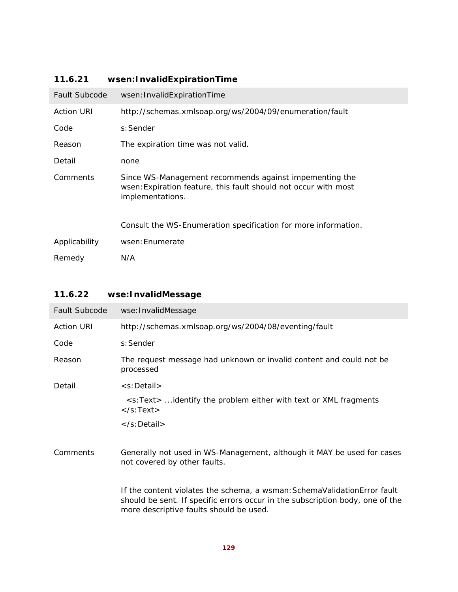# **11.6.21 wsen:InvalidExpirationTime**

| <b>Fault Subcode</b> | wsen: InvalidExpirationTime                                                                                                                   |
|----------------------|-----------------------------------------------------------------------------------------------------------------------------------------------|
| <b>Action URI</b>    | http://schemas.xmlsoap.org/ws/2004/09/enumeration/fault                                                                                       |
| Code                 | s: Sender                                                                                                                                     |
| Reason               | The expiration time was not valid.                                                                                                            |
| Detail               | none                                                                                                                                          |
| Comments             | Since WS-Management recommends against impementing the<br>wsen: Expiration feature, this fault should not occur with most<br>implementations. |
|                      | Consult the WS-Enumeration specification for more information.                                                                                |
| Applicability        | wsen: Enumerate                                                                                                                               |
| Remedy               | N/A                                                                                                                                           |

### **11.6.22 wse:InvalidMessage**

| <b>Fault Subcode</b> | wse: InvalidMessage                                                                                                                                                                                    |
|----------------------|--------------------------------------------------------------------------------------------------------------------------------------------------------------------------------------------------------|
| <b>Action URI</b>    | http://schemas.xmlsoap.org/ws/2004/08/eventing/fault                                                                                                                                                   |
| Code                 | s: Sender                                                                                                                                                                                              |
| Reason               | The request message had unknown or invalid content and could not be<br>processed                                                                                                                       |
| Detail               | <s:detail></s:detail>                                                                                                                                                                                  |
|                      | <s:text>  identify the problem either with text or XML fragments<br/><math>\langle</math>s:Text<math>\rangle</math></s:text>                                                                           |
|                      |                                                                                                                                                                                                        |
| Comments             | Generally not used in WS-Management, although it MAY be used for cases<br>not covered by other faults.                                                                                                 |
|                      | If the content violates the schema, a wsman: Schema Validation Error fault<br>should be sent. If specific errors occur in the subscription body, one of the<br>more descriptive faults should be used. |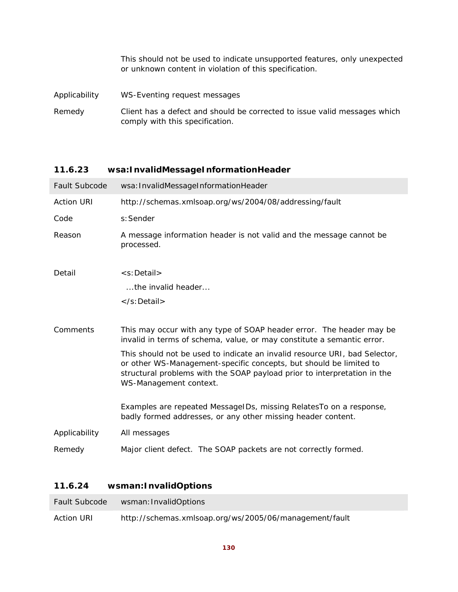This should not be used to indicate unsupported features, only unexpected or unknown content in violation of this specification.

- Applicability WS-Eventing request messages
- Remedy Client has a defect and should be corrected to issue valid messages which comply with this specification.

### **11.6.23 wsa:InvalidMessageInformationHeader**

| <b>Fault Subcode</b> | wsa: InvalidMessageInformationHeader                                                                                                                                                                                                                   |
|----------------------|--------------------------------------------------------------------------------------------------------------------------------------------------------------------------------------------------------------------------------------------------------|
| <b>Action URI</b>    | http://schemas.xmlsoap.org/ws/2004/08/addressing/fault                                                                                                                                                                                                 |
| Code                 | s: Sender                                                                                                                                                                                                                                              |
| Reason               | A message information header is not valid and the message cannot be<br>processed.                                                                                                                                                                      |
| Detail               | <s:detail></s:detail>                                                                                                                                                                                                                                  |
|                      | the invalid header                                                                                                                                                                                                                                     |
|                      | $\langle$ s:Detail $\rangle$                                                                                                                                                                                                                           |
|                      |                                                                                                                                                                                                                                                        |
| Comments             | This may occur with any type of SOAP header error. The header may be<br>invalid in terms of schema, value, or may constitute a semantic error.                                                                                                         |
|                      | This should not be used to indicate an invalid resource URI, bad Selector,<br>or other WS-Management-specific concepts, but should be limited to<br>structural problems with the SOAP payload prior to interpretation in the<br>WS-Management context. |
|                      | Examples are repeated MessageIDs, missing RelatesTo on a response,<br>badly formed addresses, or any other missing header content.                                                                                                                     |
| Applicability        | All messages                                                                                                                                                                                                                                           |
| Remedy               | Major client defect. The SOAP packets are not correctly formed.                                                                                                                                                                                        |

#### **11.6.24 wsman:InvalidOptions**

| <b>Fault Subcode</b> | wsman: InvalidOptions                                  |
|----------------------|--------------------------------------------------------|
| <b>Action URI</b>    | http://schemas.xmlsoap.org/ws/2005/06/management/fault |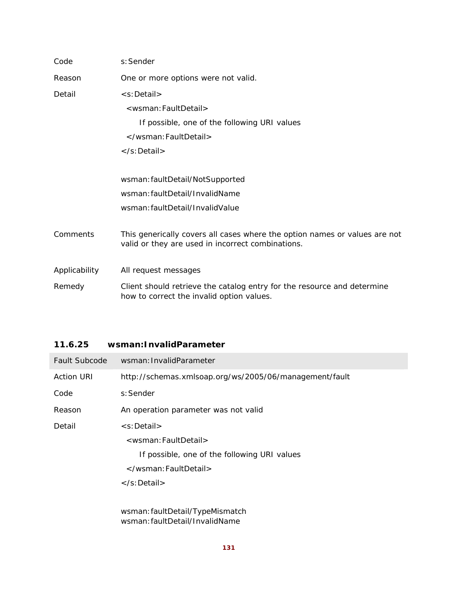| Code          | s: Sender                                                                                                                       |
|---------------|---------------------------------------------------------------------------------------------------------------------------------|
| Reason        | One or more options were not valid.                                                                                             |
| Detail        | <s:detail></s:detail>                                                                                                           |
|               | <wsman:faultdetail></wsman:faultdetail>                                                                                         |
|               | If possible, one of the following URI values                                                                                    |
|               |                                                                                                                                 |
|               | $\langle$ s:Detail $\rangle$                                                                                                    |
|               |                                                                                                                                 |
|               | wsman: faultDetail/NotSupported                                                                                                 |
|               | wsman: faultDetail/InvalidName                                                                                                  |
|               | wsman: faultDetail/InvalidValue                                                                                                 |
|               |                                                                                                                                 |
| Comments      | This generically covers all cases where the option names or values are not<br>valid or they are used in incorrect combinations. |
|               |                                                                                                                                 |
| Applicability | All request messages                                                                                                            |
| Remedy        | Client should retrieve the catalog entry for the resource and determine<br>how to correct the invalid option values.            |

### **11.6.25 wsman:InvalidParameter**

| <b>Fault Subcode</b> | wsman: InvalidParameter                                                                                |
|----------------------|--------------------------------------------------------------------------------------------------------|
| <b>Action URI</b>    | http://schemas.xmlsoap.org/ws/2005/06/management/fault                                                 |
| Code                 | s: Sender                                                                                              |
| Reason               | An operation parameter was not valid                                                                   |
| Detail               | <s:detail></s:detail>                                                                                  |
|                      | <wsman: faultdetail=""></wsman:>                                                                       |
|                      | If possible, one of the following URI values                                                           |
|                      |                                                                                                        |
|                      | $\langle$ s:Detail $\rangle$                                                                           |
|                      |                                                                                                        |
|                      | $\mathcal{L}$ . II $\mathcal{L}$ . I . II $\mathcal{L}$ . If $\mathcal{L}$ is the set of $\mathcal{L}$ |

wsman:faultDetail/TypeMismatch wsman:faultDetail/InvalidName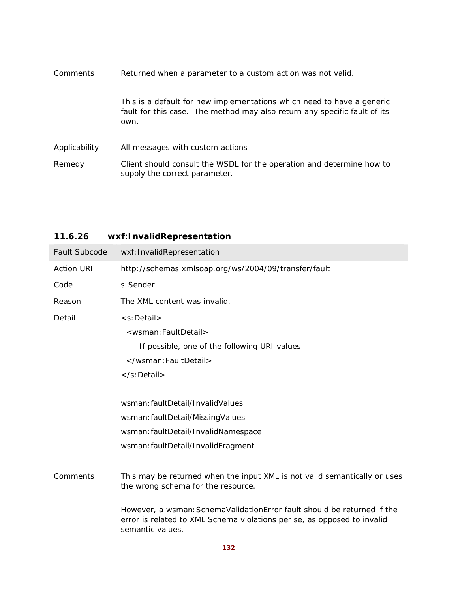| <b>Comments</b> | Returned when a parameter to a custom action was not valid.                                                                                                 |
|-----------------|-------------------------------------------------------------------------------------------------------------------------------------------------------------|
|                 | This is a default for new implementations which need to have a generic<br>fault for this case. The method may also return any specific fault of its<br>own. |
| Applicability   | All messages with custom actions                                                                                                                            |
| Remedy          | Client should consult the WSDL for the operation and determine how to<br>supply the correct parameter.                                                      |

| Fault Subcode     | wxf: InvalidRepresentation                                                                                                                                                                                                                                                                |
|-------------------|-------------------------------------------------------------------------------------------------------------------------------------------------------------------------------------------------------------------------------------------------------------------------------------------|
| <b>Action URI</b> | http://schemas.xmlsoap.org/ws/2004/09/transfer/fault                                                                                                                                                                                                                                      |
| Code              | s: Sender                                                                                                                                                                                                                                                                                 |
| Reason            | The XML content was invalid.                                                                                                                                                                                                                                                              |
| Detail            | <s:detail><br/><wsman: faultdetail=""><br/>If possible, one of the following URI values<br/></wsman:><br/></s:detail>                                                                                                                                                                     |
|                   | wsman: faultDetail/InvalidValues<br>wsman: faultDetail/MissingValues<br>wsman: faultDetail/InvalidNamespace<br>wsman: faultDetail/InvalidFragment                                                                                                                                         |
| Comments          | This may be returned when the input XML is not valid semantically or uses<br>the wrong schema for the resource.<br>However, a wsman: SchemaValidationError fault should be returned if the<br>error is related to XML Schema violations per se, as opposed to invalid<br>semantic values. |

# **11.6.26 wxf:InvalidRepresentation**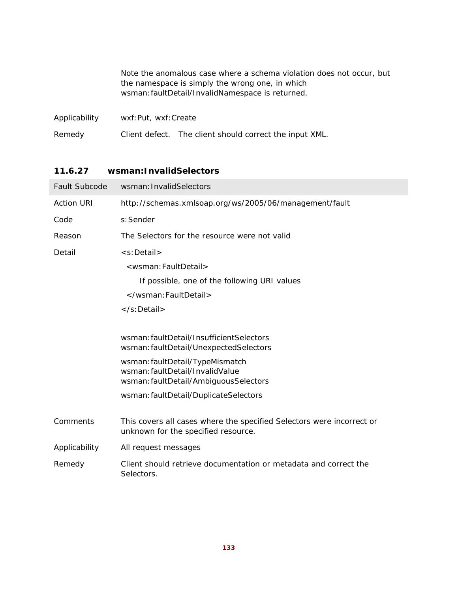|               |                       | Note the anomalous case where a schema violation does not occur, but<br>the namespace is simply the wrong one, in which<br>wsman: faultDetail/InvalidNamespace is returned. |
|---------------|-----------------------|-----------------------------------------------------------------------------------------------------------------------------------------------------------------------------|
| Applicability | wxf: Put, wxf: Create |                                                                                                                                                                             |
| Remedy        |                       | Client defect. The client should correct the input XML.                                                                                                                     |

### **11.6.27 wsman:InvalidSelectors**

| <b>Fault Subcode</b> | wsman: InvalidSelectors                                                                                      |
|----------------------|--------------------------------------------------------------------------------------------------------------|
| <b>Action URI</b>    | http://schemas.xmlsoap.org/ws/2005/06/management/fault                                                       |
| Code                 | s: Sender                                                                                                    |
| Reason               | The Selectors for the resource were not valid                                                                |
| Detail               | <s:detail></s:detail>                                                                                        |
|                      | <wsman: faultdetail=""></wsman:>                                                                             |
|                      | If possible, one of the following URI values                                                                 |
|                      |                                                                                                              |
|                      |                                                                                                              |
|                      |                                                                                                              |
|                      | wsman: faultDetail/InsufficientSelectors<br>wsman: faultDetail/UnexpectedSelectors                           |
|                      | wsman: faultDetail/TypeMismatch<br>wsman: faultDetail/InvalidValue                                           |
|                      | wsman: faultDetail/AmbiguousSelectors                                                                        |
|                      | wsman: faultDetail/DuplicateSelectors                                                                        |
|                      |                                                                                                              |
| Comments             | This covers all cases where the specified Selectors were incorrect or<br>unknown for the specified resource. |
| Applicability        | All request messages                                                                                         |
| Remedy               | Client should retrieve documentation or metadata and correct the<br>Selectors.                               |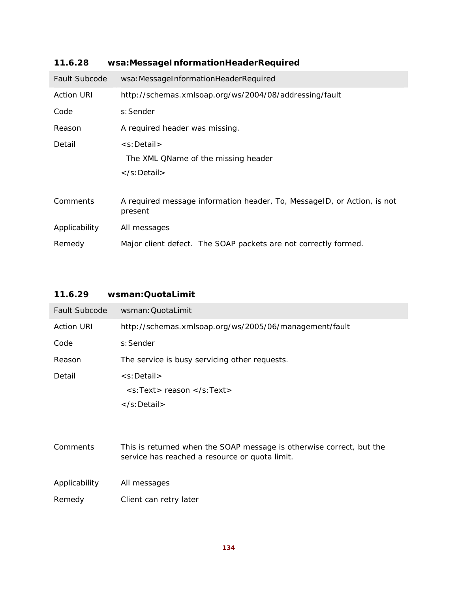| <b>Fault Subcode</b> | wsa: MessageInformationHeaderRequired                                              |
|----------------------|------------------------------------------------------------------------------------|
| <b>Action URI</b>    | http://schemas.xmlsoap.org/ws/2004/08/addressing/fault                             |
| Code                 | s: Sender                                                                          |
| Reason               | A required header was missing.                                                     |
| Detail               | <s:detail><br/>The XML QName of the missing header</s:detail>                      |
|                      | $\langle$ s:Detail $\rangle$                                                       |
| Comments             | A required message information header, To, MessageID, or Action, is not<br>present |
| Applicability        | All messages                                                                       |
| Remedy               | Major client defect. The SOAP packets are not correctly formed.                    |

### **11.6.28 wsa:MessageInformationHeaderRequired**

### **11.6.29 wsman:QuotaLimit**

| <b>Fault Subcode</b> | wsman: QuotaLimit                                                                                                      |
|----------------------|------------------------------------------------------------------------------------------------------------------------|
| <b>Action URI</b>    | http://schemas.xmlsoap.org/ws/2005/06/management/fault                                                                 |
| Code                 | s: Sender                                                                                                              |
| Reason               | The service is busy servicing other requests.                                                                          |
| Detail               | $\leq$ s: Detail $>$                                                                                                   |
|                      | $\langle$ s:Text> reason $\langle$ /s:Text>                                                                            |
|                      | $\langle$ s: Detail $>$                                                                                                |
|                      |                                                                                                                        |
| Comments             | This is returned when the SOAP message is otherwise correct, but the<br>service has reached a resource or quota limit. |
| Applicability        | All messages                                                                                                           |

Remedy Client can retry later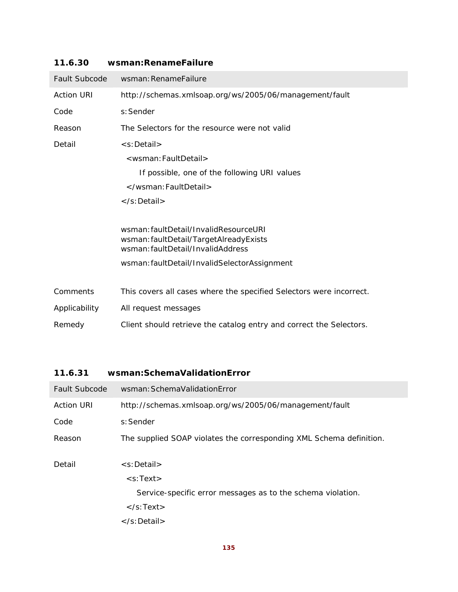| <b>Fault Subcode</b> | wsman: RenameFailure                                                                                                 |
|----------------------|----------------------------------------------------------------------------------------------------------------------|
| <b>Action URI</b>    | http://schemas.xmlsoap.org/ws/2005/06/management/fault                                                               |
| Code                 | s: Sender                                                                                                            |
| Reason               | The Selectors for the resource were not valid                                                                        |
| Detail               | <s:detail></s:detail>                                                                                                |
|                      | <wsman: faultdetail=""></wsman:>                                                                                     |
|                      | If possible, one of the following URI values                                                                         |
|                      |                                                                                                                      |
|                      |                                                                                                                      |
|                      |                                                                                                                      |
|                      | wsman: faultDetail/InvalidResourceURI<br>wsman: faultDetail/TargetAlreadyExists<br>wsman: faultDetail/InvalidAddress |
|                      | wsman: faultDetail/InvalidSelectorAssignment                                                                         |
|                      |                                                                                                                      |
| Comments             | This covers all cases where the specified Selectors were incorrect.                                                  |
| Applicability        | All request messages                                                                                                 |
| Remedy               | Client should retrieve the catalog entry and correct the Selectors.                                                  |

### **11.6.30 wsman:RenameFailure**

### **11.6.31 wsman:SchemaValidationError**

| Fault Subcode     | wsman: Schema Validation Error                                      |
|-------------------|---------------------------------------------------------------------|
| <b>Action URI</b> | http://schemas.xmlsoap.org/ws/2005/06/management/fault              |
| Code              | s: Sender                                                           |
| Reason            | The supplied SOAP violates the corresponding XML Schema definition. |
|                   |                                                                     |
| Detail            | $\leq$ s: Detail $>$                                                |
|                   | $\leq$ s:Text $>$                                                   |
|                   | Service-specific error messages as to the schema violation.         |
|                   | $\langle$ s:Text $\rangle$                                          |
|                   | $\langle$ s: Detail $\rangle$                                       |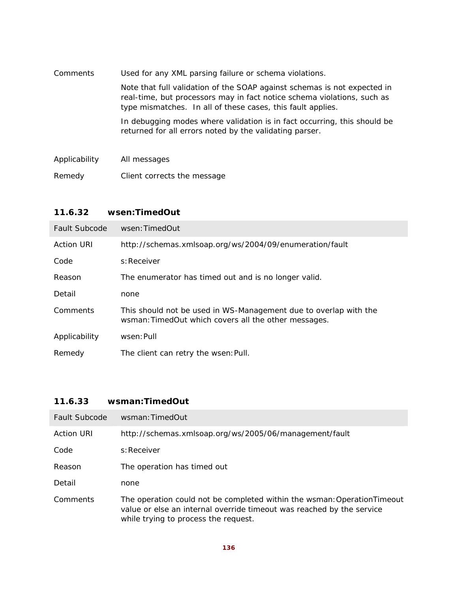| Comments      | Used for any XML parsing failure or schema violations.                                                                                                                                                             |
|---------------|--------------------------------------------------------------------------------------------------------------------------------------------------------------------------------------------------------------------|
|               | Note that full validation of the SOAP against schemas is not expected in<br>real-time, but processors may in fact notice schema violations, such as<br>type mismatches. In all of these cases, this fault applies. |
|               | In debugging modes where validation is in fact occurring, this should be<br>returned for all errors noted by the validating parser.                                                                                |
| Applicability | All messages                                                                                                                                                                                                       |
| Remedy        | Client corrects the message                                                                                                                                                                                        |

### **11.6.32 wsen:TimedOut**

| Fault Subcode     | wsen: TimedOut                                                                                                           |
|-------------------|--------------------------------------------------------------------------------------------------------------------------|
| <b>Action URI</b> | http://schemas.xmlsoap.org/ws/2004/09/enumeration/fault                                                                  |
| Code              | s: Receiver                                                                                                              |
| Reason            | The enumerator has timed out and is no longer valid.                                                                     |
| Detail            | none                                                                                                                     |
| Comments          | This should not be used in WS-Management due to overlap with the<br>wsman: TimedOut which covers all the other messages. |
| Applicability     | wsen: Pull                                                                                                               |
| Remedy            | The client can retry the wsen: Pull.                                                                                     |

### **11.6.33 wsman:TimedOut**

| Fault Subcode     | wsman: TimedOut                                                                                                                                                                          |
|-------------------|------------------------------------------------------------------------------------------------------------------------------------------------------------------------------------------|
| <b>Action URI</b> | http://schemas.xmlsoap.org/ws/2005/06/management/fault                                                                                                                                   |
| Code              | s: Receiver                                                                                                                                                                              |
| Reason            | The operation has timed out                                                                                                                                                              |
| Detail            | none                                                                                                                                                                                     |
| Comments          | The operation could not be completed within the wsman: OperationTimeout<br>value or else an internal override timeout was reached by the service<br>while trying to process the request. |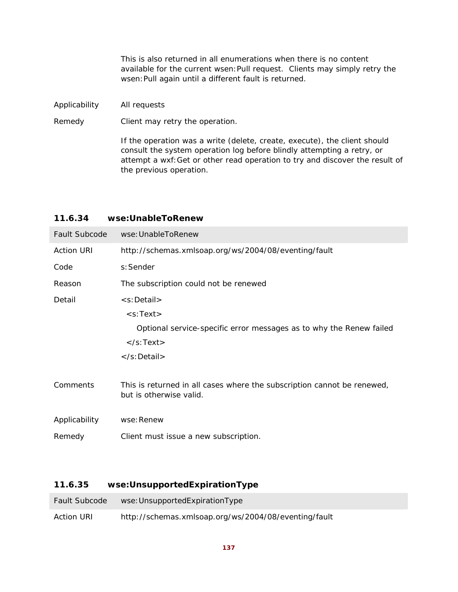|               | This is also returned in all enumerations when there is no content<br>available for the current wsen: Pull request. Clients may simply retry the<br>wsen: Pull again until a different fault is returned. |
|---------------|-----------------------------------------------------------------------------------------------------------------------------------------------------------------------------------------------------------|
| Applicability | All requests                                                                                                                                                                                              |
| Remedy        | Client may retry the operation.                                                                                                                                                                           |
|               | If the operation was a write (delete, create, execute), the client should                                                                                                                                 |

consult the system operation log before blindly attempting a retry, or attempt a wxf:Get or other read operation to try and discover the result of the previous operation.

### **11.6.34 wse:UnableToRenew**

| <b>Fault Subcode</b> | wse: UnableToRenew                                                                                 |
|----------------------|----------------------------------------------------------------------------------------------------|
| <b>Action URI</b>    | http://schemas.xmlsoap.org/ws/2004/08/eventing/fault                                               |
| Code                 | s: Sender                                                                                          |
| Reason               | The subscription could not be renewed                                                              |
| Detail               | <s:detail></s:detail>                                                                              |
|                      | $<$ s:Text $>$                                                                                     |
|                      | Optional service-specific error messages as to why the Renew failed                                |
|                      | $\langle$ s:Text $\rangle$                                                                         |
|                      |                                                                                                    |
| Comments             | This is returned in all cases where the subscription cannot be renewed,<br>but is otherwise valid. |
| Applicability        | wse: Renew                                                                                         |
| Remedy               | Client must issue a new subscription.                                                              |

### **11.6.35 wse:UnsupportedExpirationType**

| <b>Fault Subcode</b> | wse: Unsupported Expiration Type                     |
|----------------------|------------------------------------------------------|
| <b>Action URI</b>    | http://schemas.xmlsoap.org/ws/2004/08/eventing/fault |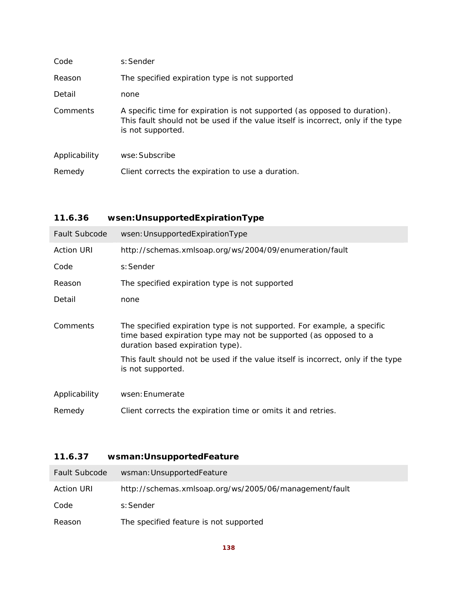| Code          | s: Sender                                                                                                                                                                          |  |  |
|---------------|------------------------------------------------------------------------------------------------------------------------------------------------------------------------------------|--|--|
| Reason        | The specified expiration type is not supported                                                                                                                                     |  |  |
| Detail        | none                                                                                                                                                                               |  |  |
| Comments      | A specific time for expiration is not supported (as opposed to duration).<br>This fault should not be used if the value itself is incorrect, only if the type<br>is not supported. |  |  |
| Applicability | wse: Subscribe                                                                                                                                                                     |  |  |
| Remedy        | Client corrects the expiration to use a duration.                                                                                                                                  |  |  |

# **11.6.36 wsen:UnsupportedExpirationType**

| <b>Fault Subcode</b> | wsen: Unsupported Expiration Type                                                                                                                                                                                                                                                        |  |  |  |
|----------------------|------------------------------------------------------------------------------------------------------------------------------------------------------------------------------------------------------------------------------------------------------------------------------------------|--|--|--|
| <b>Action URI</b>    | http://schemas.xmlsoap.org/ws/2004/09/enumeration/fault                                                                                                                                                                                                                                  |  |  |  |
| Code                 | s: Sender                                                                                                                                                                                                                                                                                |  |  |  |
| Reason               | The specified expiration type is not supported                                                                                                                                                                                                                                           |  |  |  |
| Detail               | none                                                                                                                                                                                                                                                                                     |  |  |  |
| Comments             | The specified expiration type is not supported. For example, a specific<br>time based expiration type may not be supported (as opposed to a<br>duration based expiration type).<br>This fault should not be used if the value itself is incorrect, only if the type<br>is not supported. |  |  |  |
| Applicability        | wsen: Enumerate                                                                                                                                                                                                                                                                          |  |  |  |
| Remedy               | Client corrects the expiration time or omits it and retries.                                                                                                                                                                                                                             |  |  |  |

# **11.6.37 wsman:UnsupportedFeature**

| <b>Fault Subcode</b> | wsman: UnsupportedFeature                              |
|----------------------|--------------------------------------------------------|
| Action URI           | http://schemas.xmlsoap.org/ws/2005/06/management/fault |
| Code                 | s:Sender                                               |
| Reason               | The specified feature is not supported                 |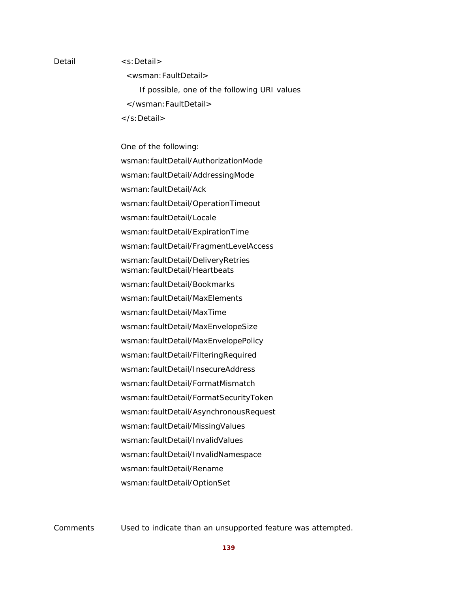#### Detail <s:Detail>

<wsman:FaultDetail>

 If possible, one of the following URI values </wsman:FaultDetail> </s:Detail>

One of the following:

wsman:faultDetail/AuthorizationMode

wsman:faultDetail/AddressingMode

wsman:faultDetail/Ack

wsman:faultDetail/OperationTimeout

wsman:faultDetail/Locale

wsman:faultDetail/ExpirationTime

wsman:faultDetail/FragmentLevelAccess

wsman:faultDetail/DeliveryRetries wsman:faultDetail/Heartbeats

wsman:faultDetail/Bookmarks

wsman:faultDetail/MaxElements

wsman:faultDetail/MaxTime

wsman:faultDetail/MaxEnvelopeSize

wsman:faultDetail/MaxEnvelopePolicy

wsman:faultDetail/FilteringRequired

wsman:faultDetail/InsecureAddress

wsman:faultDetail/FormatMismatch

wsman:faultDetail/FormatSecurityToken

wsman:faultDetail/AsynchronousRequest

wsman:faultDetail/MissingValues

wsman:faultDetail/InvalidValues

wsman:faultDetail/InvalidNamespace

wsman:faultDetail/Rename

wsman:faultDetail/OptionSet

Comments Used to indicate than an unsupported feature was attempted.

**139**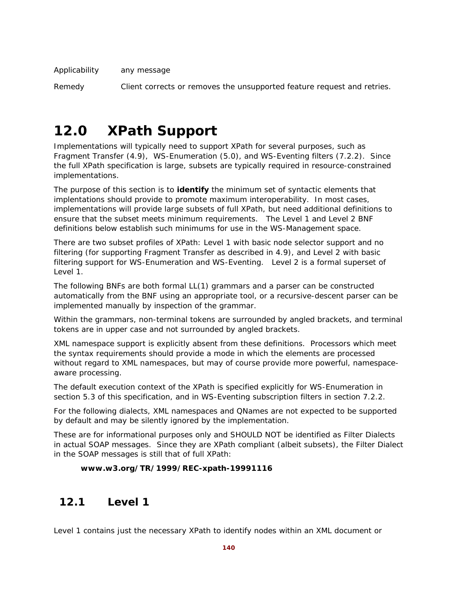Applicability any message

Remedy Client corrects or removes the unsupported feature request and retries.

# **12.0 XPath Support**

Implementations will typically need to support XPath for several purposes, such as Fragment Transfer (4.9), WS-Enumeration (5.0), and WS-Eventing filters (7.2.2). Since the full XPath specification is large, subsets are typically required in resource-constrained implementations.

The purpose of this section is to **identify** the minimum set of syntactic elements that implentations should provide to promote maximum interoperability. In most cases, implementations will provide large subsets of full XPath, but need additional definitions to ensure that the subset meets minimum requirements. The Level 1 and Level 2 BNF definitions below establish such minimums for use in the WS-Management space.

There are two subset profiles of XPath: Level 1 with basic node selector support and no filtering (for supporting Fragment Transfer as described in 4.9), and Level 2 with basic filtering support for WS-Enumeration and WS-Eventing. Level 2 is a formal superset of Level 1.

The following BNFs are both formal LL(1) grammars and a parser can be constructed automatically from the BNF using an appropriate tool, or a recursive-descent parser can be implemented manually by inspection of the grammar.

Within the grammars, non-terminal tokens are surrounded by angled brackets, and terminal tokens are in upper case and not surrounded by angled brackets.

XML namespace support is explicitly absent from these definitions. Processors which meet the syntax requirements should provide a mode in which the elements are processed without regard to XML namespaces, but may of course provide more powerful, namespaceaware processing.

The default execution context of the XPath is specified explicitly for WS-Enumeration in section 5.3 of this specification, and in WS-Eventing subscription filters in section 7.2.2.

For the following dialects, XML namespaces and QNames are not expected to be supported by default and may be silently ignored by the implementation.

These are for informational purposes only and SHOULD NOT be identified as Filter Dialects in actual SOAP messages. Since they are XPath compliant (albeit subsets), the Filter Dialect in the SOAP messages is still that of full XPath:

#### **www.w3.org/TR/1999/REC-xpath-19991116**

# **12.1 Level 1**

Level 1 contains just the necessary XPath to identify nodes within an XML document or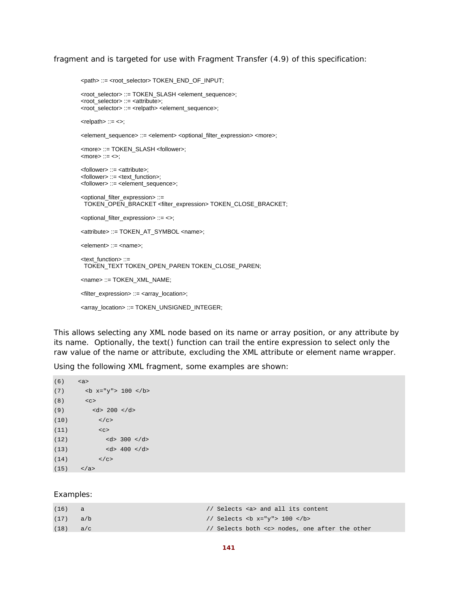fragment and is targeted for use with Fragment Transfer (4.9) of this specification:

```
<path> ::= <root_selector> TOKEN_END_OF_INPUT; 
<root_selector> ::= TOKEN_SLASH <element_sequence>; 
<root_selector> ::= <attribute>; 
<root_selector> ::= <relpath> <element_sequence>; 
\leqrelpath> ::= \leq;
<element_sequence> ::= <element> <optional_filter_expression> <more>; 
<more> ::= TOKEN_SLASH <follower>; 
<sub>5</sub> = <sub>6</sub></sub>
<follower> ::= <attribute>; 
<follower> ::= <text_function>; 
<follower> ::= <element_sequence>; 
<optional_filter_expression> ::= 
 TOKEN_OPEN_BRACKET <filter_expression> TOKEN_CLOSE_BRACKET; 
<optional_filter_expression> ::= <>; 
<attribute> ::= TOKEN_AT_SYMBOL <name>; 
<element> ::= <name>; 
<text_function> ::= 
 TOKEN_TEXT TOKEN_OPEN_PAREN TOKEN_CLOSE_PAREN; 
<name> ::= TOKEN_XML_NAME; 
<filter_expression> ::= <array_location>; 
<array_location> ::= TOKEN_UNSIGNED_INTEGER;
```
This allows selecting any XML node based on its name or array position, or any attribute by its name. Optionally, the text() function can trail the entire expression to select only the raw value of the name or attribute, excluding the XML attribute or element name wrapper.

Using the following XML fragment, some examples are shown:

```
(6) <a> 
(7) <b x="y"> 100 </b> 
(8) <c> 
(d) <d> 200 </d>
(10) </c>
(11) \langle c \rangle(12) <d> 300 </d>
(d) (d) (d) (d) (d)(14) \langle \csc \rangle(15) \langle /a>
```
#### Examples:

| (16) | a   | // Selects <a> and all its content</a>             |
|------|-----|----------------------------------------------------|
| (17) | a/b | // Selects<br>b x="y"> 100                         |
| (18) | a/c | // Selects both <c> nodes, one after the other</c> |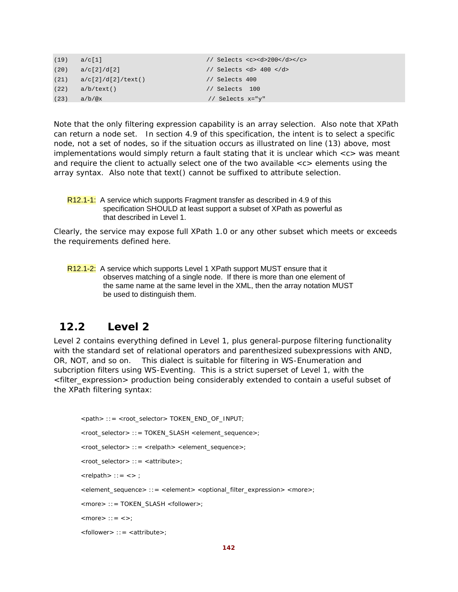| (19) | a/c[1]             | // Selects < $c$ >< $d$ >< $200$ < $(d$ > |
|------|--------------------|-------------------------------------------|
| (20) | a/c[2]/d[2]        | // Selects <d> 400 </d>                   |
| (21) | a/c[2]/d[2]/text() | // Selects 400                            |
| (22) | a/b/text()         | // Selects 100                            |
| (23) | $a/b/\sqrt{a}x$    | // Selects x="y"                          |

Note that the only filtering expression capability is an array selection. Also note that XPath can return a node set. In section 4.9 of this specification, the intent is to select a specific node, not a set of nodes, so if the situation occurs as illustrated on line (13) above, most implementations would simply return a fault stating that it is unclear which <c> was meant and require the client to actually select one of the two available  $\langle c \rangle$  elements using the array syntax. Also note that text() cannot be suffixed to attribute selection.

```
R12.1-1: A service which supports Fragment transfer as described in 4.9 of this
          specification SHOULD at least support a subset of XPath as powerful as 
          that described in Level 1.
```
Clearly, the service may expose full XPath 1.0 or any other subset which meets or exceeds the requirements defined here.

R12.1-2: A service which supports Level 1 XPath support MUST ensure that it observes matching of a single node. If there is more than one element of the same name at the same level in the XML, then the array notation MUST be used to distinguish them.

### **12.2 Level 2**

Level 2 contains everything defined in Level 1, plus general-purpose filtering functionality with the standard set of relational operators and parenthesized subexpressions with AND, OR, NOT, and so on. This dialect is suitable for filtering in WS-Enumeration and subcription filters using WS-Eventing. This is a strict superset of Level 1, with the <filter\_expression> production being considerably extended to contain a useful subset of the XPath filtering syntax:

```
<path> ::= <root_selector> TOKEN_END_OF_INPUT; 
<root_selector> ::= TOKEN_SLASH <element_sequence>; 
<root_selector> ::= <relpath> <element_sequence>;
<root_selector> ::= <attribute>; 
\langle relpath> :: = \langle > ;
<element_sequence> ::= <element> <optional_filter_expression> <more>; 
<more> ::= TOKEN_SLASH <follower>; 
<more>:: = \lt>;
```

```
<follower> ::= <attribute>;
```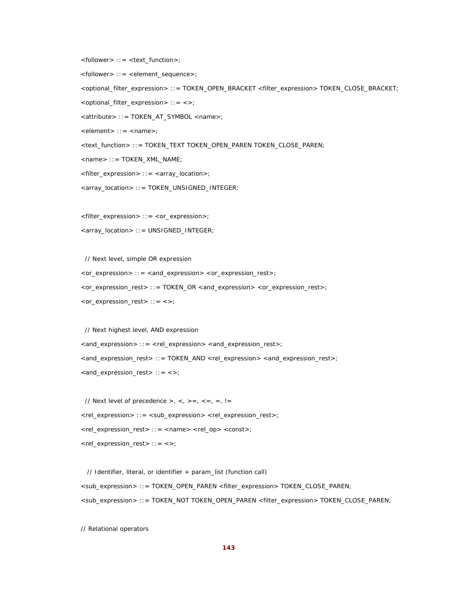<follower> ::= <text\_function>;

<follower> ::= <element\_sequence>;

<optional\_filter\_expression> ::= TOKEN\_OPEN\_BRACKET <filter\_expression> TOKEN\_CLOSE\_BRACKET;

<optional\_filter\_expression> ::= <>;

<attribute> ::= TOKEN\_AT\_SYMBOL <name>;

<element> ::= <name>;

<text\_function> ::= TOKEN\_TEXT TOKEN\_OPEN\_PAREN TOKEN\_CLOSE\_PAREN;

<name> ::= TOKEN\_XML\_NAME;

<filter\_expression> ::= <array\_location>;

<array\_location> ::= TOKEN\_UNSIGNED\_INTEGER;

<filter\_expression> ::= <or\_expression>;

<array\_location> ::= UNSIGNED\_INTEGER;

 // Next level, simple OR expression <or\_expression> ::= <and\_expression> <or\_expression\_rest>; <or\_expression\_rest> ::= TOKEN\_OR <and\_expression> <or\_expression\_rest>; <or\_expression\_rest> ::= <>;

 // Next highest level, AND expression <and\_expression> ::= <rel\_expression> <and\_expression\_rest>; <and\_expression\_rest> ::= TOKEN\_AND <rel\_expression> <and\_expression\_rest>; <and\_expression\_rest> ::= <>;

// Next level of precedence  $>$ ,  $<$ ,  $>$  =,  $<$  =,  $=$ ,  $=$ ,  $!=$ <rel\_expression> ::= <sub\_expression> <rel\_expression\_rest>; <rel\_expression\_rest> ::= <name> <rel\_op> <const>; <rel\_expression\_rest> ::= <>;

 // Identifier, literal, or identifier + param\_list (function call) <sub\_expression> ::= TOKEN\_OPEN\_PAREN <filter\_expression> TOKEN\_CLOSE\_PAREN; <sub\_expression> ::= TOKEN\_NOT TOKEN\_OPEN\_PAREN <filter\_expression> TOKEN\_CLOSE\_PAREN;

// Relational operators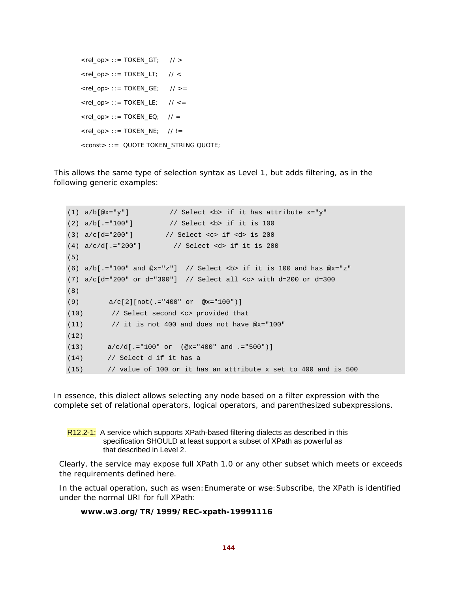```
\langlerel_op> ::= TOKEN_GT; // >
\langlerel_op> ::= TOKEN_LT; // \langle\langlerel_op> ::= TOKEN_GE; // >=
\langlerel_op> ::= TOKEN_LE; // \langle =
\langlerel_op>::= TOKEN_EQ; // =
\langlerel_op> ::= TOKEN_NE; // !=
<const> ::= QUOTE TOKEN_STRING QUOTE;
```
This allows the same type of selection syntax as Level 1, but adds filtering, as in the following generic examples:

```
(1) a/b[@x="y"] // Select <b> if it has attribute x="y"(2) a/b[.-"100"] // Select <b> if it is 100
(3) a/c[d="200"] // Select <c> if <d> is 200 
(4) a/c/d[.="200"] // Select <d> if it is 200 
(5)
(6) a/b[.="100" and @x="z"] // Select <br/>b> if it is 100 and has @x="z"
(7) a/c[d="200" or d="300"] // Select all <c> with d=200 or d=300 
(8)
(9) a/c[2][not(.="400" or @x="100")] 
(10) // Select second <c> provided that 
(11) \frac{1}{1} it is not 400 and does not have @x="100"
(12)
(13) a/c/d[.="100" or (@x="400" and .="500")] 
(14) // Select d if it has a 
(15) // value of 100 or it has an attribute x set to 400 and is 500
```
In essence, this dialect allows selecting any node based on a filter expression with the complete set of relational operators, logical operators, and parenthesized subexpressions.

R12.2-1: A service which supports XPath-based filtering dialects as described in this specification SHOULD at least support a subset of XPath as powerful as that described in Level 2.

Clearly, the service may expose full XPath 1.0 or any other subset which meets or exceeds the requirements defined here.

In the actual operation, such as wsen:Enumerate or wse:Subscribe, the XPath is identified under the normal URI for full XPath:

#### **www.w3.org/TR/1999/REC-xpath-19991116**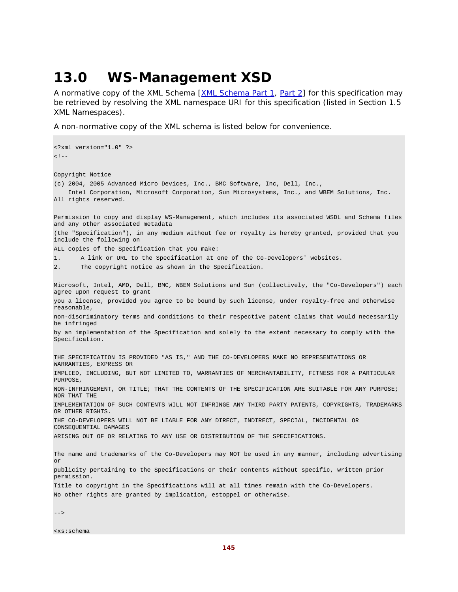## **13.0 WS-Management XSD**

A normative copy of the XML Schema [XML Schema Part 1, Part 2] for this specification may be retrieved by resolving the XML namespace URI for this specification (listed in Section 1.5 XML Namespaces).

A non-normative copy of the XML schema is listed below for convenience.

<?xml version="1.0" ?>  $<$ !  $-$ Copyright Notice (c) 2004, 2005 Advanced Micro Devices, Inc., BMC Software, Inc, Dell, Inc., Intel Corporation, Microsoft Corporation, Sun Microsystems, Inc., and WBEM Solutions, Inc. All rights reserved. Permission to copy and display WS-Management, which includes its associated WSDL and Schema files and any other associated metadata (the "Specification"), in any medium without fee or royalty is hereby granted, provided that you include the following on ALL copies of the Specification that you make: 1. A link or URL to the Specification at one of the Co-Developers' websites. 2. The copyright notice as shown in the Specification. Microsoft, Intel, AMD, Dell, BMC, WBEM Solutions and Sun (collectively, the "Co-Developers") each agree upon request to grant you a license, provided you agree to be bound by such license, under royalty-free and otherwise reasonable, non-discriminatory terms and conditions to their respective patent claims that would necessarily be infringed by an implementation of the Specification and solely to the extent necessary to comply with the Specification. THE SPECIFICATION IS PROVIDED "AS IS," AND THE CO-DEVELOPERS MAKE NO REPRESENTATIONS OR WARRANTIES, EXPRESS OR IMPLIED, INCLUDING, BUT NOT LIMITED TO, WARRANTIES OF MERCHANTABILITY, FITNESS FOR A PARTICULAR PURPOSE, NON-INFRINGEMENT, OR TITLE; THAT THE CONTENTS OF THE SPECIFICATION ARE SUITABLE FOR ANY PURPOSE; NOR THAT THE IMPLEMENTATION OF SUCH CONTENTS WILL NOT INFRINGE ANY THIRD PARTY PATENTS, COPYRIGHTS, TRADEMARKS OR OTHER RIGHTS. THE CO-DEVELOPERS WILL NOT BE LIABLE FOR ANY DIRECT, INDIRECT, SPECIAL, INCIDENTAL OR CONSEQUENTIAL DAMAGES ARISING OUT OF OR RELATING TO ANY USE OR DISTRIBUTION OF THE SPECIFICATIONS. The name and trademarks of the Co-Developers may NOT be used in any manner, including advertising or publicity pertaining to the Specifications or their contents without specific, written prior permission. Title to copyright in the Specifications will at all times remain with the Co-Developers. No other rights are granted by implication, estoppel or otherwise.

-->

<xs:schema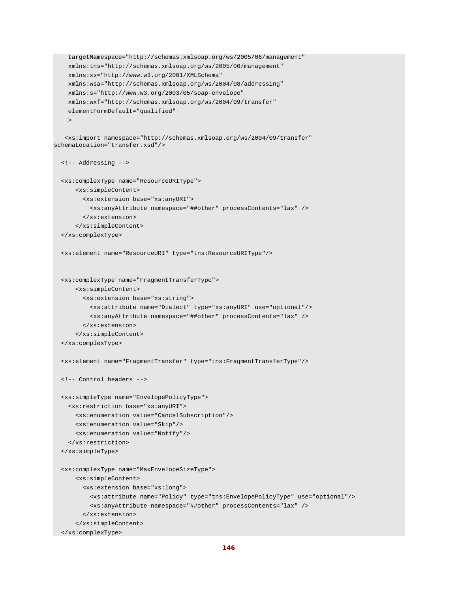```
 targetNamespace="http://schemas.xmlsoap.org/ws/2005/06/management" 
     xmlns:tns="http://schemas.xmlsoap.org/ws/2005/06/management" 
     xmlns:xs="http://www.w3.org/2001/XMLSchema" 
    xmlns:wsa="http://schemas.xmlsoap.org/ws/2004/08/addressing" 
     xmlns:s="http://www.w3.org/2003/05/soap-envelope" 
     xmlns:wxf="http://schemas.xmlsoap.org/ws/2004/09/transfer" 
     elementFormDefault="qualified" 
     > 
    <xs:import namespace="http://schemas.xmlsoap.org/ws/2004/09/transfer" 
schemaLocation="transfer.xsd"/> 
   <!-- Addressing --> 
   <xs:complexType name="ResourceURIType"> 
       <xs:simpleContent> 
         <xs:extension base="xs:anyURI"> 
           <xs:anyAttribute namespace="##other" processContents="lax" /> 
         </xs:extension> 
       </xs:simpleContent> 
   </xs:complexType> 
   <xs:element name="ResourceURI" type="tns:ResourceURIType"/> 
   <xs:complexType name="FragmentTransferType"> 
       <xs:simpleContent> 
         <xs:extension base="xs:string"> 
           <xs:attribute name="Dialect" type="xs:anyURI" use="optional"/> 
           <xs:anyAttribute namespace="##other" processContents="lax" /> 
         </xs:extension> 
       </xs:simpleContent> 
   </xs:complexType> 
   <xs:element name="FragmentTransfer" type="tns:FragmentTransferType"/> 
   <!-- Control headers --> 
   <xs:simpleType name="EnvelopePolicyType"> 
     <xs:restriction base="xs:anyURI"> 
       <xs:enumeration value="CancelSubscription"/> 
       <xs:enumeration value="Skip"/> 
       <xs:enumeration value="Notify"/> 
     </xs:restriction> 
   </xs:simpleType> 
   <xs:complexType name="MaxEnvelopeSizeType"> 
       <xs:simpleContent> 
         <xs:extension base="xs:long"> 
           <xs:attribute name="Policy" type="tns:EnvelopePolicyType" use="optional"/> 
           <xs:anyAttribute namespace="##other" processContents="lax" /> 
         </xs:extension> 
       </xs:simpleContent> 
   </xs:complexType>
```

```
146
```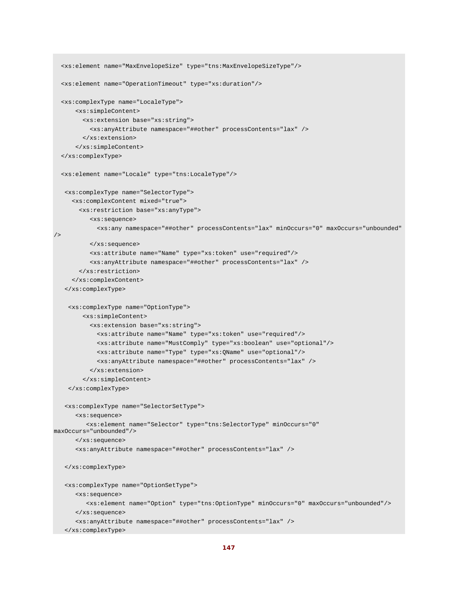```
 <xs:element name="MaxEnvelopeSize" type="tns:MaxEnvelopeSizeType"/> 
   <xs:element name="OperationTimeout" type="xs:duration"/> 
   <xs:complexType name="LocaleType"> 
       <xs:simpleContent> 
         <xs:extension base="xs:string"> 
           <xs:anyAttribute namespace="##other" processContents="lax" /> 
         </xs:extension> 
       </xs:simpleContent> 
   </xs:complexType> 
   <xs:element name="Locale" type="tns:LocaleType"/> 
    <xs:complexType name="SelectorType"> 
      <xs:complexContent mixed="true"> 
        <xs:restriction base="xs:anyType"> 
           <xs:sequence> 
             <xs:any namespace="##other" processContents="lax" minOccurs="0" maxOccurs="unbounded" 
/> 
           </xs:sequence> 
           <xs:attribute name="Name" type="xs:token" use="required"/> 
           <xs:anyAttribute namespace="##other" processContents="lax" /> 
        </xs:restriction> 
      </xs:complexContent> 
    </xs:complexType> 
     <xs:complexType name="OptionType"> 
         <xs:simpleContent> 
           <xs:extension base="xs:string"> 
             <xs:attribute name="Name" type="xs:token" use="required"/> 
             <xs:attribute name="MustComply" type="xs:boolean" use="optional"/> 
             <xs:attribute name="Type" type="xs:QName" use="optional"/> 
             <xs:anyAttribute namespace="##other" processContents="lax" /> 
           </xs:extension> 
         </xs:simpleContent> 
     </xs:complexType> 
    <xs:complexType name="SelectorSetType"> 
       <xs:sequence> 
          <xs:element name="Selector" type="tns:SelectorType" minOccurs="0" 
maxOccurs="unbounded"/> 
       </xs:sequence> 
       <xs:anyAttribute namespace="##other" processContents="lax" /> 
    </xs:complexType> 
    <xs:complexType name="OptionSetType"> 
       <xs:sequence> 
          <xs:element name="Option" type="tns:OptionType" minOccurs="0" maxOccurs="unbounded"/> 
       </xs:sequence> 
       <xs:anyAttribute namespace="##other" processContents="lax" /> 
    </xs:complexType>
```

```
147
```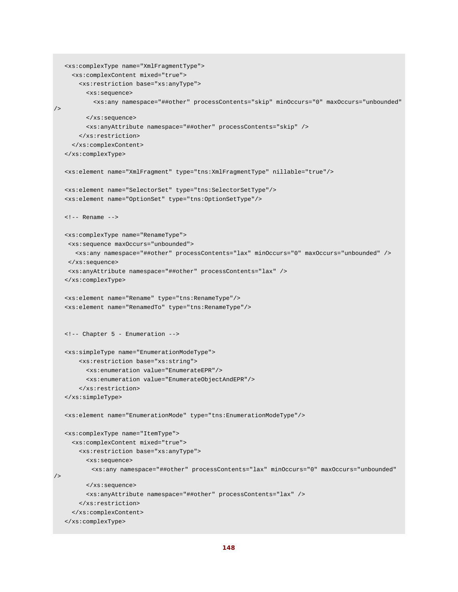```
 <xs:complexType name="XmlFragmentType"> 
      <xs:complexContent mixed="true"> 
        <xs:restriction base="xs:anyType"> 
          <xs:sequence> 
            <xs:any namespace="##other" processContents="skip" minOccurs="0" maxOccurs="unbounded" 
/ </xs:sequence> 
          <xs:anyAttribute namespace="##other" processContents="skip" /> 
        </xs:restriction> 
     </xs:complexContent> 
   </xs:complexType> 
   <xs:element name="XmlFragment" type="tns:XmlFragmentType" nillable="true"/> 
   <xs:element name="SelectorSet" type="tns:SelectorSetType"/> 
   <xs:element name="OptionSet" type="tns:OptionSetType"/> 
   <!-- Rename --> 
   <xs:complexType name="RenameType"> 
    <xs:sequence maxOccurs="unbounded"> 
      <xs:any namespace="##other" processContents="lax" minOccurs="0" maxOccurs="unbounded" /> 
    </xs:sequence> 
    <xs:anyAttribute namespace="##other" processContents="lax" /> 
   </xs:complexType> 
   <xs:element name="Rename" type="tns:RenameType"/> 
    <xs:element name="RenamedTo" type="tns:RenameType"/> 
   <!-- Chapter 5 - Enumeration --> 
   <xs:simpleType name="EnumerationModeType"> 
       <xs:restriction base="xs:string"> 
          <xs:enumeration value="EnumerateEPR"/> 
          <xs:enumeration value="EnumerateObjectAndEPR"/> 
        </xs:restriction> 
   </xs:simpleType> 
   <xs:element name="EnumerationMode" type="tns:EnumerationModeType"/> 
   <xs:complexType name="ItemType"> 
     <xs:complexContent mixed="true"> 
       <xs:restriction base="xs:anyType"> 
          <xs:sequence> 
           <xs:any namespace="##other" processContents="lax" minOccurs="0" maxOccurs="unbounded" 
/> 
          </xs:sequence> 
          <xs:anyAttribute namespace="##other" processContents="lax" /> 
        </xs:restriction> 
      </xs:complexContent> 
   </xs:complexType>
```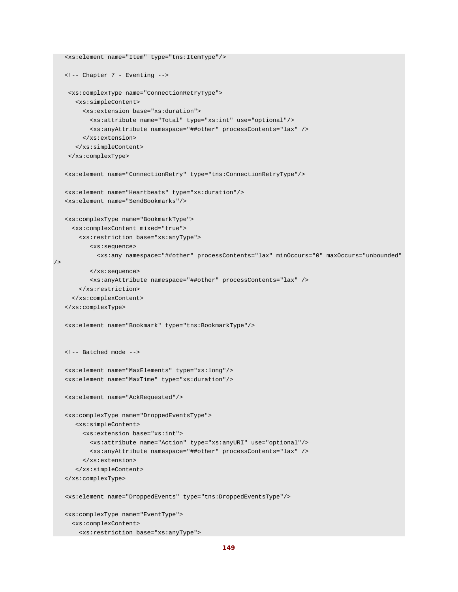```
 <xs:element name="Item" type="tns:ItemType"/> 
    <!-- Chapter 7 - Eventing --> 
     <xs:complexType name="ConnectionRetryType"> 
       <xs:simpleContent> 
         <xs:extension base="xs:duration"> 
           <xs:attribute name="Total" type="xs:int" use="optional"/> 
           <xs:anyAttribute namespace="##other" processContents="lax" /> 
         </xs:extension> 
       </xs:simpleContent> 
     </xs:complexType> 
    <xs:element name="ConnectionRetry" type="tns:ConnectionRetryType"/> 
    <xs:element name="Heartbeats" type="xs:duration"/> 
    <xs:element name="SendBookmarks"/> 
   <xs:complexType name="BookmarkType"> 
      <xs:complexContent mixed="true"> 
        <xs:restriction base="xs:anyType"> 
           <xs:sequence> 
             <xs:any namespace="##other" processContents="lax" minOccurs="0" maxOccurs="unbounded" 
/> 
           </xs:sequence> 
           <xs:anyAttribute namespace="##other" processContents="lax" /> 
        </xs:restriction> 
      </xs:complexContent> 
    </xs:complexType> 
    <xs:element name="Bookmark" type="tns:BookmarkType"/> 
    <!-- Batched mode --> 
    <xs:element name="MaxElements" type="xs:long"/> 
    <xs:element name="MaxTime" type="xs:duration"/> 
    <xs:element name="AckRequested"/> 
    <xs:complexType name="DroppedEventsType"> 
      <xs:simpleContent> 
         <xs:extension base="xs:int"> 
           <xs:attribute name="Action" type="xs:anyURI" use="optional"/> 
           <xs:anyAttribute namespace="##other" processContents="lax" /> 
         </xs:extension> 
       </xs:simpleContent> 
    </xs:complexType> 
    <xs:element name="DroppedEvents" type="tns:DroppedEventsType"/> 
    <xs:complexType name="EventType"> 
      <xs:complexContent> 
        <xs:restriction base="xs:anyType">
```

```
149
```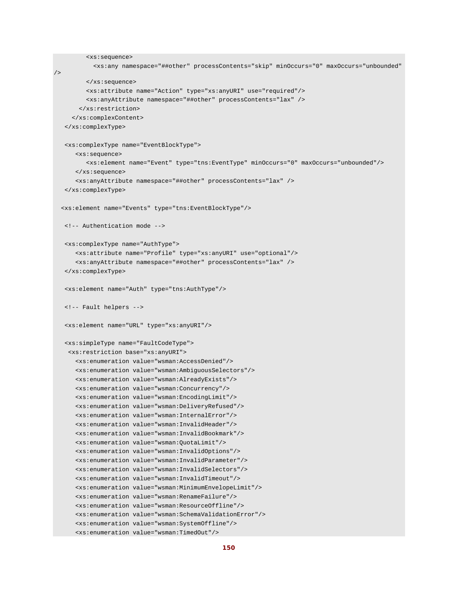```
 <xs:sequence> 
            <xs:any namespace="##other" processContents="skip" minOccurs="0" maxOccurs="unbounded" 
/> 
          </xs:sequence> 
          <xs:attribute name="Action" type="xs:anyURI" use="required"/> 
          <xs:anyAttribute namespace="##other" processContents="lax" /> 
        </xs:restriction> 
      </xs:complexContent> 
   </xs:complexType> 
   <xs:complexType name="EventBlockType"> 
       <xs:sequence> 
          <xs:element name="Event" type="tns:EventType" minOccurs="0" maxOccurs="unbounded"/> 
      </xs:sequence> 
       <xs:anyAttribute namespace="##other" processContents="lax" /> 
   </xs:complexType> 
  <xs:element name="Events" type="tns:EventBlockType"/> 
   <!-- Authentication mode --> 
   <xs:complexType name="AuthType"> 
      <xs:attribute name="Profile" type="xs:anyURI" use="optional"/> 
      <xs:anyAttribute namespace="##other" processContents="lax" /> 
   </xs:complexType> 
   <xs:element name="Auth" type="tns:AuthType"/> 
   <!-- Fault helpers --> 
   <xs:element name="URL" type="xs:anyURI"/> 
   <xs:simpleType name="FaultCodeType"> 
    <xs:restriction base="xs:anyURI"> 
      <xs:enumeration value="wsman:AccessDenied"/> 
       <xs:enumeration value="wsman:AmbiguousSelectors"/> 
      <xs:enumeration value="wsman:AlreadyExists"/> 
      <xs:enumeration value="wsman:Concurrency"/> 
      <xs:enumeration value="wsman:EncodingLimit"/> 
       <xs:enumeration value="wsman:DeliveryRefused"/> 
      <xs:enumeration value="wsman:InternalError"/> 
      <xs:enumeration value="wsman:InvalidHeader"/> 
       <xs:enumeration value="wsman:InvalidBookmark"/> 
      <xs:enumeration value="wsman:QuotaLimit"/> 
      <xs:enumeration value="wsman:InvalidOptions"/> 
      <xs:enumeration value="wsman:InvalidParameter"/> 
       <xs:enumeration value="wsman:InvalidSelectors"/> 
      <xs:enumeration value="wsman:InvalidTimeout"/> 
      <xs:enumeration value="wsman:MinimumEnvelopeLimit"/> 
       <xs:enumeration value="wsman:RenameFailure"/> 
      <xs:enumeration value="wsman:ResourceOffline"/> 
      <xs:enumeration value="wsman:SchemaValidationError"/> 
      <xs:enumeration value="wsman:SystemOffline"/>
```

```
150
```
<xs:enumeration value="wsman:TimedOut"/>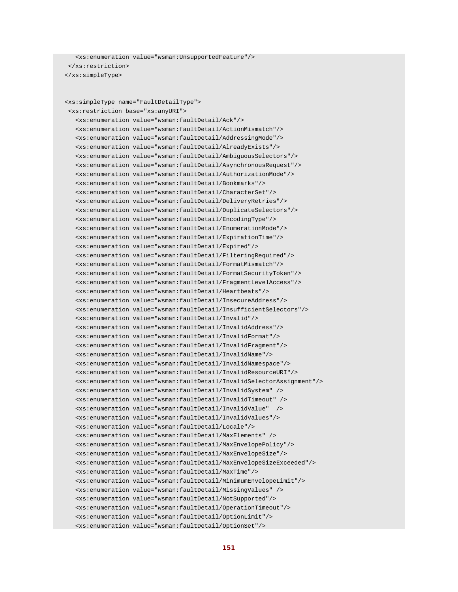```
 <xs:enumeration value="wsman:UnsupportedFeature"/> 
 </xs:restriction> 
 </xs:simpleType>
```

```
 <xs:simpleType name="FaultDetailType"> 
 <xs:restriction base="xs:anyURI">
```

```
 <xs:enumeration value="wsman:faultDetail/Ack"/> 
 <xs:enumeration value="wsman:faultDetail/ActionMismatch"/> 
 <xs:enumeration value="wsman:faultDetail/AddressingMode"/> 
 <xs:enumeration value="wsman:faultDetail/AlreadyExists"/> 
 <xs:enumeration value="wsman:faultDetail/AmbiguousSelectors"/> 
 <xs:enumeration value="wsman:faultDetail/AsynchronousRequest"/> 
 <xs:enumeration value="wsman:faultDetail/AuthorizationMode"/> 
 <xs:enumeration value="wsman:faultDetail/Bookmarks"/> 
 <xs:enumeration value="wsman:faultDetail/CharacterSet"/> 
 <xs:enumeration value="wsman:faultDetail/DeliveryRetries"/> 
 <xs:enumeration value="wsman:faultDetail/DuplicateSelectors"/> 
 <xs:enumeration value="wsman:faultDetail/EncodingType"/> 
 <xs:enumeration value="wsman:faultDetail/EnumerationMode"/> 
 <xs:enumeration value="wsman:faultDetail/ExpirationTime"/> 
 <xs:enumeration value="wsman:faultDetail/Expired"/> 
 <xs:enumeration value="wsman:faultDetail/FilteringRequired"/> 
 <xs:enumeration value="wsman:faultDetail/FormatMismatch"/> 
 <xs:enumeration value="wsman:faultDetail/FormatSecurityToken"/> 
 <xs:enumeration value="wsman:faultDetail/FragmentLevelAccess"/> 
 <xs:enumeration value="wsman:faultDetail/Heartbeats"/> 
 <xs:enumeration value="wsman:faultDetail/InsecureAddress"/> 
 <xs:enumeration value="wsman:faultDetail/InsufficientSelectors"/> 
 <xs:enumeration value="wsman:faultDetail/Invalid"/> 
 <xs:enumeration value="wsman:faultDetail/InvalidAddress"/> 
 <xs:enumeration value="wsman:faultDetail/InvalidFormat"/> 
 <xs:enumeration value="wsman:faultDetail/InvalidFragment"/> 
 <xs:enumeration value="wsman:faultDetail/InvalidName"/> 
 <xs:enumeration value="wsman:faultDetail/InvalidNamespace"/> 
 <xs:enumeration value="wsman:faultDetail/InvalidResourceURI"/> 
 <xs:enumeration value="wsman:faultDetail/InvalidSelectorAssignment"/> 
 <xs:enumeration value="wsman:faultDetail/InvalidSystem" /> 
 <xs:enumeration value="wsman:faultDetail/InvalidTimeout" /> 
 <xs:enumeration value="wsman:faultDetail/InvalidValue" /> 
 <xs:enumeration value="wsman:faultDetail/InvalidValues"/> 
 <xs:enumeration value="wsman:faultDetail/Locale"/> 
 <xs:enumeration value="wsman:faultDetail/MaxElements" /> 
 <xs:enumeration value="wsman:faultDetail/MaxEnvelopePolicy"/> 
 <xs:enumeration value="wsman:faultDetail/MaxEnvelopeSize"/> 
 <xs:enumeration value="wsman:faultDetail/MaxEnvelopeSizeExceeded"/> 
 <xs:enumeration value="wsman:faultDetail/MaxTime"/> 
 <xs:enumeration value="wsman:faultDetail/MinimumEnvelopeLimit"/> 
 <xs:enumeration value="wsman:faultDetail/MissingValues" /> 
 <xs:enumeration value="wsman:faultDetail/NotSupported"/> 
 <xs:enumeration value="wsman:faultDetail/OperationTimeout"/> 
 <xs:enumeration value="wsman:faultDetail/OptionLimit"/> 
 <xs:enumeration value="wsman:faultDetail/OptionSet"/>
```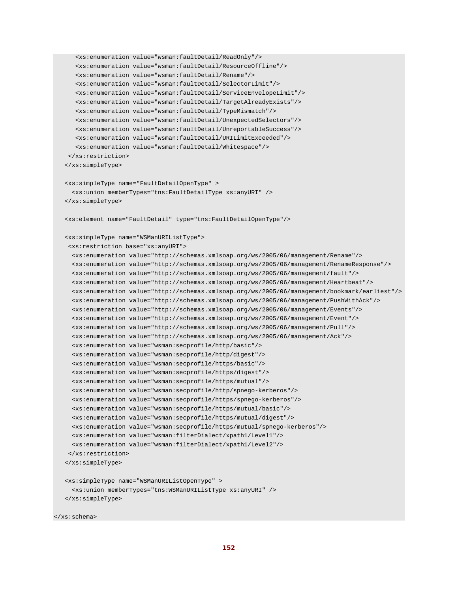```
 <xs:enumeration value="wsman:faultDetail/ReadOnly"/> 
    <xs:enumeration value="wsman:faultDetail/ResourceOffline"/> 
    <xs:enumeration value="wsman:faultDetail/Rename"/> 
    <xs:enumeration value="wsman:faultDetail/SelectorLimit"/> 
    <xs:enumeration value="wsman:faultDetail/ServiceEnvelopeLimit"/> 
    <xs:enumeration value="wsman:faultDetail/TargetAlreadyExists"/> 
    <xs:enumeration value="wsman:faultDetail/TypeMismatch"/> 
    <xs:enumeration value="wsman:faultDetail/UnexpectedSelectors"/> 
    <xs:enumeration value="wsman:faultDetail/UnreportableSuccess"/> 
    <xs:enumeration value="wsman:faultDetail/URILimitExceeded"/> 
    <xs:enumeration value="wsman:faultDetail/Whitespace"/> 
 </xs:restriction> 
 </xs:simpleType> 
 <xs:simpleType name="FaultDetailOpenType" > 
  <xs:union memberTypes="tns:FaultDetailType xs:anyURI" /> 
 </xs:simpleType> 
 <xs:element name="FaultDetail" type="tns:FaultDetailOpenType"/> 
 <xs:simpleType name="WSManURIListType"> 
 <xs:restriction base="xs:anyURI"> 
  <xs:enumeration value="http://schemas.xmlsoap.org/ws/2005/06/management/Rename"/> 
  <xs:enumeration value="http://schemas.xmlsoap.org/ws/2005/06/management/RenameResponse"/> 
  <xs:enumeration value="http://schemas.xmlsoap.org/ws/2005/06/management/fault"/> 
  <xs:enumeration value="http://schemas.xmlsoap.org/ws/2005/06/management/Heartbeat"/> 
   <xs:enumeration value="http://schemas.xmlsoap.org/ws/2005/06/management/bookmark/earliest"/> 
   <xs:enumeration value="http://schemas.xmlsoap.org/ws/2005/06/management/PushWithAck"/> 
   <xs:enumeration value="http://schemas.xmlsoap.org/ws/2005/06/management/Events"/> 
   <xs:enumeration value="http://schemas.xmlsoap.org/ws/2005/06/management/Event"/> 
   <xs:enumeration value="http://schemas.xmlsoap.org/ws/2005/06/management/Pull"/> 
   <xs:enumeration value="http://schemas.xmlsoap.org/ws/2005/06/management/Ack"/> 
  <xs:enumeration value="wsman:secprofile/http/basic"/> 
   <xs:enumeration value="wsman:secprofile/http/digest"/> 
  <xs:enumeration value="wsman:secprofile/https/basic"/> 
   <xs:enumeration value="wsman:secprofile/https/digest"/> 
   <xs:enumeration value="wsman:secprofile/https/mutual"/> 
   <xs:enumeration value="wsman:secprofile/http/spnego-kerberos"/> 
   <xs:enumeration value="wsman:secprofile/https/spnego-kerberos"/> 
  <xs:enumeration value="wsman:secprofile/https/mutual/basic"/> 
   <xs:enumeration value="wsman:secprofile/https/mutual/digest"/> 
  <xs:enumeration value="wsman:secprofile/https/mutual/spnego-kerberos"/> 
  <xs:enumeration value="wsman:filterDialect/xpath1/Level1"/> 
   <xs:enumeration value="wsman:filterDialect/xpath1/Level2"/> 
 </xs:restriction> 
 </xs:simpleType> 
 <xs:simpleType name="WSManURIListOpenType" > 
   <xs:union memberTypes="tns:WSManURIListType xs:anyURI" /> 
 </xs:simpleType>
```
</xs:schema>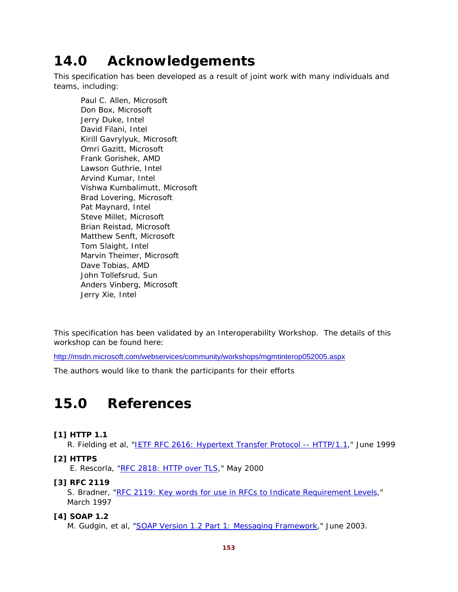# **14.0 Acknowledgements**

This specification has been developed as a result of joint work with many individuals and teams, including:

Paul C. Allen, Microsoft Don Box, Microsoft Jerry Duke, Intel David Filani, Intel Kirill Gavrylyuk, Microsoft Omri Gazitt, Microsoft Frank Gorishek, AMD Lawson Guthrie, Intel Arvind Kumar, Intel Vishwa Kumbalimutt, Microsoft Brad Lovering, Microsoft Pat Maynard, Intel Steve Millet, Microsoft Brian Reistad, Microsoft Matthew Senft, Microsoft Tom Slaight, Intel Marvin Theimer, Microsoft Dave Tobias, AMD John Tollefsrud, Sun Anders Vinberg, Microsoft Jerry Xie, Intel

This specification has been validated by an Interoperability Workshop. The details of this workshop can be found here:

http://msdn.microsoft.com/webservices/community/workshops/mgmtinterop052005.aspx

The authors would like to thank the participants for their efforts

# **15.0 References**

## **[1] HTTP 1.1**

R. Fielding et al, "IETF RFC 2616: Hypertext Transfer Protocol -- HTTP/1.1," June 1999

## **[2] HTTPS**

E. Rescorla, "RFC 2818: HTTP over TLS," May 2000

## **[3] RFC 2119**

S. Bradner, "RFC 2119: Key words for use in RFCs to Indicate Requirement Levels," March 1997

## **[4] SOAP 1.2**

M. Gudgin, et al, "SOAP Version 1.2 Part 1: Messaging Framework," June 2003.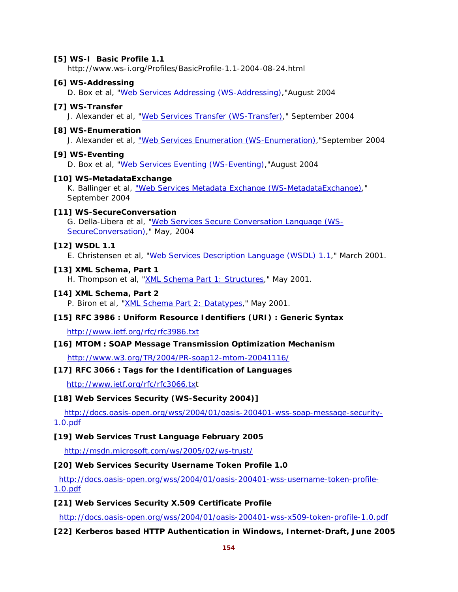#### **[5] WS-I Basic Profile 1.1**

http://www.ws-i.org/Profiles/BasicProfile-1.1-2004-08-24.html

#### **[6] WS-Addressing**

D. Box et al, "Web Services Addressing (WS-Addressing),"August 2004

#### **[7] WS-Transfer**

J. Alexander et al, "Web Services Transfer (WS-Transfer)," September 2004

#### **[8] WS-Enumeration**

J. Alexander et al, "Web Services Enumeration (WS-Enumeration),"September 2004

## **[9] WS-Eventing**

D. Box et al, "Web Services Eventing (WS-Eventing),"August 2004

## **[10] WS-MetadataExchange**

K. Ballinger et al, "Web Services Metadata Exchange (WS-MetadataExchange)," September 2004

## **[11] WS-SecureConversation**

G. Della-Libera et al, "Web Services Secure Conversation Language (WS-SecureConversation)," May, 2004

#### **[12] WSDL 1.1**

E. Christensen et al, "Web Services Description Language (WSDL) 1.1," March 2001.

#### **[13] XML Schema, Part 1**

H. Thompson et al, "XML Schema Part 1: Structures," May 2001.

#### **[14] XML Schema, Part 2**

P. Biron et al, "XML Schema Part 2: Datatypes," May 2001.

## **[15] RFC 3986 : Uniform Resource Identifiers (URI) : Generic Syntax**

http://www.ietf.org/rfc/rfc3986.txt

## **[16] MTOM : SOAP Message Transmission Optimization Mechanism**

http://www.w3.org/TR/2004/PR-soap12-mtom-20041116/

## **[17] RFC 3066 : Tags for the Identification of Languages**

http://www.ietf.org/rfc/rfc3066.txt

## **[18] Web Services Security (WS-Security 2004)]**

http://docs.oasis-open.org/wss/2004/01/oasis-200401-wss-soap-message-security-1.0.pdf

#### **[19] Web Services Trust Language February 2005**

http://msdn.microsoft.com/ws/2005/02/ws-trust/

## **[20] Web Services Security Username Token Profile 1.0**

http://docs.oasis-open.org/wss/2004/01/oasis-200401-wss-username-token-profile-1.0.pdf

#### **[21] Web Services Security X.509 Certificate Profile**

http://docs.oasis-open.org/wss/2004/01/oasis-200401-wss-x509-token-profile-1.0.pdf

## **[22] Kerberos based HTTP Authentication in Windows, Internet-Draft, June 2005**